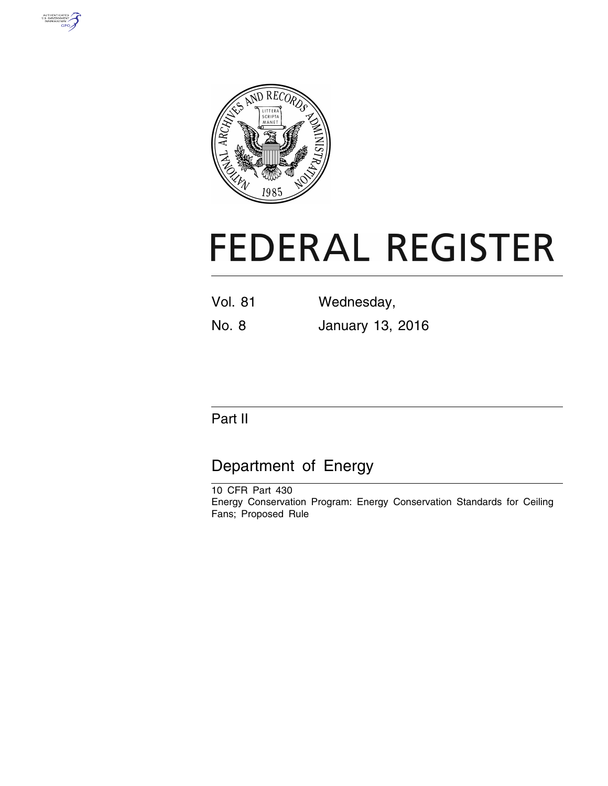



# **FEDERAL REGISTER**

| Vol. 81 | Wednesday, |
|---------|------------|
|         |            |

No. 8 January 13, 2016

# Part II

# Department of Energy

10 CFR Part 430 Energy Conservation Program: Energy Conservation Standards for Ceiling Fans; Proposed Rule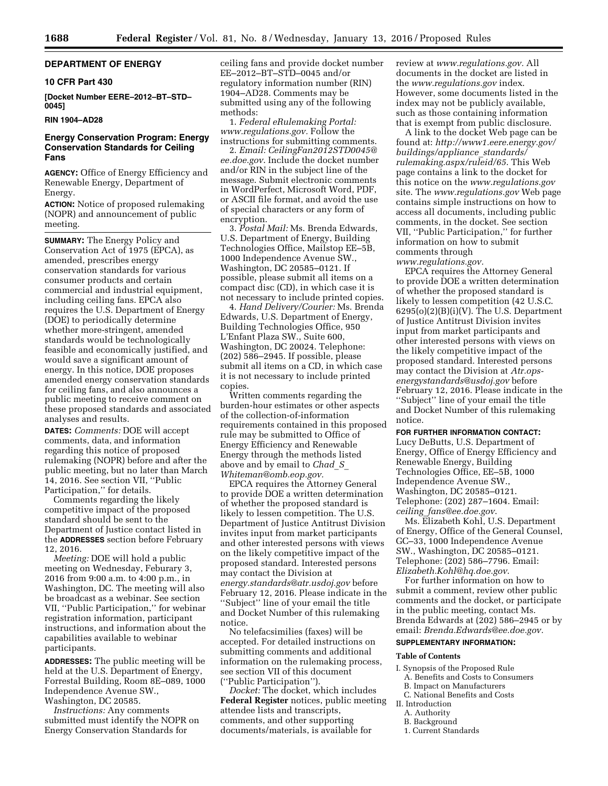# **DEPARTMENT OF ENERGY**

#### **10 CFR Part 430**

**[Docket Number EERE–2012–BT–STD– 0045]** 

# **RIN 1904–AD28**

# **Energy Conservation Program: Energy Conservation Standards for Ceiling Fans**

**AGENCY:** Office of Energy Efficiency and Renewable Energy, Department of Energy.

**ACTION:** Notice of proposed rulemaking (NOPR) and announcement of public meeting.

**SUMMARY:** The Energy Policy and Conservation Act of 1975 (EPCA), as amended, prescribes energy conservation standards for various consumer products and certain commercial and industrial equipment, including ceiling fans. EPCA also requires the U.S. Department of Energy (DOE) to periodically determine whether more-stringent, amended standards would be technologically feasible and economically justified, and would save a significant amount of energy. In this notice, DOE proposes amended energy conservation standards for ceiling fans, and also announces a public meeting to receive comment on these proposed standards and associated analyses and results.

**DATES:** *Comments:* DOE will accept comments, data, and information regarding this notice of proposed rulemaking (NOPR) before and after the public meeting, but no later than March 14, 2016. See section VII, ''Public Participation,'' for details.

Comments regarding the likely competitive impact of the proposed standard should be sent to the Department of Justice contact listed in the **ADDRESSES** section before February 12, 2016.

*Meeting:* DOE will hold a public meeting on Wednesday, Feburary 3, 2016 from 9:00 a.m. to 4:00 p.m., in Washington, DC. The meeting will also be broadcast as a webinar. See section VII, ''Public Participation,'' for webinar registration information, participant instructions, and information about the capabilities available to webinar participants.

**ADDRESSES:** The public meeting will be held at the U.S. Department of Energy, Forrestal Building, Room 8E–089, 1000 Independence Avenue SW., Washington, DC 20585.

*Instructions:* Any comments submitted must identify the NOPR on Energy Conservation Standards for

ceiling fans and provide docket number EE–2012–BT–STD–0045 and/or regulatory information number (RIN) 1904–AD28. Comments may be submitted using any of the following methods:

1. *Federal eRulemaking Portal: [www.regulations.gov.](http://www.regulations.gov)* Follow the instructions for submitting comments.

2. *Email: [CeilingFan2012STD0045@](mailto:CeilingFan2012STD0045@ee.doe.gov) [ee.doe.gov](mailto:CeilingFan2012STD0045@ee.doe.gov)*. Include the docket number and/or RIN in the subject line of the message. Submit electronic comments in WordPerfect, Microsoft Word, PDF, or ASCII file format, and avoid the use of special characters or any form of encryption.

3. *Postal Mail:* Ms. Brenda Edwards, U.S. Department of Energy, Building Technologies Office, Mailstop EE–5B, 1000 Independence Avenue SW., Washington, DC 20585–0121. If possible, please submit all items on a compact disc (CD), in which case it is not necessary to include printed copies.

4. *Hand Delivery/Courier:* Ms. Brenda Edwards, U.S. Department of Energy, Building Technologies Office, 950 L'Enfant Plaza SW., Suite 600, Washington, DC 20024. Telephone: (202) 586–2945. If possible, please submit all items on a CD, in which case it is not necessary to include printed copies.

Written comments regarding the burden-hour estimates or other aspects of the collection-of-information requirements contained in this proposed rule may be submitted to Office of Energy Efficiency and Renewable Energy through the methods listed above and by email to *[Chad](mailto:Chad_S_Whiteman@omb.eop.gov)*\_*S*\_ *[Whiteman@omb.eop.gov.](mailto:Chad_S_Whiteman@omb.eop.gov)* 

EPCA requires the Attorney General to provide DOE a written determination of whether the proposed standard is likely to lessen competition. The U.S. Department of Justice Antitrust Division invites input from market participants and other interested persons with views on the likely competitive impact of the proposed standard. Interested persons may contact the Division at *[energy.standards@atr.usdoj.gov](mailto:energy.standards@atr.usdoj.gov)* before February 12, 2016. Please indicate in the ''Subject'' line of your email the title and Docket Number of this rulemaking notice.

No telefacsimilies (faxes) will be accepted. For detailed instructions on submitting comments and additional information on the rulemaking process, see section VII of this document (''Public Participation'').

*Docket:* The docket, which includes **Federal Register** notices, public meeting attendee lists and transcripts, comments, and other supporting documents/materials, is available for

review at *[www.regulations.gov.](http://www.regulations.gov)* All documents in the docket are listed in the *[www.regulations.gov](http://www.regulations.gov)* index. However, some documents listed in the index may not be publicly available, such as those containing information that is exempt from public disclosure.

A link to the docket Web page can be found at: *[http://www1.eere.energy.gov/](http://www1.eere.energy.gov/buildings/appliance_standards/rulemaking.aspx/ruleid/65) [buildings/appliance](http://www1.eere.energy.gov/buildings/appliance_standards/rulemaking.aspx/ruleid/65)*\_*standards/ [rulemaking.aspx/ruleid/65](http://www1.eere.energy.gov/buildings/appliance_standards/rulemaking.aspx/ruleid/65)*. This Web page contains a link to the docket for this notice on the *[www.regulations.gov](http://www.regulations.gov)*  site. The *[www.regulations.gov](http://www.regulations.gov)* Web page contains simple instructions on how to access all documents, including public comments, in the docket. See section VII, ''Public Participation,'' for further information on how to submit comments through

*[www.regulations.gov.](http://www.regulations.gov)* 

EPCA requires the Attorney General to provide DOE a written determination of whether the proposed standard is likely to lessen competition (42 U.S.C.  $6295(o)(2)(B)(i)(V)$ . The U.S. Department of Justice Antitrust Division invites input from market participants and other interested persons with views on the likely competitive impact of the proposed standard. Interested persons may contact the Division at *[Atr.ops](mailto:Atr.ops-energystandards@usdoj.gov)[energystandards@usdoj.gov](mailto:Atr.ops-energystandards@usdoj.gov)* before February 12, 2016. Please indicate in the ''Subject'' line of your email the title and Docket Number of this rulemaking notice.

#### **FOR FURTHER INFORMATION CONTACT:**

Lucy DeButts, U.S. Department of Energy, Office of Energy Efficiency and Renewable Energy, Building Technologies Office, EE–5B, 1000 Independence Avenue SW., Washington, DC 20585–0121. Telephone: (202) 287–1604. Email: *ceiling*\_*[fans@ee.doe.gov](mailto:ceiling_fans@ee.doe.gov)*.

Ms. Elizabeth Kohl, U.S. Department of Energy, Office of the General Counsel, GC–33, 1000 Independence Avenue SW., Washington, DC 20585–0121. Telephone: (202) 586–7796. Email: *[Elizabeth.Kohl@hq.doe.gov](mailto:Elizabeth.Kohl@hq.doe.gov)*.

For further information on how to submit a comment, review other public comments and the docket, or participate in the public meeting, contact Ms. Brenda Edwards at (202) 586–2945 or by email: *[Brenda.Edwards@ee.doe.gov.](mailto:Brenda.Edwards@ee.doe.gov)* 

# **SUPPLEMENTARY INFORMATION:**

#### **Table of Contents**

- I. Synopsis of the Proposed Rule A. Benefits and Costs to Consumers
- B. Impact on Manufacturers
- C. National Benefits and Costs II. Introduction
- A. Authority
- B. Background
- 1. Current Standards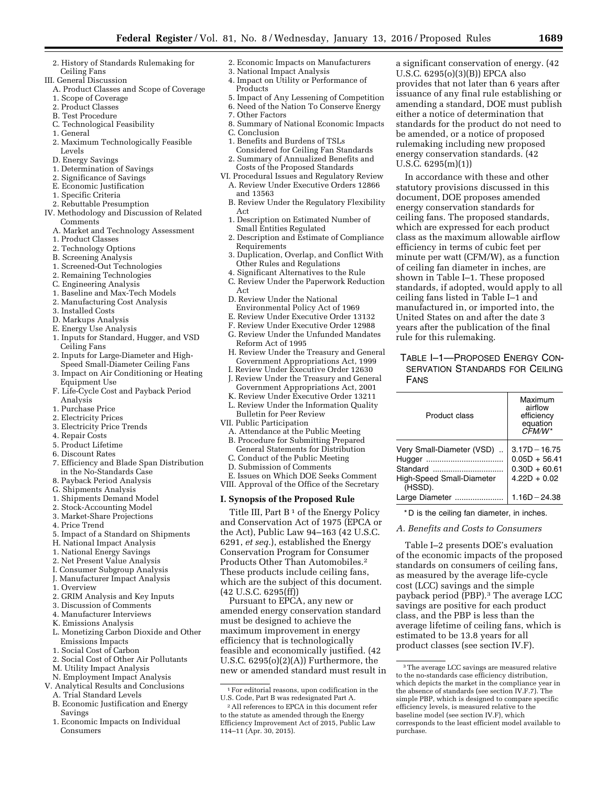- 2. History of Standards Rulemaking for Ceiling Fans
- III. General Discussion
	- A. Product Classes and Scope of Coverage
	- 1. Scope of Coverage
	- 2. Product Classes
	- B. Test Procedure
	- C. Technological Feasibility
	- 1. General
	- 2. Maximum Technologically Feasible Levels
	- D. Energy Savings
	- 1. Determination of Savings
	- 2. Significance of Savings
	- E. Economic Justification
	- 1. Specific Criteria
	- 2. Rebuttable Presumption
- IV. Methodology and Discussion of Related Comments
	- A. Market and Technology Assessment
	- 1. Product Classes
	- 2. Technology Options
	- B. Screening Analysis
	- 1. Screened-Out Technologies
	- 2. Remaining Technologies
	- C. Engineering Analysis
	- 1. Baseline and Max-Tech Models
	- 2. Manufacturing Cost Analysis
	- 3. Installed Costs
	- D. Markups Analysis
	- E. Energy Use Analysis
	- 1. Inputs for Standard, Hugger, and VSD Ceiling Fans
	- 2. Inputs for Large-Diameter and High-Speed Small-Diameter Ceiling Fans
	- 3. Impact on Air Conditioning or Heating Equipment Use
	- F. Life-Cycle Cost and Payback Period Analysis
	- 1. Purchase Price
	- 2. Electricity Prices
	- 3. Electricity Price Trends
	- 4. Repair Costs
	- 5. Product Lifetime
	- 6. Discount Rates
	- 7. Efficiency and Blade Span Distribution in the No-Standards Case
	- 8. Payback Period Analysis
	- G. Shipments Analysis
	- 1. Shipments Demand Model
	- 2. Stock-Accounting Model
	- 3. Market-Share Projections
	- 4. Price Trend
	- 5. Impact of a Standard on Shipments
	- H. National Impact Analysis
	- 1. National Energy Savings
	- 2. Net Present Value Analysis
	- I. Consumer Subgroup Analysis
	- J. Manufacturer Impact Analysis
	- 1. Overview
	- 2. GRIM Analysis and Key Inputs
	- 3. Discussion of Comments
	- 4. Manufacturer Interviews
	- K. Emissions Analysis
	- L. Monetizing Carbon Dioxide and Other Emissions Impacts
	- 1. Social Cost of Carbon
	- 2. Social Cost of Other Air Pollutants
	- M. Utility Impact Analysis
	-
- N. Employment Impact Analysis V. Analytical Results and Conclusions
	- A. Trial Standard Levels
	-
	- B. Economic Justification and Energy Savings
	- 1. Economic Impacts on Individual Consumers
- 2. Economic Impacts on Manufacturers
- 3. National Impact Analysis 4. Impact on Utility or Performance of
- Products
- 5. Impact of Any Lessening of Competition
- 6. Need of the Nation To Conserve Energy
- 7. Other Factors
- 
- 8. Summary of National Economic Impacts
- C. Conclusion
- 1. Benefits and Burdens of TSLs
- Considered for Ceiling Fan Standards 2. Summary of Annualized Benefits and Costs of the Proposed Standards
- VI. Procedural Issues and Regulatory Review
- A. Review Under Executive Orders 12866 and 13563
- B. Review Under the Regulatory Flexibility Act
- 1. Description on Estimated Number of Small Entities Regulated
- 2. Description and Estimate of Compliance Requirements
- 3. Duplication, Overlap, and Conflict With Other Rules and Regulations
- 4. Significant Alternatives to the Rule
- C. Review Under the Paperwork Reduction Act
- D. Review Under the National Environmental Policy Act of 1969
- E. Review Under Executive Order 13132
- F. Review Under Executive Order 12988
- G. Review Under the Unfunded Mandates
- Reform Act of 1995
- H. Review Under the Treasury and General Government Appropriations Act, 1999
- I. Review Under Executive Order 12630 J. Review Under the Treasury and General
- Government Appropriations Act, 2001
- K. Review Under Executive Order 13211 L. Review Under the Information Quality
- Bulletin for Peer Review VII. Public Participation
- A. Attendance at the Public Meeting
- B. Procedure for Submitting Prepared General Statements for Distribution

E. Issues on Which DOE Seeks Comment VIII. Approval of the Office of the Secretary **I. Synopsis of the Proposed Rule** 

Title III, Part B<sup>1</sup> of the Energy Policy and Conservation Act of 1975 (EPCA or the Act), Public Law 94–163 (42 U.S.C. 6291, *et seq.*), established the Energy Conservation Program for Consumer Products Other Than Automobiles.2 These products include ceiling fans, which are the subject of this document.

 $^{\rm 1}$  For editorial reasons, upon codification in the U.S. Code, Part B was redesignated Part A. 2All references to EPCA in this document refer to the statute as amended through the Energy Efficiency Improvement Act of 2015, Public Law

Pursuant to EPCA, any new or amended energy conservation standard must be designed to achieve the maximum improvement in energy efficiency that is technologically feasible and economically justified. (42 U.S.C. 6295(o)(2)(A)) Furthermore, the new or amended standard must result in

3The average LCC savings are measured relative to the no-standards case efficiency distribution, which depicts the market in the compliance year in the absence of standards (see section IV.F.7). The simple PBP, which is designed to compare specific efficiency levels, is measured relative to the baseline model (see section IV.F), which corresponds to the least efficient model available to

a significant conservation of energy. (42 U.S.C. 6295(o)(3)(B)) EPCA also

provides that not later than 6 years after issuance of any final rule establishing or amending a standard, DOE must publish either a notice of determination that standards for the product do not need to be amended, or a notice of proposed rulemaking including new proposed energy conservation standards. (42

In accordance with these and other statutory provisions discussed in this document, DOE proposes amended energy conservation standards for ceiling fans. The proposed standards, which are expressed for each product class as the maximum allowable airflow efficiency in terms of cubic feet per minute per watt (CFM/W), as a function of ceiling fan diameter in inches, are shown in Table I–1. These proposed standards, if adopted, would apply to all ceiling fans listed in Table I–1 and manufactured in, or imported into, the United States on and after the date 3 years after the publication of the final

U.S.C. 6295(m)(1))

rule for this rulemaking.

Product class

High-Speed Small-Diameter

FANS

(HSSD).

TABLE I–1—PROPOSED ENERGY CON-SERVATION STANDARDS FOR CEILING

Very Small-Diameter (VSD)  $\ldots$  3.17D – 16.75 Hugger ................................... 0.05D + 56.41 Standard ................................ 0.30D + 60.61

Large Diameter ...................... 1.16D¥24.38 \* D is the ceiling fan diameter, in inches. *A. Benefits and Costs to Consumers* 

Table I–2 presents DOE's evaluation of the economic impacts of the proposed standards on consumers of ceiling fans, as measured by the average life-cycle cost (LCC) savings and the simple payback period (PBP).<sup>3</sup> The average LCC savings are positive for each product class, and the PBP is less than the average lifetime of ceiling fans, which is estimated to be 13.8 years for all product classes (see section IV.F).

Maximum airflow efficiency equation *CFM/W* \*

 $4.22D + 0.02$ 

purchase.

114–11 (Apr. 30, 2015).

(42 U.S.C. 6295(ff))

- C. Conduct of the Public Meeting
- D. Submission of Comments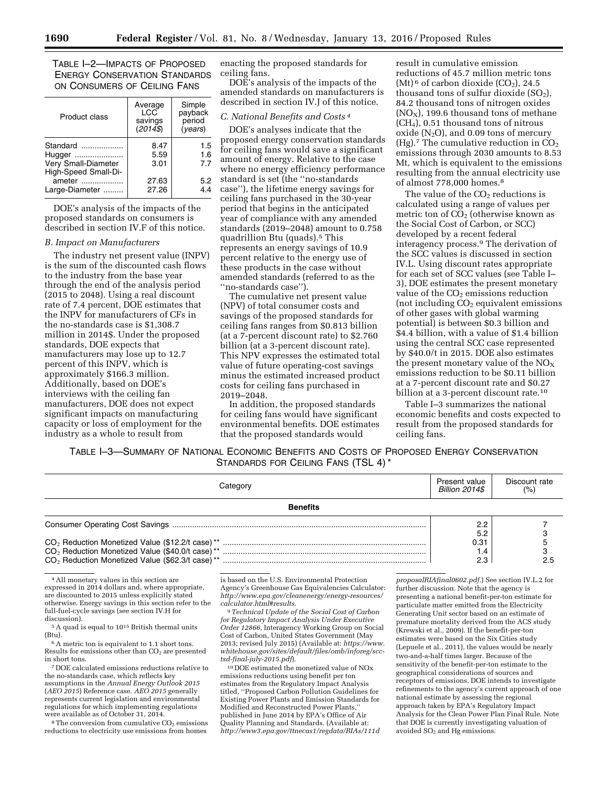TABLE I–2—IMPACTS OF PROPOSED ENERGY CONSERVATION STANDARDS ON CONSUMERS OF CEILING FANS

| <b>Product class</b>                                              | Average<br>LCC<br>savings<br>$(2014\sqrt{3})$ | Simple<br>payback<br>period<br>(vears) |
|-------------------------------------------------------------------|-----------------------------------------------|----------------------------------------|
| Standard<br>Hugger<br>Very Small-Diameter<br>High-Speed Small-Di- | 8.47<br>5.59<br>3.01                          | 1.5<br>1.6<br>7.7                      |
| ameter<br>Large-Diameter                                          | 27.63<br>27.26                                | 5.2<br>4.4                             |

DOE's analysis of the impacts of the proposed standards on consumers is described in section IV.F of this notice.

#### *B. Impact on Manufacturers*

The industry net present value (INPV) is the sum of the discounted cash flows to the industry from the base year through the end of the analysis period (2015 to 2048). Using a real discount rate of 7.4 percent, DOE estimates that the INPV for manufacturers of CFs in the no-standards case is \$1,308.7 million in 2014\$. Under the proposed standards, DOE expects that manufacturers may lose up to 12.7 percent of this INPV, which is approximately \$166.3 million. Additionally, based on DOE's interviews with the ceiling fan manufacturers, DOE does not expect significant impacts on manufacturing capacity or loss of employment for the industry as a whole to result from

enacting the proposed standards for ceiling fans.

DOE's analysis of the impacts of the amended standards on manufacturers is described in section IV.J of this notice.

#### *C. National Benefits and Costs 4*

DOE's analyses indicate that the proposed energy conservation standards for ceiling fans would save a significant amount of energy. Relative to the case where no energy efficiency performance standard is set (the ''no-standards case''), the lifetime energy savings for ceiling fans purchased in the 30-year period that begins in the anticipated year of compliance with any amended standards (2019–2048) amount to 0.758 quadrillion Btu (quads).5 This represents an energy savings of 10.9 percent relative to the energy use of these products in the case without amended standards (referred to as the ''no-standards case'').

The cumulative net present value (NPV) of total consumer costs and savings of the proposed standards for ceiling fans ranges from \$0.813 billion (at a 7-percent discount rate) to \$2.760 billion (at a 3-percent discount rate). This NPV expresses the estimated total value of future operating-cost savings minus the estimated increased product costs for ceiling fans purchased in 2019–2048.

In addition, the proposed standards for ceiling fans would have significant environmental benefits. DOE estimates that the proposed standards would

result in cumulative emission reductions of 45.7 million metric tons  $(Mt)$ <sup>6</sup> of carbon dioxide  $(CO<sub>2</sub>)$ , 24.5 thousand tons of sulfur dioxide  $(SO<sub>2</sub>)$ , 84.2 thousand tons of nitrogen oxides  $(NO<sub>x</sub>)$ , 199.6 thousand tons of methane (CH4), 0.51 thousand tons of nitrous oxide  $(N_2O)$ , and 0.09 tons of mercury (Hg).<sup>7</sup> The cumulative reduction in  $CO<sub>2</sub>$ emissions through 2030 amounts to 8.53 Mt, which is equivalent to the emissions resulting from the annual electricity use of almost 778,000 homes.8

The value of the CO<sub>2</sub> reductions is calculated using a range of values per metric ton of  $CO<sub>2</sub>$  (otherwise known as the Social Cost of Carbon, or SCC) developed by a recent federal interagency process.9 The derivation of the SCC values is discussed in section IV.L. Using discount rates appropriate for each set of SCC values (see Table I– 3), DOE estimates the present monetary value of the  $CO<sub>2</sub>$  emissions reduction (not including  $CO<sub>2</sub>$  equivalent emissions of other gases with global warming potential) is between \$0.3 billion and \$4.4 billion, with a value of \$1.4 billion using the central SCC case represented by \$40.0/t in 2015. DOE also estimates the present monetary value of the  $NO<sub>X</sub>$ emissions reduction to be \$0.11 billion at a 7-percent discount rate and \$0.27 billion at a 3-percent discount rate.<sup>10</sup>

Table I–3 summarizes the national economic benefits and costs expected to result from the proposed standards for ceiling fans.

TABLE I–3—SUMMARY OF NATIONAL ECONOMIC BENEFITS AND COSTS OF PROPOSED ENERGY CONSERVATION STANDARDS FOR CEILING FANS (TSL 4) \*

|                                                             | Present value         | Discount rate |
|-------------------------------------------------------------|-----------------------|---------------|
| Categorv                                                    |                       | (%)           |
|                                                             | <b>Billion 2014\$</b> |               |
| <b>Benefits</b>                                             |                       |               |
|                                                             | 2.2                   |               |
|                                                             | 5.2                   |               |
|                                                             | 0.31                  |               |
|                                                             | 1.4                   |               |
| CO <sub>2</sub> Reduction Monetized Value (\$62.3/t case)** | 2.3                   |               |

4All monetary values in this section are expressed in 2014 dollars and, where appropriate, are discounted to 2015 unless explicitly stated otherwise. Energy savings in this section refer to the full-fuel-cycle savings (see section IV.H for

 $\frac{5 \text{ A}}{101}$  and is equal to  $10^{15}$  British thermal units

 $6A$  metric ton is equivalent to 1.1 short tons. Results for emissions other than  $CO<sub>2</sub>$  are presented<br>in short tons.

<sup>7</sup> DOE calculated emissions reductions relative to the no-standards case, which reflects key assumptions in the *Annual Energy Outlook 2015*  (*AEO 2015*) Reference case. *AEO 2015* generally represents current legislation and environmental regulations for which implementing regulations were available as of October 31, 2014.

 $8$ The conversion from cumulative  $CO<sub>2</sub>$  emissions reductions to electricity use emissions from homes

is based on the U.S. Environmental Protection Agency's Greenhouse Gas Equivalencies Calculator: *[http://www.epa.gov/cleanenergy/energy-resources/](http://www.epa.gov/cleanenergy/energy-resources/calculator.html#results) [calculator.html#results](http://www.epa.gov/cleanenergy/energy-resources/calculator.html#results)*.

9*Technical Update of the Social Cost of Carbon for Regulatory Impact Analysis Under Executive Order 12866,* Interagency Working Group on Social Cost of Carbon, United States Government (May 2013; revised July 2015) (Available at: *[https://www.](https://www.whitehouse.gov/sites/default/files/omb/inforeg/scc-tsd-final-july-2015.pdf) [whitehouse.gov/sites/default/files/omb/inforeg/scc](https://www.whitehouse.gov/sites/default/files/omb/inforeg/scc-tsd-final-july-2015.pdf)[tsd-final-july-2015.pdf](https://www.whitehouse.gov/sites/default/files/omb/inforeg/scc-tsd-final-july-2015.pdf)*).

10 DOE estimated the monetized value of NOx emissions reductions using benefit per ton estimates from the Regulatory Impact Analysis titled, ''Proposed Carbon Pollution Guidelines for Existing Power Plants and Emission Standards for Modified and Reconstructed Power Plants,'' published in June 2014 by EPA's Office of Air Quality Planning and Standards. (Available at: *[http://www3.epa.gov/ttnecas1/regdata/RIAs/111d](http://www3.epa.gov/ttnecas1/regdata/RIAs/111dproposalRIAfinal0602.pdf)*

*[proposalRIAfinal0602.pdf](http://www3.epa.gov/ttnecas1/regdata/RIAs/111dproposalRIAfinal0602.pdf)*.) See section IV.L.2 for further discussion. Note that the agency is presenting a national benefit-per-ton estimate for particulate matter emitted from the Electricity Generating Unit sector based on an estimate of premature mortality derived from the ACS study (Krewski et al., 2009). If the benefit-per-ton estimates were based on the Six Cities study (Lepuele et al., 2011), the values would be nearly two-and-a-half times larger. Because of the sensitivity of the benefit-per-ton estimate to the geographical considerations of sources and receptors of emissions, DOE intends to investigate refinements to the agency's current approach of one national estimate by assessing the regional approach taken by EPA's Regulatory Impact Analysis for the Clean Power Plan Final Rule. Note that DOE is currently investigating valuation of avoided  $SO<sub>2</sub>$  and Hg emissions.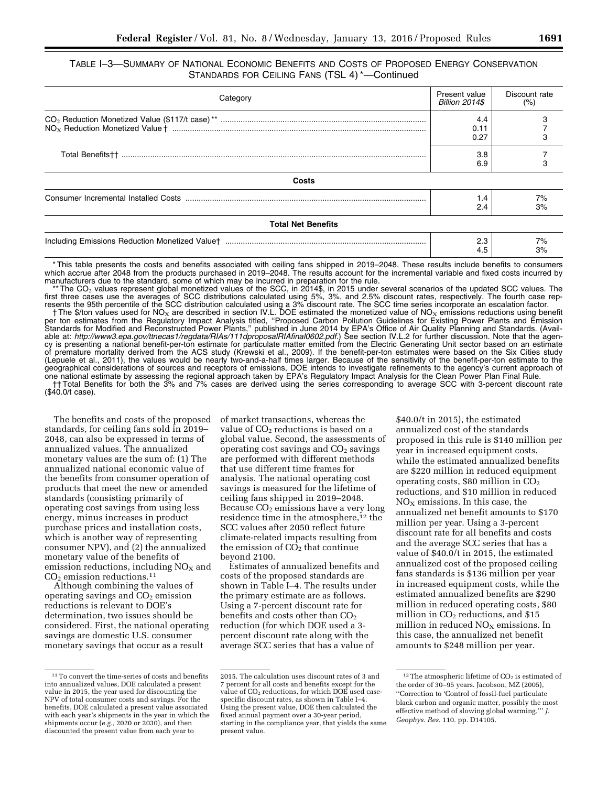| Category                  |                     | Discount rate<br>(%) |
|---------------------------|---------------------|----------------------|
|                           | 4.4<br>0.11<br>0.27 |                      |
|                           |                     |                      |
| Costs                     |                     |                      |
|                           | 1.4<br>2.4          | 7%<br>3%             |
| <b>Total Net Benefits</b> |                     |                      |
|                           | 2.3<br>4.5          | 7%<br>3%             |

\* This table presents the costs and benefits associated with ceiling fans shipped in 2019–2048. These results include benefits to consumers which accrue after 2048 from the products purchased in 2019–2048. The results account for the incremental variable and fixed costs incurred by minimized the standard, some of which may be incurred in preparation for the rule.

\*\* The CO<sub>2</sub> values represent global monetized values of the SCC, in 2014\$, in 2015 under several scenarios of the updated SCC values. The fourth case rep-<br>first three cases use the averages of SCC distributions calculate resents the 95th percentile of the SCC distribution calculated using a 3% discount rate. The SCC time series incorporate an escalation factor.

† The \$/ton values used for NO<sub>x</sub> are described in section IV.L. DOE estimated the monetized value of NO<sub>x</sub> emissions reductions using benefit<br>per ton estimates from the Regulatory Impact Analysis titled, "Proposed Carbon Standards for Modified and Reconstructed Power Plants,'' published in June 2014 by EPA's Office of Air Quality Planning and Standards. (Available at: *[http://www3.epa.gov/ttnecas1/regdata/RIAs/111dproposalRIAfinal0602.pdf.](http://www3.epa.gov/ttnecas1/regdata/RIAs/111dproposalRIAfinal0602.pdf)*) See section IV.L.2 for further discussion. Note that the agency is presenting a national benefit-per-ton estimate for particulate matter emitted from the Electric Generating Unit sector based on an estimate of premature mortality derived from the ACS study (Krewski et al., 2009). If the benefit-per-ton estimates were based on the Six Cities study (Lepuele et al., 2011), the values would be nearly two-and-a-half times larger. Because of the sensitivity of the benefit-per-ton estimate to the geographical considerations of sources and receptors of emissions, DOE intends to investigate refinements to the agency's current approach of one national estimate by assessing the regional approach taken by EPA's Regulatory Impact Analysis for the Clean Power Plan Final Rule. †† Total Benefits for both the 3% and 7% cases are derived using the series corresponding to average SCC with 3-percent discount rate

(\$40.0/t case).

The benefits and costs of the proposed standards, for ceiling fans sold in 2019– 2048, can also be expressed in terms of annualized values. The annualized monetary values are the sum of: (1) The annualized national economic value of the benefits from consumer operation of products that meet the new or amended standards (consisting primarily of operating cost savings from using less energy, minus increases in product purchase prices and installation costs, which is another way of representing consumer NPV), and (2) the annualized monetary value of the benefits of emission reductions, including  $NO<sub>x</sub>$  and  $CO<sub>2</sub>$  emission reductions.<sup>11</sup>

Although combining the values of operating savings and  $CO<sub>2</sub>$  emission reductions is relevant to DOE's determination, two issues should be considered. First, the national operating savings are domestic U.S. consumer monetary savings that occur as a result

of market transactions, whereas the value of CO<sub>2</sub> reductions is based on a global value. Second, the assessments of operating cost savings and  $CO<sub>2</sub>$  savings are performed with different methods that use different time frames for analysis. The national operating cost savings is measured for the lifetime of ceiling fans shipped in 2019–2048. Because  $CO<sub>2</sub>$  emissions have a very long residence time in the atmosphere,<sup>12</sup> the SCC values after 2050 reflect future climate-related impacts resulting from the emission of  $CO<sub>2</sub>$  that continue beyond 2100.

Estimates of annualized benefits and costs of the proposed standards are shown in Table I–4. The results under the primary estimate are as follows. Using a 7-percent discount rate for benefits and costs other than  $CO<sub>2</sub>$ reduction (for which DOE used a 3 percent discount rate along with the average SCC series that has a value of

\$40.0/t in 2015), the estimated annualized cost of the standards proposed in this rule is \$140 million per year in increased equipment costs, while the estimated annualized benefits are \$220 million in reduced equipment operating costs,  $$80$  million in  $CO<sub>2</sub>$ reductions, and \$10 million in reduced  $NO<sub>x</sub>$  emissions. In this case, the annualized net benefit amounts to \$170 million per year. Using a 3-percent discount rate for all benefits and costs and the average SCC series that has a value of \$40.0/t in 2015, the estimated annualized cost of the proposed ceiling fans standards is \$136 million per year in increased equipment costs, while the estimated annualized benefits are \$290 million in reduced operating costs, \$80 million in  $CO<sub>2</sub>$  reductions, and \$15 million in reduced  $NO<sub>X</sub>$  emissions. In this case, the annualized net benefit amounts to \$248 million per year.

<sup>11</sup>To convert the time-series of costs and benefits into annualized values, DOE calculated a present value in 2015, the year used for discounting the NPV of total consumer costs and savings. For the benefits, DOE calculated a present value associated with each year's shipments in the year in which the shipments occur (*e.g.,* 2020 or 2030), and then discounted the present value from each year to

<sup>2015.</sup> The calculation uses discount rates of 3 and 7 percent for all costs and benefits except for the value of  $CO<sub>2</sub>$  reductions, for which DOE used casespecific discount rates, as shown in Table I–4. Using the present value, DOE then calculated the fixed annual payment over a 30-year period, starting in the compliance year, that yields the same present value.

<sup>&</sup>lt;sup>12</sup>The atmospheric lifetime of  $CO<sub>2</sub>$  is estimated of the order of 30–95 years. Jacobson, MZ (2005), ''Correction to 'Control of fossil-fuel particulate black carbon and organic matter, possibly the most effective method of slowing global warming,''' *J. Geophys. Res.* 110. pp. D14105.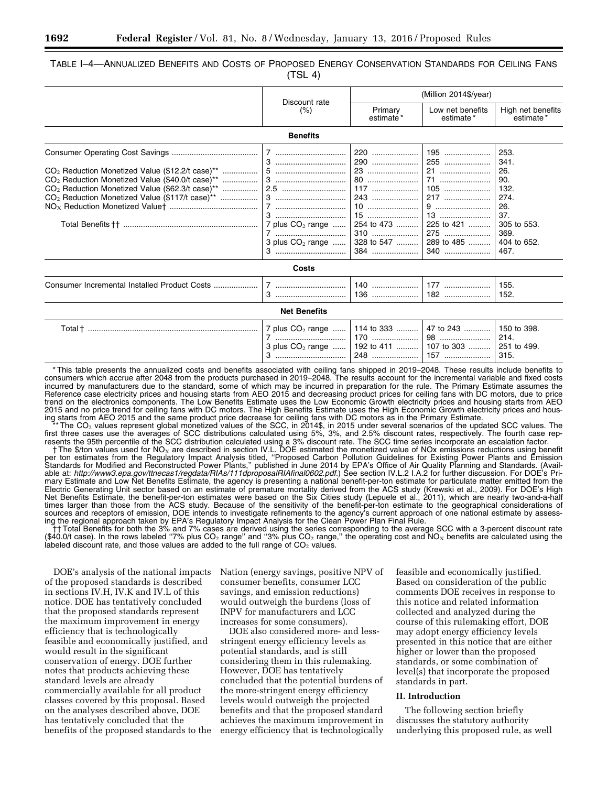#### TABLE I–4—ANNUALIZED BENEFITS AND COSTS OF PROPOSED ENERGY CONSERVATION STANDARDS FOR CEILING FANS  $(TSL 4)$

|                                                                                                                                                                                                                                                 |                                               | (Million 2014\$/year)                                                             |                                                                           |                                                                                                        |
|-------------------------------------------------------------------------------------------------------------------------------------------------------------------------------------------------------------------------------------------------|-----------------------------------------------|-----------------------------------------------------------------------------------|---------------------------------------------------------------------------|--------------------------------------------------------------------------------------------------------|
|                                                                                                                                                                                                                                                 | Discount rate<br>(%)                          | Primary<br>estimate*                                                              | Low net benefits<br>estimate*                                             | High net benefits<br>estimate*                                                                         |
|                                                                                                                                                                                                                                                 | <b>Benefits</b>                               |                                                                                   |                                                                           |                                                                                                        |
| $CO2$ Reduction Monetized Value (\$12.2/t case)**<br>$CO2$ Reduction Monetized Value (\$40.0/t case) <sup>**</sup><br>CO <sub>2</sub> Reduction Monetized Value (\$62.3/t case)**<br>CO <sub>2</sub> Reduction Monetized Value (\$117/t case)** | 7<br>7 plus $CO2$ range<br>3 plus $CO2$ range | 220<br>290<br>23<br>80<br>$117$<br>243<br>10<br>254 to 473<br>$310$<br>328 to 547 | 195<br>255<br>71<br>$105$<br>13<br>225 to 421<br>275<br>289 to 485<br>340 | 253.<br>341.<br>26.<br>90.<br>132.<br>274.<br>26.<br>37.<br>305 to 553.<br>369.<br>404 to 652.<br>467. |
|                                                                                                                                                                                                                                                 | Costs                                         |                                                                                   |                                                                           |                                                                                                        |
|                                                                                                                                                                                                                                                 |                                               | $136$                                                                             | 182                                                                       | 155.<br>152.                                                                                           |
|                                                                                                                                                                                                                                                 | <b>Net Benefits</b>                           |                                                                                   |                                                                           |                                                                                                        |
| Total † ………………………………………………………………                                                                                                                                                                                                                | 7 plus $CO2$ range<br>7<br>3 plus $CO2$ range | 114 to 333                                                                        | 47 to 243<br>98<br>192 to 411    107 to 303                               | 150 to 398.<br>214.<br>251 to 499.<br>315.                                                             |

\* This table presents the annualized costs and benefits associated with ceiling fans shipped in 2019–2048. These results include benefits to consumers which accrue after 2048 from the products purchased in 2019–2048. The results account for the incremental variable and fixed costs incurred by manufacturers due to the standard, some of which may be incurred in preparation for the rule. The Primary Estimate assumes the Reference case electricity prices and housing starts from AEO 2015 and decreasing product prices for ceiling fans with DC motors, due to price trend on the electronics components. The Low Benefits Estimate uses the Low Economic Growth electricity prices and housing starts from AEO 2015 and no price trend for ceiling fans with DC motors. The High Benefits Estimate uses the High Economic Growth electricity prices and housing starts from AEO 2015 and the same product price decrease for ceiling fans with DC motors as in the Primary Estimate.

\*\* The CO<sub>2</sub> values represent global monetized values of the SCC, in 2014\$, in 2015 under several scenarios of the updated SCC values. The fourth case rep-<br>first three cases use the averages of SCC distributions calculate resents the 95th percentile of the SCC distribution calculated using a 3% discount rate. The SCC time series incorporate an escalation factor.

† The \$/ton values used for NO<sub>x</sub> are described in section IV.L. DOE estimated the monetized value of NOx emissions reductions using benefit<br>per ton estimates from the Regulatory Impact Analysis titled, "Proposed Carbon P Standards for Modified and Reconstructed Power Plants,'' published in June 2014 by EPA's Office of Air Quality Planning and Standards. (Available at: *[http://www3.epa.gov/ttnecas1/regdata/RIAs/111dproposalRIAfinal0602.pdf.](http://www3.epa.gov/ttnecas1/regdata/RIAs/111dproposalRIAfinal0602.pdf)*) See section IV.L.2 I.A.2 for further discussion. For DOE's Primary Estimate and Low Net Benefits Estimate, the agency is presenting a national benefit-per-ton estimate for particulate matter emitted from the Electric Generating Unit sector based on an estimate of premature mortality derived from the ACS study (Krewski et al., 2009). For DOE's High Net Benefits Estimate, the benefit-per-ton estimates were based on the Six Cities study (Lepuele et al., 2011), which are nearly two-and-a-half times larger than those from the ACS study. Because of the sensitivity of the benefit-per-ton estimate to the geographical considerations of sources and receptors of emission, DOE intends to investigate refinements to the agency's current approach of one national estimate by assessing the regional approach taken by EPA's Regulatory Impact Analysis for the Clean Power Plan Final Rule.<br>The Total Benefits for both the 3% and 7% cases are derived using the series corresponding to the average SCC with a

(\$40.0/t case). In the rows labeled "7% plus CO<sub>2</sub> range" and "3% plus CO<sub>2</sub> range," the operating cost and NO<sub>x</sub> benefits are calculated using the labeled discount rate, and those values are added to the full range of  $CO<sub>2</sub>$  values.

DOE's analysis of the national impacts of the proposed standards is described in sections IV.H, IV.K and IV.L of this notice. DOE has tentatively concluded that the proposed standards represent the maximum improvement in energy efficiency that is technologically feasible and economically justified, and would result in the significant conservation of energy. DOE further notes that products achieving these standard levels are already commercially available for all product classes covered by this proposal. Based on the analyses described above, DOE has tentatively concluded that the benefits of the proposed standards to the

Nation (energy savings, positive NPV of consumer benefits, consumer LCC savings, and emission reductions) would outweigh the burdens (loss of INPV for manufacturers and LCC increases for some consumers).

DOE also considered more- and lessstringent energy efficiency levels as potential standards, and is still considering them in this rulemaking. However, DOE has tentatively concluded that the potential burdens of the more-stringent energy efficiency levels would outweigh the projected benefits and that the proposed standard achieves the maximum improvement in energy efficiency that is technologically

feasible and economically justified. Based on consideration of the public comments DOE receives in response to this notice and related information collected and analyzed during the course of this rulemaking effort, DOE may adopt energy efficiency levels presented in this notice that are either higher or lower than the proposed standards, or some combination of level(s) that incorporate the proposed standards in part.

#### **II. Introduction**

The following section briefly discusses the statutory authority underlying this proposed rule, as well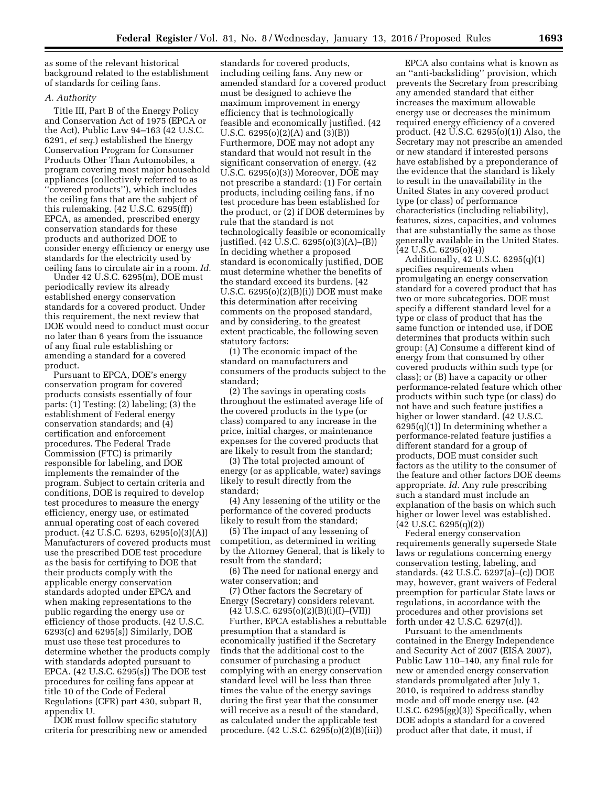as some of the relevant historical background related to the establishment of standards for ceiling fans.

#### *A. Authority*

Title III, Part B of the Energy Policy and Conservation Act of 1975 (EPCA or the Act), Public Law 94–163 (42 U.S.C. 6291, *et seq.*) established the Energy Conservation Program for Consumer Products Other Than Automobiles, a program covering most major household appliances (collectively referred to as ''covered products''), which includes the ceiling fans that are the subject of this rulemaking. (42 U.S.C. 6295(ff)) EPCA, as amended, prescribed energy conservation standards for these products and authorized DOE to consider energy efficiency or energy use standards for the electricity used by ceiling fans to circulate air in a room. *Id.* 

Under 42 U.S.C. 6295(m), DOE must periodically review its already established energy conservation standards for a covered product. Under this requirement, the next review that DOE would need to conduct must occur no later than 6 years from the issuance of any final rule establishing or amending a standard for a covered product.

Pursuant to EPCA, DOE's energy conservation program for covered products consists essentially of four parts: (1) Testing; (2) labeling; (3) the establishment of Federal energy conservation standards; and (4) certification and enforcement procedures. The Federal Trade Commission (FTC) is primarily responsible for labeling, and DOE implements the remainder of the program. Subject to certain criteria and conditions, DOE is required to develop test procedures to measure the energy efficiency, energy use, or estimated annual operating cost of each covered product. (42 U.S.C. 6293, 6295(o)(3)(A)) Manufacturers of covered products must use the prescribed DOE test procedure as the basis for certifying to DOE that their products comply with the applicable energy conservation standards adopted under EPCA and when making representations to the public regarding the energy use or efficiency of those products. (42 U.S.C. 6293(c) and 6295(s)) Similarly, DOE must use these test procedures to determine whether the products comply with standards adopted pursuant to EPCA. (42 U.S.C. 6295(s)) The DOE test procedures for ceiling fans appear at title 10 of the Code of Federal Regulations (CFR) part 430, subpart B, appendix U.

DOE must follow specific statutory criteria for prescribing new or amended

standards for covered products, including ceiling fans. Any new or amended standard for a covered product must be designed to achieve the maximum improvement in energy efficiency that is technologically feasible and economically justified. (42 U.S.C. 6295(o)(2)(A) and (3)(B)) Furthermore, DOE may not adopt any standard that would not result in the significant conservation of energy. (42 U.S.C. 6295(o)(3)) Moreover, DOE may not prescribe a standard: (1) For certain products, including ceiling fans, if no test procedure has been established for the product, or (2) if DOE determines by rule that the standard is not technologically feasible or economically justified. (42 U.S.C. 6295(o)(3)(A)–(B)) In deciding whether a proposed standard is economically justified, DOE must determine whether the benefits of the standard exceed its burdens. (42 U.S.C. 6295(o)(2)(B)(i)) DOE must make this determination after receiving comments on the proposed standard, and by considering, to the greatest extent practicable, the following seven statutory factors:

(1) The economic impact of the standard on manufacturers and consumers of the products subject to the standard;

(2) The savings in operating costs throughout the estimated average life of the covered products in the type (or class) compared to any increase in the price, initial charges, or maintenance expenses for the covered products that are likely to result from the standard;

(3) The total projected amount of energy (or as applicable, water) savings likely to result directly from the standard;

(4) Any lessening of the utility or the performance of the covered products likely to result from the standard;

(5) The impact of any lessening of competition, as determined in writing by the Attorney General, that is likely to result from the standard;

(6) The need for national energy and water conservation; and

(7) Other factors the Secretary of Energy (Secretary) considers relevant.  $(42 \text{ U.S.C. } 6295(0)(2)(B)(i)(I) - (VII))$ 

Further, EPCA establishes a rebuttable presumption that a standard is economically justified if the Secretary finds that the additional cost to the consumer of purchasing a product complying with an energy conservation standard level will be less than three times the value of the energy savings during the first year that the consumer will receive as a result of the standard, as calculated under the applicable test procedure. (42 U.S.C. 6295(o)(2)(B)(iii))

EPCA also contains what is known as an ''anti-backsliding'' provision, which prevents the Secretary from prescribing any amended standard that either increases the maximum allowable energy use or decreases the minimum required energy efficiency of a covered product. (42 U.S.C. 6295(o)(1)) Also, the Secretary may not prescribe an amended or new standard if interested persons have established by a preponderance of the evidence that the standard is likely to result in the unavailability in the United States in any covered product type (or class) of performance characteristics (including reliability), features, sizes, capacities, and volumes that are substantially the same as those generally available in the United States. (42 U.S.C. 6295(o)(4))

Additionally, 42 U.S.C. 6295(q)(1) specifies requirements when promulgating an energy conservation standard for a covered product that has two or more subcategories. DOE must specify a different standard level for a type or class of product that has the same function or intended use, if DOE determines that products within such group: (A) Consume a different kind of energy from that consumed by other covered products within such type (or class); or (B) have a capacity or other performance-related feature which other products within such type (or class) do not have and such feature justifies a higher or lower standard. (42 U.S.C.  $6295(q)(1)$  In determining whether a performance-related feature justifies a different standard for a group of products, DOE must consider such factors as the utility to the consumer of the feature and other factors DOE deems appropriate. *Id.* Any rule prescribing such a standard must include an explanation of the basis on which such higher or lower level was established. (42 U.S.C. 6295(q)(2))

Federal energy conservation requirements generally supersede State laws or regulations concerning energy conservation testing, labeling, and standards. (42 U.S.C. 6297(a)–(c)) DOE may, however, grant waivers of Federal preemption for particular State laws or regulations, in accordance with the procedures and other provisions set forth under 42 U.S.C. 6297(d)).

Pursuant to the amendments contained in the Energy Independence and Security Act of 2007 (EISA 2007), Public Law 110–140, any final rule for new or amended energy conservation standards promulgated after July 1, 2010, is required to address standby mode and off mode energy use. (42 U.S.C. 6295(gg)(3)) Specifically, when DOE adopts a standard for a covered product after that date, it must, if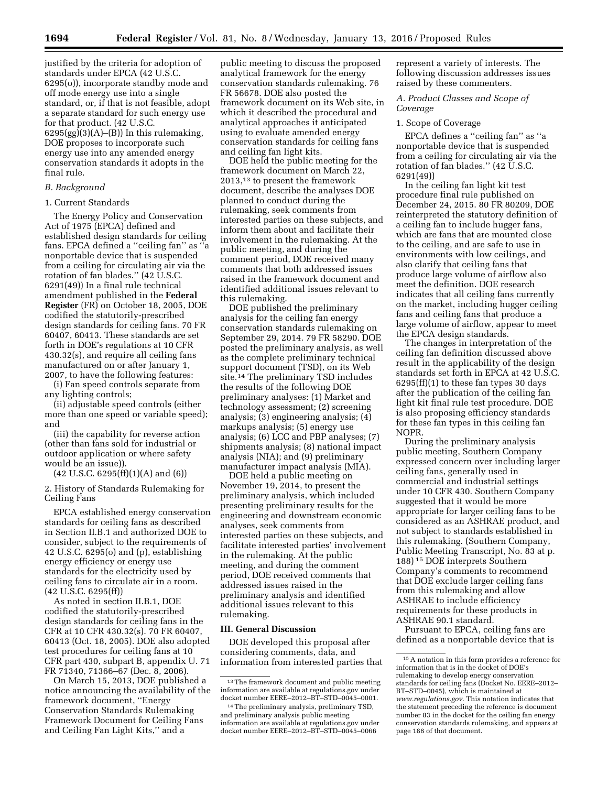justified by the criteria for adoption of standards under EPCA (42 U.S.C. 6295(o)), incorporate standby mode and off mode energy use into a single standard, or, if that is not feasible, adopt a separate standard for such energy use for that product. (42 U.S.C.  $6295(gg)(3)(A)$ –(B)) In this rulemaking, DOE proposes to incorporate such energy use into any amended energy conservation standards it adopts in the final rule.

#### *B. Background*

#### 1. Current Standards

The Energy Policy and Conservation Act of 1975 (EPCA) defined and established design standards for ceiling fans. EPCA defined a ''ceiling fan'' as ''a nonportable device that is suspended from a ceiling for circulating air via the rotation of fan blades." (42 U.S.C. 6291(49)) In a final rule technical amendment published in the **Federal Register** (FR) on October 18, 2005, DOE codified the statutorily-prescribed design standards for ceiling fans. 70 FR 60407, 60413. These standards are set forth in DOE's regulations at 10 CFR 430.32(s), and require all ceiling fans manufactured on or after January 1, 2007, to have the following features:

(i) Fan speed controls separate from any lighting controls;

(ii) adjustable speed controls (either more than one speed or variable speed); and

(iii) the capability for reverse action (other than fans sold for industrial or outdoor application or where safety would be an issue)).

 $(42 \text{ U.S.C. } 6295 \text{ (ff)}(1) \text{ (A) and } (6))$ 

2. History of Standards Rulemaking for Ceiling Fans

EPCA established energy conservation standards for ceiling fans as described in Section II.B.1 and authorized DOE to consider, subject to the requirements of 42 U.S.C. 6295(o) and (p), establishing energy efficiency or energy use standards for the electricity used by ceiling fans to circulate air in a room. (42 U.S.C. 6295(ff))

As noted in section II.B.1, DOE codified the statutorily-prescribed design standards for ceiling fans in the CFR at 10 CFR 430.32(s). 70 FR 60407, 60413 (Oct. 18, 2005). DOE also adopted test procedures for ceiling fans at 10 CFR part 430, subpart B, appendix U. 71 FR 71340, 71366–67 (Dec. 8, 2006).

On March 15, 2013, DOE published a notice announcing the availability of the framework document, ''Energy Conservation Standards Rulemaking Framework Document for Ceiling Fans and Ceiling Fan Light Kits,'' and a

public meeting to discuss the proposed analytical framework for the energy conservation standards rulemaking. 76 FR 56678. DOE also posted the framework document on its Web site, in which it described the procedural and analytical approaches it anticipated using to evaluate amended energy conservation standards for ceiling fans and ceiling fan light kits.

DOE held the public meeting for the framework document on March 22, 2013,13 to present the framework document, describe the analyses DOE planned to conduct during the rulemaking, seek comments from interested parties on these subjects, and inform them about and facilitate their involvement in the rulemaking. At the public meeting, and during the comment period, DOE received many comments that both addressed issues raised in the framework document and identified additional issues relevant to this rulemaking.

DOE published the preliminary analysis for the ceiling fan energy conservation standards rulemaking on September 29, 2014. 79 FR 58290. DOE posted the preliminary analysis, as well as the complete preliminary technical support document (TSD), on its Web site.14 The preliminary TSD includes the results of the following DOE preliminary analyses: (1) Market and technology assessment; (2) screening analysis; (3) engineering analysis; (4) markups analysis; (5) energy use analysis; (6) LCC and PBP analyses; (7) shipments analysis; (8) national impact analysis (NIA); and (9) preliminary manufacturer impact analysis (MIA).

DOE held a public meeting on November 19, 2014, to present the preliminary analysis, which included presenting preliminary results for the engineering and downstream economic analyses, seek comments from interested parties on these subjects, and facilitate interested parties' involvement in the rulemaking. At the public meeting, and during the comment period, DOE received comments that addressed issues raised in the preliminary analysis and identified additional issues relevant to this rulemaking.

#### **III. General Discussion**

DOE developed this proposal after considering comments, data, and information from interested parties that represent a variety of interests. The following discussion addresses issues raised by these commenters.

#### *A. Product Classes and Scope of Coverage*

#### 1. Scope of Coverage

EPCA defines a ''ceiling fan'' as ''a nonportable device that is suspended from a ceiling for circulating air via the rotation of fan blades.'' (42 U.S.C. 6291(49))

In the ceiling fan light kit test procedure final rule published on December 24, 2015. 80 FR 80209, DOE reinterpreted the statutory definition of a ceiling fan to include hugger fans, which are fans that are mounted close to the ceiling, and are safe to use in environments with low ceilings, and also clarify that ceiling fans that produce large volume of airflow also meet the definition. DOE research indicates that all ceiling fans currently on the market, including hugger ceiling fans and ceiling fans that produce a large volume of airflow, appear to meet the EPCA design standards.

The changes in interpretation of the ceiling fan definition discussed above result in the applicability of the design standards set forth in EPCA at 42 U.S.C. 6295(ff)(1) to these fan types 30 days after the publication of the ceiling fan light kit final rule test procedure. DOE is also proposing efficiency standards for these fan types in this ceiling fan NOPR.

During the preliminary analysis public meeting, Southern Company expressed concern over including larger ceiling fans, generally used in commercial and industrial settings under 10 CFR 430. Southern Company suggested that it would be more appropriate for larger ceiling fans to be considered as an ASHRAE product, and not subject to standards established in this rulemaking. (Southern Company, Public Meeting Transcript, No. 83 at p. 188) 15 DOE interprets Southern Company's comments to recommend that DOE exclude larger ceiling fans from this rulemaking and allow ASHRAE to include efficiency requirements for these products in ASHRAE 90.1 standard.

Pursuant to EPCA, ceiling fans are defined as a nonportable device that is

<sup>&</sup>lt;sup>13</sup>The framework document and public meeting information are available at regulations.gov under docket number EERE–2012–BT–STD–0045–0001.

<sup>14</sup>The preliminary analysis, preliminary TSD, and preliminary analysis public meeting information are available at regulations.gov under docket number EERE–2012–BT–STD–0045–0066

<sup>15</sup>A notation in this form provides a reference for information that is in the docket of DOE's rulemaking to develop energy conservation standards for ceiling fans (Docket No. EERE–2012– BT–STD–0045), which is maintained at *[www.regulations.gov.](http://www.regulations.gov)* This notation indicates that the statement preceding the reference is document number 83 in the docket for the ceiling fan energy conservation standards rulemaking, and appears at page 188 of that document.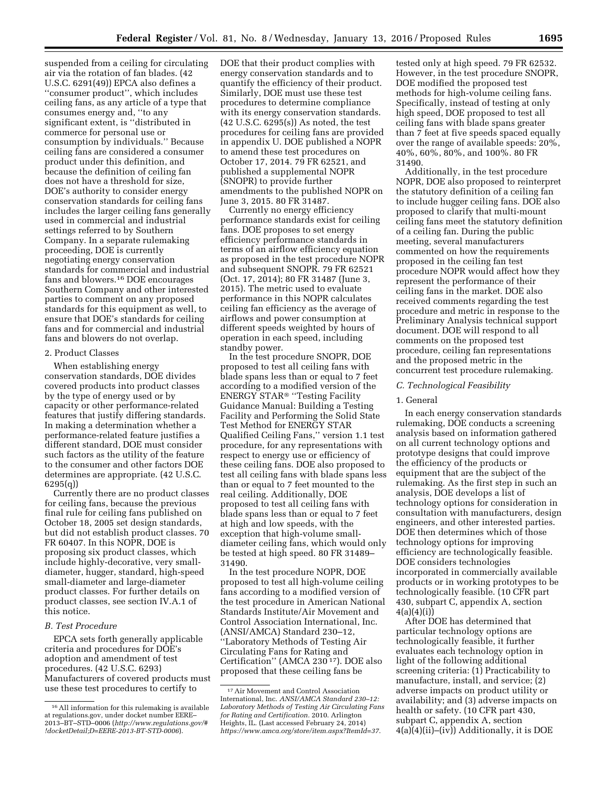suspended from a ceiling for circulating air via the rotation of fan blades. (42 U.S.C. 6291(49)) EPCA also defines a ''consumer product'', which includes ceiling fans, as any article of a type that consumes energy and, ''to any significant extent, is ''distributed in commerce for personal use or consumption by individuals.'' Because ceiling fans are considered a consumer product under this definition, and because the definition of ceiling fan does not have a threshold for size, DOE's authority to consider energy conservation standards for ceiling fans includes the larger ceiling fans generally used in commercial and industrial settings referred to by Southern Company. In a separate rulemaking proceeding, DOE is currently negotiating energy conservation standards for commercial and industrial fans and blowers.16 DOE encourages Southern Company and other interested parties to comment on any proposed standards for this equipment as well, to ensure that DOE's standards for ceiling fans and for commercial and industrial fans and blowers do not overlap.

#### 2. Product Classes

When establishing energy conservation standards, DOE divides covered products into product classes by the type of energy used or by capacity or other performance-related features that justify differing standards. In making a determination whether a performance-related feature justifies a different standard, DOE must consider such factors as the utility of the feature to the consumer and other factors DOE determines are appropriate. (42 U.S.C. 6295(q))

Currently there are no product classes for ceiling fans, because the previous final rule for ceiling fans published on October 18, 2005 set design standards, but did not establish product classes. 70 FR 60407. In this NOPR, DOE is proposing six product classes, which include highly-decorative, very smalldiameter, hugger, standard, high-speed small-diameter and large-diameter product classes. For further details on product classes, see section IV.A.1 of this notice.

### *B. Test Procedure*

EPCA sets forth generally applicable criteria and procedures for DOE's adoption and amendment of test procedures. (42 U.S.C. 6293) Manufacturers of covered products must use these test procedures to certify to

DOE that their product complies with energy conservation standards and to quantify the efficiency of their product. Similarly, DOE must use these test procedures to determine compliance with its energy conservation standards. (42 U.S.C. 6295(s)) As noted, the test procedures for ceiling fans are provided in appendix U. DOE published a NOPR to amend these test procedures on October 17, 2014. 79 FR 62521, and published a supplemental NOPR (SNOPR) to provide further amendments to the published NOPR on June 3, 2015. 80 FR 31487.

Currently no energy efficiency performance standards exist for ceiling fans. DOE proposes to set energy efficiency performance standards in terms of an airflow efficiency equation as proposed in the test procedure NOPR and subsequent SNOPR. 79 FR 62521 (Oct. 17, 2014); 80 FR 31487 (June 3, 2015). The metric used to evaluate performance in this NOPR calculates ceiling fan efficiency as the average of airflows and power consumption at different speeds weighted by hours of operation in each speed, including standby power.

In the test procedure SNOPR, DOE proposed to test all ceiling fans with blade spans less than or equal to 7 feet according to a modified version of the ENERGY STAR® ''Testing Facility Guidance Manual: Building a Testing Facility and Performing the Solid State Test Method for ENERGY STAR Qualified Ceiling Fans,'' version 1.1 test procedure, for any representations with respect to energy use or efficiency of these ceiling fans. DOE also proposed to test all ceiling fans with blade spans less than or equal to 7 feet mounted to the real ceiling. Additionally, DOE proposed to test all ceiling fans with blade spans less than or equal to 7 feet at high and low speeds, with the exception that high-volume smalldiameter ceiling fans, which would only be tested at high speed. 80 FR 31489– 31490.

In the test procedure NOPR, DOE proposed to test all high-volume ceiling fans according to a modified version of the test procedure in American National Standards Institute/Air Movement and Control Association International, Inc. (ANSI/AMCA) Standard 230–12, ''Laboratory Methods of Testing Air Circulating Fans for Rating and Certification'' (AMCA 230 17). DOE also proposed that these ceiling fans be

tested only at high speed. 79 FR 62532. However, in the test procedure SNOPR, DOE modified the proposed test methods for high-volume ceiling fans. Specifically, instead of testing at only high speed, DOE proposed to test all ceiling fans with blade spans greater than 7 feet at five speeds spaced equally over the range of available speeds: 20%, 40%, 60%, 80%, and 100%. 80 FR 31490.

Additionally, in the test procedure NOPR, DOE also proposed to reinterpret the statutory definition of a ceiling fan to include hugger ceiling fans. DOE also proposed to clarify that multi-mount ceiling fans meet the statutory definition of a ceiling fan. During the public meeting, several manufacturers commented on how the requirements proposed in the ceiling fan test procedure NOPR would affect how they represent the performance of their ceiling fans in the market. DOE also received comments regarding the test procedure and metric in response to the Preliminary Analysis technical support document. DOE will respond to all comments on the proposed test procedure, ceiling fan representations and the proposed metric in the concurrent test procedure rulemaking.

#### *C. Technological Feasibility*

#### 1. General

In each energy conservation standards rulemaking, DOE conducts a screening analysis based on information gathered on all current technology options and prototype designs that could improve the efficiency of the products or equipment that are the subject of the rulemaking. As the first step in such an analysis, DOE develops a list of technology options for consideration in consultation with manufacturers, design engineers, and other interested parties. DOE then determines which of those technology options for improving efficiency are technologically feasible. DOE considers technologies incorporated in commercially available products or in working prototypes to be technologically feasible. (10 CFR part 430, subpart C, appendix A, section  $4(a)(4)(i)$ 

After DOE has determined that particular technology options are technologically feasible, it further evaluates each technology option in light of the following additional screening criteria: (1) Practicability to manufacture, install, and service; (2) adverse impacts on product utility or availability; and (3) adverse impacts on health or safety. (10 CFR part 430, subpart C, appendix A, section 4(a)(4)(ii)–(iv)) Additionally, it is DOE

<sup>16</sup>All information for this rulemaking is available at regulations.gov, under docket number EERE– 2013–BT–STD–0006 (*[http://www.regulations.gov/#](http://www.regulations.gov/#!docketDetail;D=EERE-2013-BT-STD-0006) [!docketDetail;D=EERE-2013-BT-STD-0006](http://www.regulations.gov/#!docketDetail;D=EERE-2013-BT-STD-0006)*).

<sup>17</sup>Air Movement and Control Association International, Inc. *ANSI/AMCA Standard 230–12: Laboratory Methods of Testing Air Circulating Fans for Rating and Certification.* 2010. Arlington Heights, IL. (Last accessed February 24, 2014) *<https://www.amca.org/store/item.aspx?ItemId=37>*.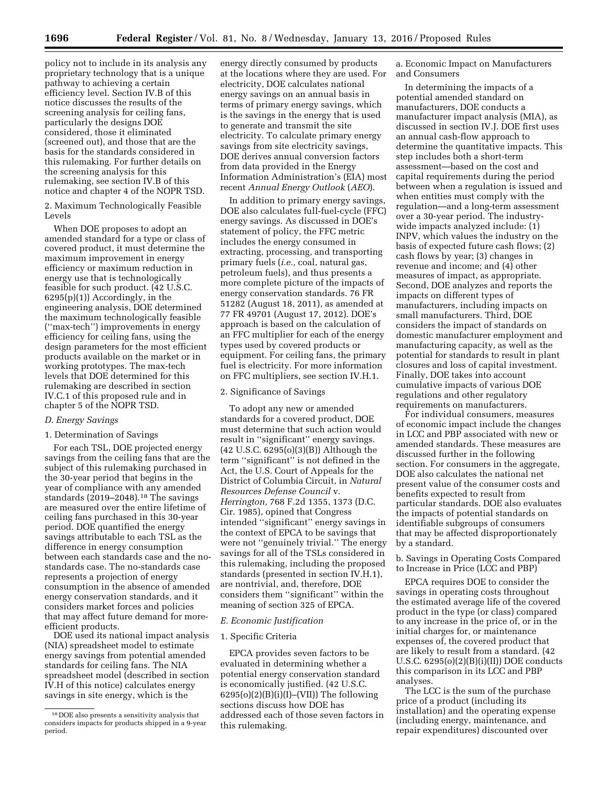policy not to include in its analysis any proprietary technology that is a unique pathway to achieving a certain efficiency level. Section IV.B of this notice discusses the results of the screening analysis for ceiling fans, particularly the designs DOE considered, those it eliminated (screened out), and those that are the basis for the standards considered in this rulemaking. For further details on the screening analysis for this rulemaking, see section IV.B of this notice and chapter 4 of the NOPR TSD.

2. Maximum Technologically Feasible Levels

When DOE proposes to adopt an amended standard for a type or class of covered product, it must determine the maximum improvement in energy efficiency or maximum reduction in energy use that is technologically feasible for such product. (42 U.S.C. 6295(p)(1)) Accordingly, in the engineering analysis, DOE determined the maximum technologically feasible (''max-tech'') improvements in energy efficiency for ceiling fans, using the design parameters for the most efficient products available on the market or in working prototypes. The max-tech levels that DOE determined for this rulemaking are described in section IV.C.1 of this proposed rule and in chapter 5 of the NOPR TSD.

#### *D. Energy Savings*

#### 1. Determination of Savings

For each TSL, DOE projected energy savings from the ceiling fans that are the subject of this rulemaking purchased in the 30-year period that begins in the year of compliance with any amended standards (2019–2048).18 The savings are measured over the entire lifetime of ceiling fans purchased in this 30-year period. DOE quantified the energy savings attributable to each TSL as the difference in energy consumption between each standards case and the nostandards case. The no-standards case represents a projection of energy consumption in the absence of amended energy conservation standards, and it considers market forces and policies that may affect future demand for moreefficient products.

DOE used its national impact analysis (NIA) spreadsheet model to estimate energy savings from potential amended standards for ceiling fans. The NIA spreadsheet model (described in section IV.H of this notice) calculates energy savings in site energy, which is the

energy directly consumed by products at the locations where they are used. For electricity, DOE calculates national energy savings on an annual basis in terms of primary energy savings, which is the savings in the energy that is used to generate and transmit the site electricity. To calculate primary energy savings from site electricity savings, DOE derives annual conversion factors from data provided in the Energy Information Administration's (EIA) most recent *Annual Energy Outlook* (*AEO*).

In addition to primary energy savings, DOE also calculates full-fuel-cycle (FFC) energy savings. As discussed in DOE's statement of policy, the FFC metric includes the energy consumed in extracting, processing, and transporting primary fuels (*i.e.,* coal, natural gas, petroleum fuels), and thus presents a more complete picture of the impacts of energy conservation standards. 76 FR 51282 (August 18, 2011), as amended at 77 FR 49701 (August 17, 2012). DOE's approach is based on the calculation of an FFC multiplier for each of the energy types used by covered products or equipment. For ceiling fans, the primary fuel is electricity. For more information on FFC multipliers, see section IV.H.1.

#### 2. Significance of Savings

To adopt any new or amended standards for a covered product, DOE must determine that such action would result in ''significant'' energy savings. (42 U.S.C. 6295(o)(3)(B)) Although the term ''significant'' is not defined in the Act, the U.S. Court of Appeals for the District of Columbia Circuit, in *Natural Resources Defense Council* v. *Herrington,* 768 F.2d 1355, 1373 (D.C. Cir. 1985), opined that Congress intended ''significant'' energy savings in the context of EPCA to be savings that were not ''genuinely trivial.'' The energy savings for all of the TSLs considered in this rulemaking, including the proposed standards (presented in section IV.H.1), are nontrivial, and, therefore, DOE considers them ''significant'' within the meaning of section 325 of EPCA.

#### *E. Economic Justification*

#### 1. Specific Criteria

EPCA provides seven factors to be evaluated in determining whether a potential energy conservation standard is economically justified. (42 U.S.C.  $6295(o)(2)(B)(i)(I)–(VII))$  The following sections discuss how DOE has addressed each of those seven factors in this rulemaking.

a. Economic Impact on Manufacturers and Consumers

In determining the impacts of a potential amended standard on manufacturers, DOE conducts a manufacturer impact analysis (MIA), as discussed in section IV.J. DOE first uses an annual cash-flow approach to determine the quantitative impacts. This step includes both a short-term assessment—based on the cost and capital requirements during the period between when a regulation is issued and when entities must comply with the regulation—and a long-term assessment over a 30-year period. The industrywide impacts analyzed include: (1) INPV, which values the industry on the basis of expected future cash flows; (2) cash flows by year; (3) changes in revenue and income; and (4) other measures of impact, as appropriate. Second, DOE analyzes and reports the impacts on different types of manufacturers, including impacts on small manufacturers. Third, DOE considers the impact of standards on domestic manufacturer employment and manufacturing capacity, as well as the potential for standards to result in plant closures and loss of capital investment. Finally, DOE takes into account cumulative impacts of various DOE regulations and other regulatory requirements on manufacturers.

For individual consumers, measures of economic impact include the changes in LCC and PBP associated with new or amended standards. These measures are discussed further in the following section. For consumers in the aggregate, DOE also calculates the national net present value of the consumer costs and benefits expected to result from particular standards. DOE also evaluates the impacts of potential standards on identifiable subgroups of consumers that may be affected disproportionately by a standard.

b. Savings in Operating Costs Compared to Increase in Price (LCC and PBP)

EPCA requires DOE to consider the savings in operating costs throughout the estimated average life of the covered product in the type (or class) compared to any increase in the price of, or in the initial charges for, or maintenance expenses of, the covered product that are likely to result from a standard. (42 U.S.C.  $6295(0)(2)(B)(i)(II))$  DOE conducts this comparison in its LCC and PBP analyses.

The LCC is the sum of the purchase price of a product (including its installation) and the operating expense (including energy, maintenance, and repair expenditures) discounted over

<sup>18</sup> DOE also presents a sensitivity analysis that considers impacts for products shipped in a 9-year period.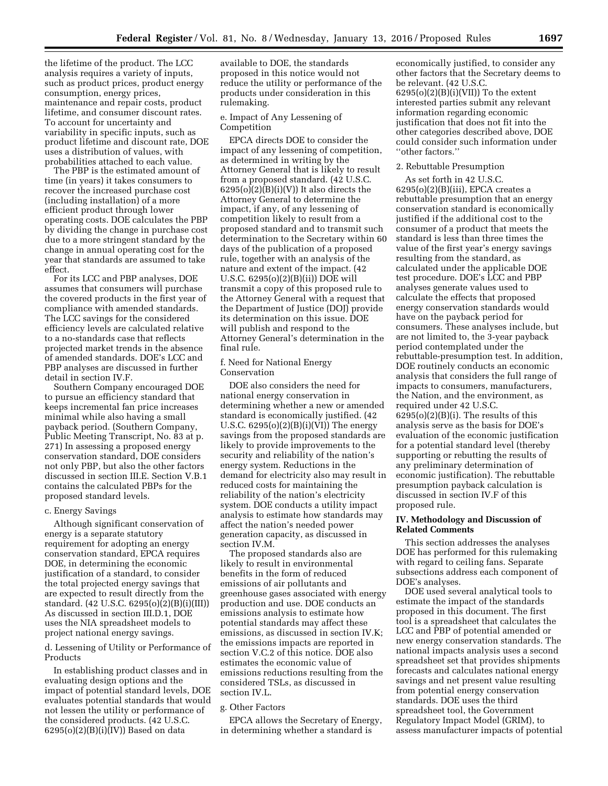the lifetime of the product. The LCC analysis requires a variety of inputs, such as product prices, product energy consumption, energy prices, maintenance and repair costs, product lifetime, and consumer discount rates. To account for uncertainty and variability in specific inputs, such as product lifetime and discount rate, DOE uses a distribution of values, with probabilities attached to each value.

The PBP is the estimated amount of time (in years) it takes consumers to recover the increased purchase cost (including installation) of a more efficient product through lower operating costs. DOE calculates the PBP by dividing the change in purchase cost due to a more stringent standard by the change in annual operating cost for the year that standards are assumed to take effect.

For its LCC and PBP analyses, DOE assumes that consumers will purchase the covered products in the first year of compliance with amended standards. The LCC savings for the considered efficiency levels are calculated relative to a no-standards case that reflects projected market trends in the absence of amended standards. DOE's LCC and PBP analyses are discussed in further detail in section IV.F.

Southern Company encouraged DOE to pursue an efficiency standard that keeps incremental fan price increases minimal while also having a small payback period. (Southern Company, Public Meeting Transcript, No. 83 at p. 271) In assessing a proposed energy conservation standard, DOE considers not only PBP, but also the other factors discussed in section III.E. Section V.B.1 contains the calculated PBPs for the proposed standard levels.

#### c. Energy Savings

Although significant conservation of energy is a separate statutory requirement for adopting an energy conservation standard, EPCA requires DOE, in determining the economic justification of a standard, to consider the total projected energy savings that are expected to result directly from the standard. (42 U.S.C. 6295(o)(2)(B)(i)(III)) As discussed in section III.D.1, DOE uses the NIA spreadsheet models to project national energy savings.

d. Lessening of Utility or Performance of Products

In establishing product classes and in evaluating design options and the impact of potential standard levels, DOE evaluates potential standards that would not lessen the utility or performance of the considered products. (42 U.S.C.  $6295(o)(2)(B)(i)(IV))$  Based on data

available to DOE, the standards proposed in this notice would not reduce the utility or performance of the products under consideration in this rulemaking.

e. Impact of Any Lessening of Competition

EPCA directs DOE to consider the impact of any lessening of competition, as determined in writing by the Attorney General that is likely to result from a proposed standard. (42 U.S.C.  $6295(o)(2)(B)(i)(V))$  It also directs the Attorney General to determine the impact, if any, of any lessening of competition likely to result from a proposed standard and to transmit such determination to the Secretary within 60 days of the publication of a proposed rule, together with an analysis of the nature and extent of the impact. (42 U.S.C. 6295(o)(2)(B)(ii)) DOE will transmit a copy of this proposed rule to the Attorney General with a request that the Department of Justice (DOJ) provide its determination on this issue. DOE will publish and respond to the Attorney General's determination in the final rule.

f. Need for National Energy Conservation

DOE also considers the need for national energy conservation in determining whether a new or amended standard is economically justified. (42 U.S.C. 6295(o)(2)(B)(i)(VI)) The energy savings from the proposed standards are likely to provide improvements to the security and reliability of the nation's energy system. Reductions in the demand for electricity also may result in reduced costs for maintaining the reliability of the nation's electricity system. DOE conducts a utility impact analysis to estimate how standards may affect the nation's needed power generation capacity, as discussed in section IV.M.

The proposed standards also are likely to result in environmental benefits in the form of reduced emissions of air pollutants and greenhouse gases associated with energy production and use. DOE conducts an emissions analysis to estimate how potential standards may affect these emissions, as discussed in section IV.K; the emissions impacts are reported in section V.C.2 of this notice. DOE also estimates the economic value of emissions reductions resulting from the considered TSLs, as discussed in section IV.L.

# g. Other Factors

EPCA allows the Secretary of Energy, in determining whether a standard is

economically justified, to consider any other factors that the Secretary deems to be relevant. (42 U.S.C.  $6295(o)(2)(B)(i)(VII))$  To the extent interested parties submit any relevant information regarding economic justification that does not fit into the other categories described above, DOE could consider such information under ''other factors.''

#### 2. Rebuttable Presumption

As set forth in 42 U.S.C. 6295(o)(2)(B)(iii), EPCA creates a rebuttable presumption that an energy conservation standard is economically justified if the additional cost to the consumer of a product that meets the standard is less than three times the value of the first year's energy savings resulting from the standard, as calculated under the applicable DOE test procedure. DOE's LCC and PBP analyses generate values used to calculate the effects that proposed energy conservation standards would have on the payback period for consumers. These analyses include, but are not limited to, the 3-year payback period contemplated under the rebuttable-presumption test. In addition, DOE routinely conducts an economic analysis that considers the full range of impacts to consumers, manufacturers, the Nation, and the environment, as required under 42 U.S.C.  $6295(o)(2)(B)(i)$ . The results of this analysis serve as the basis for DOE's evaluation of the economic justification for a potential standard level (thereby supporting or rebutting the results of any preliminary determination of economic justification). The rebuttable presumption payback calculation is discussed in section IV.F of this proposed rule.

#### **IV. Methodology and Discussion of Related Comments**

This section addresses the analyses DOE has performed for this rulemaking with regard to ceiling fans. Separate subsections address each component of DOE's analyses.

DOE used several analytical tools to estimate the impact of the standards proposed in this document. The first tool is a spreadsheet that calculates the LCC and PBP of potential amended or new energy conservation standards. The national impacts analysis uses a second spreadsheet set that provides shipments forecasts and calculates national energy savings and net present value resulting from potential energy conservation standards. DOE uses the third spreadsheet tool, the Government Regulatory Impact Model (GRIM), to assess manufacturer impacts of potential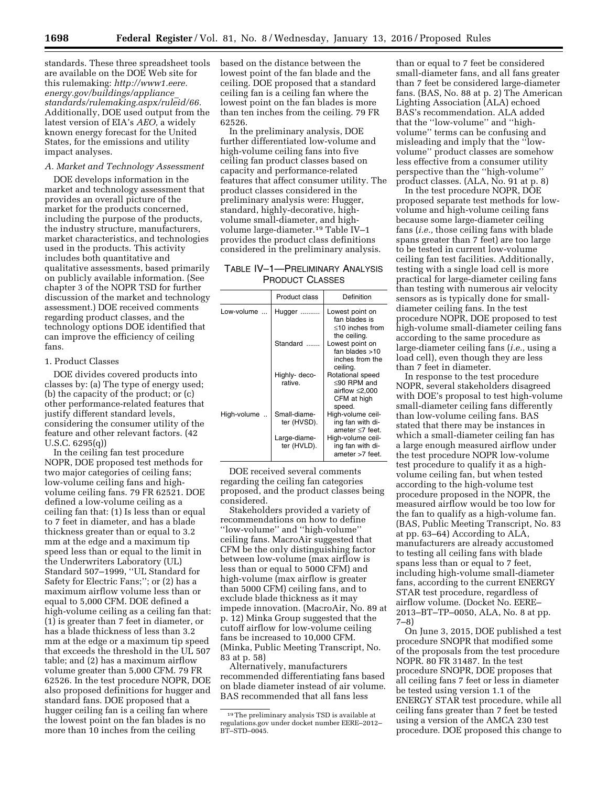standards. These three spreadsheet tools are available on the DOE Web site for this rulemaking: *[http://www1.eere.](http://www1.eere.energy.gov/buildings/appliance_standards/rulemaking.aspx/ruleid/66) [energy.gov/buildings/appliance](http://www1.eere.energy.gov/buildings/appliance_standards/rulemaking.aspx/ruleid/66)*\_ *[standards/rulemaking.aspx/ruleid/66.](http://www1.eere.energy.gov/buildings/appliance_standards/rulemaking.aspx/ruleid/66)*  Additionally, DOE used output from the latest version of EIA's *AEO,* a widely known energy forecast for the United States, for the emissions and utility impact analyses.

#### *A. Market and Technology Assessment*

DOE develops information in the market and technology assessment that provides an overall picture of the market for the products concerned, including the purpose of the products, the industry structure, manufacturers, market characteristics, and technologies used in the products. This activity includes both quantitative and qualitative assessments, based primarily on publicly available information. (See chapter 3 of the NOPR TSD for further discussion of the market and technology assessment.) DOE received comments regarding product classes, and the technology options DOE identified that can improve the efficiency of ceiling fans.

### 1. Product Classes

DOE divides covered products into classes by: (a) The type of energy used; (b) the capacity of the product; or (c) other performance-related features that justify different standard levels, considering the consumer utility of the feature and other relevant factors. (42 U.S.C. 6295(q))

In the ceiling fan test procedure NOPR, DOE proposed test methods for two major categories of ceiling fans; low-volume ceiling fans and highvolume ceiling fans. 79 FR 62521. DOE defined a low-volume ceiling as a ceiling fan that: (1) Is less than or equal to 7 feet in diameter, and has a blade thickness greater than or equal to 3.2 mm at the edge and a maximum tip speed less than or equal to the limit in the Underwriters Laboratory (UL) Standard 507–1999, ''UL Standard for Safety for Electric Fans;''; or (2) has a maximum airflow volume less than or equal to 5,000 CFM. DOE defined a high-volume ceiling as a ceiling fan that: (1) is greater than 7 feet in diameter, or has a blade thickness of less than 3.2 mm at the edge or a maximum tip speed that exceeds the threshold in the UL 507 table; and (2) has a maximum airflow volume greater than 5,000 CFM. 79 FR 62526. In the test procedure NOPR, DOE also proposed definitions for hugger and standard fans. DOE proposed that a hugger ceiling fan is a ceiling fan where the lowest point on the fan blades is no more than 10 inches from the ceiling

based on the distance between the lowest point of the fan blade and the ceiling. DOE proposed that a standard ceiling fan is a ceiling fan where the lowest point on the fan blades is more than ten inches from the ceiling. 79 FR 62526.

In the preliminary analysis, DOE further differentiated low-volume and high-volume ceiling fans into five ceiling fan product classes based on capacity and performance-related features that affect consumer utility. The product classes considered in the preliminary analysis were: Hugger, standard, highly-decorative, highvolume small-diameter, and highvolume large-diameter.19 Table IV–1 provides the product class definitions considered in the preliminary analysis.

# TABLE IV–1—PRELIMINARY ANALYSIS PRODUCT CLASSES

|             | <b>Product class</b>        | Definition                                                                       |
|-------------|-----------------------------|----------------------------------------------------------------------------------|
| Low-volume  | Hugger                      | Lowest point on<br>fan blades is<br>$\leq$ 10 inches from<br>the ceiling.        |
|             | Standard                    | Lowest point on<br>fan blades $>10$<br>inches from the<br>ceiling.               |
|             | Highly- deco-<br>rative.    | Rotational speed<br><90 RPM and<br>airflow $\leq$ 2,000<br>CFM at high<br>speed. |
| High-volume | Small-diame-<br>ter (HVSD). | High-volume ceil-<br>ing fan with di-<br>ameter <7 feet.                         |
|             | Large-diame-<br>ter (HVLD). | High-volume ceil-<br>ing fan with di-<br>ameter >7 feet.                         |

DOE received several comments regarding the ceiling fan categories proposed, and the product classes being considered.

Stakeholders provided a variety of recommendations on how to define ''low-volume'' and ''high-volume'' ceiling fans. MacroAir suggested that CFM be the only distinguishing factor between low-volume (max airflow is less than or equal to 5000 CFM) and high-volume (max airflow is greater than 5000 CFM) ceiling fans, and to exclude blade thickness as it may impede innovation. (MacroAir, No. 89 at p. 12) Minka Group suggested that the cutoff airflow for low-volume ceiling fans be increased to 10,000 CFM. (Minka, Public Meeting Transcript, No. 83 at p. 58)

Alternatively, manufacturers recommended differentiating fans based on blade diameter instead of air volume. BAS recommended that all fans less

than or equal to 7 feet be considered small-diameter fans, and all fans greater than 7 feet be considered large-diameter fans. (BAS, No. 88 at p. 2) The American Lighting Association (ALA) echoed BAS's recommendation. ALA added that the ''low-volume'' and ''highvolume'' terms can be confusing and misleading and imply that the ''lowvolume'' product classes are somehow less effective from a consumer utility perspective than the ''high-volume'' product classes. (ALA, No. 91 at p. 8)

In the test procedure NOPR, DOE proposed separate test methods for lowvolume and high-volume ceiling fans because some large-diameter ceiling fans (*i.e.,* those ceiling fans with blade spans greater than 7 feet) are too large to be tested in current low-volume ceiling fan test facilities. Additionally, testing with a single load cell is more practical for large-diameter ceiling fans than testing with numerous air velocity sensors as is typically done for smalldiameter ceiling fans. In the test procedure NOPR, DOE proposed to test high-volume small-diameter ceiling fans according to the same procedure as large-diameter ceiling fans (*i.e.,* using a load cell), even though they are less than 7 feet in diameter.

In response to the test procedure NOPR, several stakeholders disagreed with DOE's proposal to test high-volume small-diameter ceiling fans differently than low-volume ceiling fans. BAS stated that there may be instances in which a small-diameter ceiling fan has a large enough measured airflow under the test procedure NOPR low-volume test procedure to qualify it as a highvolume ceiling fan, but when tested according to the high-volume test procedure proposed in the NOPR, the measured airflow would be too low for the fan to qualify as a high-volume fan. (BAS, Public Meeting Transcript, No. 83 at pp. 63–64) According to ALA, manufacturers are already accustomed to testing all ceiling fans with blade spans less than or equal to 7 feet, including high-volume small-diameter fans, according to the current ENERGY STAR test procedure, regardless of airflow volume. (Docket No. EERE– 2013–BT–TP–0050, ALA, No. 8 at pp. 7–8)

On June 3, 2015, DOE published a test procedure SNOPR that modified some of the proposals from the test procedure NOPR. 80 FR 31487. In the test procedure SNOPR, DOE proposes that all ceiling fans 7 feet or less in diameter be tested using version 1.1 of the ENERGY STAR test procedure, while all ceiling fans greater than 7 feet be tested using a version of the AMCA 230 test procedure. DOE proposed this change to

<sup>19</sup>The preliminary analysis TSD is available at regulations.gov under docket number EERE–2012– BT-STD-0045.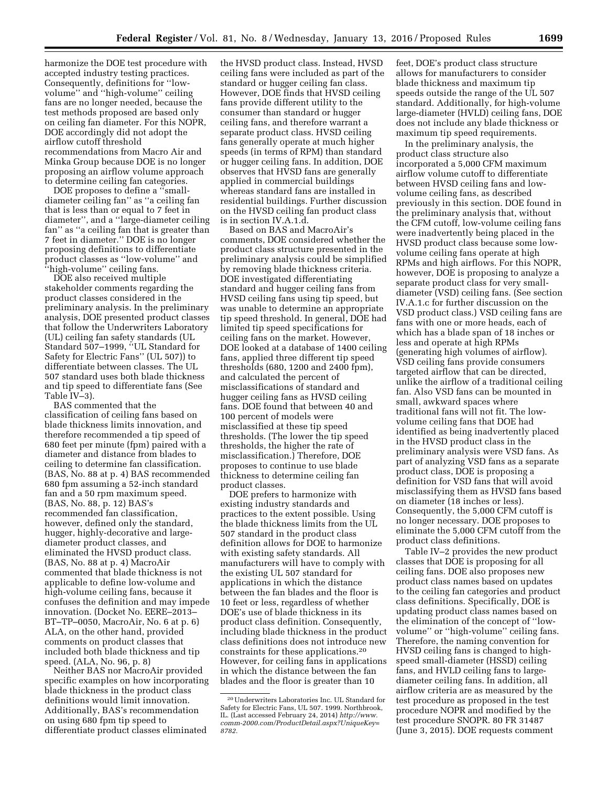harmonize the DOE test procedure with accepted industry testing practices. Consequently, definitions for ''lowvolume'' and ''high-volume'' ceiling fans are no longer needed, because the test methods proposed are based only on ceiling fan diameter. For this NOPR, DOE accordingly did not adopt the airflow cutoff threshold recommendations from Macro Air and

Minka Group because DOE is no longer proposing an airflow volume approach to determine ceiling fan categories. DOE proposes to define a ''small-

diameter ceiling fan'' as ''a ceiling fan that is less than or equal to 7 feet in diameter'', and a ''large-diameter ceiling fan'' as ''a ceiling fan that is greater than 7 feet in diameter.'' DOE is no longer proposing definitions to differentiate product classes as ''low-volume'' and ''high-volume'' ceiling fans.

DOE also received multiple stakeholder comments regarding the product classes considered in the preliminary analysis. In the preliminary analysis, DOE presented product classes that follow the Underwriters Laboratory (UL) ceiling fan safety standards (UL Standard 507–1999, ''UL Standard for Safety for Electric Fans'' (UL 507)) to differentiate between classes. The UL 507 standard uses both blade thickness and tip speed to differentiate fans (See Table IV–3).

BAS commented that the classification of ceiling fans based on blade thickness limits innovation, and therefore recommended a tip speed of 680 feet per minute (fpm) paired with a diameter and distance from blades to ceiling to determine fan classification. (BAS, No. 88 at p. 4) BAS recommended 680 fpm assuming a 52-inch standard fan and a 50 rpm maximum speed. (BAS, No. 88, p. 12) BAS's recommended fan classification, however, defined only the standard, hugger, highly-decorative and largediameter product classes, and eliminated the HVSD product class. (BAS, No. 88 at p. 4) MacroAir commented that blade thickness is not applicable to define low-volume and high-volume ceiling fans, because it confuses the definition and may impede innovation. (Docket No. EERE–2013– BT–TP–0050, MacroAir, No. 6 at p. 6) ALA, on the other hand, provided comments on product classes that included both blade thickness and tip speed. (ALA, No. 96, p. 8)

Neither BAS nor MacroAir provided specific examples on how incorporating blade thickness in the product class definitions would limit innovation. Additionally, BAS's recommendation on using 680 fpm tip speed to differentiate product classes eliminated

the HVSD product class. Instead, HVSD ceiling fans were included as part of the standard or hugger ceiling fan class. However, DOE finds that HVSD ceiling fans provide different utility to the consumer than standard or hugger ceiling fans, and therefore warrant a separate product class. HVSD ceiling fans generally operate at much higher speeds (in terms of RPM) than standard or hugger ceiling fans. In addition, DOE observes that HVSD fans are generally applied in commercial buildings whereas standard fans are installed in residential buildings. Further discussion on the HVSD ceiling fan product class is in section IV.A.1.d.

Based on BAS and MacroAir's comments, DOE considered whether the product class structure presented in the preliminary analysis could be simplified by removing blade thickness criteria. DOE investigated differentiating standard and hugger ceiling fans from HVSD ceiling fans using tip speed, but was unable to determine an appropriate tip speed threshold. In general, DOE had limited tip speed specifications for ceiling fans on the market. However, DOE looked at a database of 1400 ceiling fans, applied three different tip speed thresholds (680, 1200 and 2400 fpm), and calculated the percent of misclassifications of standard and hugger ceiling fans as HVSD ceiling fans. DOE found that between 40 and 100 percent of models were misclassified at these tip speed thresholds. (The lower the tip speed thresholds, the higher the rate of misclassification.) Therefore, DOE proposes to continue to use blade thickness to determine ceiling fan product classes.

DOE prefers to harmonize with existing industry standards and practices to the extent possible. Using the blade thickness limits from the UL 507 standard in the product class definition allows for DOE to harmonize with existing safety standards. All manufacturers will have to comply with the existing UL 507 standard for applications in which the distance between the fan blades and the floor is 10 feet or less, regardless of whether DOE's use of blade thickness in its product class definition. Consequently, including blade thickness in the product class definitions does not introduce new constraints for these applications.20 However, for ceiling fans in applications in which the distance between the fan blades and the floor is greater than 10

feet, DOE's product class structure allows for manufacturers to consider blade thickness and maximum tip speeds outside the range of the UL 507 standard. Additionally, for high-volume large-diameter (HVLD) ceiling fans, DOE does not include any blade thickness or maximum tip speed requirements.

In the preliminary analysis, the product class structure also incorporated a 5,000 CFM maximum airflow volume cutoff to differentiate between HVSD ceiling fans and lowvolume ceiling fans, as described previously in this section. DOE found in the preliminary analysis that, without the CFM cutoff, low-volume ceiling fans were inadvertently being placed in the HVSD product class because some lowvolume ceiling fans operate at high RPMs and high airflows. For this NOPR, however, DOE is proposing to analyze a separate product class for very smalldiameter (VSD) ceiling fans. (See section IV.A.1.c for further discussion on the VSD product class.) VSD ceiling fans are fans with one or more heads, each of which has a blade span of 18 inches or less and operate at high RPMs (generating high volumes of airflow). VSD ceiling fans provide consumers targeted airflow that can be directed, unlike the airflow of a traditional ceiling fan. Also VSD fans can be mounted in small, awkward spaces where traditional fans will not fit. The lowvolume ceiling fans that DOE had identified as being inadvertently placed in the HVSD product class in the preliminary analysis were VSD fans. As part of analyzing VSD fans as a separate product class, DOE is proposing a definition for VSD fans that will avoid misclassifying them as HVSD fans based on diameter (18 inches or less). Consequently, the 5,000 CFM cutoff is no longer necessary. DOE proposes to eliminate the 5,000 CFM cutoff from the product class definitions.

Table IV–2 provides the new product classes that DOE is proposing for all ceiling fans. DOE also proposes new product class names based on updates to the ceiling fan categories and product class definitions. Specifically, DOE is updating product class names based on the elimination of the concept of ''lowvolume'' or ''high-volume'' ceiling fans. Therefore, the naming convention for HVSD ceiling fans is changed to highspeed small-diameter (HSSD) ceiling fans, and HVLD ceiling fans to largediameter ceiling fans. In addition, all airflow criteria are as measured by the test procedure as proposed in the test procedure NOPR and modified by the test procedure SNOPR. 80 FR 31487 (June 3, 2015). DOE requests comment

<sup>20</sup>Underwriters Laboratories Inc. UL Standard for Safety for Electric Fans, UL 507. 1999. Northbrook, IL. (Last accessed February 24, 2014) *[http://www.](http://www.comm-2000.com/ProductDetail.aspx?UniqueKey=8782) [comm-2000.com/ProductDetail.aspx?UniqueKey=](http://www.comm-2000.com/ProductDetail.aspx?UniqueKey=8782) [8782.](http://www.comm-2000.com/ProductDetail.aspx?UniqueKey=8782)*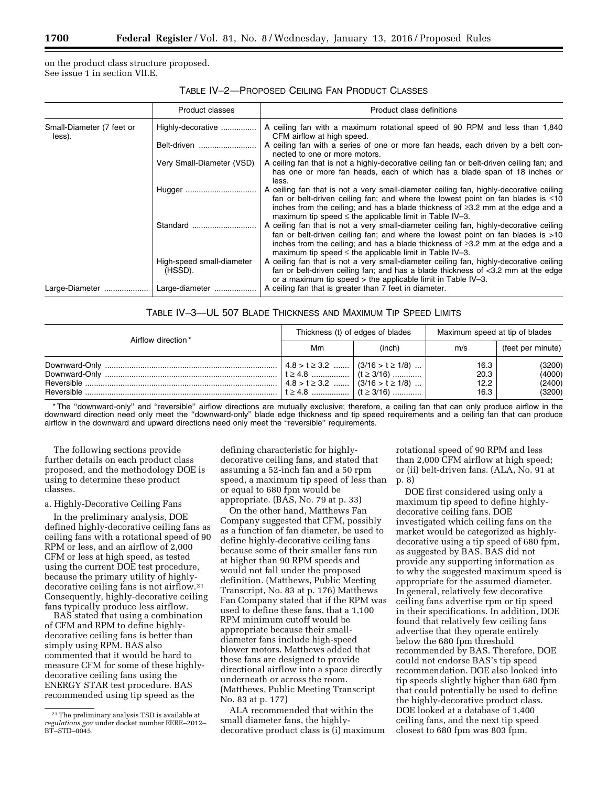on the product class structure proposed. See issue 1 in section VII.E.

|                                     | Product classes                      | Product class definitions                                                                                                                                                                                                                                                                                                                |
|-------------------------------------|--------------------------------------|------------------------------------------------------------------------------------------------------------------------------------------------------------------------------------------------------------------------------------------------------------------------------------------------------------------------------------------|
| Small-Diameter (7 feet or<br>less). | Highly-decorative                    | A ceiling fan with a maximum rotational speed of 90 RPM and less than 1,840<br>CFM airflow at high speed.                                                                                                                                                                                                                                |
|                                     | Belt-driven                          | A ceiling fan with a series of one or more fan heads, each driven by a belt con-<br>nected to one or more motors.                                                                                                                                                                                                                        |
|                                     | Very Small-Diameter (VSD)            | A ceiling fan that is not a highly-decorative ceiling fan or belt-driven ceiling fan; and<br>has one or more fan heads, each of which has a blade span of 18 inches or<br>less.                                                                                                                                                          |
|                                     | Hugger                               | A ceiling fan that is not a very small-diameter ceiling fan, highly-decorative ceiling<br>fan or belt-driven ceiling fan; and where the lowest point on fan blades is $\leq 10$<br>inches from the ceiling; and has a blade thickness of $\geq$ 3.2 mm at the edge and a<br>maximum tip speed $\leq$ the applicable limit in Table IV-3. |
|                                     | Standard                             | A ceiling fan that is not a very small-diameter ceiling fan, highly-decorative ceiling<br>fan or belt-driven ceiling fan; and where the lowest point on fan blades is >10<br>inches from the ceiling; and has a blade thickness of $\geq$ 3.2 mm at the edge and a<br>maximum tip speed $\leq$ the applicable limit in Table IV-3.       |
|                                     | High-speed small-diameter<br>(HSSD). | A ceiling fan that is not a very small-diameter ceiling fan, highly-decorative ceiling<br>fan or belt-driven ceiling fan; and has a blade thickness of <3.2 mm at the edge<br>or a maximum tip speed $>$ the applicable limit in Table IV-3.                                                                                             |
| Large-Diameter                      | Large-diameter                       | A ceiling fan that is greater than 7 feet in diameter.                                                                                                                                                                                                                                                                                   |

# TABLE IV–3—UL 507 BLADE THICKNESS AND MAXIMUM TIP SPEED LIMITS

| Airflow direction* | Thickness (t) of edges of blades         |                                          | Maximum speed at tip of blades |                                      |
|--------------------|------------------------------------------|------------------------------------------|--------------------------------|--------------------------------------|
|                    | Mm                                       | (inch)                                   | m/s                            | (feet per minute)                    |
|                    | $ 4.8 > t \ge 3.2$ $ (3/16 > t \ge 1/8)$ | $4.8 > t \geq 3.2$ $(3/16 > t \geq 1/8)$ | 16.3<br>20.3<br>12.2<br>16.3   | (3200)<br>(4000)<br>(2400)<br>(3200) |

\* The ''downward-only'' and ''reversible'' airflow directions are mutually exclusive; therefore, a ceiling fan that can only produce airflow in the downward direction need only meet the ''downward-only'' blade edge thickness and tip speed requirements and a ceiling fan that can produce airflow in the downward and upward directions need only meet the ''reversible'' requirements.

The following sections provide further details on each product class proposed, and the methodology DOE is using to determine these product classes.

a. Highly-Decorative Ceiling Fans

In the preliminary analysis, DOE defined highly-decorative ceiling fans as ceiling fans with a rotational speed of 90 RPM or less, and an airflow of 2,000 CFM or less at high speed, as tested using the current DOE test procedure, because the primary utility of highlydecorative ceiling fans is not airflow.21 Consequently, highly-decorative ceiling fans typically produce less airflow.

BAS stated that using a combination of CFM and RPM to define highlydecorative ceiling fans is better than simply using RPM. BAS also commented that it would be hard to measure CFM for some of these highlydecorative ceiling fans using the ENERGY STAR test procedure. BAS recommended using tip speed as the

defining characteristic for highlydecorative ceiling fans, and stated that assuming a 52-inch fan and a 50 rpm speed, a maximum tip speed of less than or equal to 680 fpm would be appropriate. (BAS, No. 79 at p. 33)

On the other hand, Matthews Fan Company suggested that CFM, possibly as a function of fan diameter, be used to define highly-decorative ceiling fans because some of their smaller fans run at higher than 90 RPM speeds and would not fall under the proposed definition. (Matthews, Public Meeting Transcript, No. 83 at p. 176) Matthews Fan Company stated that if the RPM was used to define these fans, that a 1,100 RPM minimum cutoff would be appropriate because their smalldiameter fans include high-speed blower motors. Matthews added that these fans are designed to provide directional airflow into a space directly underneath or across the room. (Matthews, Public Meeting Transcript No. 83 at p. 177)

ALA recommended that within the small diameter fans, the highlydecorative product class is (i) maximum

rotational speed of 90 RPM and less than 2,000 CFM airflow at high speed; or (ii) belt-driven fans. (ALA, No. 91 at p. 8)

DOE first considered using only a maximum tip speed to define highlydecorative ceiling fans. DOE investigated which ceiling fans on the market would be categorized as highlydecorative using a tip speed of 680 fpm, as suggested by BAS. BAS did not provide any supporting information as to why the suggested maximum speed is appropriate for the assumed diameter. In general, relatively few decorative ceiling fans advertise rpm or tip speed in their specifications. In addition, DOE found that relatively few ceiling fans advertise that they operate entirely below the 680 fpm threshold recommended by BAS. Therefore, DOE could not endorse BAS's tip speed recommendation. DOE also looked into tip speeds slightly higher than 680 fpm that could potentially be used to define the highly-decorative product class. DOE looked at a database of 1,400 ceiling fans, and the next tip speed closest to 680 fpm was 803 fpm.

<sup>21</sup>The preliminary analysis TSD is available at *regulations.gov* under docket number EERE–2012– BT–STD–0045.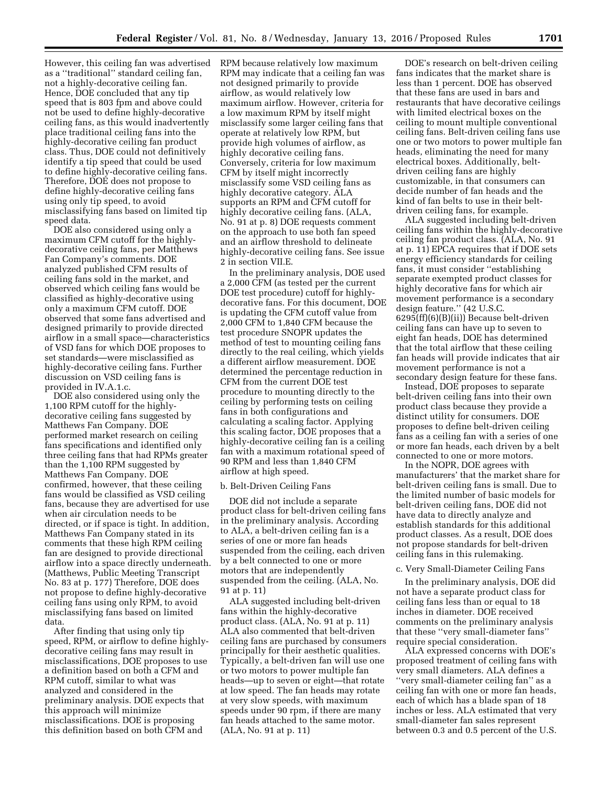However, this ceiling fan was advertised as a ''traditional'' standard ceiling fan, not a highly-decorative ceiling fan. Hence, DOE concluded that any tip speed that is 803 fpm and above could not be used to define highly-decorative ceiling fans, as this would inadvertently place traditional ceiling fans into the highly-decorative ceiling fan product class. Thus, DOE could not definitively identify a tip speed that could be used to define highly-decorative ceiling fans. Therefore, DOE does not propose to define highly-decorative ceiling fans using only tip speed, to avoid misclassifying fans based on limited tip speed data.

DOE also considered using only a maximum CFM cutoff for the highlydecorative ceiling fans, per Matthews Fan Company's comments. DOE analyzed published CFM results of ceiling fans sold in the market, and observed which ceiling fans would be classified as highly-decorative using only a maximum CFM cutoff. DOE observed that some fans advertised and designed primarily to provide directed airflow in a small space—characteristics of VSD fans for which DOE proposes to set standards—were misclassified as highly-decorative ceiling fans. Further discussion on VSD ceiling fans is provided in IV.A.1.c.

DOE also considered using only the 1,100 RPM cutoff for the highlydecorative ceiling fans suggested by Matthews Fan Company. DOE performed market research on ceiling fans specifications and identified only three ceiling fans that had RPMs greater than the 1,100 RPM suggested by Matthews Fan Company. DOE confirmed, however, that these ceiling fans would be classified as VSD ceiling fans, because they are advertised for use when air circulation needs to be directed, or if space is tight. In addition, Matthews Fan Company stated in its comments that these high RPM ceiling fan are designed to provide directional airflow into a space directly underneath. (Matthews, Public Meeting Transcript No. 83 at p. 177) Therefore, DOE does not propose to define highly-decorative ceiling fans using only RPM, to avoid misclassifying fans based on limited data.

After finding that using only tip speed, RPM, or airflow to define highlydecorative ceiling fans may result in misclassifications, DOE proposes to use a definition based on both a CFM and RPM cutoff, similar to what was analyzed and considered in the preliminary analysis. DOE expects that this approach will minimize misclassifications. DOE is proposing this definition based on both CFM and

RPM because relatively low maximum RPM may indicate that a ceiling fan was not designed primarily to provide airflow, as would relatively low maximum airflow. However, criteria for a low maximum RPM by itself might misclassify some larger ceiling fans that operate at relatively low RPM, but provide high volumes of airflow, as highly decorative ceiling fans. Conversely, criteria for low maximum CFM by itself might incorrectly misclassify some VSD ceiling fans as highly decorative category. ALA supports an RPM and CFM cutoff for highly decorative ceiling fans. (ALA, No. 91 at p. 8) DOE requests comment on the approach to use both fan speed and an airflow threshold to delineate highly-decorative ceiling fans. See issue 2 in section VII.E.

In the preliminary analysis, DOE used a 2,000 CFM (as tested per the current DOE test procedure) cutoff for highlydecorative fans. For this document, DOE is updating the CFM cutoff value from 2,000 CFM to 1,840 CFM because the test procedure SNOPR updates the method of test to mounting ceiling fans directly to the real ceiling, which yields a different airflow measurement. DOE determined the percentage reduction in CFM from the current DOE test procedure to mounting directly to the ceiling by performing tests on ceiling fans in both configurations and calculating a scaling factor. Applying this scaling factor, DOE proposes that a highly-decorative ceiling fan is a ceiling fan with a maximum rotational speed of 90 RPM and less than 1,840 CFM airflow at high speed.

#### b. Belt-Driven Ceiling Fans

DOE did not include a separate product class for belt-driven ceiling fans in the preliminary analysis. According to ALA, a belt-driven ceiling fan is a series of one or more fan heads suspended from the ceiling, each driven by a belt connected to one or more motors that are independently suspended from the ceiling. (ALA, No. 91 at p. 11)

ALA suggested including belt-driven fans within the highly-decorative product class. (ALA, No. 91 at p. 11) ALA also commented that belt-driven ceiling fans are purchased by consumers principally for their aesthetic qualities. Typically, a belt-driven fan will use one or two motors to power multiple fan heads—up to seven or eight—that rotate at low speed. The fan heads may rotate at very slow speeds, with maximum speeds under 90 rpm, if there are many fan heads attached to the same motor. (ALA, No. 91 at p. 11)

DOE's research on belt-driven ceiling fans indicates that the market share is less than 1 percent. DOE has observed that these fans are used in bars and restaurants that have decorative ceilings with limited electrical boxes on the ceiling to mount multiple conventional ceiling fans. Belt-driven ceiling fans use one or two motors to power multiple fan heads, eliminating the need for many electrical boxes. Additionally, beltdriven ceiling fans are highly customizable, in that consumers can decide number of fan heads and the kind of fan belts to use in their beltdriven ceiling fans, for example.

ALA suggested including belt-driven ceiling fans within the highly-decorative ceiling fan product class. (ALA, No. 91 at p. 11) EPCA requires that if DOE sets energy efficiency standards for ceiling fans, it must consider ''establishing separate exempted product classes for highly decorative fans for which air movement performance is a secondary design feature.'' (42 U.S.C.  $6295(ff)(6)(B)(ii)$ ) Because belt-driven ceiling fans can have up to seven to eight fan heads, DOE has determined that the total airflow that these ceiling fan heads will provide indicates that air movement performance is not a secondary design feature for these fans.

Instead, DOE proposes to separate belt-driven ceiling fans into their own product class because they provide a distinct utility for consumers. DOE proposes to define belt-driven ceiling fans as a ceiling fan with a series of one or more fan heads, each driven by a belt connected to one or more motors.

In the NOPR, DOE agrees with manufacturers' that the market share for belt-driven ceiling fans is small. Due to the limited number of basic models for belt-driven ceiling fans, DOE did not have data to directly analyze and establish standards for this additional product classes. As a result, DOE does not propose standards for belt-driven ceiling fans in this rulemaking.

#### c. Very Small-Diameter Ceiling Fans

In the preliminary analysis, DOE did not have a separate product class for ceiling fans less than or equal to 18 inches in diameter. DOE received comments on the preliminary analysis that these ''very small-diameter fans'' require special consideration.

ALA expressed concerns with DOE's proposed treatment of ceiling fans with very small diameters. ALA defines a ''very small-diameter ceiling fan'' as a ceiling fan with one or more fan heads, each of which has a blade span of 18 inches or less. ALA estimated that very small-diameter fan sales represent between 0.3 and 0.5 percent of the U.S.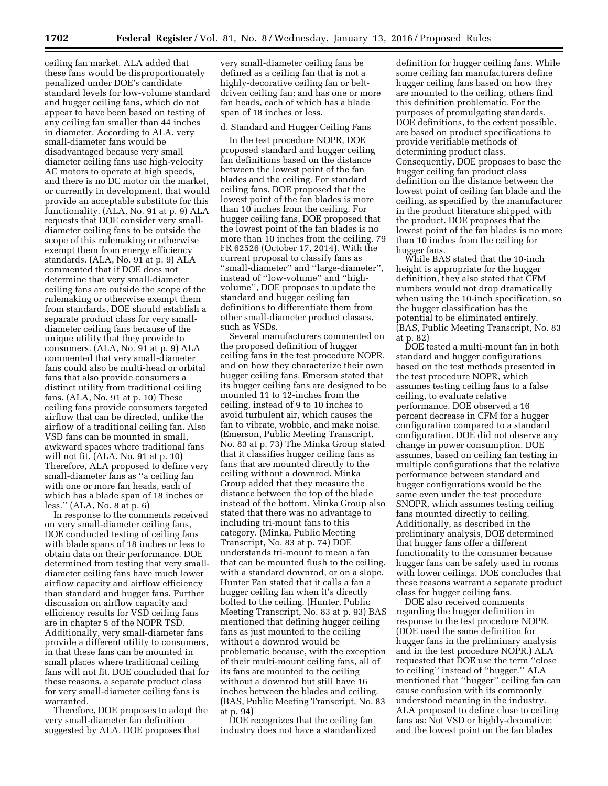ceiling fan market. ALA added that these fans would be disproportionately penalized under DOE's candidate standard levels for low-volume standard and hugger ceiling fans, which do not appear to have been based on testing of any ceiling fan smaller than 44 inches in diameter. According to ALA, very small-diameter fans would be disadvantaged because very small diameter ceiling fans use high-velocity AC motors to operate at high speeds, and there is no DC motor on the market, or currently in development, that would provide an acceptable substitute for this functionality. (ALA, No. 91 at p. 9) ALA requests that DOE consider very smalldiameter ceiling fans to be outside the scope of this rulemaking or otherwise exempt them from energy efficiency standards. (ALA, No. 91 at p. 9) ALA commented that if DOE does not determine that very small-diameter ceiling fans are outside the scope of the rulemaking or otherwise exempt them from standards, DOE should establish a separate product class for very smalldiameter ceiling fans because of the unique utility that they provide to consumers. (ALA, No. 91 at p. 9) ALA commented that very small-diameter fans could also be multi-head or orbital fans that also provide consumers a distinct utility from traditional ceiling fans. (ALA, No. 91 at p. 10) These ceiling fans provide consumers targeted airflow that can be directed, unlike the airflow of a traditional ceiling fan. Also VSD fans can be mounted in small, awkward spaces where traditional fans will not fit. (ALA, No. 91 at p. 10) Therefore, ALA proposed to define very small-diameter fans as ''a ceiling fan with one or more fan heads, each of which has a blade span of 18 inches or less.'' (ALA, No. 8 at p. 6)

In response to the comments received on very small-diameter ceiling fans, DOE conducted testing of ceiling fans with blade spans of 18 inches or less to obtain data on their performance. DOE determined from testing that very smalldiameter ceiling fans have much lower airflow capacity and airflow efficiency than standard and hugger fans. Further discussion on airflow capacity and efficiency results for VSD ceiling fans are in chapter 5 of the NOPR TSD. Additionally, very small-diameter fans provide a different utility to consumers, in that these fans can be mounted in small places where traditional ceiling fans will not fit. DOE concluded that for these reasons, a separate product class for very small-diameter ceiling fans is warranted.

Therefore, DOE proposes to adopt the very small-diameter fan definition suggested by ALA. DOE proposes that

very small-diameter ceiling fans be defined as a ceiling fan that is not a highly-decorative ceiling fan or beltdriven ceiling fan; and has one or more fan heads, each of which has a blade span of 18 inches or less.

#### d. Standard and Hugger Ceiling Fans

In the test procedure NOPR, DOE proposed standard and hugger ceiling fan definitions based on the distance between the lowest point of the fan blades and the ceiling. For standard ceiling fans, DOE proposed that the lowest point of the fan blades is more than 10 inches from the ceiling. For hugger ceiling fans, DOE proposed that the lowest point of the fan blades is no more than 10 inches from the ceiling. 79 FR 62526 (October 17, 2014). With the current proposal to classify fans as ''small-diameter'' and ''large-diameter'', instead of ''low-volume'' and ''highvolume'', DOE proposes to update the standard and hugger ceiling fan definitions to differentiate them from other small-diameter product classes, such as VSDs.

Several manufacturers commented on the proposed definition of hugger ceiling fans in the test procedure NOPR, and on how they characterize their own hugger ceiling fans. Emerson stated that its hugger ceiling fans are designed to be mounted 11 to 12-inches from the ceiling, instead of 9 to 10 inches to avoid turbulent air, which causes the fan to vibrate, wobble, and make noise. (Emerson, Public Meeting Transcript, No. 83 at p. 73) The Minka Group stated that it classifies hugger ceiling fans as fans that are mounted directly to the ceiling without a downrod. Minka Group added that they measure the distance between the top of the blade instead of the bottom. Minka Group also stated that there was no advantage to including tri-mount fans to this category. (Minka, Public Meeting Transcript, No. 83 at p. 74) DOE understands tri-mount to mean a fan that can be mounted flush to the ceiling, with a standard downrod, or on a slope. Hunter Fan stated that it calls a fan a hugger ceiling fan when it's directly bolted to the ceiling. (Hunter, Public Meeting Transcript, No. 83 at p. 93) BAS mentioned that defining hugger ceiling fans as just mounted to the ceiling without a downrod would be problematic because, with the exception of their multi-mount ceiling fans, all of its fans are mounted to the ceiling without a downrod but still have 16 inches between the blades and ceiling. (BAS, Public Meeting Transcript, No. 83 at p. 94)

DOE recognizes that the ceiling fan industry does not have a standardized

definition for hugger ceiling fans. While some ceiling fan manufacturers define hugger ceiling fans based on how they are mounted to the ceiling, others find this definition problematic. For the purposes of promulgating standards, DOE definitions, to the extent possible, are based on product specifications to provide verifiable methods of determining product class. Consequently, DOE proposes to base the hugger ceiling fan product class definition on the distance between the lowest point of ceiling fan blade and the ceiling, as specified by the manufacturer in the product literature shipped with the product. DOE proposes that the lowest point of the fan blades is no more than 10 inches from the ceiling for hugger fans.

While BAS stated that the 10-inch height is appropriate for the hugger definition, they also stated that CFM numbers would not drop dramatically when using the 10-inch specification, so the hugger classification has the potential to be eliminated entirely. (BAS, Public Meeting Transcript, No. 83 at p. 82)

DOE tested a multi-mount fan in both standard and hugger configurations based on the test methods presented in the test procedure NOPR, which assumes testing ceiling fans to a false ceiling, to evaluate relative performance. DOE observed a 16 percent decrease in CFM for a hugger configuration compared to a standard configuration. DOE did not observe any change in power consumption. DOE assumes, based on ceiling fan testing in multiple configurations that the relative performance between standard and hugger configurations would be the same even under the test procedure SNOPR, which assumes testing ceiling fans mounted directly to ceiling. Additionally, as described in the preliminary analysis, DOE determined that hugger fans offer a different functionality to the consumer because hugger fans can be safely used in rooms with lower ceilings. DOE concludes that these reasons warrant a separate product class for hugger ceiling fans.

DOE also received comments regarding the hugger definition in response to the test procedure NOPR. (DOE used the same definition for hugger fans in the preliminary analysis and in the test procedure NOPR.) ALA requested that DOE use the term ''close to ceiling'' instead of ''hugger.'' ALA mentioned that ''hugger'' ceiling fan can cause confusion with its commonly understood meaning in the industry. ALA proposed to define close to ceiling fans as: Not VSD or highly-decorative; and the lowest point on the fan blades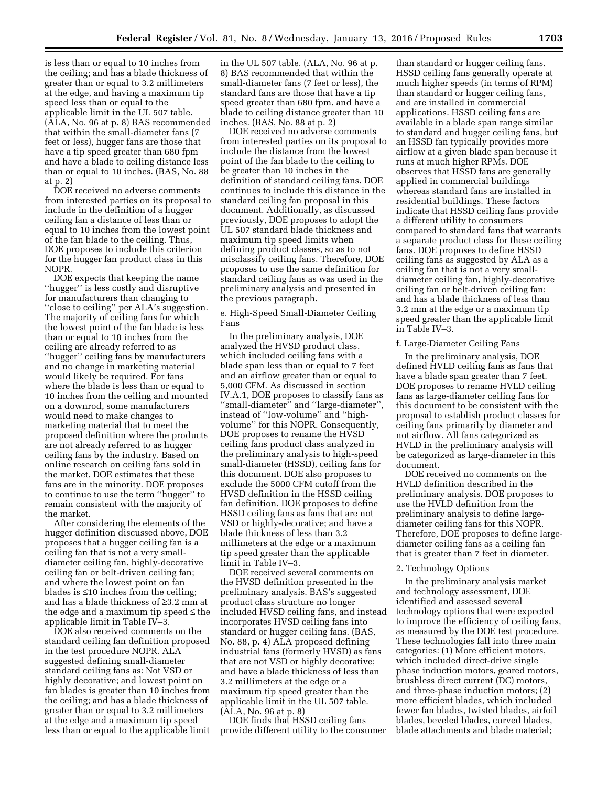is less than or equal to 10 inches from the ceiling; and has a blade thickness of greater than or equal to 3.2 millimeters at the edge, and having a maximum tip speed less than or equal to the applicable limit in the UL 507 table. (ALA, No. 96 at p. 8) BAS recommended that within the small-diameter fans (7 feet or less), hugger fans are those that have a tip speed greater than 680 fpm and have a blade to ceiling distance less than or equal to 10 inches. (BAS, No. 88 at p. 2)

DOE received no adverse comments from interested parties on its proposal to include in the definition of a hugger ceiling fan a distance of less than or equal to 10 inches from the lowest point of the fan blade to the ceiling. Thus, DOE proposes to include this criterion for the hugger fan product class in this NOPR.

DOE expects that keeping the name ''hugger'' is less costly and disruptive for manufacturers than changing to "close to ceiling" per ALA's suggestion. The majority of ceiling fans for which the lowest point of the fan blade is less than or equal to 10 inches from the ceiling are already referred to as ''hugger'' ceiling fans by manufacturers and no change in marketing material would likely be required. For fans where the blade is less than or equal to 10 inches from the ceiling and mounted on a downrod, some manufacturers would need to make changes to marketing material that to meet the proposed definition where the products are not already referred to as hugger ceiling fans by the industry. Based on online research on ceiling fans sold in the market, DOE estimates that these fans are in the minority. DOE proposes to continue to use the term ''hugger'' to remain consistent with the majority of the market.

After considering the elements of the hugger definition discussed above, DOE proposes that a hugger ceiling fan is a ceiling fan that is not a very smalldiameter ceiling fan, highly-decorative ceiling fan or belt-driven ceiling fan; and where the lowest point on fan blades is ≤10 inches from the ceiling; and has a blade thickness of ≥3.2 mm at the edge and a maximum tip speed ≤ the applicable limit in Table IV–3.

DOE also received comments on the standard ceiling fan definition proposed in the test procedure NOPR. ALA suggested defining small-diameter standard ceiling fans as: Not VSD or highly decorative; and lowest point on fan blades is greater than 10 inches from the ceiling; and has a blade thickness of greater than or equal to 3.2 millimeters at the edge and a maximum tip speed less than or equal to the applicable limit

in the UL 507 table. (ALA, No. 96 at p. 8) BAS recommended that within the small-diameter fans (7 feet or less), the standard fans are those that have a tip speed greater than 680 fpm, and have a blade to ceiling distance greater than 10 inches. (BAS, No. 88 at p. 2)

DOE received no adverse comments from interested parties on its proposal to include the distance from the lowest point of the fan blade to the ceiling to be greater than 10 inches in the definition of standard ceiling fans. DOE continues to include this distance in the standard ceiling fan proposal in this document. Additionally, as discussed previously, DOE proposes to adopt the UL 507 standard blade thickness and maximum tip speed limits when defining product classes, so as to not misclassify ceiling fans. Therefore, DOE proposes to use the same definition for standard ceiling fans as was used in the preliminary analysis and presented in the previous paragraph.

e. High-Speed Small-Diameter Ceiling Fans

In the preliminary analysis, DOE analyzed the HVSD product class, which included ceiling fans with a blade span less than or equal to 7 feet and an airflow greater than or equal to 5,000 CFM. As discussed in section IV.A.1, DOE proposes to classify fans as ''small-diameter'' and ''large-diameter'', instead of ''low-volume'' and ''highvolume'' for this NOPR. Consequently, DOE proposes to rename the HVSD ceiling fans product class analyzed in the preliminary analysis to high-speed small-diameter (HSSD), ceiling fans for this document. DOE also proposes to exclude the 5000 CFM cutoff from the HVSD definition in the HSSD ceiling fan definition. DOE proposes to define HSSD ceiling fans as fans that are not VSD or highly-decorative; and have a blade thickness of less than 3.2 millimeters at the edge or a maximum tip speed greater than the applicable limit in Table IV–3.

DOE received several comments on the HVSD definition presented in the preliminary analysis. BAS's suggested product class structure no longer included HVSD ceiling fans, and instead incorporates HVSD ceiling fans into standard or hugger ceiling fans. (BAS, No. 88, p. 4) ALA proposed defining industrial fans (formerly HVSD) as fans that are not VSD or highly decorative; and have a blade thickness of less than 3.2 millimeters at the edge or a maximum tip speed greater than the applicable limit in the UL 507 table. (ALA, No. 96 at p. 8)

DOE finds that HSSD ceiling fans provide different utility to the consumer

than standard or hugger ceiling fans. HSSD ceiling fans generally operate at much higher speeds (in terms of RPM) than standard or hugger ceiling fans, and are installed in commercial applications. HSSD ceiling fans are available in a blade span range similar to standard and hugger ceiling fans, but an HSSD fan typically provides more airflow at a given blade span because it runs at much higher RPMs. DOE observes that HSSD fans are generally applied in commercial buildings whereas standard fans are installed in residential buildings. These factors indicate that HSSD ceiling fans provide a different utility to consumers compared to standard fans that warrants a separate product class for these ceiling fans. DOE proposes to define HSSD ceiling fans as suggested by ALA as a ceiling fan that is not a very smalldiameter ceiling fan, highly-decorative ceiling fan or belt-driven ceiling fan; and has a blade thickness of less than 3.2 mm at the edge or a maximum tip speed greater than the applicable limit in Table IV–3.

#### f. Large-Diameter Ceiling Fans

In the preliminary analysis, DOE defined HVLD ceiling fans as fans that have a blade span greater than 7 feet. DOE proposes to rename HVLD ceiling fans as large-diameter ceiling fans for this document to be consistent with the proposal to establish product classes for ceiling fans primarily by diameter and not airflow. All fans categorized as HVLD in the preliminary analysis will be categorized as large-diameter in this document.

DOE received no comments on the HVLD definition described in the preliminary analysis. DOE proposes to use the HVLD definition from the preliminary analysis to define largediameter ceiling fans for this NOPR. Therefore, DOE proposes to define largediameter ceiling fans as a ceiling fan that is greater than 7 feet in diameter.

#### 2. Technology Options

In the preliminary analysis market and technology assessment, DOE identified and assessed several technology options that were expected to improve the efficiency of ceiling fans, as measured by the DOE test procedure. These technologies fall into three main categories: (1) More efficient motors, which included direct-drive single phase induction motors, geared motors, brushless direct current (DC) motors, and three-phase induction motors; (2) more efficient blades, which included fewer fan blades, twisted blades, airfoil blades, beveled blades, curved blades, blade attachments and blade material;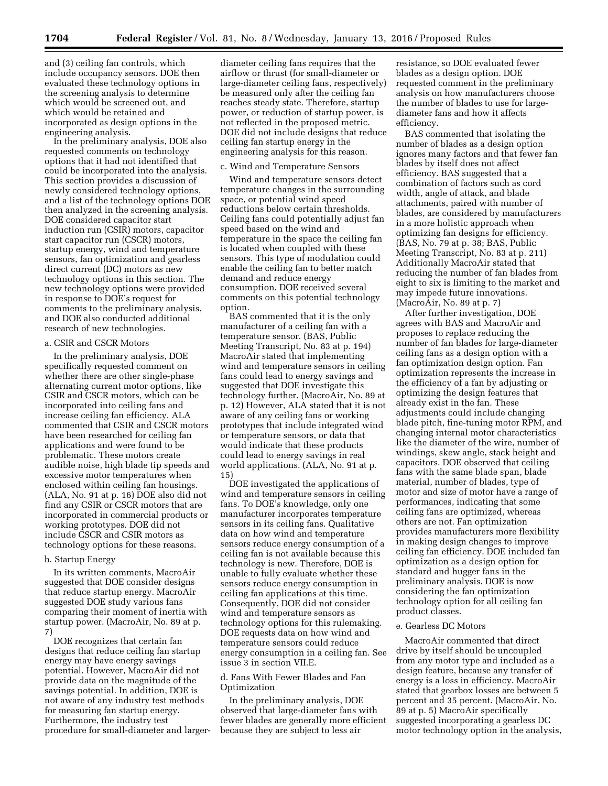and (3) ceiling fan controls, which include occupancy sensors. DOE then evaluated these technology options in the screening analysis to determine which would be screened out, and which would be retained and incorporated as design options in the engineering analysis.

In the preliminary analysis, DOE also requested comments on technology options that it had not identified that could be incorporated into the analysis. This section provides a discussion of newly considered technology options, and a list of the technology options DOE then analyzed in the screening analysis. DOE considered capacitor start induction run (CSIR) motors, capacitor start capacitor run (CSCR) motors, startup energy, wind and temperature sensors, fan optimization and gearless direct current (DC) motors as new technology options in this section. The new technology options were provided in response to DOE's request for comments to the preliminary analysis, and DOE also conducted additional research of new technologies.

#### a. CSIR and CSCR Motors

In the preliminary analysis, DOE specifically requested comment on whether there are other single-phase alternating current motor options, like CSIR and CSCR motors, which can be incorporated into ceiling fans and increase ceiling fan efficiency. ALA commented that CSIR and CSCR motors have been researched for ceiling fan applications and were found to be problematic. These motors create audible noise, high blade tip speeds and excessive motor temperatures when enclosed within ceiling fan housings. (ALA, No. 91 at p. 16) DOE also did not find any CSIR or CSCR motors that are incorporated in commercial products or working prototypes. DOE did not include CSCR and CSIR motors as technology options for these reasons.

#### b. Startup Energy

In its written comments, MacroAir suggested that DOE consider designs that reduce startup energy. MacroAir suggested DOE study various fans comparing their moment of inertia with startup power. (MacroAir, No. 89 at p. 7)

DOE recognizes that certain fan designs that reduce ceiling fan startup energy may have energy savings potential. However, MacroAir did not provide data on the magnitude of the savings potential. In addition, DOE is not aware of any industry test methods for measuring fan startup energy. Furthermore, the industry test procedure for small-diameter and largerdiameter ceiling fans requires that the airflow or thrust (for small-diameter or large-diameter ceiling fans, respectively) be measured only after the ceiling fan reaches steady state. Therefore, startup power, or reduction of startup power, is not reflected in the proposed metric. DOE did not include designs that reduce ceiling fan startup energy in the engineering analysis for this reason.

#### c. Wind and Temperature Sensors

Wind and temperature sensors detect temperature changes in the surrounding space, or potential wind speed reductions below certain thresholds. Ceiling fans could potentially adjust fan speed based on the wind and temperature in the space the ceiling fan is located when coupled with these sensors. This type of modulation could enable the ceiling fan to better match demand and reduce energy consumption. DOE received several comments on this potential technology option.

BAS commented that it is the only manufacturer of a ceiling fan with a temperature sensor. (BAS, Public Meeting Transcript, No. 83 at p. 194) MacroAir stated that implementing wind and temperature sensors in ceiling fans could lead to energy savings and suggested that DOE investigate this technology further. (MacroAir, No. 89 at p. 12) However, ALA stated that it is not aware of any ceiling fans or working prototypes that include integrated wind or temperature sensors, or data that would indicate that these products could lead to energy savings in real world applications. (ALA, No. 91 at p. 15)

DOE investigated the applications of wind and temperature sensors in ceiling fans. To DOE's knowledge, only one manufacturer incorporates temperature sensors in its ceiling fans. Qualitative data on how wind and temperature sensors reduce energy consumption of a ceiling fan is not available because this technology is new. Therefore, DOE is unable to fully evaluate whether these sensors reduce energy consumption in ceiling fan applications at this time. Consequently, DOE did not consider wind and temperature sensors as technology options for this rulemaking. DOE requests data on how wind and temperature sensors could reduce energy consumption in a ceiling fan. See issue 3 in section VII.E.

# d. Fans With Fewer Blades and Fan Optimization

In the preliminary analysis, DOE observed that large-diameter fans with fewer blades are generally more efficient because they are subject to less air

resistance, so DOE evaluated fewer blades as a design option. DOE requested comment in the preliminary analysis on how manufacturers choose the number of blades to use for largediameter fans and how it affects efficiency.

BAS commented that isolating the number of blades as a design option ignores many factors and that fewer fan blades by itself does not affect efficiency. BAS suggested that a combination of factors such as cord width, angle of attack, and blade attachments, paired with number of blades, are considered by manufacturers in a more holistic approach when optimizing fan designs for efficiency. (BAS, No. 79 at p. 38; BAS, Public Meeting Transcript, No. 83 at p. 211) Additionally MacroAir stated that reducing the number of fan blades from eight to six is limiting to the market and may impede future innovations. (MacroAir, No. 89 at p. 7)

After further investigation, DOE agrees with BAS and MacroAir and proposes to replace reducing the number of fan blades for large-diameter ceiling fans as a design option with a fan optimization design option. Fan optimization represents the increase in the efficiency of a fan by adjusting or optimizing the design features that already exist in the fan. These adjustments could include changing blade pitch, fine-tuning motor RPM, and changing internal motor characteristics like the diameter of the wire, number of windings, skew angle, stack height and capacitors. DOE observed that ceiling fans with the same blade span, blade material, number of blades, type of motor and size of motor have a range of performances, indicating that some ceiling fans are optimized, whereas others are not. Fan optimization provides manufacturers more flexibility in making design changes to improve ceiling fan efficiency. DOE included fan optimization as a design option for standard and hugger fans in the preliminary analysis. DOE is now considering the fan optimization technology option for all ceiling fan product classes.

#### e. Gearless DC Motors

MacroAir commented that direct drive by itself should be uncoupled from any motor type and included as a design feature, because any transfer of energy is a loss in efficiency. MacroAir stated that gearbox losses are between 5 percent and 35 percent. (MacroAir, No. 89 at p. 5) MacroAir specifically suggested incorporating a gearless DC motor technology option in the analysis,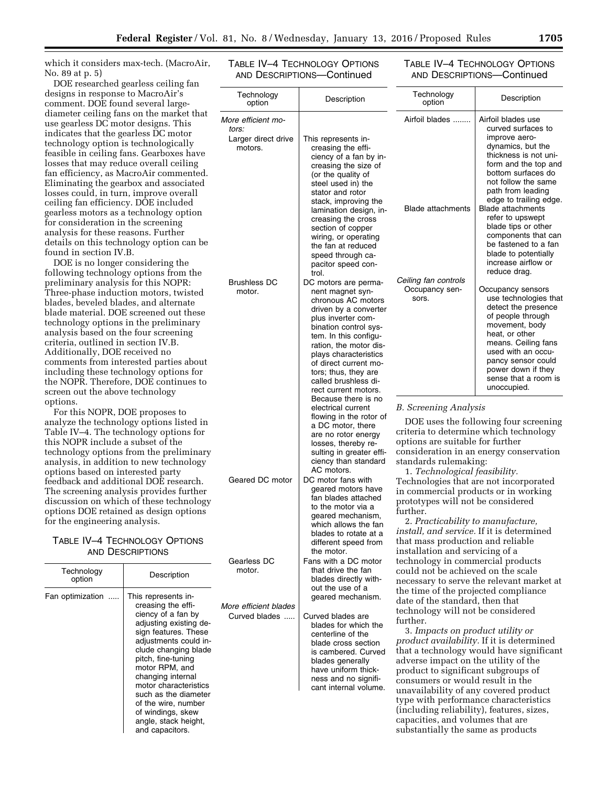which it considers max-tech. (MacroAir, No. 89 at p. 5)

DOE researched gearless ceiling fan designs in response to MacroAir's comment. DOE found several largediameter ceiling fans on the market that use gearless DC motor designs. This indicates that the gearless DC motor technology option is technologically feasible in ceiling fans. Gearboxes have losses that may reduce overall ceiling fan efficiency, as MacroAir commented. Eliminating the gearbox and associated losses could, in turn, improve overall ceiling fan efficiency. DOE included gearless motors as a technology option for consideration in the screening analysis for these reasons. Further details on this technology option can be found in section IV.B.

DOE is no longer considering the following technology options from the preliminary analysis for this NOPR: Three-phase induction motors, twisted blades, beveled blades, and alternate blade material. DOE screened out these technology options in the preliminary analysis based on the four screening criteria, outlined in section IV.B. Additionally, DOE received no comments from interested parties about including these technology options for the NOPR. Therefore, DOE continues to screen out the above technology options.

For this NOPR, DOE proposes to analyze the technology options listed in Table IV–4. The technology options for this NOPR include a subset of the technology options from the preliminary analysis, in addition to new technology options based on interested party feedback and additional DOE research. The screening analysis provides further discussion on which of these technology options DOE retained as design options for the engineering analysis.

# TABLE IV–4 TECHNOLOGY OPTIONS AND DESCRIPTIONS

|                      |                                                                                                                                                                                                                                                                                                                                                                         | Gedhess DU                             | Falis Willi                                                                                                                         |
|----------------------|-------------------------------------------------------------------------------------------------------------------------------------------------------------------------------------------------------------------------------------------------------------------------------------------------------------------------------------------------------------------------|----------------------------------------|-------------------------------------------------------------------------------------------------------------------------------------|
| Technology<br>option | Description                                                                                                                                                                                                                                                                                                                                                             | motor.                                 | that driv<br>blades                                                                                                                 |
| Fan optimization     | This represents in-<br>creasing the effi-<br>ciency of a fan by<br>adjusting existing de-<br>sign features. These<br>adjustments could in-<br>clude changing blade<br>pitch, fine-tuning<br>motor RPM, and<br>changing internal<br>motor characteristics<br>such as the diameter<br>of the wire, number<br>of windings, skew<br>angle, stack height,<br>and capacitors. | More efficient blades<br>Curved blades | out the<br>geared<br>Curved bl<br>blades <sup>-</sup><br>centerli<br>blade c<br>is camb<br>blades<br>have ur<br>ness ar<br>cant int |

| TABLE IV-4 TECHNOLOGY OPTIONS |
|-------------------------------|
| AND DESCRIPTIONS-Continued    |

# TABLE IV–4 TECHNOLOGY OPTIONS AND DESCRIPTIONS—Continued

| Technology<br>option                                          | Description                                                                                                                                                                                                                                                                                                                                       | Technology<br>option                                                                                                                                                                                                                                                                                                                                                                                          | Description                                                                                                                                                                                                                                                                                                                                                                                                      |
|---------------------------------------------------------------|---------------------------------------------------------------------------------------------------------------------------------------------------------------------------------------------------------------------------------------------------------------------------------------------------------------------------------------------------|---------------------------------------------------------------------------------------------------------------------------------------------------------------------------------------------------------------------------------------------------------------------------------------------------------------------------------------------------------------------------------------------------------------|------------------------------------------------------------------------------------------------------------------------------------------------------------------------------------------------------------------------------------------------------------------------------------------------------------------------------------------------------------------------------------------------------------------|
| More efficient mo-<br>tors:<br>Larger direct drive<br>motors. | This represents in-<br>creasing the effi-<br>ciency of a fan by in-<br>creasing the size of<br>(or the quality of<br>steel used in) the<br>stator and rotor<br>stack, improving the<br>lamination design, in-<br>creasing the cross<br>section of copper<br>wiring, or operating<br>the fan at reduced<br>speed through ca-<br>pacitor speed con- | Airfoil blades<br><b>Blade attachments</b>                                                                                                                                                                                                                                                                                                                                                                    | Airfoil blades use<br>curved surfaces to<br>improve aero-<br>dynamics, but the<br>thickness is not uni-<br>form and the top and<br>bottom surfaces do<br>not follow the same<br>path from leading<br>edge to trailing edge.<br><b>Blade attachments</b><br>refer to upswept<br>blade tips or other<br>components that can<br>be fastened to a fan<br>blade to potentially<br>increase airflow or<br>reduce drag. |
| <b>Brushless DC</b><br>motor.                                 | trol.<br>DC motors are perma-<br>nent magnet syn-<br>chronous AC motors<br>driven by a converter<br>plus inverter com-<br>bination control sys-<br>tem. In this configu-<br>ration, the motor dis-<br>plays characteristics<br>of direct current mo-<br>tors; thus, they are<br>called brushless di-<br>rect current motors.                      | Ceiling fan controls<br>Occupancy sen-<br>sors.                                                                                                                                                                                                                                                                                                                                                               | Occupancy sensors<br>use technologies that<br>detect the presence<br>of people through<br>movement, body<br>heat, or other<br>means. Ceiling fans<br>used with an occu-<br>pancy sensor could<br>power down if they<br>sense that a room is<br>unoccupied.                                                                                                                                                       |
| Geared DC motor                                               | Because there is no<br>electrical current<br>flowing in the rotor of<br>a DC motor, there<br>are no rotor energy<br>losses, thereby re-<br>sulting in greater effi-<br>ciency than standard<br>AC motors.<br>DC motor fans with<br>geared motors have<br>fan blades attached<br>to the motor via a                                                | B. Screening Analysis<br>options are suitable for further<br>standards rulemaking:<br>1. Technological feasibility.<br>in commercial products or in working<br>prototypes will not be considered                                                                                                                                                                                                              | DOE uses the following four screening<br>criteria to determine which technology<br>consideration in an energy conservation<br>Technologies that are not incorporated                                                                                                                                                                                                                                             |
| Gearless DC<br>motor.<br>More efficient blades                | geared mechanism,<br>which allows the fan<br>blades to rotate at a<br>different speed from<br>the motor.<br>Fans with a DC motor<br>that drive the fan<br>blades directly with-<br>out the use of a<br>geared mechanism.                                                                                                                          | further.<br>2. Practicability to manufacture,<br>install, and service. If it is determined<br>that mass production and reliable<br>installation and servicing of a<br>technology in commercial products<br>could not be achieved on the scale<br>the time of the projected compliance<br>date of the standard, then that                                                                                      | necessary to serve the relevant market at                                                                                                                                                                                                                                                                                                                                                                        |
| Curved blades                                                 | Curved blades are<br>blades for which the<br>centerline of the<br>blade cross section<br>is cambered. Curved<br>blades generally<br>have uniform thick-<br>ness and no signifi-<br>cant internal volume.                                                                                                                                          | technology will not be considered<br>further.<br>3. Impacts on product utility or<br>adverse impact on the utility of the<br>product to significant subgroups of<br>consumers or would result in the<br>unavailability of any covered product<br>type with performance characteristics<br>(including reliability), features, sizes,<br>capacities, and volumes that are<br>substantially the same as products | product availability. If it is determined<br>that a technology would have significant                                                                                                                                                                                                                                                                                                                            |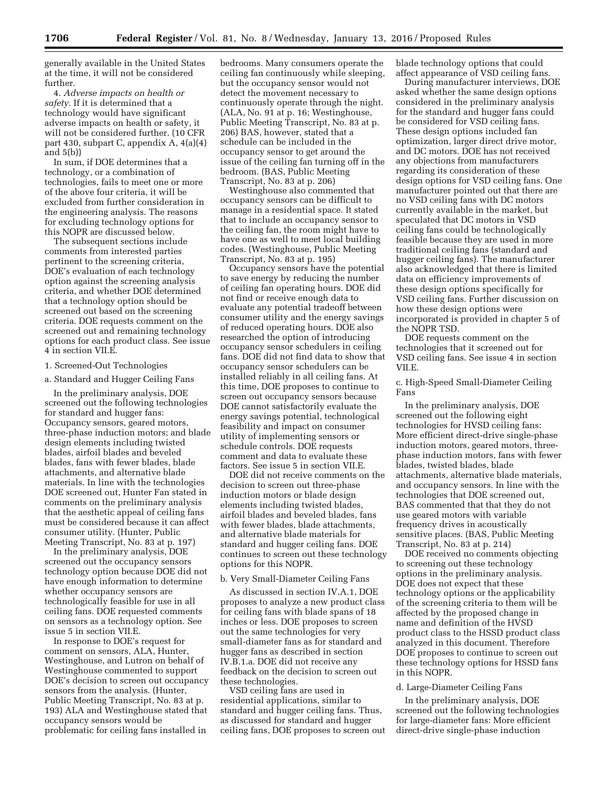generally available in the United States at the time, it will not be considered further.

4. *Adverse impacts on health or safety.* If it is determined that a technology would have significant adverse impacts on health or safety, it will not be considered further. (10 CFR part 430, subpart C, appendix A, 4(a)(4) and 5(b))

In sum, if DOE determines that a technology, or a combination of technologies, fails to meet one or more of the above four criteria, it will be excluded from further consideration in the engineering analysis. The reasons for excluding technology options for this NOPR are discussed below.

The subsequent sections include comments from interested parties pertinent to the screening criteria, DOE's evaluation of each technology option against the screening analysis criteria, and whether DOE determined that a technology option should be screened out based on the screening criteria. DOE requests comment on the screened out and remaining technology options for each product class. See issue 4 in section VII.E.

#### 1. Screened-Out Technologies

a. Standard and Hugger Ceiling Fans

In the preliminary analysis, DOE screened out the following technologies for standard and hugger fans: Occupancy sensors, geared motors, three-phase induction motors; and blade design elements including twisted blades, airfoil blades and beveled blades, fans with fewer blades, blade attachments, and alternative blade materials. In line with the technologies DOE screened out, Hunter Fan stated in comments on the preliminary analysis that the aesthetic appeal of ceiling fans must be considered because it can affect consumer utility. (Hunter, Public Meeting Transcript, No. 83 at p. 197)

In the preliminary analysis, DOE screened out the occupancy sensors technology option because DOE did not have enough information to determine whether occupancy sensors are technologically feasible for use in all ceiling fans. DOE requested comments on sensors as a technology option. See issue 5 in section VII.E.

In response to DOE's request for comment on sensors, ALA, Hunter, Westinghouse, and Lutron on behalf of Westinghouse commented to support DOE's decision to screen out occupancy sensors from the analysis. (Hunter, Public Meeting Transcript, No. 83 at p. 193) ALA and Westinghouse stated that occupancy sensors would be problematic for ceiling fans installed in

bedrooms. Many consumers operate the ceiling fan continuously while sleeping, but the occupancy sensor would not detect the movement necessary to continuously operate through the night. (ALA, No. 91 at p. 16; Westinghouse, Public Meeting Transcript, No. 83 at p. 206) BAS, however, stated that a schedule can be included in the occupancy sensor to get around the issue of the ceiling fan turning off in the bedroom. (BAS, Public Meeting Transcript, No. 83 at p. 206)

Westinghouse also commented that occupancy sensors can be difficult to manage in a residential space. It stated that to include an occupancy sensor to the ceiling fan, the room might have to have one as well to meet local building codes. (Westinghouse, Public Meeting Transcript, No. 83 at p. 195)

Occupancy sensors have the potential to save energy by reducing the number of ceiling fan operating hours. DOE did not find or receive enough data to evaluate any potential tradeoff between consumer utility and the energy savings of reduced operating hours. DOE also researched the option of introducing occupancy sensor schedulers in ceiling fans. DOE did not find data to show that occupancy sensor schedulers can be installed reliably in all ceiling fans. At this time, DOE proposes to continue to screen out occupancy sensors because DOE cannot satisfactorily evaluate the energy savings potential, technological feasibility and impact on consumer utility of implementing sensors or schedule controls. DOE requests comment and data to evaluate these factors. See issue 5 in section VII.E.

DOE did not receive comments on the decision to screen out three-phase induction motors or blade design elements including twisted blades, airfoil blades and beveled blades, fans with fewer blades, blade attachments, and alternative blade materials for standard and hugger ceiling fans. DOE continues to screen out these technology options for this NOPR.

#### b. Very Small-Diameter Ceiling Fans

As discussed in section IV.A.1, DOE proposes to analyze a new product class for ceiling fans with blade spans of 18 inches or less. DOE proposes to screen out the same technologies for very small-diameter fans as for standard and hugger fans as described in section IV.B.1.a. DOE did not receive any feedback on the decision to screen out these technologies.

VSD ceiling fans are used in residential applications, similar to standard and hugger ceiling fans. Thus, as discussed for standard and hugger ceiling fans, DOE proposes to screen out blade technology options that could affect appearance of VSD ceiling fans.

During manufacturer interviews, DOE asked whether the same design options considered in the preliminary analysis for the standard and hugger fans could be considered for VSD ceiling fans. These design options included fan optimization, larger direct drive motor, and DC motors. DOE has not received any objections from manufacturers regarding its consideration of these design options for VSD ceiling fans. One manufacturer pointed out that there are no VSD ceiling fans with DC motors currently available in the market, but speculated that DC motors in VSD ceiling fans could be technologically feasible because they are used in more traditional ceiling fans (standard and hugger ceiling fans). The manufacturer also acknowledged that there is limited data on efficiency improvements of these design options specifically for VSD ceiling fans. Further discussion on how these design options were incorporated is provided in chapter 5 of the NOPR TSD.

DOE requests comment on the technologies that it screened out for VSD ceiling fans. See issue 4 in section VII.E.

c. High-Speed Small-Diameter Ceiling Fans

In the preliminary analysis, DOE screened out the following eight technologies for HVSD ceiling fans: More efficient direct-drive single-phase induction motors, geared motors, threephase induction motors, fans with fewer blades, twisted blades, blade attachments, alternative blade materials, and occupancy sensors. In line with the technologies that DOE screened out, BAS commented that that they do not use geared motors with variable frequency drives in acoustically sensitive places. (BAS, Public Meeting Transcript, No. 83 at p. 214)

DOE received no comments objecting to screening out these technology options in the preliminary analysis. DOE does not expect that these technology options or the applicability of the screening criteria to them will be affected by the proposed change in name and definition of the HVSD product class to the HSSD product class analyzed in this document. Therefore DOE proposes to continue to screen out these technology options for HSSD fans in this NOPR.

#### d. Large-Diameter Ceiling Fans

In the preliminary analysis, DOE screened out the following technologies for large-diameter fans: More efficient direct-drive single-phase induction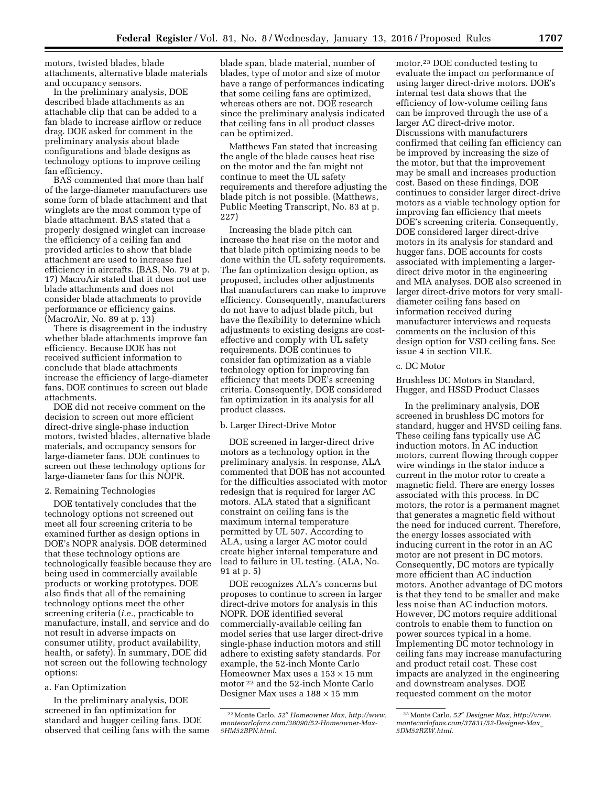motors, twisted blades, blade attachments, alternative blade materials and occupancy sensors.

In the preliminary analysis, DOE described blade attachments as an attachable clip that can be added to a fan blade to increase airflow or reduce drag. DOE asked for comment in the preliminary analysis about blade configurations and blade designs as technology options to improve ceiling fan efficiency.

BAS commented that more than half of the large-diameter manufacturers use some form of blade attachment and that winglets are the most common type of blade attachment. BAS stated that a properly designed winglet can increase the efficiency of a ceiling fan and provided articles to show that blade attachment are used to increase fuel efficiency in aircrafts. (BAS, No. 79 at p. 17) MacroAir stated that it does not use blade attachments and does not consider blade attachments to provide performance or efficiency gains. (MacroAir, No. 89 at p. 13)

There is disagreement in the industry whether blade attachments improve fan efficiency. Because DOE has not received sufficient information to conclude that blade attachments increase the efficiency of large-diameter fans, DOE continues to screen out blade attachments.

DOE did not receive comment on the decision to screen out more efficient direct-drive single-phase induction motors, twisted blades, alternative blade materials, and occupancy sensors for large-diameter fans. DOE continues to screen out these technology options for large-diameter fans for this NOPR.

#### 2. Remaining Technologies

DOE tentatively concludes that the technology options not screened out meet all four screening criteria to be examined further as design options in DOE's NOPR analysis. DOE determined that these technology options are technologically feasible because they are being used in commercially available products or working prototypes. DOE also finds that all of the remaining technology options meet the other screening criteria (*i.e.,* practicable to manufacture, install, and service and do not result in adverse impacts on consumer utility, product availability, health, or safety). In summary, DOE did not screen out the following technology options:

#### a. Fan Optimization

In the preliminary analysis, DOE screened in fan optimization for standard and hugger ceiling fans. DOE observed that ceiling fans with the same blade span, blade material, number of blades, type of motor and size of motor have a range of performances indicating that some ceiling fans are optimized, whereas others are not. DOE research since the preliminary analysis indicated that ceiling fans in all product classes can be optimized.

Matthews Fan stated that increasing the angle of the blade causes heat rise on the motor and the fan might not continue to meet the UL safety requirements and therefore adjusting the blade pitch is not possible. (Matthews, Public Meeting Transcript, No. 83 at p. 227)

Increasing the blade pitch can increase the heat rise on the motor and that blade pitch optimizing needs to be done within the UL safety requirements. The fan optimization design option, as proposed, includes other adjustments that manufacturers can make to improve efficiency. Consequently, manufacturers do not have to adjust blade pitch, but have the flexibility to determine which adjustments to existing designs are costeffective and comply with UL safety requirements. DOE continues to consider fan optimization as a viable technology option for improving fan efficiency that meets DOE's screening criteria. Consequently, DOE considered fan optimization in its analysis for all product classes.

# b. Larger Direct-Drive Motor

DOE screened in larger-direct drive motors as a technology option in the preliminary analysis. In response, ALA commented that DOE has not accounted for the difficulties associated with motor redesign that is required for larger AC motors. ALA stated that a significant constraint on ceiling fans is the maximum internal temperature permitted by UL 507. According to ALA, using a larger AC motor could create higher internal temperature and lead to failure in UL testing. (ALA, No. 91 at p. 5)

DOE recognizes ALA's concerns but proposes to continue to screen in larger direct-drive motors for analysis in this NOPR. DOE identified several commercially-available ceiling fan model series that use larger direct-drive single-phase induction motors and still adhere to existing safety standards. For example, the 52-inch Monte Carlo Homeowner Max uses a  $153 \times 15$  mm motor 22 and the 52-inch Monte Carlo Designer Max uses a 188 × 15 mm

motor.23 DOE conducted testing to evaluate the impact on performance of using larger direct-drive motors. DOE's internal test data shows that the efficiency of low-volume ceiling fans can be improved through the use of a larger AC direct-drive motor. Discussions with manufacturers confirmed that ceiling fan efficiency can be improved by increasing the size of the motor, but that the improvement may be small and increases production cost. Based on these findings, DOE continues to consider larger direct-drive motors as a viable technology option for improving fan efficiency that meets DOE's screening criteria. Consequently, DOE considered larger direct-drive motors in its analysis for standard and hugger fans. DOE accounts for costs associated with implementing a largerdirect drive motor in the engineering and MIA analyses. DOE also screened in larger direct-drive motors for very smalldiameter ceiling fans based on information received during manufacturer interviews and requests comments on the inclusion of this design option for VSD ceiling fans. See issue 4 in section VII.E.

#### c. DC Motor

Brushless DC Motors in Standard, Hugger, and HSSD Product Classes

In the preliminary analysis, DOE screened in brushless DC motors for standard, hugger and HVSD ceiling fans. These ceiling fans typically use  $A\bar{C}$ induction motors. In AC induction motors, current flowing through copper wire windings in the stator induce a current in the motor rotor to create a magnetic field. There are energy losses associated with this process. In DC motors, the rotor is a permanent magnet that generates a magnetic field without the need for induced current. Therefore, the energy losses associated with inducing current in the rotor in an AC motor are not present in DC motors. Consequently, DC motors are typically more efficient than AC induction motors. Another advantage of DC motors is that they tend to be smaller and make less noise than AC induction motors. However, DC motors require additional controls to enable them to function on power sources typical in a home. Implementing DC motor technology in ceiling fans may increase manufacturing and product retail cost. These cost impacts are analyzed in the engineering and downstream analyses. DOE requested comment on the motor

<sup>22</sup>Monte Carlo. *52*″ *Homeowner Max, [http://www.](http://www.montecarlofans.com/38090/52-Homeowner-Max-5HM52BPN.html) [montecarlofans.com/38090/52-Homeowner-Max-](http://www.montecarlofans.com/38090/52-Homeowner-Max-5HM52BPN.html)[5HM52BPN.html](http://www.montecarlofans.com/38090/52-Homeowner-Max-5HM52BPN.html)*.

<sup>23</sup>Monte Carlo. *52*″ *Designer Max, [http://www.](http://www.montecarlofans.com/37831/52-Designer-Max_5DM52RZW.html) [montecarlofans.com/37831/52-Designer-Max](http://www.montecarlofans.com/37831/52-Designer-Max_5DM52RZW.html)*\_ *[5DM52RZW.html](http://www.montecarlofans.com/37831/52-Designer-Max_5DM52RZW.html)*.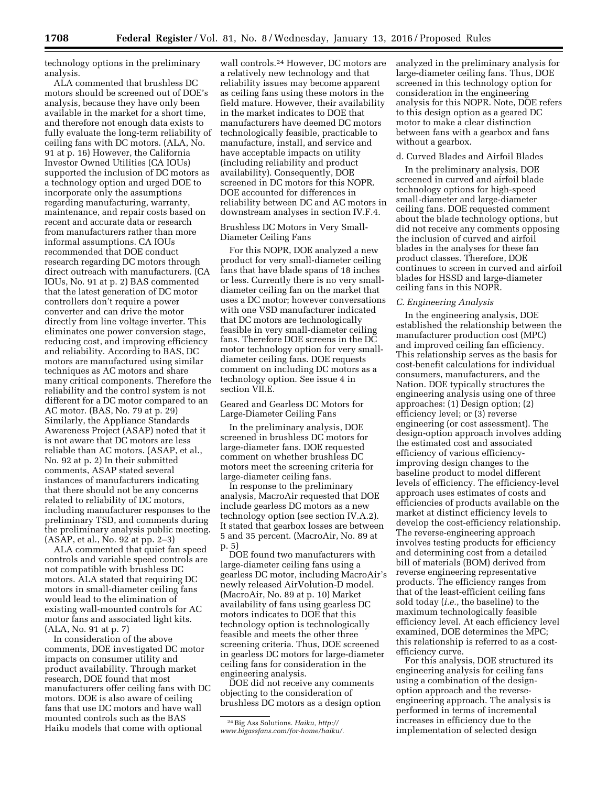technology options in the preliminary analysis.

ALA commented that brushless DC motors should be screened out of DOE's analysis, because they have only been available in the market for a short time, and therefore not enough data exists to fully evaluate the long-term reliability of ceiling fans with DC motors. (ALA, No. 91 at p. 16) However, the California Investor Owned Utilities (CA IOUs) supported the inclusion of DC motors as a technology option and urged DOE to incorporate only the assumptions regarding manufacturing, warranty, maintenance, and repair costs based on recent and accurate data or research from manufacturers rather than more informal assumptions. CA IOUs recommended that DOE conduct research regarding DC motors through direct outreach with manufacturers. (CA IOUs, No. 91 at p. 2) BAS commented that the latest generation of DC motor controllers don't require a power converter and can drive the motor directly from line voltage inverter. This eliminates one power conversion stage, reducing cost, and improving efficiency and reliability. According to BAS, DC motors are manufactured using similar techniques as AC motors and share many critical components. Therefore the reliability and the control system is not different for a DC motor compared to an AC motor. (BAS, No. 79 at p. 29) Similarly, the Appliance Standards Awareness Project (ASAP) noted that it is not aware that DC motors are less reliable than AC motors. (ASAP, et al., No. 92 at p. 2) In their submitted comments, ASAP stated several instances of manufacturers indicating that there should not be any concerns related to reliability of DC motors, including manufacturer responses to the preliminary TSD, and comments during the preliminary analysis public meeting. (ASAP, et al., No. 92 at pp. 2–3)

ALA commented that quiet fan speed controls and variable speed controls are not compatible with brushless DC motors. ALA stated that requiring DC motors in small-diameter ceiling fans would lead to the elimination of existing wall-mounted controls for AC motor fans and associated light kits. (ALA, No. 91 at p. 7)

In consideration of the above comments, DOE investigated DC motor impacts on consumer utility and product availability. Through market research, DOE found that most manufacturers offer ceiling fans with DC motors. DOE is also aware of ceiling fans that use DC motors and have wall mounted controls such as the BAS Haiku models that come with optional

wall controls.24 However, DC motors are a relatively new technology and that reliability issues may become apparent as ceiling fans using these motors in the field mature. However, their availability in the market indicates to DOE that manufacturers have deemed DC motors technologically feasible, practicable to manufacture, install, and service and have acceptable impacts on utility (including reliability and product availability). Consequently, DOE screened in DC motors for this NOPR. DOE accounted for differences in reliability between DC and AC motors in downstream analyses in section IV.F.4.

Brushless DC Motors in Very Small-Diameter Ceiling Fans

For this NOPR, DOE analyzed a new product for very small-diameter ceiling fans that have blade spans of 18 inches or less. Currently there is no very smalldiameter ceiling fan on the market that uses a DC motor; however conversations with one VSD manufacturer indicated that DC motors are technologically feasible in very small-diameter ceiling fans. Therefore DOE screens in the DC motor technology option for very smalldiameter ceiling fans. DOE requests comment on including DC motors as a technology option. See issue 4 in section VII.E.

Geared and Gearless DC Motors for Large-Diameter Ceiling Fans

In the preliminary analysis, DOE screened in brushless DC motors for large-diameter fans. DOE requested comment on whether brushless DC motors meet the screening criteria for large-diameter ceiling fans.

In response to the preliminary analysis, MacroAir requested that DOE include gearless DC motors as a new technology option (see section IV.A.2). It stated that gearbox losses are between 5 and 35 percent. (MacroAir, No. 89 at p. 5)

DOE found two manufacturers with large-diameter ceiling fans using a gearless DC motor, including MacroAir's newly released AirVolution-D model. (MacroAir, No. 89 at p. 10) Market availability of fans using gearless DC motors indicates to DOE that this technology option is technologically feasible and meets the other three screening criteria. Thus, DOE screened in gearless DC motors for large-diameter ceiling fans for consideration in the engineering analysis.

DOE did not receive any comments objecting to the consideration of brushless DC motors as a design option analyzed in the preliminary analysis for large-diameter ceiling fans. Thus, DOE screened in this technology option for consideration in the engineering analysis for this NOPR. Note, DOE refers to this design option as a geared DC motor to make a clear distinction between fans with a gearbox and fans without a gearbox.

#### d. Curved Blades and Airfoil Blades

In the preliminary analysis, DOE screened in curved and airfoil blade technology options for high-speed small-diameter and large-diameter ceiling fans. DOE requested comment about the blade technology options, but did not receive any comments opposing the inclusion of curved and airfoil blades in the analyses for these fan product classes. Therefore, DOE continues to screen in curved and airfoil blades for HSSD and large-diameter ceiling fans in this NOPR.

#### *C. Engineering Analysis*

In the engineering analysis, DOE established the relationship between the manufacturer production cost (MPC) and improved ceiling fan efficiency. This relationship serves as the basis for cost-benefit calculations for individual consumers, manufacturers, and the Nation. DOE typically structures the engineering analysis using one of three approaches: (1) Design option; (2) efficiency level; or (3) reverse engineering (or cost assessment). The design-option approach involves adding the estimated cost and associated efficiency of various efficiencyimproving design changes to the baseline product to model different levels of efficiency. The efficiency-level approach uses estimates of costs and efficiencies of products available on the market at distinct efficiency levels to develop the cost-efficiency relationship. The reverse-engineering approach involves testing products for efficiency and determining cost from a detailed bill of materials (BOM) derived from reverse engineering representative products. The efficiency ranges from that of the least-efficient ceiling fans sold today (*i.e.*, the baseline) to the maximum technologically feasible efficiency level. At each efficiency level examined, DOE determines the MPC; this relationship is referred to as a costefficiency curve.

For this analysis, DOE structured its engineering analysis for ceiling fans using a combination of the designoption approach and the reverseengineering approach. The analysis is performed in terms of incremental increases in efficiency due to the implementation of selected design

<sup>24</sup>Big Ass Solutions. *Haiku, [http://](http://www.bigassfans.com/for-home/haiku/)*

*[www.bigassfans.com/for-home/haiku/.](http://www.bigassfans.com/for-home/haiku/)*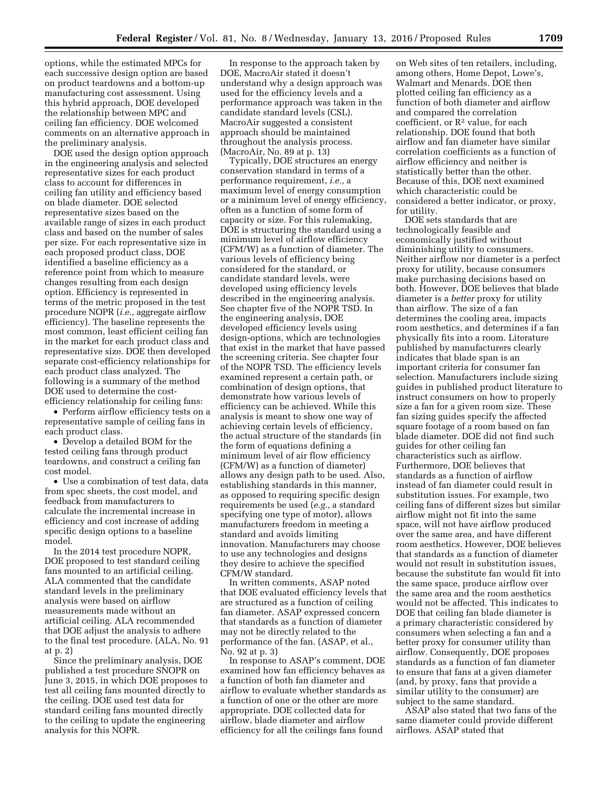options, while the estimated MPCs for each successive design option are based on product teardowns and a bottom-up manufacturing cost assessment. Using this hybrid approach, DOE developed the relationship between MPC and ceiling fan efficiency. DOE welcomed comments on an alternative approach in the preliminary analysis.

DOE used the design option approach in the engineering analysis and selected representative sizes for each product class to account for differences in ceiling fan utility and efficiency based on blade diameter. DOE selected representative sizes based on the available range of sizes in each product class and based on the number of sales per size. For each representative size in each proposed product class, DOE identified a baseline efficiency as a reference point from which to measure changes resulting from each design option. Efficiency is represented in terms of the metric proposed in the test procedure NOPR (*i.e.,* aggregate airflow efficiency). The baseline represents the most common, least efficient ceiling fan in the market for each product class and representative size. DOE then developed separate cost-efficiency relationships for each product class analyzed. The following is a summary of the method DOE used to determine the costefficiency relationship for ceiling fans:

• Perform airflow efficiency tests on a representative sample of ceiling fans in each product class.

• Develop a detailed BOM for the tested ceiling fans through product teardowns, and construct a ceiling fan cost model.

• Use a combination of test data, data from spec sheets, the cost model, and feedback from manufacturers to calculate the incremental increase in efficiency and cost increase of adding specific design options to a baseline model.

In the 2014 test procedure NOPR, DOE proposed to test standard ceiling fans mounted to an artificial ceiling. ALA commented that the candidate standard levels in the preliminary analysis were based on airflow measurements made without an artificial ceiling. ALA recommended that DOE adjust the analysis to adhere to the final test procedure. (ALA, No. 91 at p. 2)

Since the preliminary analysis, DOE published a test procedure SNOPR on June 3, 2015, in which DOE proposes to test all ceiling fans mounted directly to the ceiling. DOE used test data for standard ceiling fans mounted directly to the ceiling to update the engineering analysis for this NOPR.

In response to the approach taken by DOE, MacroAir stated it doesn't understand why a design approach was used for the efficiency levels and a performance approach was taken in the candidate standard levels (CSL). MacroAir suggested a consistent approach should be maintained throughout the analysis process. (MacroAir, No. 89 at p. 13)

Typically, DOE structures an energy conservation standard in terms of a performance requirement, *i.e.,* a maximum level of energy consumption or a minimum level of energy efficiency, often as a function of some form of capacity or size. For this rulemaking, DOE is structuring the standard using a minimum level of airflow efficiency (CFM/W) as a function of diameter. The various levels of efficiency being considered for the standard, or candidate standard levels, were developed using efficiency levels described in the engineering analysis. See chapter five of the NOPR TSD. In the engineering analysis, DOE developed efficiency levels using design-options, which are technologies that exist in the market that have passed the screening criteria. See chapter four of the NOPR TSD. The efficiency levels examined represent a certain path, or combination of design options, that demonstrate how various levels of efficiency can be achieved. While this analysis is meant to show one way of achieving certain levels of efficiency, the actual structure of the standards (in the form of equations defining a minimum level of air flow efficiency (CFM/W) as a function of diameter) allows any design path to be used. Also, establishing standards in this manner, as opposed to requiring specific design requirements be used (*e.g.,* a standard specifying one type of motor), allows manufacturers freedom in meeting a standard and avoids limiting innovation. Manufacturers may choose to use any technologies and designs they desire to achieve the specified CFM/W standard.

In written comments, ASAP noted that DOE evaluated efficiency levels that are structured as a function of ceiling fan diameter. ASAP expressed concern that standards as a function of diameter may not be directly related to the performance of the fan. (ASAP, et al., No. 92 at p. 3)

In response to ASAP's comment, DOE examined how fan efficiency behaves as a function of both fan diameter and airflow to evaluate whether standards as a function of one or the other are more appropriate. DOE collected data for airflow, blade diameter and airflow efficiency for all the ceilings fans found

on Web sites of ten retailers, including, among others, Home Depot, Lowe's, Walmart and Menards. DOE then plotted ceiling fan efficiency as a function of both diameter and airflow and compared the correlation coefficient, or  $\mathbb{R}^2$  value, for each relationship. DOE found that both airflow and fan diameter have similar correlation coefficients as a function of airflow efficiency and neither is statistically better than the other. Because of this, DOE next examined which characteristic could be considered a better indicator, or proxy, for utility.

DOE sets standards that are technologically feasible and economically justified without diminishing utility to consumers. Neither airflow nor diameter is a perfect proxy for utility, because consumers make purchasing decisions based on both. However, DOE believes that blade diameter is a *better* proxy for utility than airflow. The size of a fan determines the cooling area, impacts room aesthetics, and determines if a fan physically fits into a room. Literature published by manufacturers clearly indicates that blade span is an important criteria for consumer fan selection. Manufacturers include sizing guides in published product literature to instruct consumers on how to properly size a fan for a given room size. These fan sizing guides specify the affected square footage of a room based on fan blade diameter. DOE did not find such guides for other ceiling fan characteristics such as airflow. Furthermore, DOE believes that standards as a function of airflow instead of fan diameter could result in substitution issues. For example, two ceiling fans of different sizes but similar airflow might not fit into the same space, will not have airflow produced over the same area, and have different room aesthetics. However, DOE believes that standards as a function of diameter would not result in substitution issues, because the substitute fan would fit into the same space, produce airflow over the same area and the room aesthetics would not be affected. This indicates to DOE that ceiling fan blade diameter is a primary characteristic considered by consumers when selecting a fan and a better proxy for consumer utility than airflow. Consequently, DOE proposes standards as a function of fan diameter to ensure that fans at a given diameter (and, by proxy, fans that provide a similar utility to the consumer) are subject to the same standard.

ASAP also stated that two fans of the same diameter could provide different airflows. ASAP stated that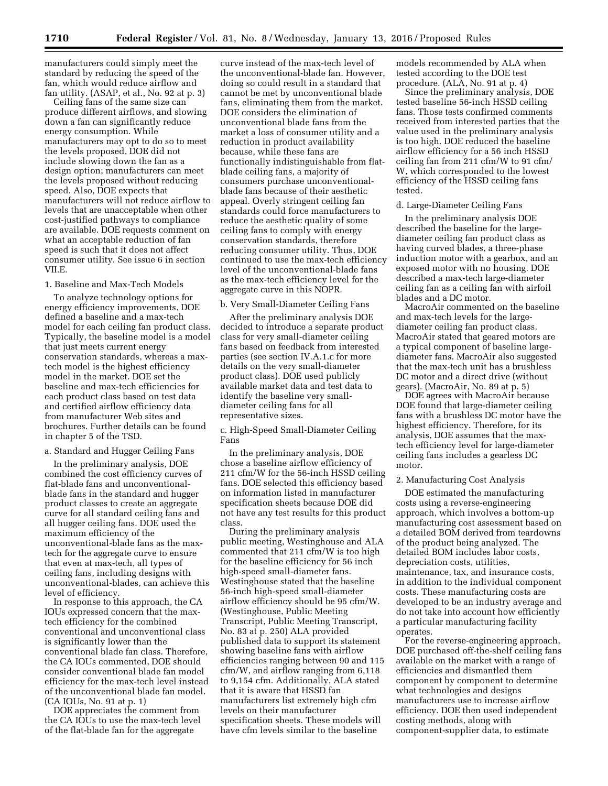manufacturers could simply meet the standard by reducing the speed of the fan, which would reduce airflow and fan utility. (ASAP, et al., No. 92 at p. 3)

Ceiling fans of the same size can produce different airflows, and slowing down a fan can significantly reduce energy consumption. While manufacturers may opt to do so to meet the levels proposed, DOE did not include slowing down the fan as a design option; manufacturers can meet the levels proposed without reducing speed. Also, DOE expects that manufacturers will not reduce airflow to levels that are unacceptable when other cost-justified pathways to compliance are available. DOE requests comment on what an acceptable reduction of fan speed is such that it does not affect consumer utility. See issue 6 in section VII.E.

# 1. Baseline and Max-Tech Models

To analyze technology options for energy efficiency improvements, DOE defined a baseline and a max-tech model for each ceiling fan product class. Typically, the baseline model is a model that just meets current energy conservation standards, whereas a maxtech model is the highest efficiency model in the market. DOE set the baseline and max-tech efficiencies for each product class based on test data and certified airflow efficiency data from manufacturer Web sites and brochures. Further details can be found in chapter 5 of the TSD.

#### a. Standard and Hugger Ceiling Fans

In the preliminary analysis, DOE combined the cost efficiency curves of flat-blade fans and unconventionalblade fans in the standard and hugger product classes to create an aggregate curve for all standard ceiling fans and all hugger ceiling fans. DOE used the maximum efficiency of the unconventional-blade fans as the maxtech for the aggregate curve to ensure that even at max-tech, all types of ceiling fans, including designs with unconventional-blades, can achieve this level of efficiency.

In response to this approach, the CA IOUs expressed concern that the maxtech efficiency for the combined conventional and unconventional class is significantly lower than the conventional blade fan class. Therefore, the CA IOUs commented, DOE should consider conventional blade fan model efficiency for the max-tech level instead of the unconventional blade fan model. (CA IOUs, No. 91 at p. 1)

DOE appreciates the comment from the CA IOUs to use the max-tech level of the flat-blade fan for the aggregate

curve instead of the max-tech level of the unconventional-blade fan. However, doing so could result in a standard that cannot be met by unconventional blade fans, eliminating them from the market. DOE considers the elimination of unconventional blade fans from the market a loss of consumer utility and a reduction in product availability because, while these fans are functionally indistinguishable from flatblade ceiling fans, a majority of consumers purchase unconventionalblade fans because of their aesthetic appeal. Overly stringent ceiling fan standards could force manufacturers to reduce the aesthetic quality of some ceiling fans to comply with energy conservation standards, therefore reducing consumer utility. Thus, DOE continued to use the max-tech efficiency level of the unconventional-blade fans as the max-tech efficiency level for the aggregate curve in this NOPR.

#### b. Very Small-Diameter Ceiling Fans

After the preliminary analysis DOE decided to introduce a separate product class for very small-diameter ceiling fans based on feedback from interested parties (see section IV.A.1.c for more details on the very small-diameter product class). DOE used publicly available market data and test data to identify the baseline very smalldiameter ceiling fans for all representative sizes.

c. High-Speed Small-Diameter Ceiling Fans

In the preliminary analysis, DOE chose a baseline airflow efficiency of 211 cfm/W for the 56-inch HSSD ceiling fans. DOE selected this efficiency based on information listed in manufacturer specification sheets because DOE did not have any test results for this product class.

During the preliminary analysis public meeting, Westinghouse and ALA commented that 211 cfm/W is too high for the baseline efficiency for 56 inch high-speed small-diameter fans. Westinghouse stated that the baseline 56-inch high-speed small-diameter airflow efficiency should be 95 cfm/W. (Westinghouse, Public Meeting Transcript, Public Meeting Transcript, No. 83 at p. 250) ALA provided published data to support its statement showing baseline fans with airflow efficiencies ranging between 90 and 115 cfm/W, and airflow ranging from 6,118 to 9,154 cfm. Additionally, ALA stated that it is aware that HSSD fan manufacturers list extremely high cfm levels on their manufacturer specification sheets. These models will have cfm levels similar to the baseline

models recommended by ALA when tested according to the DOE test procedure. (ALA, No. 91 at p. 4)

Since the preliminary analysis, DOE tested baseline 56-inch HSSD ceiling fans. Those tests confirmed comments received from interested parties that the value used in the preliminary analysis is too high. DOE reduced the baseline airflow efficiency for a 56 inch HSSD ceiling fan from 211 cfm/W to 91 cfm/ W, which corresponded to the lowest efficiency of the HSSD ceiling fans tested.

# d. Large-Diameter Ceiling Fans

In the preliminary analysis DOE described the baseline for the largediameter ceiling fan product class as having curved blades, a three-phase induction motor with a gearbox, and an exposed motor with no housing. DOE described a max-tech large-diameter ceiling fan as a ceiling fan with airfoil blades and a DC motor.

MacroAir commented on the baseline and max-tech levels for the largediameter ceiling fan product class. MacroAir stated that geared motors are a typical component of baseline largediameter fans. MacroAir also suggested that the max-tech unit has a brushless DC motor and a direct drive (without gears). (MacroAir, No. 89 at p. 5)

DOE agrees with MacroAir because DOE found that large-diameter ceiling fans with a brushless DC motor have the highest efficiency. Therefore, for its analysis, DOE assumes that the maxtech efficiency level for large-diameter ceiling fans includes a gearless DC motor.

# 2. Manufacturing Cost Analysis

DOE estimated the manufacturing costs using a reverse-engineering approach, which involves a bottom-up manufacturing cost assessment based on a detailed BOM derived from teardowns of the product being analyzed. The detailed BOM includes labor costs, depreciation costs, utilities, maintenance, tax, and insurance costs, in addition to the individual component costs. These manufacturing costs are developed to be an industry average and do not take into account how efficiently a particular manufacturing facility operates.

For the reverse-engineering approach, DOE purchased off-the-shelf ceiling fans available on the market with a range of efficiencies and dismantled them component by component to determine what technologies and designs manufacturers use to increase airflow efficiency. DOE then used independent costing methods, along with component-supplier data, to estimate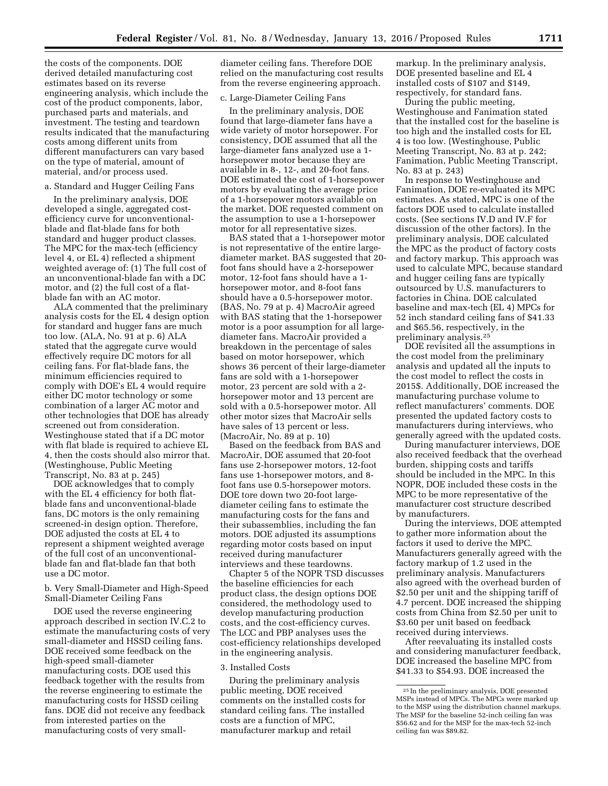the costs of the components. DOE derived detailed manufacturing cost estimates based on its reverse engineering analysis, which include the cost of the product components, labor, purchased parts and materials, and investment. The testing and teardown results indicated that the manufacturing costs among different units from different manufacturers can vary based on the type of material, amount of material, and/or process used.

# a. Standard and Hugger Ceiling Fans

In the preliminary analysis, DOE developed a single, aggregated costefficiency curve for unconventionalblade and flat-blade fans for both standard and hugger product classes. The MPC for the max-tech (efficiency level 4, or EL 4) reflected a shipment weighted average of: (1) The full cost of an unconventional-blade fan with a DC motor, and (2) the full cost of a flatblade fan with an AC motor.

ALA commented that the preliminary analysis costs for the EL 4 design option for standard and hugger fans are much too low. (ALA, No. 91 at p. 6) ALA stated that the aggregate curve would effectively require DC motors for all ceiling fans. For flat-blade fans, the minimum efficiencies required to comply with DOE's EL 4 would require either DC motor technology or some combination of a larger AC motor and other technologies that DOE has already screened out from consideration. Westinghouse stated that if a DC motor with flat blade is required to achieve EL 4, then the costs should also mirror that. (Westinghouse, Public Meeting Transcript, No. 83 at p. 245)

DOE acknowledges that to comply with the EL 4 efficiency for both flatblade fans and unconventional-blade fans, DC motors is the only remaining screened-in design option. Therefore, DOE adjusted the costs at EL 4 to represent a shipment weighted average of the full cost of an unconventionalblade fan and flat-blade fan that both use a DC motor.

b. Very Small-Diameter and High-Speed Small-Diameter Ceiling Fans

DOE used the reverse engineering approach described in section IV.C.2 to estimate the manufacturing costs of very small-diameter and HSSD ceiling fans. DOE received some feedback on the high-speed small-diameter manufacturing costs. DOE used this feedback together with the results from the reverse engineering to estimate the manufacturing costs for HSSD ceiling fans. DOE did not receive any feedback from interested parties on the manufacturing costs of very smalldiameter ceiling fans. Therefore DOE relied on the manufacturing cost results from the reverse engineering approach.

#### c. Large-Diameter Ceiling Fans

In the preliminary analysis, DOE found that large-diameter fans have a wide variety of motor horsepower. For consistency, DOE assumed that all the large-diameter fans analyzed use a 1 horsepower motor because they are available in 8-, 12-, and 20-foot fans. DOE estimated the cost of 1-horsepower motors by evaluating the average price of a 1-horsepower motors available on the market. DOE requested comment on the assumption to use a 1-horsepower motor for all representative sizes.

BAS stated that a 1-horsepower motor is not representative of the entire largediameter market. BAS suggested that 20 foot fans should have a 2-horsepower motor, 12-foot fans should have a 1 horsepower motor, and 8-foot fans should have a 0.5-horsepower motor. (BAS, No. 79 at p. 4) MacroAir agreed with BAS stating that the 1-horsepower motor is a poor assumption for all largediameter fans. MacroAir provided a breakdown in the percentage of sales based on motor horsepower, which shows 36 percent of their large-diameter fans are sold with a 1-horsepower motor, 23 percent are sold with a 2 horsepower motor and 13 percent are sold with a 0.5-horsepower motor. All other motor sizes that MacroAir sells have sales of 13 percent or less. (MacroAir, No. 89 at p. 10)

Based on the feedback from BAS and MacroAir, DOE assumed that 20-foot fans use 2-horsepower motors, 12-foot fans use 1-horsepower motors, and 8 foot fans use 0.5-horsepower motors. DOE tore down two 20-foot largediameter ceiling fans to estimate the manufacturing costs for the fans and their subassemblies, including the fan motors. DOE adjusted its assumptions regarding motor costs based on input received during manufacturer interviews and these teardowns.

Chapter 5 of the NOPR TSD discusses the baseline efficiencies for each product class, the design options DOE considered, the methodology used to develop manufacturing production costs, and the cost-efficiency curves. The LCC and PBP analyses uses the cost-efficiency relationships developed in the engineering analysis.

#### 3. Installed Costs

During the preliminary analysis public meeting, DOE received comments on the installed costs for standard ceiling fans. The installed costs are a function of MPC, manufacturer markup and retail

markup. In the preliminary analysis, DOE presented baseline and EL 4 installed costs of \$107 and \$149, respectively, for standard fans.

During the public meeting, Westinghouse and Fanimation stated that the installed cost for the baseline is too high and the installed costs for EL 4 is too low. (Westinghouse, Public Meeting Transcript, No. 83 at p. 242; Fanimation, Public Meeting Transcript, No. 83 at p. 243)

In response to Westinghouse and Fanimation, DOE re-evaluated its MPC estimates. As stated, MPC is one of the factors DOE used to calculate installed costs. (See sections IV.D and IV.F for discussion of the other factors). In the preliminary analysis, DOE calculated the MPC as the product of factory costs and factory markup. This approach was used to calculate MPC, because standard and hugger ceiling fans are typically outsourced by U.S. manufacturers to factories in China. DOE calculated baseline and max-tech (EL 4) MPCs for 52 inch standard ceiling fans of \$41.33 and \$65.56, respectively, in the preliminary analysis.25

DOE revisited all the assumptions in the cost model from the preliminary analysis and updated all the inputs to the cost model to reflect the costs in 2015\$. Additionally, DOE increased the manufacturing purchase volume to reflect manufacturers' comments. DOE presented the updated factory costs to manufacturers during interviews, who generally agreed with the updated costs.

During manufacturer interviews, DOE also received feedback that the overhead burden, shipping costs and tariffs should be included in the MPC. In this NOPR, DOE included these costs in the MPC to be more representative of the manufacturer cost structure described by manufacturers.

During the interviews, DOE attempted to gather more information about the factors it used to derive the MPC. Manufacturers generally agreed with the factory markup of 1.2 used in the preliminary analysis. Manufacturers also agreed with the overhead burden of \$2.50 per unit and the shipping tariff of 4.7 percent. DOE increased the shipping costs from China from \$2.50 per unit to \$3.60 per unit based on feedback received during interviews.

After reevaluating its installed costs and considering manufacturer feedback, DOE increased the baseline MPC from \$41.33 to \$54.93. DOE increased the

<sup>25</sup> In the preliminary analysis, DOE presented MSPs instead of MPCs. The MPCs were marked up to the MSP using the distribution channel markups. The MSP for the baseline 52-inch ceiling fan was \$56.62 and for the MSP for the max-tech 52-inch ceiling fan was \$89.82.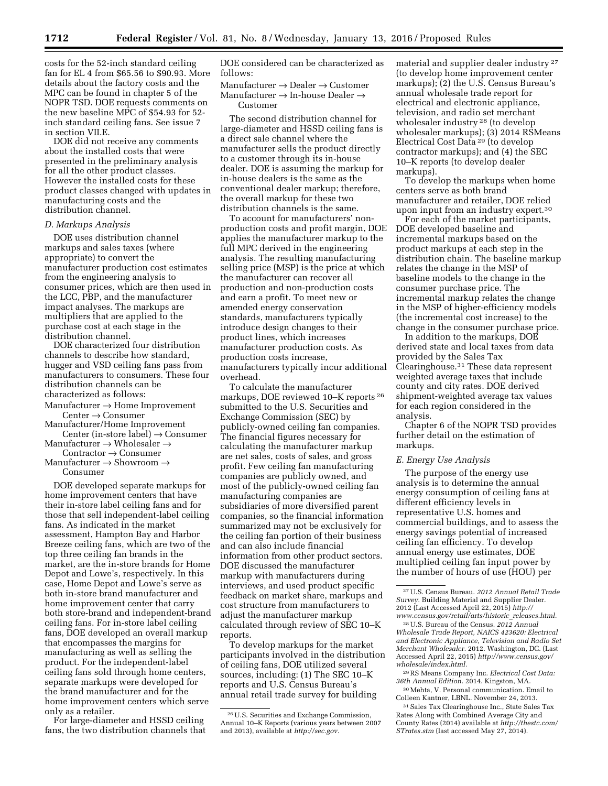costs for the 52-inch standard ceiling fan for EL 4 from \$65.56 to \$90.93. More details about the factory costs and the MPC can be found in chapter 5 of the NOPR TSD. DOE requests comments on the new baseline MPC of \$54.93 for 52 inch standard ceiling fans. See issue 7 in section VII.E.

DOE did not receive any comments about the installed costs that were presented in the preliminary analysis for all the other product classes. However the installed costs for these product classes changed with updates in manufacturing costs and the distribution channel.

#### *D. Markups Analysis*

DOE uses distribution channel markups and sales taxes (where appropriate) to convert the manufacturer production cost estimates from the engineering analysis to consumer prices, which are then used in the LCC, PBP, and the manufacturer impact analyses. The markups are multipliers that are applied to the purchase cost at each stage in the distribution channel.

DOE characterized four distribution channels to describe how standard, hugger and VSD ceiling fans pass from manufacturers to consumers. These four distribution channels can be characterized as follows:

- Manufacturer → Home Improvement  $Center \rightarrow Consumer$
- Manufacturer/Home Improvement Center (in-store label)  $\rightarrow$  Consumer
- Manufacturer  $\rightarrow$  Wholesaler  $\rightarrow$
- Contractor → Consumer Manufacturer  $\rightarrow$  Showroom  $\rightarrow$

Consumer

DOE developed separate markups for home improvement centers that have their in-store label ceiling fans and for those that sell independent-label ceiling fans. As indicated in the market assessment, Hampton Bay and Harbor Breeze ceiling fans, which are two of the top three ceiling fan brands in the market, are the in-store brands for Home Depot and Lowe's, respectively. In this case, Home Depot and Lowe's serve as both in-store brand manufacturer and home improvement center that carry both store-brand and independent-brand ceiling fans. For in-store label ceiling fans, DOE developed an overall markup that encompasses the margins for manufacturing as well as selling the product. For the independent-label ceiling fans sold through home centers, separate markups were developed for the brand manufacturer and for the home improvement centers which serve only as a retailer.

For large-diameter and HSSD ceiling fans, the two distribution channels that DOE considered can be characterized as follows:

Manufacturer → Dealer → Customer Manufacturer → In-house Dealer → Customer

The second distribution channel for large-diameter and HSSD ceiling fans is a direct sale channel where the manufacturer sells the product directly to a customer through its in-house dealer. DOE is assuming the markup for in-house dealers is the same as the conventional dealer markup; therefore, the overall markup for these two distribution channels is the same.

To account for manufacturers' nonproduction costs and profit margin, DOE applies the manufacturer markup to the full MPC derived in the engineering analysis. The resulting manufacturing selling price (MSP) is the price at which the manufacturer can recover all production and non-production costs and earn a profit. To meet new or amended energy conservation standards, manufacturers typically introduce design changes to their product lines, which increases manufacturer production costs. As production costs increase, manufacturers typically incur additional overhead.

To calculate the manufacturer markups, DOE reviewed 10–K reports 26 submitted to the U.S. Securities and Exchange Commission (SEC) by publicly-owned ceiling fan companies. The financial figures necessary for calculating the manufacturer markup are net sales, costs of sales, and gross profit. Few ceiling fan manufacturing companies are publicly owned, and most of the publicly-owned ceiling fan manufacturing companies are subsidiaries of more diversified parent companies, so the financial information summarized may not be exclusively for the ceiling fan portion of their business and can also include financial information from other product sectors. DOE discussed the manufacturer markup with manufacturers during interviews, and used product specific feedback on market share, markups and cost structure from manufacturers to adjust the manufacturer markup calculated through review of SEC 10–K reports.

To develop markups for the market participants involved in the distribution of ceiling fans, DOE utilized several sources, including: (1) The SEC 10–K reports and U.S. Census Bureau's annual retail trade survey for building

material and supplier dealer industry 27 (to develop home improvement center markups); (2) the U.S. Census Bureau's annual wholesale trade report for electrical and electronic appliance, television, and radio set merchant wholesaler industry 28 (to develop wholesaler markups); (3) 2014 RSMeans Electrical Cost Data 29 (to develop contractor markups); and (4) the SEC 10–K reports (to develop dealer markups).

To develop the markups when home centers serve as both brand manufacturer and retailer, DOE relied upon input from an industry expert.30

For each of the market participants, DOE developed baseline and incremental markups based on the product markups at each step in the distribution chain. The baseline markup relates the change in the MSP of baseline models to the change in the consumer purchase price. The incremental markup relates the change in the MSP of higher-efficiency models (the incremental cost increase) to the change in the consumer purchase price.

In addition to the markups, DOE derived state and local taxes from data provided by the Sales Tax Clearinghouse.31 These data represent weighted average taxes that include county and city rates. DOE derived shipment-weighted average tax values for each region considered in the analysis.

Chapter 6 of the NOPR TSD provides further detail on the estimation of markups.

#### *E. Energy Use Analysis*

The purpose of the energy use analysis is to determine the annual energy consumption of ceiling fans at different efficiency levels in representative U.S. homes and commercial buildings, and to assess the energy savings potential of increased ceiling fan efficiency. To develop annual energy use estimates, DOE multiplied ceiling fan input power by the number of hours of use (HOU) per

28U.S. Bureau of the Census. *2012 Annual Wholesale Trade Report, NAICS 423620: Electrical and Electronic Appliance, Television and Radio Set Merchant Wholesaler.* 2012. Washington, DC. (Last Accessed April 22, 2015) *[http://www.census.gov/](http://www.census.gov/wholesale/index.html) [wholesale/index.html.](http://www.census.gov/wholesale/index.html)* 

29RS Means Company Inc. *Electrical Cost Data: 36th Annual Edition.* 2014. Kingston, MA.

30Mehta, V. Personal communication. Email to Colleen Kantner, LBNL. November 24, 2013.

31Sales Tax Clearinghouse Inc., State Sales Tax Rates Along with Combined Average City and County Rates (2014) available at *[http://thestc.com/](http://thestc.com/STrates.stm)  [STrates.stm](http://thestc.com/STrates.stm)* (last accessed May 27, 2014).

<sup>26</sup>U.S. Securities and Exchange Commission, Annual 10–K Reports (various years between 2007 and 2013), available at *[http://sec.gov.](http://sec.gov)* 

<sup>27</sup>U.S. Census Bureau. *2012 Annual Retail Trade Survey.* Building Material and Supplier Dealer. 2012 (Last Accessed April 22, 2015) *[http://](http://www.census.gov/retail/arts/historic_releases.html) [www.census.gov/retail/arts/historic](http://www.census.gov/retail/arts/historic_releases.html)*\_*releases.html.*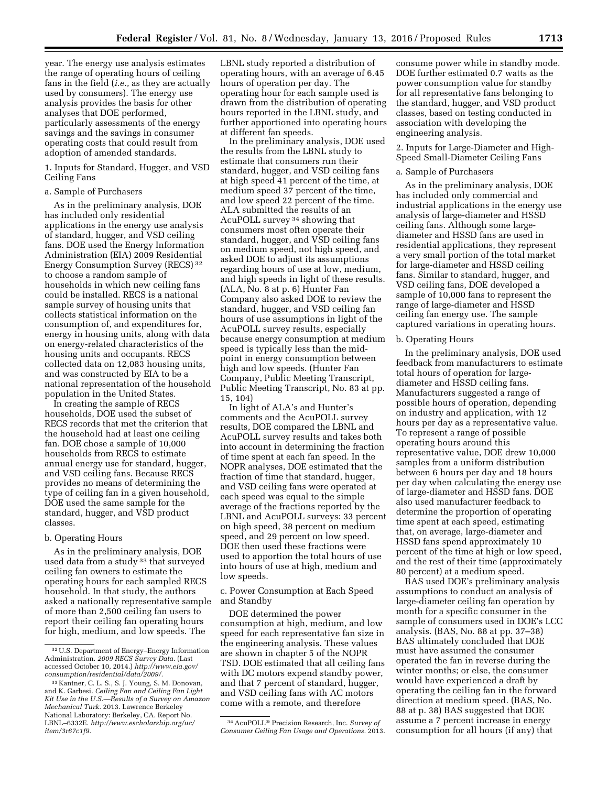year. The energy use analysis estimates the range of operating hours of ceiling fans in the field (*i.e.,* as they are actually used by consumers). The energy use analysis provides the basis for other analyses that DOE performed, particularly assessments of the energy savings and the savings in consumer operating costs that could result from adoption of amended standards.

1. Inputs for Standard, Hugger, and VSD Ceiling Fans

# a. Sample of Purchasers

As in the preliminary analysis, DOE has included only residential applications in the energy use analysis of standard, hugger, and VSD ceiling fans. DOE used the Energy Information Administration (EIA) 2009 Residential Energy Consumption Survey (RECS) 32 to choose a random sample of households in which new ceiling fans could be installed. RECS is a national sample survey of housing units that collects statistical information on the consumption of, and expenditures for, energy in housing units, along with data on energy-related characteristics of the housing units and occupants. RECS collected data on 12,083 housing units, and was constructed by EIA to be a national representation of the household population in the United States.

In creating the sample of RECS households, DOE used the subset of RECS records that met the criterion that the household had at least one ceiling fan. DOE chose a sample of 10,000 households from RECS to estimate annual energy use for standard, hugger, and VSD ceiling fans. Because RECS provides no means of determining the type of ceiling fan in a given household, DOE used the same sample for the standard, hugger, and VSD product classes.

#### b. Operating Hours

As in the preliminary analysis, DOE used data from a study 33 that surveyed ceiling fan owners to estimate the operating hours for each sampled RECS household. In that study, the authors asked a nationally representative sample of more than 2,500 ceiling fan users to report their ceiling fan operating hours for high, medium, and low speeds. The

LBNL study reported a distribution of operating hours, with an average of 6.45 hours of operation per day. The operating hour for each sample used is drawn from the distribution of operating hours reported in the LBNL study, and further apportioned into operating hours at different fan speeds.

In the preliminary analysis, DOE used the results from the LBNL study to estimate that consumers run their standard, hugger, and VSD ceiling fans at high speed 41 percent of the time, at medium speed 37 percent of the time, and low speed 22 percent of the time. ALA submitted the results of an AcuPOLL survey 34 showing that consumers most often operate their standard, hugger, and VSD ceiling fans on medium speed, not high speed, and asked DOE to adjust its assumptions regarding hours of use at low, medium, and high speeds in light of these results. (ALA, No. 8 at p. 6) Hunter Fan Company also asked DOE to review the standard, hugger, and VSD ceiling fan hours of use assumptions in light of the AcuPOLL survey results, especially because energy consumption at medium speed is typically less than the midpoint in energy consumption between high and low speeds. (Hunter Fan Company, Public Meeting Transcript, Public Meeting Transcript, No. 83 at pp. 15, 104)

In light of ALA's and Hunter's comments and the AcuPOLL survey results, DOE compared the LBNL and AcuPOLL survey results and takes both into account in determining the fraction of time spent at each fan speed. In the NOPR analyses, DOE estimated that the fraction of time that standard, hugger, and VSD ceiling fans were operated at each speed was equal to the simple average of the fractions reported by the LBNL and AcuPOLL surveys: 33 percent on high speed, 38 percent on medium speed, and 29 percent on low speed. DOE then used these fractions were used to apportion the total hours of use into hours of use at high, medium and low speeds.

c. Power Consumption at Each Speed and Standby

DOE determined the power consumption at high, medium, and low speed for each representative fan size in the engineering analysis. These values are shown in chapter 5 of the NOPR TSD. DOE estimated that all ceiling fans with DC motors expend standby power, and that 7 percent of standard, hugger, and VSD ceiling fans with AC motors come with a remote, and therefore

consume power while in standby mode. DOE further estimated 0.7 watts as the power consumption value for standby for all representative fans belonging to the standard, hugger, and VSD product classes, based on testing conducted in association with developing the engineering analysis.

2. Inputs for Large-Diameter and High-Speed Small-Diameter Ceiling Fans

#### a. Sample of Purchasers

As in the preliminary analysis, DOE has included only commercial and industrial applications in the energy use analysis of large-diameter and HSSD ceiling fans. Although some largediameter and HSSD fans are used in residential applications, they represent a very small portion of the total market for large-diameter and HSSD ceiling fans. Similar to standard, hugger, and VSD ceiling fans, DOE developed a sample of 10,000 fans to represent the range of large-diameter and HSSD ceiling fan energy use. The sample captured variations in operating hours.

#### b. Operating Hours

In the preliminary analysis, DOE used feedback from manufacturers to estimate total hours of operation for largediameter and HSSD ceiling fans. Manufacturers suggested a range of possible hours of operation, depending on industry and application, with 12 hours per day as a representative value. To represent a range of possible operating hours around this representative value, DOE drew 10,000 samples from a uniform distribution between 6 hours per day and 18 hours per day when calculating the energy use of large-diameter and HSSD fans. DOE also used manufacturer feedback to determine the proportion of operating time spent at each speed, estimating that, on average, large-diameter and HSSD fans spend approximately 10 percent of the time at high or low speed, and the rest of their time (approximately 80 percent) at a medium speed.

BAS used DOE's preliminary analysis assumptions to conduct an analysis of large-diameter ceiling fan operation by month for a specific consumer in the sample of consumers used in DOE's LCC analysis. (BAS, No. 88 at pp. 37–38) BAS ultimately concluded that DOE must have assumed the consumer operated the fan in reverse during the winter months; or else, the consumer would have experienced a draft by operating the ceiling fan in the forward direction at medium speed. (BAS, No. 88 at p. 38) BAS suggested that DOE assume a 7 percent increase in energy consumption for all hours (if any) that

<sup>32</sup>U.S. Department of Energy–Energy Information Administration. *2009 RECS Survey Data.* (Last accessed October 10, 2014.) *[http://www.eia.gov/](http://www.eia.gov/consumption/residential/data/2009/) [consumption/residential/data/2009/.](http://www.eia.gov/consumption/residential/data/2009/)* 

<sup>33</sup> Kantner, C. L. S., S. J. Young, S. M. Donovan, and K. Garbesi. *Ceiling Fan and Ceiling Fan Light Kit Use in the U.S.—Results of a Survey on Amazon Mechanical Turk.* 2013. Lawrence Berkeley National Laboratory: Berkeley, CA. Report No. LBNL–6332E. *[http://www.escholarship.org/uc/](http://www.escholarship.org/uc/item/3r67c1f9) [item/3r67c1f9.](http://www.escholarship.org/uc/item/3r67c1f9)* 

<sup>34</sup>AcuPOLL® Precision Research, Inc. *Survey of Consumer Ceiling Fan Usage and Operations.* 2013.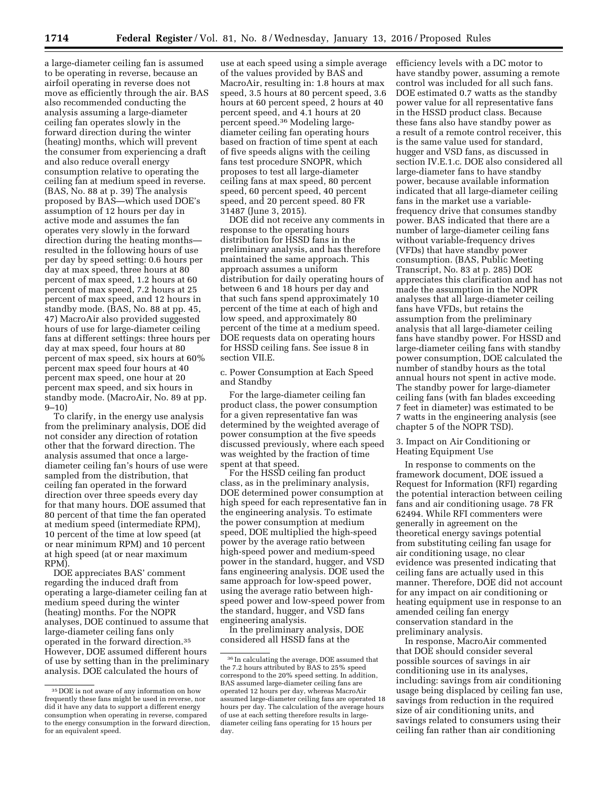a large-diameter ceiling fan is assumed to be operating in reverse, because an airfoil operating in reverse does not move as efficiently through the air. BAS also recommended conducting the analysis assuming a large-diameter ceiling fan operates slowly in the forward direction during the winter (heating) months, which will prevent the consumer from experiencing a draft and also reduce overall energy consumption relative to operating the ceiling fan at medium speed in reverse. (BAS, No. 88 at p. 39) The analysis proposed by BAS—which used DOE's assumption of 12 hours per day in active mode and assumes the fan operates very slowly in the forward direction during the heating months resulted in the following hours of use per day by speed setting: 0.6 hours per day at max speed, three hours at 80 percent of max speed, 1.2 hours at 60 percent of max speed, 7.2 hours at 25 percent of max speed, and 12 hours in standby mode. (BAS, No. 88 at pp. 45, 47) MacroAir also provided suggested hours of use for large-diameter ceiling fans at different settings: three hours per day at max speed, four hours at 80 percent of max speed, six hours at 60% percent max speed four hours at 40 percent max speed, one hour at 20 percent max speed, and six hours in standby mode. (MacroAir, No. 89 at pp.  $9 - 10$ 

To clarify, in the energy use analysis from the preliminary analysis, DOE did not consider any direction of rotation other that the forward direction. The analysis assumed that once a largediameter ceiling fan's hours of use were sampled from the distribution, that ceiling fan operated in the forward direction over three speeds every day for that many hours. DOE assumed that 80 percent of that time the fan operated at medium speed (intermediate RPM), 10 percent of the time at low speed (at or near minimum RPM) and 10 percent at high speed (at or near maximum RPM).

DOE appreciates BAS' comment regarding the induced draft from operating a large-diameter ceiling fan at medium speed during the winter (heating) months. For the NOPR analyses, DOE continued to assume that large-diameter ceiling fans only operated in the forward direction.35 However, DOE assumed different hours of use by setting than in the preliminary analysis. DOE calculated the hours of

use at each speed using a simple average of the values provided by BAS and MacroAir, resulting in: 1.8 hours at max speed, 3.5 hours at 80 percent speed, 3.6 hours at 60 percent speed, 2 hours at 40 percent speed, and 4.1 hours at 20 percent speed.36 Modeling largediameter ceiling fan operating hours based on fraction of time spent at each of five speeds aligns with the ceiling fans test procedure SNOPR, which proposes to test all large-diameter ceiling fans at max speed, 80 percent speed, 60 percent speed, 40 percent speed, and 20 percent speed. 80 FR 31487 (June 3, 2015).

DOE did not receive any comments in response to the operating hours distribution for HSSD fans in the preliminary analysis, and has therefore maintained the same approach. This approach assumes a uniform distribution for daily operating hours of between 6 and 18 hours per day and that such fans spend approximately 10 percent of the time at each of high and low speed, and approximately 80 percent of the time at a medium speed. DOE requests data on operating hours for HSSD ceiling fans. See issue 8 in section VII.E.

c. Power Consumption at Each Speed and Standby

For the large-diameter ceiling fan product class, the power consumption for a given representative fan was determined by the weighted average of power consumption at the five speeds discussed previously, where each speed was weighted by the fraction of time spent at that speed.

For the HSSD ceiling fan product class, as in the preliminary analysis, DOE determined power consumption at high speed for each representative fan in the engineering analysis. To estimate the power consumption at medium speed, DOE multiplied the high-speed power by the average ratio between high-speed power and medium-speed power in the standard, hugger, and VSD fans engineering analysis. DOE used the same approach for low-speed power, using the average ratio between highspeed power and low-speed power from the standard, hugger, and VSD fans engineering analysis.

In the preliminary analysis, DOE considered all HSSD fans at the

efficiency levels with a DC motor to have standby power, assuming a remote control was included for all such fans. DOE estimated 0.7 watts as the standby power value for all representative fans in the HSSD product class. Because these fans also have standby power as a result of a remote control receiver, this is the same value used for standard, hugger and VSD fans, as discussed in section IV.E.1.c. DOE also considered all large-diameter fans to have standby power, because available information indicated that all large-diameter ceiling fans in the market use a variablefrequency drive that consumes standby power. BAS indicated that there are a number of large-diameter ceiling fans without variable-frequency drives (VFDs) that have standby power consumption. (BAS, Public Meeting Transcript, No. 83 at p. 285) DOE appreciates this clarification and has not made the assumption in the NOPR analyses that all large-diameter ceiling fans have VFDs, but retains the assumption from the preliminary analysis that all large-diameter ceiling fans have standby power. For HSSD and large-diameter ceiling fans with standby power consumption, DOE calculated the number of standby hours as the total annual hours not spent in active mode. The standby power for large-diameter ceiling fans (with fan blades exceeding 7 feet in diameter) was estimated to be 7 watts in the engineering analysis (see chapter 5 of the NOPR TSD).

# 3. Impact on Air Conditioning or Heating Equipment Use

In response to comments on the framework document, DOE issued a Request for Information (RFI) regarding the potential interaction between ceiling fans and air conditioning usage. 78 FR 62494. While RFI commenters were generally in agreement on the theoretical energy savings potential from substituting ceiling fan usage for air conditioning usage, no clear evidence was presented indicating that ceiling fans are actually used in this manner. Therefore, DOE did not account for any impact on air conditioning or heating equipment use in response to an amended ceiling fan energy conservation standard in the preliminary analysis.

In response, MacroAir commented that DOE should consider several possible sources of savings in air conditioning use in its analyses, including: savings from air conditioning usage being displaced by ceiling fan use, savings from reduction in the required size of air conditioning units, and savings related to consumers using their ceiling fan rather than air conditioning

<sup>35</sup> DOE is not aware of any information on how frequently these fans might be used in reverse, nor did it have any data to support a different energy consumption when operating in reverse, compared to the energy consumption in the forward direction, for an equivalent speed.

<sup>36</sup> In calculating the average, DOE assumed that the 7.2 hours attributed by BAS to 25% speed correspond to the 20% speed setting. In addition, BAS assumed large-diameter ceiling fans are operated 12 hours per day, whereas MacroAir assumed large-diameter ceiling fans are operated 18 hours per day. The calculation of the average hours of use at each setting therefore results in largediameter ceiling fans operating for 15 hours per day.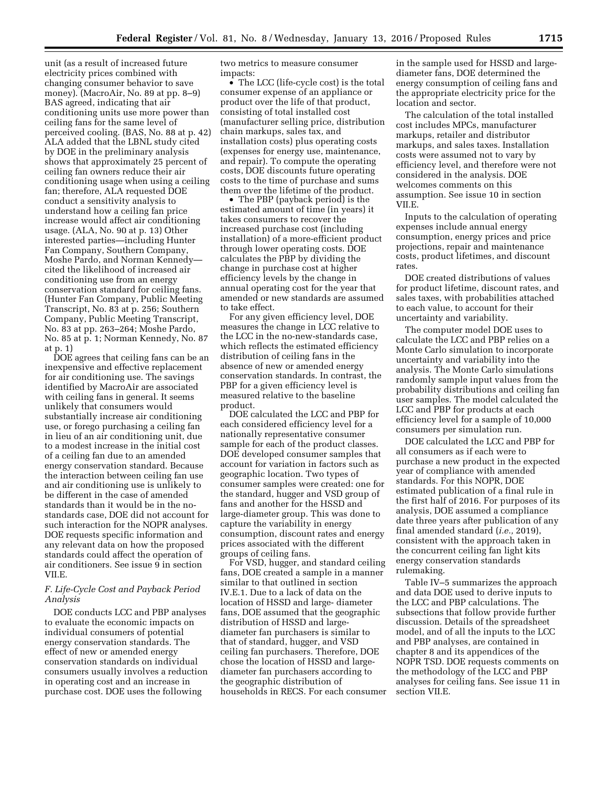unit (as a result of increased future electricity prices combined with changing consumer behavior to save money). (MacroAir, No. 89 at pp. 8–9) BAS agreed, indicating that air conditioning units use more power than ceiling fans for the same level of perceived cooling. (BAS, No. 88 at p. 42) ALA added that the LBNL study cited by DOE in the preliminary analysis shows that approximately 25 percent of ceiling fan owners reduce their air conditioning usage when using a ceiling fan; therefore, ALA requested DOE conduct a sensitivity analysis to understand how a ceiling fan price increase would affect air conditioning usage. (ALA, No. 90 at p. 13) Other interested parties—including Hunter Fan Company, Southern Company, Moshe Pardo, and Norman Kennedy cited the likelihood of increased air conditioning use from an energy conservation standard for ceiling fans. (Hunter Fan Company, Public Meeting Transcript, No. 83 at p. 256; Southern Company, Public Meeting Transcript, No. 83 at pp. 263–264; Moshe Pardo, No. 85 at p. 1; Norman Kennedy, No. 87 at p. 1)

DOE agrees that ceiling fans can be an inexpensive and effective replacement for air conditioning use. The savings identified by MacroAir are associated with ceiling fans in general. It seems unlikely that consumers would substantially increase air conditioning use, or forego purchasing a ceiling fan in lieu of an air conditioning unit, due to a modest increase in the initial cost of a ceiling fan due to an amended energy conservation standard. Because the interaction between ceiling fan use and air conditioning use is unlikely to be different in the case of amended standards than it would be in the nostandards case, DOE did not account for such interaction for the NOPR analyses. DOE requests specific information and any relevant data on how the proposed standards could affect the operation of air conditioners. See issue 9 in section VII.E.

# *F. Life-Cycle Cost and Payback Period Analysis*

DOE conducts LCC and PBP analyses to evaluate the economic impacts on individual consumers of potential energy conservation standards. The effect of new or amended energy conservation standards on individual consumers usually involves a reduction in operating cost and an increase in purchase cost. DOE uses the following

two metrics to measure consumer impacts:

• The LCC (life-cycle cost) is the total consumer expense of an appliance or product over the life of that product, consisting of total installed cost (manufacturer selling price, distribution chain markups, sales tax, and installation costs) plus operating costs (expenses for energy use, maintenance, and repair). To compute the operating costs, DOE discounts future operating costs to the time of purchase and sums them over the lifetime of the product.

• The PBP (payback period) is the estimated amount of time (in years) it takes consumers to recover the increased purchase cost (including installation) of a more-efficient product through lower operating costs. DOE calculates the PBP by dividing the change in purchase cost at higher efficiency levels by the change in annual operating cost for the year that amended or new standards are assumed to take effect.

For any given efficiency level, DOE measures the change in LCC relative to the LCC in the no-new-standards case, which reflects the estimated efficiency distribution of ceiling fans in the absence of new or amended energy conservation standards. In contrast, the PBP for a given efficiency level is measured relative to the baseline product.

DOE calculated the LCC and PBP for each considered efficiency level for a nationally representative consumer sample for each of the product classes. DOE developed consumer samples that account for variation in factors such as geographic location. Two types of consumer samples were created: one for the standard, hugger and VSD group of fans and another for the HSSD and large-diameter group. This was done to capture the variability in energy consumption, discount rates and energy prices associated with the different groups of ceiling fans.

For VSD, hugger, and standard ceiling fans, DOE created a sample in a manner similar to that outlined in section IV.E.1. Due to a lack of data on the location of HSSD and large- diameter fans, DOE assumed that the geographic distribution of HSSD and largediameter fan purchasers is similar to that of standard, hugger, and VSD ceiling fan purchasers. Therefore, DOE chose the location of HSSD and largediameter fan purchasers according to the geographic distribution of households in RECS. For each consumer in the sample used for HSSD and largediameter fans, DOE determined the energy consumption of ceiling fans and the appropriate electricity price for the location and sector.

The calculation of the total installed cost includes MPCs, manufacturer markups, retailer and distributor markups, and sales taxes. Installation costs were assumed not to vary by efficiency level, and therefore were not considered in the analysis. DOE welcomes comments on this assumption. See issue 10 in section VII.E.

Inputs to the calculation of operating expenses include annual energy consumption, energy prices and price projections, repair and maintenance costs, product lifetimes, and discount rates.

DOE created distributions of values for product lifetime, discount rates, and sales taxes, with probabilities attached to each value, to account for their uncertainty and variability.

The computer model DOE uses to calculate the LCC and PBP relies on a Monte Carlo simulation to incorporate uncertainty and variability into the analysis. The Monte Carlo simulations randomly sample input values from the probability distributions and ceiling fan user samples. The model calculated the LCC and PBP for products at each efficiency level for a sample of 10,000 consumers per simulation run.

DOE calculated the LCC and PBP for all consumers as if each were to purchase a new product in the expected year of compliance with amended standards. For this NOPR, DOE estimated publication of a final rule in the first half of 2016. For purposes of its analysis, DOE assumed a compliance date three years after publication of any final amended standard (*i.e.,* 2019), consistent with the approach taken in the concurrent ceiling fan light kits energy conservation standards rulemaking.

Table IV–5 summarizes the approach and data DOE used to derive inputs to the LCC and PBP calculations. The subsections that follow provide further discussion. Details of the spreadsheet model, and of all the inputs to the LCC and PBP analyses, are contained in chapter 8 and its appendices of the NOPR TSD. DOE requests comments on the methodology of the LCC and PBP analyses for ceiling fans. See issue 11 in section VII.E.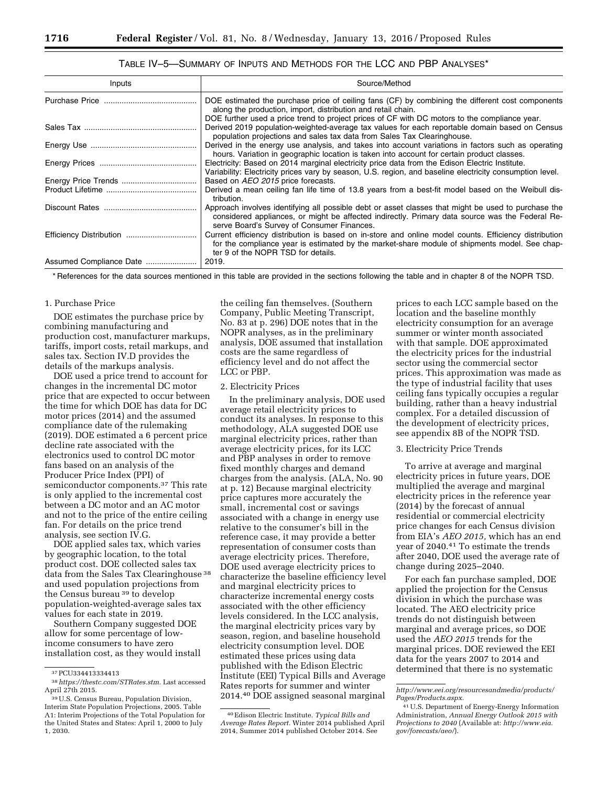# TABLE IV–5—SUMMARY OF INPUTS AND METHODS FOR THE LCC AND PBP ANALYSES\*

| Inputs | Source/Method                                                                                                                                                                                                                                        |  |  |  |  |
|--------|------------------------------------------------------------------------------------------------------------------------------------------------------------------------------------------------------------------------------------------------------|--|--|--|--|
|        | DOE estimated the purchase price of ceiling fans (CF) by combining the different cost components<br>along the production, import, distribution and retail chain.                                                                                     |  |  |  |  |
|        | DOE further used a price trend to project prices of CF with DC motors to the compliance year.                                                                                                                                                        |  |  |  |  |
|        | Derived 2019 population-weighted-average tax values for each reportable domain based on Census<br>population projections and sales tax data from Sales Tax Clearinghouse.                                                                            |  |  |  |  |
|        | Derived in the energy use analysis, and takes into account variations in factors such as operating<br>hours. Variation in geographic location is taken into account for certain product classes.                                                     |  |  |  |  |
|        | Electricity: Based on 2014 marginal electricity price data from the Edison Electric Institute.<br>Variability: Electricity prices vary by season, U.S. region, and baseline electricity consumption level.                                           |  |  |  |  |
|        | Based on AEO 2015 price forecasts.                                                                                                                                                                                                                   |  |  |  |  |
|        | Derived a mean ceiling fan life time of 13.8 years from a best-fit model based on the Weibull dis-<br>tribution.                                                                                                                                     |  |  |  |  |
|        | Approach involves identifying all possible debt or asset classes that might be used to purchase the<br>considered appliances, or might be affected indirectly. Primary data source was the Federal Re-<br>serve Board's Survey of Consumer Finances. |  |  |  |  |
|        | Current efficiency distribution is based on in-store and online model counts. Efficiency distribution<br>for the compliance year is estimated by the market-share module of shipments model. See chap-<br>ter 9 of the NOPR TSD for details.         |  |  |  |  |
|        | 2019.                                                                                                                                                                                                                                                |  |  |  |  |

\* References for the data sources mentioned in this table are provided in the sections following the table and in chapter 8 of the NOPR TSD.

#### 1. Purchase Price

DOE estimates the purchase price by combining manufacturing and production cost, manufacturer markups, tariffs, import costs, retail markups, and sales tax. Section IV.D provides the details of the markups analysis.

DOE used a price trend to account for changes in the incremental DC motor price that are expected to occur between the time for which DOE has data for DC motor prices (2014) and the assumed compliance date of the rulemaking (2019). DOE estimated a 6 percent price decline rate associated with the electronics used to control DC motor fans based on an analysis of the Producer Price Index (PPI) of semiconductor components.37 This rate is only applied to the incremental cost between a DC motor and an AC motor and not to the price of the entire ceiling fan. For details on the price trend analysis, see section IV.G.

DOE applied sales tax, which varies by geographic location, to the total product cost. DOE collected sales tax data from the Sales Tax Clearinghouse 38 and used population projections from the Census bureau 39 to develop population-weighted-average sales tax values for each state in 2019.

Southern Company suggested DOE allow for some percentage of lowincome consumers to have zero installation cost, as they would install

the ceiling fan themselves. (Southern Company, Public Meeting Transcript, No. 83 at p. 296) DOE notes that in the NOPR analyses, as in the preliminary analysis, DOE assumed that installation costs are the same regardless of efficiency level and do not affect the LCC or PBP.

#### 2. Electricity Prices

In the preliminary analysis, DOE used average retail electricity prices to conduct its analyses. In response to this methodology, ALA suggested DOE use marginal electricity prices, rather than average electricity prices, for its LCC and PBP analyses in order to remove fixed monthly charges and demand charges from the analysis. (ALA, No. 90 at p. 12) Because marginal electricity price captures more accurately the small, incremental cost or savings associated with a change in energy use relative to the consumer's bill in the reference case, it may provide a better representation of consumer costs than average electricity prices. Therefore, DOE used average electricity prices to characterize the baseline efficiency level and marginal electricity prices to characterize incremental energy costs associated with the other efficiency levels considered. In the LCC analysis, the marginal electricity prices vary by season, region, and baseline household electricity consumption level. DOE estimated these prices using data published with the Edison Electric Institute (EEI) Typical Bills and Average Rates reports for summer and winter 2014.40 DOE assigned seasonal marginal

prices to each LCC sample based on the location and the baseline monthly electricity consumption for an average summer or winter month associated with that sample. DOE approximated the electricity prices for the industrial sector using the commercial sector prices. This approximation was made as the type of industrial facility that uses ceiling fans typically occupies a regular building, rather than a heavy industrial complex. For a detailed discussion of the development of electricity prices, see appendix 8B of the NOPR TSD.

#### 3. Electricity Price Trends

To arrive at average and marginal electricity prices in future years, DOE multiplied the average and marginal electricity prices in the reference year (2014) by the forecast of annual residential or commercial electricity price changes for each Census division from EIA's *AEO 2015,* which has an end year of 2040.41 To estimate the trends after 2040, DOE used the average rate of change during 2025–2040.

For each fan purchase sampled, DOE applied the projection for the Census division in which the purchase was located. The AEO electricity price trends do not distinguish between marginal and average prices, so DOE used the *AEO 2015* trends for the marginal prices. DOE reviewed the EEI data for the years 2007 to 2014 and determined that there is no systematic

<sup>37</sup>PCU334413334413

<sup>38</sup>*[https://thestc.com/STRates.stm.](https://thestc.com/STRates.stm)* Last accessed April 27th 2015.

<sup>&</sup>lt;sup>39</sup> U.S. Census Bureau, Population Division, Interim State Population Projections, 2005. Table A1: Interim Projections of the Total Population for the United States and States: April 1, 2000 to July 1, 2030.

<sup>40</sup>Edison Electric Institute. *Typical Bills and Average Rates Report.* Winter 2014 published April 2014, Summer 2014 published October 2014. See

*[http://www.eei.org/resourcesandmedia/products/](http://www.eei.org/resourcesandmedia/products/Pages/Products.aspx) [Pages/Products.aspx.](http://www.eei.org/resourcesandmedia/products/Pages/Products.aspx)* 

<sup>41</sup>U.S. Department of Energy-Energy Information Administration, *Annual Energy Outlook 2015 with Projections to 2040* (Available at: *[http://www.eia.](http://www.eia.gov/forecasts/aeo/) [gov/forecasts/aeo/](http://www.eia.gov/forecasts/aeo/)*).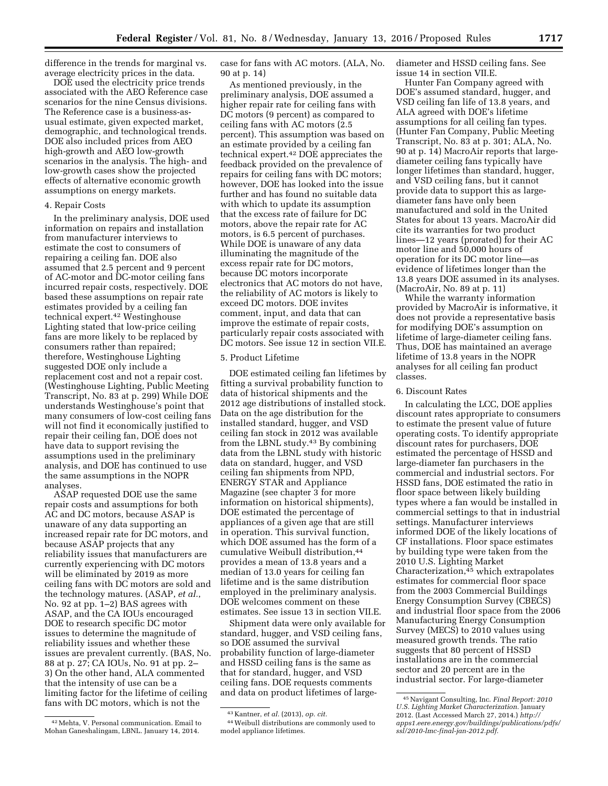difference in the trends for marginal vs. average electricity prices in the data.

DOE used the electricity price trends associated with the AEO Reference case scenarios for the nine Census divisions. The Reference case is a business-asusual estimate, given expected market, demographic, and technological trends. DOE also included prices from AEO high-growth and AEO low-growth scenarios in the analysis. The high- and low-growth cases show the projected effects of alternative economic growth assumptions on energy markets.

#### 4. Repair Costs

In the preliminary analysis, DOE used information on repairs and installation from manufacturer interviews to estimate the cost to consumers of repairing a ceiling fan. DOE also assumed that 2.5 percent and 9 percent of AC-motor and DC-motor ceiling fans incurred repair costs, respectively. DOE based these assumptions on repair rate estimates provided by a ceiling fan technical expert.42 Westinghouse Lighting stated that low-price ceiling fans are more likely to be replaced by consumers rather than repaired; therefore, Westinghouse Lighting suggested DOE only include a replacement cost and not a repair cost. (Westinghouse Lighting, Public Meeting Transcript, No. 83 at p. 299) While DOE understands Westinghouse's point that many consumers of low-cost ceiling fans will not find it economically justified to repair their ceiling fan, DOE does not have data to support revising the assumptions used in the preliminary analysis, and DOE has continued to use the same assumptions in the NOPR analyses.

ASAP requested DOE use the same repair costs and assumptions for both AC and DC motors, because ASAP is unaware of any data supporting an increased repair rate for DC motors, and because ASAP projects that any reliability issues that manufacturers are currently experiencing with DC motors will be eliminated by 2019 as more ceiling fans with DC motors are sold and the technology matures. (ASAP, *et al.*, No. 92 at pp. 1–2) BAS agrees with ASAP, and the CA IOUs encouraged DOE to research specific DC motor issues to determine the magnitude of reliability issues and whether these issues are prevalent currently. (BAS, No. 88 at p. 27; CA IOUs, No. 91 at pp. 2– 3) On the other hand, ALA commented that the intensity of use can be a limiting factor for the lifetime of ceiling fans with DC motors, which is not the

42Mehta, V. Personal communication. Email to Mohan Ganeshalingam, LBNL. January 14, 2014.

case for fans with AC motors. (ALA, No. 90 at p. 14)

As mentioned previously, in the preliminary analysis, DOE assumed a higher repair rate for ceiling fans with DC motors (9 percent) as compared to ceiling fans with AC motors (2.5 percent). This assumption was based on an estimate provided by a ceiling fan technical expert.42 DOE appreciates the feedback provided on the prevalence of repairs for ceiling fans with DC motors; however, DOE has looked into the issue further and has found no suitable data with which to update its assumption that the excess rate of failure for DC motors, above the repair rate for AC motors, is 6.5 percent of purchases. While DOE is unaware of any data illuminating the magnitude of the excess repair rate for DC motors, because DC motors incorporate electronics that AC motors do not have, the reliability of AC motors is likely to exceed DC motors. DOE invites comment, input, and data that can improve the estimate of repair costs, particularly repair costs associated with DC motors. See issue 12 in section VII.E.

### 5. Product Lifetime

DOE estimated ceiling fan lifetimes by fitting a survival probability function to data of historical shipments and the 2012 age distributions of installed stock. Data on the age distribution for the installed standard, hugger, and VSD ceiling fan stock in 2012 was available from the LBNL study.43 By combining data from the LBNL study with historic data on standard, hugger, and VSD ceiling fan shipments from NPD, ENERGY STAR and Appliance Magazine (see chapter 3 for more information on historical shipments), DOE estimated the percentage of appliances of a given age that are still in operation. This survival function, which DOE assumed has the form of a cumulative Weibull distribution,44 provides a mean of 13.8 years and a median of 13.0 years for ceiling fan lifetime and is the same distribution employed in the preliminary analysis. DOE welcomes comment on these estimates. See issue 13 in section VII.E.

Shipment data were only available for standard, hugger, and VSD ceiling fans, so DOE assumed the survival probability function of large-diameter and HSSD ceiling fans is the same as that for standard, hugger, and VSD ceiling fans. DOE requests comments and data on product lifetimes of largediameter and HSSD ceiling fans. See issue 14 in section VII.E.

Hunter Fan Company agreed with DOE's assumed standard, hugger, and VSD ceiling fan life of 13.8 years, and ALA agreed with DOE's lifetime assumptions for all ceiling fan types. (Hunter Fan Company, Public Meeting Transcript, No. 83 at p. 301; ALA, No. 90 at p. 14) MacroAir reports that largediameter ceiling fans typically have longer lifetimes than standard, hugger, and VSD ceiling fans, but it cannot provide data to support this as largediameter fans have only been manufactured and sold in the United States for about 13 years. MacroAir did cite its warranties for two product lines—12 years (prorated) for their AC motor line and 50,000 hours of operation for its DC motor line—as evidence of lifetimes longer than the 13.8 years DOE assumed in its analyses. (MacroAir, No. 89 at p. 11)

While the warranty information provided by MacroAir is informative, it does not provide a representative basis for modifying DOE's assumption on lifetime of large-diameter ceiling fans. Thus, DOE has maintained an average lifetime of 13.8 years in the NOPR analyses for all ceiling fan product classes.

#### 6. Discount Rates

In calculating the LCC, DOE applies discount rates appropriate to consumers to estimate the present value of future operating costs. To identify appropriate discount rates for purchasers, DOE estimated the percentage of HSSD and large-diameter fan purchasers in the commercial and industrial sectors. For HSSD fans, DOE estimated the ratio in floor space between likely building types where a fan would be installed in commercial settings to that in industrial settings. Manufacturer interviews informed DOE of the likely locations of CF installations. Floor space estimates by building type were taken from the 2010 U.S. Lighting Market Characterization,45 which extrapolates estimates for commercial floor space from the 2003 Commercial Buildings Energy Consumption Survey (CBECS) and industrial floor space from the 2006 Manufacturing Energy Consumption Survey (MECS) to 2010 values using measured growth trends. The ratio suggests that 80 percent of HSSD installations are in the commercial sector and 20 percent are in the industrial sector. For large-diameter

<sup>43</sup> Kantner, *et al.* (2013), *op. cit.* 

<sup>44</sup>Weibull distributions are commonly used to model appliance lifetimes.

<sup>45</sup>Navigant Consulting, Inc. *Final Report: 2010 U.S. Lighting Market Characterization.* January 2012. (Last Accessed March 27, 2014.) *[http://](http://apps1.eere.energy.gov/buildings/publications/pdfs/ssl/2010-lmc-final-jan-2012.pdf) [apps1.eere.energy.gov/buildings/publications/pdfs/](http://apps1.eere.energy.gov/buildings/publications/pdfs/ssl/2010-lmc-final-jan-2012.pdf) [ssl/2010-lmc-final-jan-2012.pdf.](http://apps1.eere.energy.gov/buildings/publications/pdfs/ssl/2010-lmc-final-jan-2012.pdf)*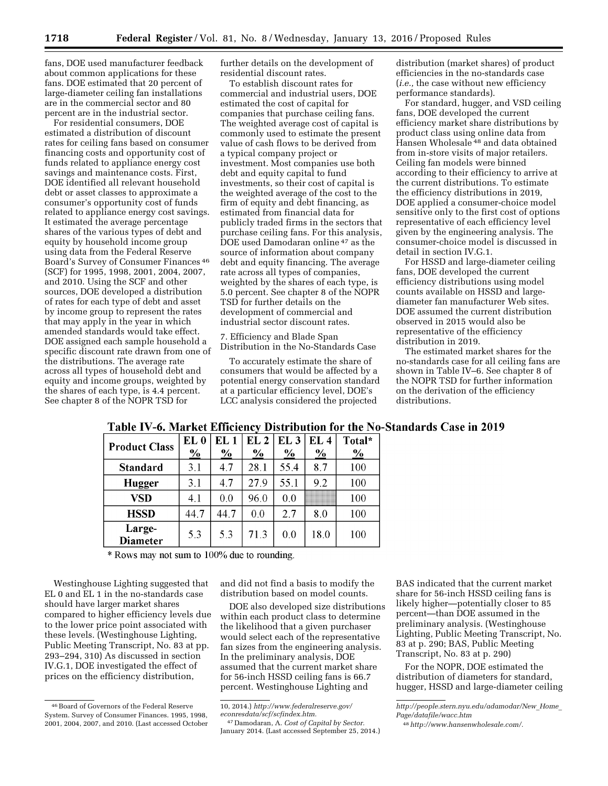fans, DOE used manufacturer feedback about common applications for these fans. DOE estimated that 20 percent of large-diameter ceiling fan installations are in the commercial sector and 80 percent are in the industrial sector.

For residential consumers, DOE estimated a distribution of discount rates for ceiling fans based on consumer financing costs and opportunity cost of funds related to appliance energy cost savings and maintenance costs. First, DOE identified all relevant household debt or asset classes to approximate a consumer's opportunity cost of funds related to appliance energy cost savings. It estimated the average percentage shares of the various types of debt and equity by household income group using data from the Federal Reserve Board's Survey of Consumer Finances 46 (SCF) for 1995, 1998, 2001, 2004, 2007, and 2010. Using the SCF and other sources, DOE developed a distribution of rates for each type of debt and asset by income group to represent the rates that may apply in the year in which amended standards would take effect. DOE assigned each sample household a specific discount rate drawn from one of the distributions. The average rate across all types of household debt and equity and income groups, weighted by the shares of each type, is 4.4 percent. See chapter 8 of the NOPR TSD for

further details on the development of residential discount rates.

To establish discount rates for commercial and industrial users, DOE estimated the cost of capital for companies that purchase ceiling fans. The weighted average cost of capital is commonly used to estimate the present value of cash flows to be derived from a typical company project or investment. Most companies use both debt and equity capital to fund investments, so their cost of capital is the weighted average of the cost to the firm of equity and debt financing, as estimated from financial data for publicly traded firms in the sectors that purchase ceiling fans. For this analysis, DOE used Damodaran online 47 as the source of information about company debt and equity financing. The average rate across all types of companies, weighted by the shares of each type, is 5.0 percent. See chapter 8 of the NOPR TSD for further details on the development of commercial and industrial sector discount rates.

7. Efficiency and Blade Span Distribution in the No-Standards Case

To accurately estimate the share of consumers that would be affected by a potential energy conservation standard at a particular efficiency level, DOE's LCC analysis considered the projected

distribution (market shares) of product efficiencies in the no-standards case (*i.e.,* the case without new efficiency performance standards).

For standard, hugger, and VSD ceiling fans, DOE developed the current efficiency market share distributions by product class using online data from Hansen Wholesale 48 and data obtained from in-store visits of major retailers. Ceiling fan models were binned according to their efficiency to arrive at the current distributions. To estimate the efficiency distributions in 2019, DOE applied a consumer-choice model sensitive only to the first cost of options representative of each efficiency level given by the engineering analysis. The consumer-choice model is discussed in detail in section IV.G.1.

For HSSD and large-diameter ceiling fans, DOE developed the current efficiency distributions using model counts available on HSSD and largediameter fan manufacturer Web sites. DOE assumed the current distribution observed in 2015 would also be representative of the efficiency distribution in 2019.

The estimated market shares for the no-standards case for all ceiling fans are shown in Table IV–6. See chapter 8 of the NOPR TSD for further information on the derivation of the efficiency distributions.

| <b>Product Class</b> | EL <sub>0</sub><br>$\frac{6}{2}$ | EL 1<br>$\frac{0}{2}$ | EL <sub>2</sub><br>$\frac{6}{6}$ | EL <sub>3</sub><br>$\%$ | EL <sub>4</sub><br>$\%$ | Total*<br>$\frac{0}{0}$ |
|----------------------|----------------------------------|-----------------------|----------------------------------|-------------------------|-------------------------|-------------------------|
| <b>Standard</b>      | 3.1                              | 4.7                   | 28.1                             | 55.4                    | 8.7                     | 100                     |
| Hugger               | 3.1                              | 4.7                   | 27.9                             | 55.1                    | 92                      | 100                     |
| <b>VSD</b>           | 4.1                              | 0.0                   | 96.0                             | 0 <sub>0</sub>          |                         | 100                     |
| <b>HSSD</b>          | 44.7                             | 44.7                  | 0.0                              | 2.7                     | 8.0                     | 100                     |
| Large-<br>Diameter   | 5.3                              | 5.3                   | 71.3                             | 0.0                     | 18.0                    | 100                     |

# Table IV-6. Market Efficiency Distribution for the No-Standards Case in 2019

\* Rows may not sum to 100% due to rounding.

Westinghouse Lighting suggested that EL 0 and EL 1 in the no-standards case should have larger market shares compared to higher efficiency levels due to the lower price point associated with these levels. (Westinghouse Lighting, Public Meeting Transcript, No. 83 at pp. 293–294, 310) As discussed in section IV.G.1, DOE investigated the effect of prices on the efficiency distribution,

and did not find a basis to modify the distribution based on model counts.

DOE also developed size distributions within each product class to determine the likelihood that a given purchaser would select each of the representative fan sizes from the engineering analysis. In the preliminary analysis, DOE assumed that the current market share for 56-inch HSSD ceiling fans is 66.7 percent. Westinghouse Lighting and

47 Damodaran, A. *Cost of Capital by Sector.*  January 2014. (Last accessed September 25, 2014.)

BAS indicated that the current market share for 56-inch HSSD ceiling fans is likely higher—potentially closer to 85 percent—than DOE assumed in the preliminary analysis. (Westinghouse Lighting, Public Meeting Transcript, No. 83 at p. 290; BAS, Public Meeting Transcript, No. 83 at p. 290)

For the NOPR, DOE estimated the distribution of diameters for standard, hugger, HSSD and large-diameter ceiling

*[http://people.stern.nyu.edu/adamodar/New](http://people.stern.nyu.edu/adamodar/New_Home_Page/datafile/wacc.htm)*\_*Home*\_ *[Page/datafile/wacc.htm](http://people.stern.nyu.edu/adamodar/New_Home_Page/datafile/wacc.htm)* 

<sup>46</sup>Board of Governors of the Federal Reserve System. Survey of Consumer Finances. 1995, 1998, 2001, 2004, 2007, and 2010. (Last accessed October

<sup>10, 2014.)</sup> *[http://www.federalreserve.gov/](http://www.federalreserve.gov/econresdata/scf/scfindex.htm) [econresdata/scf/scfindex.htm.](http://www.federalreserve.gov/econresdata/scf/scfindex.htm)* 

<sup>48</sup>*[http://www.hansenwholesale.com/.](http://www.hansenwholesale.com/)*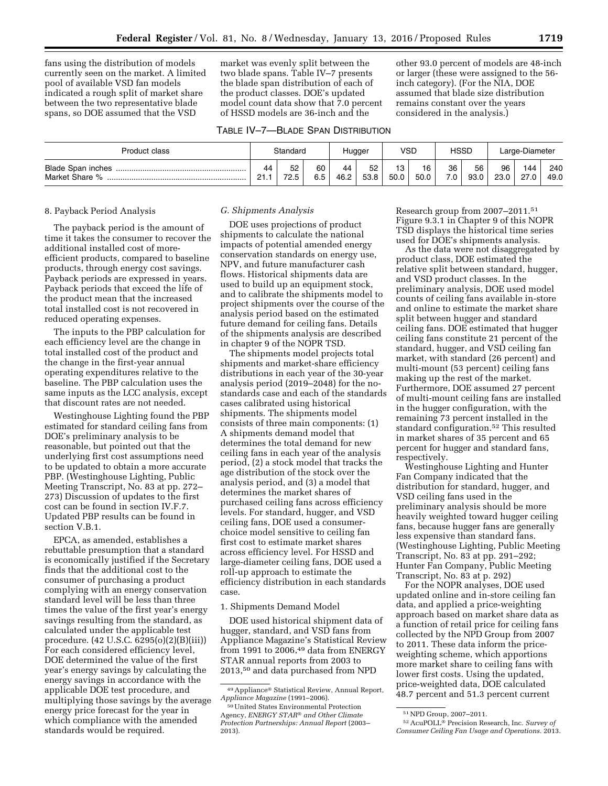fans using the distribution of models currently seen on the market. A limited pool of available VSD fan models indicated a rough split of market share between the two representative blade spans, so DOE assumed that the VSD

market was evenly split between the two blade spans. Table IV–7 presents the blade span distribution of each of the product classes. DOE's updated model count data show that 7.0 percent of HSSD models are 36-inch and the

#### TABLE IV–7—BLADE SPAN DISTRIBUTION

other 93.0 percent of models are 48-inch or larger (these were assigned to the 56 inch category). (For the NIA, DOE assumed that blade size distribution remains constant over the years considered in the analysis.)

| Product class            | Standard       |      | Hugger |      | VSD  |      | <b>HSSD</b> |     | Large-Diameter |      |      |      |
|--------------------------|----------------|------|--------|------|------|------|-------------|-----|----------------|------|------|------|
| <b>Blade Span inches</b> | 44             | 52   | 60     | 44   | 52   | 13   | 16          | 36  | 56             | 96   | 144  | 240  |
| Market Share %           | O <sub>1</sub> | 72.5 | 6.5    | 46.2 | 53.8 | 50.0 | 50.0        | 7.0 | 93.0           | 23.0 | 27.0 | 49.0 |

#### 8. Payback Period Analysis

The payback period is the amount of time it takes the consumer to recover the additional installed cost of moreefficient products, compared to baseline products, through energy cost savings. Payback periods are expressed in years. Payback periods that exceed the life of the product mean that the increased total installed cost is not recovered in reduced operating expenses.

The inputs to the PBP calculation for each efficiency level are the change in total installed cost of the product and the change in the first-year annual operating expenditures relative to the baseline. The PBP calculation uses the same inputs as the LCC analysis, except that discount rates are not needed.

Westinghouse Lighting found the PBP estimated for standard ceiling fans from DOE's preliminary analysis to be reasonable, but pointed out that the underlying first cost assumptions need to be updated to obtain a more accurate PBP. (Westinghouse Lighting, Public Meeting Transcript, No. 83 at pp. 272– 273) Discussion of updates to the first cost can be found in section IV.F.7. Updated PBP results can be found in section V.B.1.

EPCA, as amended, establishes a rebuttable presumption that a standard is economically justified if the Secretary finds that the additional cost to the consumer of purchasing a product complying with an energy conservation standard level will be less than three times the value of the first year's energy savings resulting from the standard, as calculated under the applicable test procedure. (42 U.S.C. 6295(o)(2)(B)(iii)) For each considered efficiency level, DOE determined the value of the first year's energy savings by calculating the energy savings in accordance with the applicable DOE test procedure, and multiplying those savings by the average energy price forecast for the year in which compliance with the amended standards would be required.

# *G. Shipments Analysis*

DOE uses projections of product shipments to calculate the national impacts of potential amended energy conservation standards on energy use, NPV, and future manufacturer cash flows. Historical shipments data are used to build up an equipment stock, and to calibrate the shipments model to project shipments over the course of the analysis period based on the estimated future demand for ceiling fans. Details of the shipments analysis are described in chapter 9 of the NOPR TSD.

The shipments model projects total shipments and market-share efficiency distributions in each year of the 30-year analysis period (2019–2048) for the nostandards case and each of the standards cases calibrated using historical shipments. The shipments model consists of three main components: (1) A shipments demand model that determines the total demand for new ceiling fans in each year of the analysis period, (2) a stock model that tracks the age distribution of the stock over the analysis period, and (3) a model that determines the market shares of purchased ceiling fans across efficiency levels. For standard, hugger, and VSD ceiling fans, DOE used a consumerchoice model sensitive to ceiling fan first cost to estimate market shares across efficiency level. For HSSD and large-diameter ceiling fans, DOE used a roll-up approach to estimate the efficiency distribution in each standards case.

#### 1. Shipments Demand Model

DOE used historical shipment data of hugger, standard, and VSD fans from Appliance Magazine's Statistical Review from 1991 to 2006,49 data from ENERGY STAR annual reports from 2003 to 2013,50 and data purchased from NPD

Research group from 2007–2011.51 Figure 9.3.1 in Chapter 9 of this NOPR TSD displays the historical time series used for DOE's shipments analysis.

As the data were not disaggregated by product class, DOE estimated the relative split between standard, hugger, and VSD product classes. In the preliminary analysis, DOE used model counts of ceiling fans available in-store and online to estimate the market share split between hugger and standard ceiling fans. DOE estimated that hugger ceiling fans constitute 21 percent of the standard, hugger, and VSD ceiling fan market, with standard (26 percent) and multi-mount (53 percent) ceiling fans making up the rest of the market. Furthermore, DOE assumed 27 percent of multi-mount ceiling fans are installed in the hugger configuration, with the remaining 73 percent installed in the standard configuration.52 This resulted in market shares of 35 percent and 65 percent for hugger and standard fans, respectively.

Westinghouse Lighting and Hunter Fan Company indicated that the distribution for standard, hugger, and VSD ceiling fans used in the preliminary analysis should be more heavily weighted toward hugger ceiling fans, because hugger fans are generally less expensive than standard fans. (Westinghouse Lighting, Public Meeting Transcript, No. 83 at pp. 291–292; Hunter Fan Company, Public Meeting Transcript, No. 83 at p. 292)

For the NOPR analyses, DOE used updated online and in-store ceiling fan data, and applied a price-weighting approach based on market share data as a function of retail price for ceiling fans collected by the NPD Group from 2007 to 2011. These data inform the priceweighting scheme, which apportions more market share to ceiling fans with lower first costs. Using the updated, price-weighted data, DOE calculated 48.7 percent and 51.3 percent current

<sup>49</sup>Appliance® Statistical Review, Annual Report, *Appliance Magazine* (1991–2006).

<sup>50</sup>United States Environmental Protection Agency, *ENERGY STAR*® *and Other Climate Protection Partnerships: Annual Report* (2003– 2013).

<sup>51</sup>NPD Group, 2007–2011.

<sup>52</sup>AcuPOLL® Precision Research, Inc. *Survey of Consumer Ceiling Fan Usage and Operations.* 2013.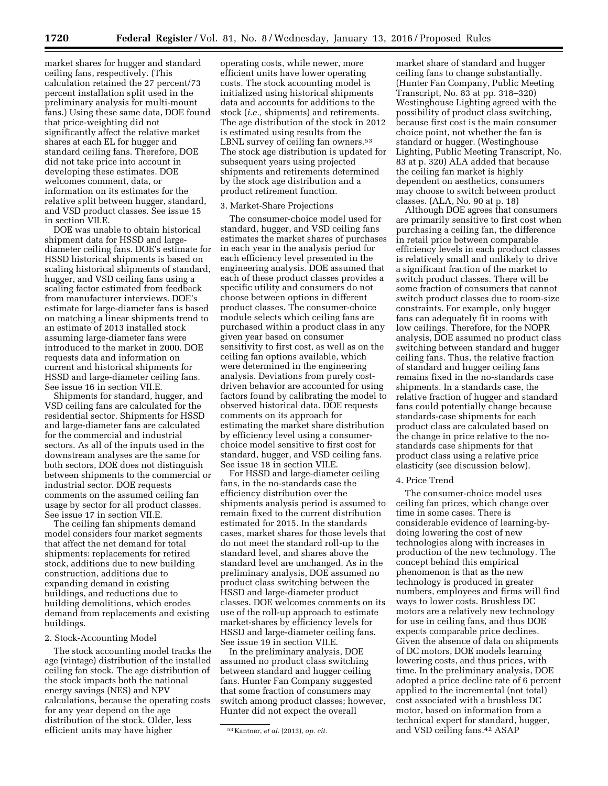market shares for hugger and standard ceiling fans, respectively. (This calculation retained the 27 percent/73 percent installation split used in the preliminary analysis for multi-mount fans.) Using these same data, DOE found that price-weighting did not significantly affect the relative market shares at each EL for hugger and standard ceiling fans. Therefore, DOE did not take price into account in developing these estimates. DOE welcomes comment, data, or information on its estimates for the relative split between hugger, standard, and VSD product classes. See issue 15 in section VII.E.

DOE was unable to obtain historical shipment data for HSSD and largediameter ceiling fans. DOE's estimate for HSSD historical shipments is based on scaling historical shipments of standard, hugger, and VSD ceiling fans using a scaling factor estimated from feedback from manufacturer interviews. DOE's estimate for large-diameter fans is based on matching a linear shipments trend to an estimate of 2013 installed stock assuming large-diameter fans were introduced to the market in 2000. DOE requests data and information on current and historical shipments for HSSD and large-diameter ceiling fans. See issue 16 in section VII.E.

Shipments for standard, hugger, and VSD ceiling fans are calculated for the residential sector. Shipments for HSSD and large-diameter fans are calculated for the commercial and industrial sectors. As all of the inputs used in the downstream analyses are the same for both sectors, DOE does not distinguish between shipments to the commercial or industrial sector. DOE requests comments on the assumed ceiling fan usage by sector for all product classes. See issue 17 in section VII.E.

The ceiling fan shipments demand model considers four market segments that affect the net demand for total shipments: replacements for retired stock, additions due to new building construction, additions due to expanding demand in existing buildings, and reductions due to building demolitions, which erodes demand from replacements and existing buildings.

#### 2. Stock-Accounting Model

The stock accounting model tracks the age (vintage) distribution of the installed ceiling fan stock. The age distribution of the stock impacts both the national energy savings (NES) and NPV calculations, because the operating costs for any year depend on the age distribution of the stock. Older, less efficient units may have higher

operating costs, while newer, more efficient units have lower operating costs. The stock accounting model is initialized using historical shipments data and accounts for additions to the stock (*i.e.,* shipments) and retirements. The age distribution of the stock in 2012 is estimated using results from the LBNL survey of ceiling fan owners.<sup>53</sup> The stock age distribution is updated for subsequent years using projected shipments and retirements determined by the stock age distribution and a product retirement function.

#### 3. Market-Share Projections

The consumer-choice model used for standard, hugger, and VSD ceiling fans estimates the market shares of purchases in each year in the analysis period for each efficiency level presented in the engineering analysis. DOE assumed that each of these product classes provides a specific utility and consumers do not choose between options in different product classes. The consumer-choice module selects which ceiling fans are purchased within a product class in any given year based on consumer sensitivity to first cost, as well as on the ceiling fan options available, which were determined in the engineering analysis. Deviations from purely costdriven behavior are accounted for using factors found by calibrating the model to observed historical data. DOE requests comments on its approach for estimating the market share distribution by efficiency level using a consumerchoice model sensitive to first cost for standard, hugger, and VSD ceiling fans. See issue 18 in section VII.E.

For HSSD and large-diameter ceiling fans, in the no-standards case the efficiency distribution over the shipments analysis period is assumed to remain fixed to the current distribution estimated for 2015. In the standards cases, market shares for those levels that do not meet the standard roll-up to the standard level, and shares above the standard level are unchanged. As in the preliminary analysis, DOE assumed no product class switching between the HSSD and large-diameter product classes. DOE welcomes comments on its use of the roll-up approach to estimate market-shares by efficiency levels for HSSD and large-diameter ceiling fans. See issue 19 in section VII.E.

In the preliminary analysis, DOE assumed no product class switching between standard and hugger ceiling fans. Hunter Fan Company suggested that some fraction of consumers may switch among product classes; however, Hunter did not expect the overall

market share of standard and hugger ceiling fans to change substantially. (Hunter Fan Company, Public Meeting Transcript, No. 83 at pp. 318–320) Westinghouse Lighting agreed with the possibility of product class switching, because first cost is the main consumer choice point, not whether the fan is standard or hugger. (Westinghouse Lighting, Public Meeting Transcript, No. 83 at p. 320) ALA added that because the ceiling fan market is highly dependent on aesthetics, consumers may choose to switch between product classes. (ALA, No. 90 at p. 18)

Although DOE agrees that consumers are primarily sensitive to first cost when purchasing a ceiling fan, the difference in retail price between comparable efficiency levels in each product classes is relatively small and unlikely to drive a significant fraction of the market to switch product classes. There will be some fraction of consumers that cannot switch product classes due to room-size constraints. For example, only hugger fans can adequately fit in rooms with low ceilings. Therefore, for the NOPR analysis, DOE assumed no product class switching between standard and hugger ceiling fans. Thus, the relative fraction of standard and hugger ceiling fans remains fixed in the no-standards case shipments. In a standards case, the relative fraction of hugger and standard fans could potentially change because standards-case shipments for each product class are calculated based on the change in price relative to the nostandards case shipments for that product class using a relative price elasticity (see discussion below).

# 4. Price Trend

The consumer-choice model uses ceiling fan prices, which change over time in some cases. There is considerable evidence of learning-bydoing lowering the cost of new technologies along with increases in production of the new technology. The concept behind this empirical phenomenon is that as the new technology is produced in greater numbers, employees and firms will find ways to lower costs. Brushless DC motors are a relatively new technology for use in ceiling fans, and thus DOE expects comparable price declines. Given the absence of data on shipments of DC motors, DOE models learning lowering costs, and thus prices, with time. In the preliminary analysis, DOE adopted a price decline rate of 6 percent applied to the incremental (not total) cost associated with a brushless DC motor, based on information from a technical expert for standard, hugger, and VSD ceiling fans.42 ASAP

<sup>53</sup> Kantner, *et al.* (2013), *op. cit.*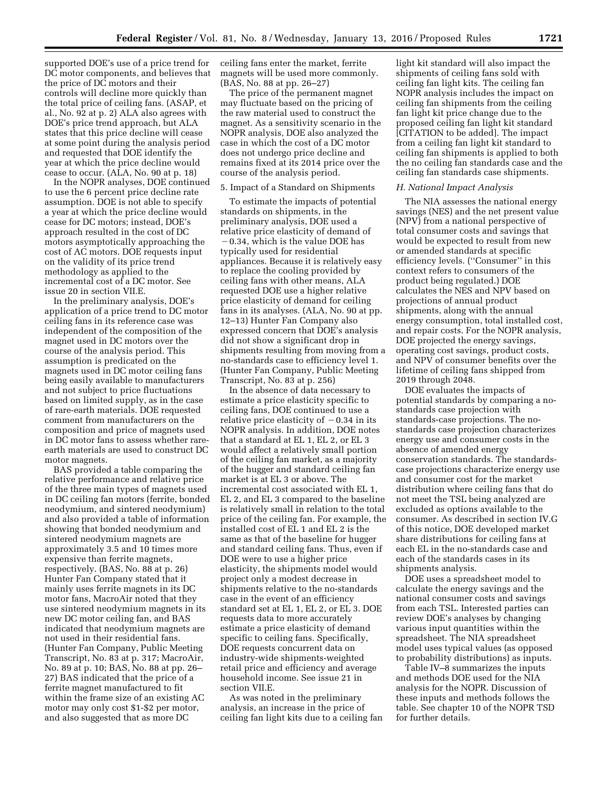supported DOE's use of a price trend for DC motor components, and believes that the price of DC motors and their controls will decline more quickly than the total price of ceiling fans. (ASAP, et al., No. 92 at p. 2) ALA also agrees with DOE's price trend approach, but ALA states that this price decline will cease at some point during the analysis period and requested that DOE identify the year at which the price decline would cease to occur. (ALA, No. 90 at p. 18)

In the NOPR analyses, DOE continued to use the 6 percent price decline rate assumption. DOE is not able to specify a year at which the price decline would cease for DC motors; instead, DOE's approach resulted in the cost of DC motors asymptotically approaching the cost of AC motors. DOE requests input on the validity of its price trend methodology as applied to the incremental cost of a DC motor. See issue 20 in section VII.E.

In the preliminary analysis, DOE's application of a price trend to DC motor ceiling fans in its reference case was independent of the composition of the magnet used in DC motors over the course of the analysis period. This assumption is predicated on the magnets used in DC motor ceiling fans being easily available to manufacturers and not subject to price fluctuations based on limited supply, as in the case of rare-earth materials. DOE requested comment from manufacturers on the composition and price of magnets used in DC motor fans to assess whether rareearth materials are used to construct DC motor magnets.

BAS provided a table comparing the relative performance and relative price of the three main types of magnets used in DC ceiling fan motors (ferrite, bonded neodymium, and sintered neodymium) and also provided a table of information showing that bonded neodymium and sintered neodymium magnets are approximately 3.5 and 10 times more expensive than ferrite magnets, respectively. (BAS, No. 88 at p. 26) Hunter Fan Company stated that it mainly uses ferrite magnets in its DC motor fans, MacroAir noted that they use sintered neodymium magnets in its new DC motor ceiling fan, and BAS indicated that neodymium magnets are not used in their residential fans. (Hunter Fan Company, Public Meeting Transcript, No. 83 at p. 317; MacroAir, No. 89 at p. 10; BAS, No. 88 at pp. 26– 27) BAS indicated that the price of a ferrite magnet manufactured to fit within the frame size of an existing AC motor may only cost \$1-\$2 per motor, and also suggested that as more DC

ceiling fans enter the market, ferrite magnets will be used more commonly. (BAS, No. 88 at pp. 26–27)

The price of the permanent magnet may fluctuate based on the pricing of the raw material used to construct the magnet. As a sensitivity scenario in the NOPR analysis, DOE also analyzed the case in which the cost of a DC motor does not undergo price decline and remains fixed at its 2014 price over the course of the analysis period.

#### 5. Impact of a Standard on Shipments

To estimate the impacts of potential standards on shipments, in the preliminary analysis, DOE used a relative price elasticity of demand of  $-0.34$ , which is the value DOE has typically used for residential appliances. Because it is relatively easy to replace the cooling provided by ceiling fans with other means, ALA requested DOE use a higher relative price elasticity of demand for ceiling fans in its analyses. (ALA, No. 90 at pp. 12–13) Hunter Fan Company also expressed concern that DOE's analysis did not show a significant drop in shipments resulting from moving from a no-standards case to efficiency level 1. (Hunter Fan Company, Public Meeting Transcript, No. 83 at p. 256)

In the absence of data necessary to estimate a price elasticity specific to ceiling fans, DOE continued to use a relative price elasticity of  $-0.34$  in its NOPR analysis. In addition, DOE notes that a standard at EL 1, EL 2, or EL 3 would affect a relatively small portion of the ceiling fan market, as a majority of the hugger and standard ceiling fan market is at EL 3 or above. The incremental cost associated with EL 1, EL 2, and EL 3 compared to the baseline is relatively small in relation to the total price of the ceiling fan. For example, the installed cost of EL 1 and EL 2 is the same as that of the baseline for hugger and standard ceiling fans. Thus, even if DOE were to use a higher price elasticity, the shipments model would project only a modest decrease in shipments relative to the no-standards case in the event of an efficiency standard set at EL 1, EL 2, or EL 3. DOE requests data to more accurately estimate a price elasticity of demand specific to ceiling fans. Specifically, DOE requests concurrent data on industry-wide shipments-weighted retail price and efficiency and average household income. See issue 21 in section VII.E.

As was noted in the preliminary analysis, an increase in the price of ceiling fan light kits due to a ceiling fan light kit standard will also impact the shipments of ceiling fans sold with ceiling fan light kits. The ceiling fan NOPR analysis includes the impact on ceiling fan shipments from the ceiling fan light kit price change due to the proposed ceiling fan light kit standard [CITATION to be added]. The impact from a ceiling fan light kit standard to ceiling fan shipments is applied to both the no ceiling fan standards case and the ceiling fan standards case shipments.

#### *H. National Impact Analysis*

The NIA assesses the national energy savings (NES) and the net present value (NPV) from a national perspective of total consumer costs and savings that would be expected to result from new or amended standards at specific efficiency levels. (''Consumer'' in this context refers to consumers of the product being regulated.) DOE calculates the NES and NPV based on projections of annual product shipments, along with the annual energy consumption, total installed cost, and repair costs. For the NOPR analysis, DOE projected the energy savings, operating cost savings, product costs, and NPV of consumer benefits over the lifetime of ceiling fans shipped from 2019 through 2048.

DOE evaluates the impacts of potential standards by comparing a nostandards case projection with standards-case projections. The nostandards case projection characterizes energy use and consumer costs in the absence of amended energy conservation standards. The standardscase projections characterize energy use and consumer cost for the market distribution where ceiling fans that do not meet the TSL being analyzed are excluded as options available to the consumer. As described in section IV.G of this notice, DOE developed market share distributions for ceiling fans at each EL in the no-standards case and each of the standards cases in its shipments analysis.

DOE uses a spreadsheet model to calculate the energy savings and the national consumer costs and savings from each TSL. Interested parties can review DOE's analyses by changing various input quantities within the spreadsheet. The NIA spreadsheet model uses typical values (as opposed to probability distributions) as inputs.

Table IV–8 summarizes the inputs and methods DOE used for the NIA analysis for the NOPR. Discussion of these inputs and methods follows the table. See chapter 10 of the NOPR TSD for further details.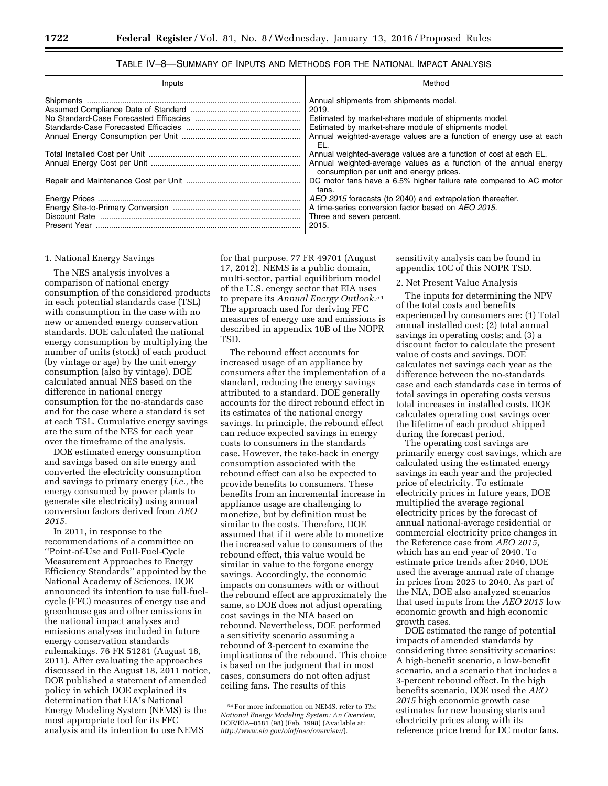| Inputs | Method                                                                                                       |
|--------|--------------------------------------------------------------------------------------------------------------|
|        | Annual shipments from shipments model.                                                                       |
|        | 2019.                                                                                                        |
|        | Estimated by market-share module of shipments model.                                                         |
|        | Estimated by market-share module of shipments model.                                                         |
|        | Annual weighted-average values are a function of energy use at each<br>EL.                                   |
|        | Annual weighted-average values are a function of cost at each EL.                                            |
|        | Annual weighted-average values as a function of the annual energy<br>consumption per unit and energy prices. |
|        | DC motor fans have a 6.5% higher failure rate compared to AC motor<br>fans.                                  |
|        | AEO 2015 forecasts (to 2040) and extrapolation thereafter.                                                   |
|        | A time-series conversion factor based on AEO 2015.                                                           |
|        | Three and seven percent.                                                                                     |
|        | 2015.                                                                                                        |

TABLE IV–8—SUMMARY OF INPUTS AND METHODS FOR THE NATIONAL IMPACT ANALYSIS

#### 1. National Energy Savings

The NES analysis involves a comparison of national energy consumption of the considered products in each potential standards case (TSL) with consumption in the case with no new or amended energy conservation standards. DOE calculated the national energy consumption by multiplying the number of units (stock) of each product (by vintage or age) by the unit energy consumption (also by vintage). DOE calculated annual NES based on the difference in national energy consumption for the no-standards case and for the case where a standard is set at each TSL. Cumulative energy savings are the sum of the NES for each year over the timeframe of the analysis.

DOE estimated energy consumption and savings based on site energy and converted the electricity consumption and savings to primary energy (*i.e.,* the energy consumed by power plants to generate site electricity) using annual conversion factors derived from *AEO 2015.* 

In 2011, in response to the recommendations of a committee on ''Point-of-Use and Full-Fuel-Cycle Measurement Approaches to Energy Efficiency Standards'' appointed by the National Academy of Sciences, DOE announced its intention to use full-fuelcycle (FFC) measures of energy use and greenhouse gas and other emissions in the national impact analyses and emissions analyses included in future energy conservation standards rulemakings. 76 FR 51281 (August 18, 2011). After evaluating the approaches discussed in the August 18, 2011 notice, DOE published a statement of amended policy in which DOE explained its determination that EIA's National Energy Modeling System (NEMS) is the most appropriate tool for its FFC analysis and its intention to use NEMS

for that purpose. 77 FR 49701 (August 17, 2012). NEMS is a public domain, multi-sector, partial equilibrium model of the U.S. energy sector that EIA uses to prepare its *Annual Energy Outlook.*54 The approach used for deriving FFC measures of energy use and emissions is described in appendix 10B of the NOPR TSD.

The rebound effect accounts for increased usage of an appliance by consumers after the implementation of a standard, reducing the energy savings attributed to a standard. DOE generally accounts for the direct rebound effect in its estimates of the national energy savings. In principle, the rebound effect can reduce expected savings in energy costs to consumers in the standards case. However, the take-back in energy consumption associated with the rebound effect can also be expected to provide benefits to consumers. These benefits from an incremental increase in appliance usage are challenging to monetize, but by definition must be similar to the costs. Therefore, DOE assumed that if it were able to monetize the increased value to consumers of the rebound effect, this value would be similar in value to the forgone energy savings. Accordingly, the economic impacts on consumers with or without the rebound effect are approximately the same, so DOE does not adjust operating cost savings in the NIA based on rebound. Nevertheless, DOE performed a sensitivity scenario assuming a rebound of 3-percent to examine the implications of the rebound. This choice is based on the judgment that in most cases, consumers do not often adjust ceiling fans. The results of this

sensitivity analysis can be found in appendix 10C of this NOPR TSD.

#### 2. Net Present Value Analysis

The inputs for determining the NPV of the total costs and benefits experienced by consumers are: (1) Total annual installed cost; (2) total annual savings in operating costs; and (3) a discount factor to calculate the present value of costs and savings. DOE calculates net savings each year as the difference between the no-standards case and each standards case in terms of total savings in operating costs versus total increases in installed costs. DOE calculates operating cost savings over the lifetime of each product shipped during the forecast period.

The operating cost savings are primarily energy cost savings, which are calculated using the estimated energy savings in each year and the projected price of electricity. To estimate electricity prices in future years, DOE multiplied the average regional electricity prices by the forecast of annual national-average residential or commercial electricity price changes in the Reference case from *AEO 2015,*  which has an end year of 2040. To estimate price trends after 2040, DOE used the average annual rate of change in prices from 2025 to 2040. As part of the NIA, DOE also analyzed scenarios that used inputs from the *AEO 2015* low economic growth and high economic growth cases.

DOE estimated the range of potential impacts of amended standards by considering three sensitivity scenarios: A high-benefit scenario, a low-benefit scenario, and a scenario that includes a 3-percent rebound effect. In the high benefits scenario, DOE used the *AEO 2015* high economic growth case estimates for new housing starts and electricity prices along with its reference price trend for DC motor fans.

<sup>54</sup>For more information on NEMS, refer to *The National Energy Modeling System: An Overview,*  DOE/EIA–0581 (98) (Feb. 1998) (Available at: *<http://www.eia.gov/oiaf/aeo/overview/>*).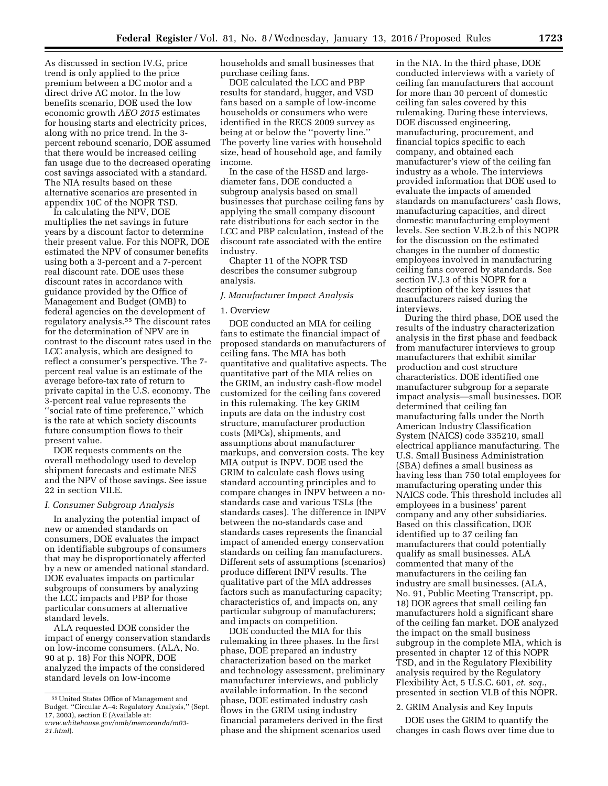As discussed in section IV.G, price trend is only applied to the price premium between a DC motor and a direct drive AC motor. In the low benefits scenario, DOE used the low economic growth *AEO 2015* estimates for housing starts and electricity prices, along with no price trend. In the 3 percent rebound scenario, DOE assumed that there would be increased ceiling fan usage due to the decreased operating cost savings associated with a standard. The NIA results based on these alternative scenarios are presented in appendix 10C of the NOPR TSD.

In calculating the NPV, DOE multiplies the net savings in future years by a discount factor to determine their present value. For this NOPR, DOE estimated the NPV of consumer benefits using both a 3-percent and a 7-percent real discount rate. DOE uses these discount rates in accordance with guidance provided by the Office of Management and Budget (OMB) to federal agencies on the development of regulatory analysis.<sup>55</sup> The discount rates for the determination of NPV are in contrast to the discount rates used in the LCC analysis, which are designed to reflect a consumer's perspective. The 7 percent real value is an estimate of the average before-tax rate of return to private capital in the U.S. economy. The 3-percent real value represents the ''social rate of time preference,'' which is the rate at which society discounts future consumption flows to their present value.

DOE requests comments on the overall methodology used to develop shipment forecasts and estimate NES and the NPV of those savings. See issue 22 in section VII.E.

#### *I. Consumer Subgroup Analysis*

In analyzing the potential impact of new or amended standards on consumers, DOE evaluates the impact on identifiable subgroups of consumers that may be disproportionately affected by a new or amended national standard. DOE evaluates impacts on particular subgroups of consumers by analyzing the LCC impacts and PBP for those particular consumers at alternative standard levels.

ALA requested DOE consider the impact of energy conservation standards on low-income consumers. (ALA, No. 90 at p. 18) For this NOPR, DOE analyzed the impacts of the considered standard levels on low-income

households and small businesses that purchase ceiling fans.

DOE calculated the LCC and PBP results for standard, hugger, and VSD fans based on a sample of low-income households or consumers who were identified in the RECS 2009 survey as being at or below the ''poverty line.'' The poverty line varies with household size, head of household age, and family income.

In the case of the HSSD and largediameter fans, DOE conducted a subgroup analysis based on small businesses that purchase ceiling fans by applying the small company discount rate distributions for each sector in the LCC and PBP calculation, instead of the discount rate associated with the entire industry.

Chapter 11 of the NOPR TSD describes the consumer subgroup analysis.

## *J. Manufacturer Impact Analysis*

### 1. Overview

DOE conducted an MIA for ceiling fans to estimate the financial impact of proposed standards on manufacturers of ceiling fans. The MIA has both quantitative and qualitative aspects. The quantitative part of the MIA relies on the GRIM, an industry cash-flow model customized for the ceiling fans covered in this rulemaking. The key GRIM inputs are data on the industry cost structure, manufacturer production costs (MPCs), shipments, and assumptions about manufacturer markups, and conversion costs. The key MIA output is INPV. DOE used the GRIM to calculate cash flows using standard accounting principles and to compare changes in INPV between a nostandards case and various TSLs (the standards cases). The difference in INPV between the no-standards case and standards cases represents the financial impact of amended energy conservation standards on ceiling fan manufacturers. Different sets of assumptions (scenarios) produce different INPV results. The qualitative part of the MIA addresses factors such as manufacturing capacity; characteristics of, and impacts on, any particular subgroup of manufacturers; and impacts on competition.

DOE conducted the MIA for this rulemaking in three phases. In the first phase, DOE prepared an industry characterization based on the market and technology assessment, preliminary manufacturer interviews, and publicly available information. In the second phase, DOE estimated industry cash flows in the GRIM using industry financial parameters derived in the first phase and the shipment scenarios used

in the NIA. In the third phase, DOE conducted interviews with a variety of ceiling fan manufacturers that account for more than 30 percent of domestic ceiling fan sales covered by this rulemaking. During these interviews, DOE discussed engineering, manufacturing, procurement, and financial topics specific to each company, and obtained each manufacturer's view of the ceiling fan industry as a whole. The interviews provided information that DOE used to evaluate the impacts of amended standards on manufacturers' cash flows, manufacturing capacities, and direct domestic manufacturing employment levels. See section V.B.2.b of this NOPR for the discussion on the estimated changes in the number of domestic employees involved in manufacturing ceiling fans covered by standards. See section IV.J.3 of this NOPR for a description of the key issues that manufacturers raised during the interviews.

During the third phase, DOE used the results of the industry characterization analysis in the first phase and feedback from manufacturer interviews to group manufacturers that exhibit similar production and cost structure characteristics. DOE identified one manufacturer subgroup for a separate impact analysis—small businesses. DOE determined that ceiling fan manufacturing falls under the North American Industry Classification System (NAICS) code 335210, small electrical appliance manufacturing. The U.S. Small Business Administration (SBA) defines a small business as having less than 750 total employees for manufacturing operating under this NAICS code. This threshold includes all employees in a business' parent company and any other subsidiaries. Based on this classification, DOE identified up to 37 ceiling fan manufacturers that could potentially qualify as small businesses. ALA commented that many of the manufacturers in the ceiling fan industry are small businesses. (ALA, No. 91, Public Meeting Transcript, pp. 18) DOE agrees that small ceiling fan manufacturers hold a significant share of the ceiling fan market. DOE analyzed the impact on the small business subgroup in the complete MIA, which is presented in chapter 12 of this NOPR TSD, and in the Regulatory Flexibility analysis required by the Regulatory Flexibility Act, 5 U.S.C. 601, *et. seq.*, presented in section VI.B of this NOPR.

# 2. GRIM Analysis and Key Inputs

DOE uses the GRIM to quantify the changes in cash flows over time due to

<sup>55</sup>United States Office of Management and Budget. ''Circular A–4: Regulatory Analysis,'' (Sept. 17, 2003), section E (Available at: *[www.whitehouse.gov/omb/memoranda/m03-](http://www.whitehouse.gov/omb/memoranda/m03-21.html)* 

*[<sup>21.</sup>html](http://www.whitehouse.gov/omb/memoranda/m03-21.html)*).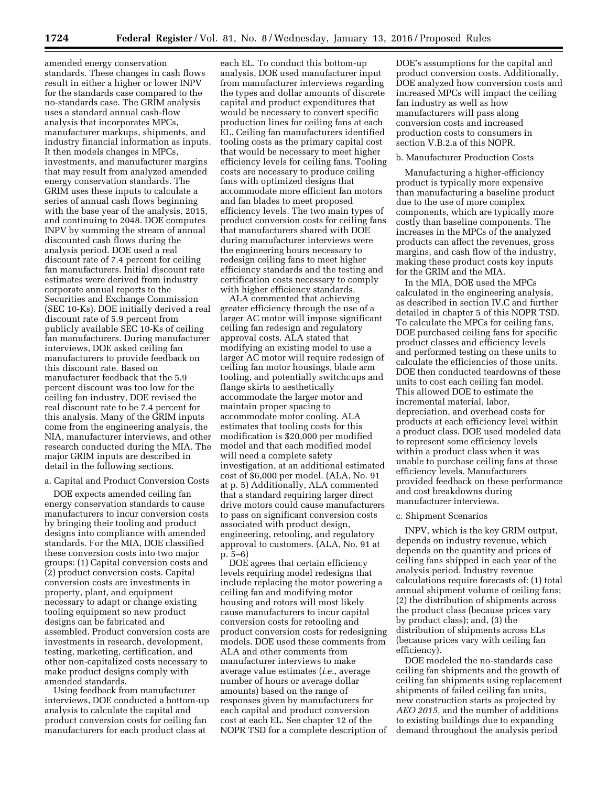amended energy conservation standards. These changes in cash flows result in either a higher or lower INPV for the standards case compared to the no-standards case. The GRIM analysis uses a standard annual cash-flow analysis that incorporates MPCs, manufacturer markups, shipments, and industry financial information as inputs. It then models changes in MPCs, investments, and manufacturer margins that may result from analyzed amended energy conservation standards. The GRIM uses these inputs to calculate a series of annual cash flows beginning with the base year of the analysis, 2015, and continuing to 2048. DOE computes INPV by summing the stream of annual discounted cash flows during the analysis period. DOE used a real discount rate of 7.4 percent for ceiling fan manufacturers. Initial discount rate estimates were derived from industry corporate annual reports to the Securities and Exchange Commission (SEC 10-Ks). DOE initially derived a real discount rate of 5.9 percent from publicly available SEC 10-Ks of ceiling fan manufacturers. During manufacturer interviews, DOE asked ceiling fan manufacturers to provide feedback on this discount rate. Based on manufacturer feedback that the 5.9 percent discount was too low for the ceiling fan industry, DOE revised the real discount rate to be 7.4 percent for this analysis. Many of the GRIM inputs come from the engineering analysis, the NIA, manufacturer interviews, and other research conducted during the MIA. The major GRIM inputs are described in detail in the following sections.

a. Capital and Product Conversion Costs

DOE expects amended ceiling fan energy conservation standards to cause manufacturers to incur conversion costs by bringing their tooling and product designs into compliance with amended standards. For the MIA, DOE classified these conversion costs into two major groups: (1) Capital conversion costs and (2) product conversion costs. Capital conversion costs are investments in property, plant, and equipment necessary to adapt or change existing tooling equipment so new product designs can be fabricated and assembled. Product conversion costs are investments in research, development, testing, marketing, certification, and other non-capitalized costs necessary to make product designs comply with amended standards.

Using feedback from manufacturer interviews, DOE conducted a bottom-up analysis to calculate the capital and product conversion costs for ceiling fan manufacturers for each product class at

each EL. To conduct this bottom-up analysis, DOE used manufacturer input from manufacturer interviews regarding the types and dollar amounts of discrete capital and product expenditures that would be necessary to convert specific production lines for ceiling fans at each EL. Ceiling fan manufacturers identified tooling costs as the primary capital cost that would be necessary to meet higher efficiency levels for ceiling fans. Tooling costs are necessary to produce ceiling fans with optimized designs that accommodate more efficient fan motors and fan blades to meet proposed efficiency levels. The two main types of product conversion costs for ceiling fans that manufacturers shared with DOE during manufacturer interviews were the engineering hours necessary to redesign ceiling fans to meet higher efficiency standards and the testing and certification costs necessary to comply with higher efficiency standards.

ALA commented that achieving greater efficiency through the use of a larger AC motor will impose significant ceiling fan redesign and regulatory approval costs. ALA stated that modifying an existing model to use a larger AC motor will require redesign of ceiling fan motor housings, blade arm tooling, and potentially switchcups and flange skirts to aesthetically accommodate the larger motor and maintain proper spacing to accommodate motor cooling. ALA estimates that tooling costs for this modification is \$20,000 per modified model and that each modified model will need a complete safety investigation, at an additional estimated cost of \$6,000 per model. (ALA, No. 91 at p. 5) Additionally, ALA commented that a standard requiring larger direct drive motors could cause manufacturers to pass on significant conversion costs associated with product design, engineering, retooling, and regulatory approval to customers. (ALA, No. 91 at p. 5–6)

DOE agrees that certain efficiency levels requiring model redesigns that include replacing the motor powering a ceiling fan and modifying motor housing and rotors will most likely cause manufacturers to incur capital conversion costs for retooling and product conversion costs for redesigning models. DOE used these comments from ALA and other comments from manufacturer interviews to make average value estimates (*i.e.,* average number of hours or average dollar amounts) based on the range of responses given by manufacturers for each capital and product conversion cost at each EL. See chapter 12 of the NOPR TSD for a complete description of

DOE's assumptions for the capital and product conversion costs. Additionally, DOE analyzed how conversion costs and increased MPCs will impact the ceiling fan industry as well as how manufacturers will pass along conversion costs and increased production costs to consumers in section V.B.2.a of this NOPR.

### b. Manufacturer Production Costs

Manufacturing a higher-efficiency product is typically more expensive than manufacturing a baseline product due to the use of more complex components, which are typically more costly than baseline components. The increases in the MPCs of the analyzed products can affect the revenues, gross margins, and cash flow of the industry, making these product costs key inputs for the GRIM and the MIA.

In the MIA, DOE used the MPCs calculated in the engineering analysis, as described in section IV.C and further detailed in chapter 5 of this NOPR TSD. To calculate the MPCs for ceiling fans, DOE purchased ceiling fans for specific product classes and efficiency levels and performed testing on these units to calculate the efficiencies of those units. DOE then conducted teardowns of these units to cost each ceiling fan model. This allowed DOE to estimate the incremental material, labor, depreciation, and overhead costs for products at each efficiency level within a product class. DOE used modeled data to represent some efficiency levels within a product class when it was unable to purchase ceiling fans at those efficiency levels. Manufacturers provided feedback on these performance and cost breakdowns during manufacturer interviews.

#### c. Shipment Scenarios

INPV, which is the key GRIM output, depends on industry revenue, which depends on the quantity and prices of ceiling fans shipped in each year of the analysis period. Industry revenue calculations require forecasts of: (1) total annual shipment volume of ceiling fans; (2) the distribution of shipments across the product class (because prices vary by product class); and, (3) the distribution of shipments across ELs (because prices vary with ceiling fan efficiency).

DOE modeled the no-standards case ceiling fan shipments and the growth of ceiling fan shipments using replacement shipments of failed ceiling fan units, new construction starts as projected by *AEO 2015,* and the number of additions to existing buildings due to expanding demand throughout the analysis period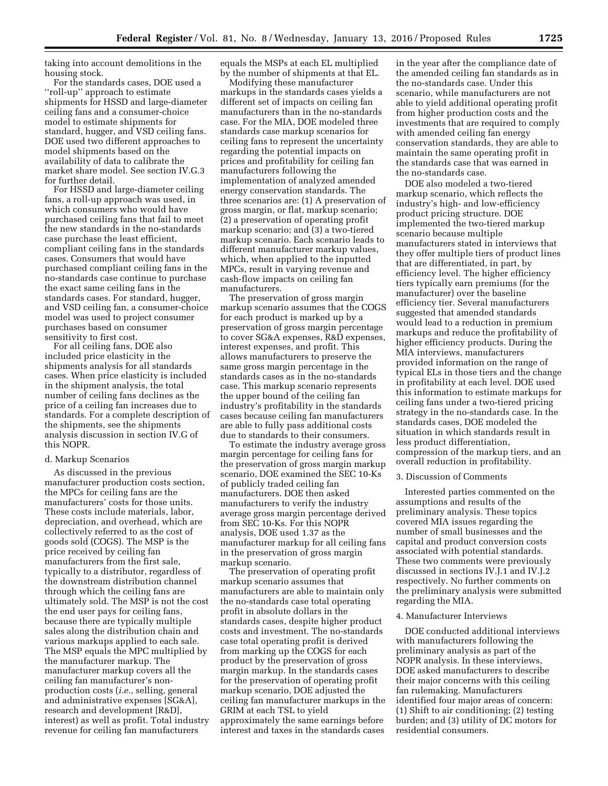taking into account demolitions in the housing stock.

For the standards cases, DOE used a ''roll-up'' approach to estimate shipments for HSSD and large-diameter ceiling fans and a consumer-choice model to estimate shipments for standard, hugger, and VSD ceiling fans. DOE used two different approaches to model shipments based on the availability of data to calibrate the market share model. See section IV.G.3 for further detail.

For HSSD and large-diameter ceiling fans, a roll-up approach was used, in which consumers who would have purchased ceiling fans that fail to meet the new standards in the no-standards case purchase the least efficient, compliant ceiling fans in the standards cases. Consumers that would have purchased compliant ceiling fans in the no-standards case continue to purchase the exact same ceiling fans in the standards cases. For standard, hugger, and VSD ceiling fan, a consumer-choice model was used to project consumer purchases based on consumer sensitivity to first cost.

For all ceiling fans, DOE also included price elasticity in the shipments analysis for all standards cases. When price elasticity is included in the shipment analysis, the total number of ceiling fans declines as the price of a ceiling fan increases due to standards. For a complete description of the shipments, see the shipments analysis discussion in section IV.G of this NOPR.

### d. Markup Scenarios

As discussed in the previous manufacturer production costs section, the MPCs for ceiling fans are the manufacturers' costs for those units. These costs include materials, labor, depreciation, and overhead, which are collectively referred to as the cost of goods sold (COGS). The MSP is the price received by ceiling fan manufacturers from the first sale, typically to a distributor, regardless of the downstream distribution channel through which the ceiling fans are ultimately sold. The MSP is not the cost the end user pays for ceiling fans, because there are typically multiple sales along the distribution chain and various markups applied to each sale. The MSP equals the MPC multiplied by the manufacturer markup. The manufacturer markup covers all the ceiling fan manufacturer's nonproduction costs (*i.e.,* selling, general and administrative expenses [SG&A], research and development [R&D], interest) as well as profit. Total industry revenue for ceiling fan manufacturers

equals the MSPs at each EL multiplied by the number of shipments at that EL.

Modifying these manufacturer markups in the standards cases yields a different set of impacts on ceiling fan manufacturers than in the no-standards case. For the MIA, DOE modeled three standards case markup scenarios for ceiling fans to represent the uncertainty regarding the potential impacts on prices and profitability for ceiling fan manufacturers following the implementation of analyzed amended energy conservation standards. The three scenarios are: (1) A preservation of gross margin, or flat, markup scenario; (2) a preservation of operating profit markup scenario; and (3) a two-tiered markup scenario. Each scenario leads to different manufacturer markup values, which, when applied to the inputted MPCs, result in varying revenue and cash-flow impacts on ceiling fan manufacturers.

The preservation of gross margin markup scenario assumes that the COGS for each product is marked up by a preservation of gross margin percentage to cover SG&A expenses, R&D expenses, interest expenses, and profit. This allows manufacturers to preserve the same gross margin percentage in the standards cases as in the no-standards case. This markup scenario represents the upper bound of the ceiling fan industry's profitability in the standards cases because ceiling fan manufacturers are able to fully pass additional costs due to standards to their consumers.

To estimate the industry average gross margin percentage for ceiling fans for the preservation of gross margin markup scenario, DOE examined the SEC 10-Ks of publicly traded ceiling fan manufacturers. DOE then asked manufacturers to verify the industry average gross margin percentage derived from SEC 10-Ks. For this NOPR analysis, DOE used 1.37 as the manufacturer markup for all ceiling fans in the preservation of gross margin markup scenario.

The preservation of operating profit markup scenario assumes that manufacturers are able to maintain only the no-standards case total operating profit in absolute dollars in the standards cases, despite higher product costs and investment. The no-standards case total operating profit is derived from marking up the COGS for each product by the preservation of gross margin markup. In the standards cases for the preservation of operating profit markup scenario, DOE adjusted the ceiling fan manufacturer markups in the GRIM at each TSL to yield approximately the same earnings before interest and taxes in the standards cases

in the year after the compliance date of the amended ceiling fan standards as in the no-standards case. Under this scenario, while manufacturers are not able to yield additional operating profit from higher production costs and the investments that are required to comply with amended ceiling fan energy conservation standards, they are able to maintain the same operating profit in the standards case that was earned in the no-standards case.

DOE also modeled a two-tiered markup scenario, which reflects the industry's high- and low-efficiency product pricing structure. DOE implemented the two-tiered markup scenario because multiple manufacturers stated in interviews that they offer multiple tiers of product lines that are differentiated, in part, by efficiency level. The higher efficiency tiers typically earn premiums (for the manufacturer) over the baseline efficiency tier. Several manufacturers suggested that amended standards would lead to a reduction in premium markups and reduce the profitability of higher efficiency products. During the MIA interviews, manufacturers provided information on the range of typical ELs in those tiers and the change in profitability at each level. DOE used this information to estimate markups for ceiling fans under a two-tiered pricing strategy in the no-standards case. In the standards cases, DOE modeled the situation in which standards result in less product differentiation, compression of the markup tiers, and an overall reduction in profitability.

#### 3. Discussion of Comments

Interested parties commented on the assumptions and results of the preliminary analysis. These topics covered MIA issues regarding the number of small businesses and the capital and product conversion costs associated with potential standards. These two comments were previously discussed in sections IV.J.1 and IV.J.2 respectively. No further comments on the preliminary analysis were submitted regarding the MIA.

#### 4. Manufacturer Interviews

DOE conducted additional interviews with manufacturers following the preliminary analysis as part of the NOPR analysis. In these interviews, DOE asked manufacturers to describe their major concerns with this ceiling fan rulemaking. Manufacturers identified four major areas of concern: (1) Shift to air conditioning; (2) testing burden; and (3) utility of DC motors for residential consumers.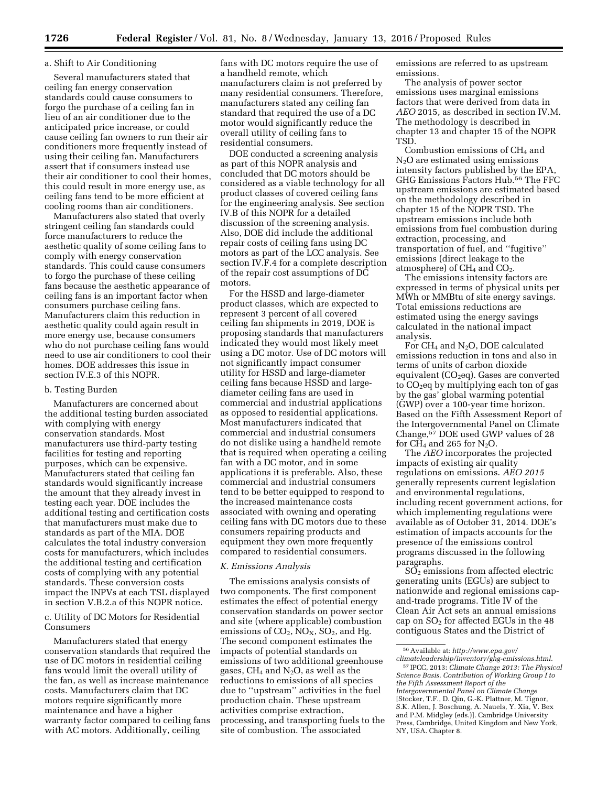### a. Shift to Air Conditioning

Several manufacturers stated that ceiling fan energy conservation standards could cause consumers to forgo the purchase of a ceiling fan in lieu of an air conditioner due to the anticipated price increase, or could cause ceiling fan owners to run their air conditioners more frequently instead of using their ceiling fan. Manufacturers assert that if consumers instead use their air conditioner to cool their homes, this could result in more energy use, as ceiling fans tend to be more efficient at cooling rooms than air conditioners.

Manufacturers also stated that overly stringent ceiling fan standards could force manufacturers to reduce the aesthetic quality of some ceiling fans to comply with energy conservation standards. This could cause consumers to forgo the purchase of these ceiling fans because the aesthetic appearance of ceiling fans is an important factor when consumers purchase ceiling fans. Manufacturers claim this reduction in aesthetic quality could again result in more energy use, because consumers who do not purchase ceiling fans would need to use air conditioners to cool their homes. DOE addresses this issue in section IV.E.3 of this NOPR.

### b. Testing Burden

Manufacturers are concerned about the additional testing burden associated with complying with energy conservation standards. Most manufacturers use third-party testing facilities for testing and reporting purposes, which can be expensive. Manufacturers stated that ceiling fan standards would significantly increase the amount that they already invest in testing each year. DOE includes the additional testing and certification costs that manufacturers must make due to standards as part of the MIA. DOE calculates the total industry conversion costs for manufacturers, which includes the additional testing and certification costs of complying with any potential standards. These conversion costs impact the INPVs at each TSL displayed in section V.B.2.a of this NOPR notice.

c. Utility of DC Motors for Residential Consumers

Manufacturers stated that energy conservation standards that required the use of DC motors in residential ceiling fans would limit the overall utility of the fan, as well as increase maintenance costs. Manufacturers claim that DC motors require significantly more maintenance and have a higher warranty factor compared to ceiling fans with AC motors. Additionally, ceiling

fans with DC motors require the use of a handheld remote, which manufacturers claim is not preferred by many residential consumers. Therefore, manufacturers stated any ceiling fan standard that required the use of a DC motor would significantly reduce the overall utility of ceiling fans to residential consumers.

DOE conducted a screening analysis as part of this NOPR analysis and concluded that DC motors should be considered as a viable technology for all product classes of covered ceiling fans for the engineering analysis. See section IV.B of this NOPR for a detailed discussion of the screening analysis. Also, DOE did include the additional repair costs of ceiling fans using DC motors as part of the LCC analysis. See section IV.F.4 for a complete description of the repair cost assumptions of DC motors.

For the HSSD and large-diameter product classes, which are expected to represent 3 percent of all covered ceiling fan shipments in 2019, DOE is proposing standards that manufacturers indicated they would most likely meet using a DC motor. Use of DC motors will not significantly impact consumer utility for HSSD and large-diameter ceiling fans because HSSD and largediameter ceiling fans are used in commercial and industrial applications as opposed to residential applications. Most manufacturers indicated that commercial and industrial consumers do not dislike using a handheld remote that is required when operating a ceiling fan with a DC motor, and in some applications it is preferable. Also, these commercial and industrial consumers tend to be better equipped to respond to the increased maintenance costs associated with owning and operating ceiling fans with DC motors due to these consumers repairing products and equipment they own more frequently compared to residential consumers.

#### *K. Emissions Analysis*

The emissions analysis consists of two components. The first component estimates the effect of potential energy conservation standards on power sector and site (where applicable) combustion emissions of  $CO<sub>2</sub>$ ,  $NO<sub>X</sub>$ ,  $SO<sub>2</sub>$ , and Hg. The second component estimates the impacts of potential standards on emissions of two additional greenhouse gases,  $CH_4$  and  $N_2O$ , as well as the reductions to emissions of all species due to ''upstream'' activities in the fuel production chain. These upstream activities comprise extraction, processing, and transporting fuels to the site of combustion. The associated

emissions are referred to as upstream emissions.

The analysis of power sector emissions uses marginal emissions factors that were derived from data in *AEO* 2015*,* as described in section IV.M. The methodology is described in chapter 13 and chapter 15 of the NOPR TSD.

Combustion emissions of CH<sub>4</sub> and  $N<sub>2</sub>O$  are estimated using emissions intensity factors published by the EPA, GHG Emissions Factors Hub.56 The FFC upstream emissions are estimated based on the methodology described in chapter 15 of the NOPR TSD. The upstream emissions include both emissions from fuel combustion during extraction, processing, and transportation of fuel, and ''fugitive'' emissions (direct leakage to the atmosphere) of  $CH<sub>4</sub>$  and  $CO<sub>2</sub>$ .

The emissions intensity factors are expressed in terms of physical units per MWh or MMBtu of site energy savings. Total emissions reductions are estimated using the energy savings calculated in the national impact analysis.

For CH<sub>4</sub> and N<sub>2</sub>O, DOE calculated emissions reduction in tons and also in terms of units of carbon dioxide equivalent (CO<sub>2</sub>eq). Gases are converted to  $CO<sub>2</sub>$ eq by multiplying each ton of gas by the gas' global warming potential (GWP) over a 100-year time horizon. Based on the Fifth Assessment Report of the Intergovernmental Panel on Climate Change,57 DOE used GWP values of 28 for  $CH_4$  and 265 for N<sub>2</sub>O.

The *AEO* incorporates the projected impacts of existing air quality regulations on emissions. *AEO 2015*  generally represents current legislation and environmental regulations, including recent government actions, for which implementing regulations were available as of October 31, 2014. DOE's estimation of impacts accounts for the presence of the emissions control programs discussed in the following paragraphs.

 $SO<sub>2</sub>$  emissions from affected electric generating units (EGUs) are subject to nationwide and regional emissions capand-trade programs. Title IV of the Clean Air Act sets an annual emissions cap on  $SO<sub>2</sub>$  for affected EGUs in the 48 contiguous States and the District of

<sup>56</sup>Available at: *[http://www.epa.gov/](http://www.epa.gov/climateleadership/inventory/ghg-emissions.html)*

*[climateleadership/inventory/ghg-emissions.html.](http://www.epa.gov/climateleadership/inventory/ghg-emissions.html)*  57 IPCC, 2013: *Climate Change 2013: The Physical Science Basis. Contribution of Working Group I to the Fifth Assessment Report of the Intergovernmental Panel on Climate Change*  [Stocker, T.F., D. Qin, G.-K. Plattner, M. Tignor, S.K. Allen, J. Boschung, A. Nauels, Y. Xia, V. Bex and P.M. Midgley (eds.)]. Cambridge University Press, Cambridge, United Kingdom and New York, NY, USA. Chapter 8.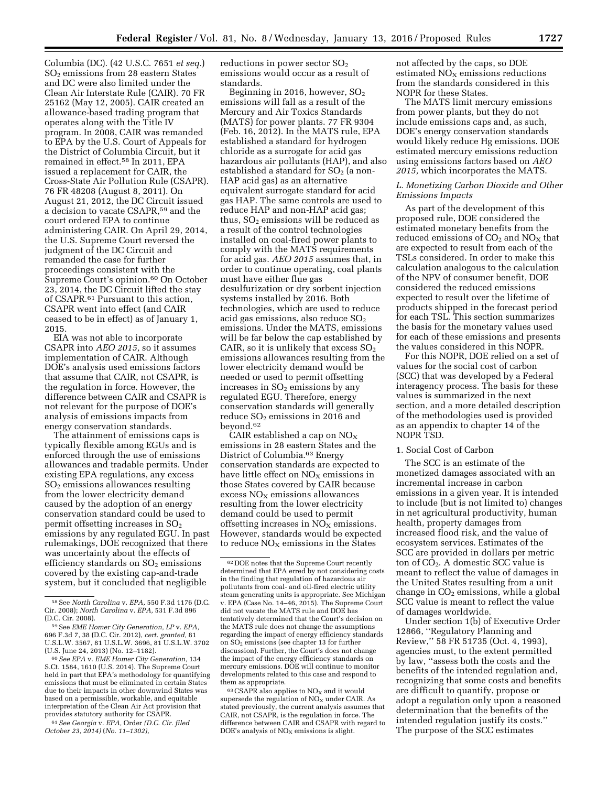Columbia (DC). (42 U.S.C. 7651 *et seq.*)  $SO<sub>2</sub>$  emissions from 28 eastern States and DC were also limited under the Clean Air Interstate Rule (CAIR). 70 FR 25162 (May 12, 2005). CAIR created an allowance-based trading program that operates along with the Title IV program. In 2008, CAIR was remanded to EPA by the U.S. Court of Appeals for the District of Columbia Circuit, but it remained in effect.58 In 2011, EPA issued a replacement for CAIR, the Cross-State Air Pollution Rule (CSAPR). 76 FR 48208 (August 8, 2011). On August 21, 2012, the DC Circuit issued a decision to vacate CSAPR,59 and the court ordered EPA to continue administering CAIR. On April 29, 2014, the U.S. Supreme Court reversed the judgment of the DC Circuit and remanded the case for further proceedings consistent with the Supreme Court's opinion.<sup>60</sup> On October 23, 2014, the DC Circuit lifted the stay of CSAPR.61 Pursuant to this action, CSAPR went into effect (and CAIR ceased to be in effect) as of January 1, 2015.

EIA was not able to incorporate CSAPR into *AEO 2015,* so it assumes implementation of CAIR. Although DOE's analysis used emissions factors that assume that CAIR, not CSAPR, is the regulation in force. However, the difference between CAIR and CSAPR is not relevant for the purpose of DOE's analysis of emissions impacts from energy conservation standards.

The attainment of emissions caps is typically flexible among EGUs and is enforced through the use of emissions allowances and tradable permits. Under existing EPA regulations, any excess  $SO<sub>2</sub>$  emissions allowances resulting from the lower electricity demand caused by the adoption of an energy conservation standard could be used to permit offsetting increases in  $SO<sub>2</sub>$ emissions by any regulated EGU. In past rulemakings, DOE recognized that there was uncertainty about the effects of efficiency standards on  $SO<sub>2</sub>$  emissions covered by the existing cap-and-trade system, but it concluded that negligible

61*See Georgia* v. *EPA,* Order *(D.C. Cir. filed October 23, 2014)* (*No. 11–1302),* 

reductions in power sector SO2 emissions would occur as a result of standards.

Beginning in 2016, however,  $SO<sub>2</sub>$ emissions will fall as a result of the Mercury and Air Toxics Standards (MATS) for power plants. 77 FR 9304 (Feb. 16, 2012). In the MATS rule, EPA established a standard for hydrogen chloride as a surrogate for acid gas hazardous air pollutants (HAP), and also established a standard for  $SO<sub>2</sub>$  (a non-HAP acid gas) as an alternative equivalent surrogate standard for acid gas HAP. The same controls are used to reduce HAP and non-HAP acid gas; thus,  $SO<sub>2</sub>$  emissions will be reduced as a result of the control technologies installed on coal-fired power plants to comply with the MATS requirements for acid gas. *AEO 2015* assumes that, in order to continue operating, coal plants must have either flue gas desulfurization or dry sorbent injection systems installed by 2016. Both technologies, which are used to reduce acid gas emissions, also reduce  $SO<sub>2</sub>$ emissions. Under the MATS, emissions will be far below the cap established by CAIR, so it is unlikely that excess  $SO<sub>2</sub>$ emissions allowances resulting from the lower electricity demand would be needed or used to permit offsetting increases in  $SO<sub>2</sub>$  emissions by any regulated EGU. Therefore, energy conservation standards will generally reduce  $SO<sub>2</sub>$  emissions in 2016 and beyond.62

CAIR established a cap on  $NO<sub>x</sub>$ emissions in 28 eastern States and the District of Columbia.63 Energy conservation standards are expected to have little effect on  $NO<sub>x</sub>$  emissions in those States covered by CAIR because  $excess NO<sub>X</sub>$  emissions allowances resulting from the lower electricity demand could be used to permit offsetting increases in  $NO<sub>x</sub>$  emissions. However, standards would be expected to reduce  $NO<sub>x</sub>$  emissions in the States

 $63$  CSAPR also applies to  $NO<sub>X</sub>$  and it would supersede the regulation of  $NO<sub>x</sub>$  under CAIR. As stated previously, the current analysis assumes that CAIR, not CSAPR, is the regulation in force. The difference between CAIR and CSAPR with regard to DOE's analysis of  $NO<sub>x</sub>$  emissions is slight.

not affected by the caps, so DOE estimated  $NO<sub>x</sub>$  emissions reductions from the standards considered in this NOPR for these States.

The MATS limit mercury emissions from power plants, but they do not include emissions caps and, as such, DOE's energy conservation standards would likely reduce Hg emissions. DOE estimated mercury emissions reduction using emissions factors based on *AEO 2015,* which incorporates the MATS.

## *L. Monetizing Carbon Dioxide and Other Emissions Impacts*

As part of the development of this proposed rule, DOE considered the estimated monetary benefits from the reduced emissions of  $CO<sub>2</sub>$  and  $NO<sub>X</sub>$  that are expected to result from each of the TSLs considered. In order to make this calculation analogous to the calculation of the NPV of consumer benefit, DOE considered the reduced emissions expected to result over the lifetime of products shipped in the forecast period for each TSL. This section summarizes the basis for the monetary values used for each of these emissions and presents the values considered in this NOPR.

For this NOPR, DOE relied on a set of values for the social cost of carbon (SCC) that was developed by a Federal interagency process. The basis for these values is summarized in the next section, and a more detailed description of the methodologies used is provided as an appendix to chapter 14 of the NOPR TSD.

#### 1. Social Cost of Carbon

The SCC is an estimate of the monetized damages associated with an incremental increase in carbon emissions in a given year. It is intended to include (but is not limited to) changes in net agricultural productivity, human health, property damages from increased flood risk, and the value of ecosystem services. Estimates of the SCC are provided in dollars per metric ton of  $CO<sub>2</sub>$ . A domestic SCC value is meant to reflect the value of damages in the United States resulting from a unit change in  $CO<sub>2</sub>$  emissions, while a global SCC value is meant to reflect the value of damages worldwide.

Under section 1(b) of Executive Order 12866, ''Regulatory Planning and Review,'' 58 FR 51735 (Oct. 4, 1993), agencies must, to the extent permitted by law, ''assess both the costs and the benefits of the intended regulation and, recognizing that some costs and benefits are difficult to quantify, propose or adopt a regulation only upon a reasoned determination that the benefits of the intended regulation justify its costs.'' The purpose of the SCC estimates

<sup>58</sup>See *North Carolina* v. *EPA,* 550 F.3d 1176 (D.C. Cir. 2008); *North Carolina* v. *EPA,* 531 F.3d 896 (D.C. Cir. 2008).

<sup>59</sup>See *EME Homer City Generation, LP* v. *EPA,*  696 F.3d 7, 38 (D.C. Cir. 2012), *cert. granted,* 81 U.S.L.W. 3567, 81 U.S.L.W. 3696, 81 U.S.L.W. 3702 (U.S. June 24, 2013) (No. 12–1182).

<sup>60</sup>*See EPA* v. *EME Homer City Generation,* 134 S.Ct. 1584, 1610 (U.S. 2014). The Supreme Court held in part that EPA's methodology for quantifying emissions that must be eliminated in certain States due to their impacts in other downwind States was based on a permissible, workable, and equitable interpretation of the Clean Air Act provision that provides statutory authority for CSAPR.

<sup>62</sup> DOE notes that the Supreme Court recently determined that EPA erred by not considering costs in the finding that regulation of hazardous air pollutants from coal- and oil-fired electric utility steam generating units is appropriate. See Michigan v. EPA (Case No. 14–46, 2015). The Supreme Court did not vacate the MATS rule and DOE has tentatively determined that the Court's decision on the MATS rule does not change the assumptions regarding the impact of energy efficiency standards on SO2 emissions (see chapter 13 for further discussion). Further, the Court's does not change the impact of the energy efficiency standards on mercury emissions. DOE will continue to monitor developments related to this case and respond to them as appropriate.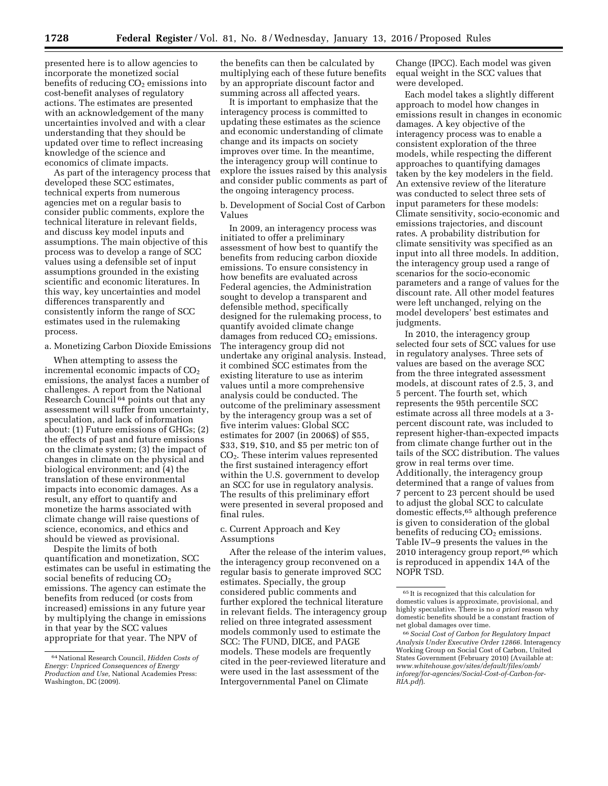presented here is to allow agencies to incorporate the monetized social benefits of reducing  $CO<sub>2</sub>$  emissions into cost-benefit analyses of regulatory actions. The estimates are presented with an acknowledgement of the many uncertainties involved and with a clear understanding that they should be updated over time to reflect increasing knowledge of the science and economics of climate impacts.

As part of the interagency process that developed these SCC estimates, technical experts from numerous agencies met on a regular basis to consider public comments, explore the technical literature in relevant fields, and discuss key model inputs and assumptions. The main objective of this process was to develop a range of SCC values using a defensible set of input assumptions grounded in the existing scientific and economic literatures. In this way, key uncertainties and model differences transparently and consistently inform the range of SCC estimates used in the rulemaking process.

#### a. Monetizing Carbon Dioxide Emissions

When attempting to assess the incremental economic impacts of CO<sub>2</sub> emissions, the analyst faces a number of challenges. A report from the National Research Council 64 points out that any assessment will suffer from uncertainty, speculation, and lack of information about: (1) Future emissions of GHGs; (2) the effects of past and future emissions on the climate system; (3) the impact of changes in climate on the physical and biological environment; and (4) the translation of these environmental impacts into economic damages. As a result, any effort to quantify and monetize the harms associated with climate change will raise questions of science, economics, and ethics and should be viewed as provisional.

Despite the limits of both quantification and monetization, SCC estimates can be useful in estimating the social benefits of reducing CO<sub>2</sub> emissions. The agency can estimate the benefits from reduced (or costs from increased) emissions in any future year by multiplying the change in emissions in that year by the SCC values appropriate for that year. The NPV of

the benefits can then be calculated by multiplying each of these future benefits by an appropriate discount factor and summing across all affected years.

It is important to emphasize that the interagency process is committed to updating these estimates as the science and economic understanding of climate change and its impacts on society improves over time. In the meantime, the interagency group will continue to explore the issues raised by this analysis and consider public comments as part of the ongoing interagency process.

b. Development of Social Cost of Carbon Values

In 2009, an interagency process was initiated to offer a preliminary assessment of how best to quantify the benefits from reducing carbon dioxide emissions. To ensure consistency in how benefits are evaluated across Federal agencies, the Administration sought to develop a transparent and defensible method, specifically designed for the rulemaking process, to quantify avoided climate change damages from reduced  $CO<sub>2</sub>$  emissions. The interagency group did not undertake any original analysis. Instead, it combined SCC estimates from the existing literature to use as interim values until a more comprehensive analysis could be conducted. The outcome of the preliminary assessment by the interagency group was a set of five interim values: Global SCC estimates for 2007 (in 2006\$) of \$55, \$33, \$19, \$10, and \$5 per metric ton of CO2. These interim values represented the first sustained interagency effort within the U.S. government to develop an SCC for use in regulatory analysis. The results of this preliminary effort were presented in several proposed and final rules.

### c. Current Approach and Key Assumptions

After the release of the interim values, the interagency group reconvened on a regular basis to generate improved SCC estimates. Specially, the group considered public comments and further explored the technical literature in relevant fields. The interagency group relied on three integrated assessment models commonly used to estimate the SCC: The FUND, DICE, and PAGE models. These models are frequently cited in the peer-reviewed literature and were used in the last assessment of the Intergovernmental Panel on Climate

Change (IPCC). Each model was given equal weight in the SCC values that were developed.

Each model takes a slightly different approach to model how changes in emissions result in changes in economic damages. A key objective of the interagency process was to enable a consistent exploration of the three models, while respecting the different approaches to quantifying damages taken by the key modelers in the field. An extensive review of the literature was conducted to select three sets of input parameters for these models: Climate sensitivity, socio-economic and emissions trajectories, and discount rates. A probability distribution for climate sensitivity was specified as an input into all three models. In addition, the interagency group used a range of scenarios for the socio-economic parameters and a range of values for the discount rate. All other model features were left unchanged, relying on the model developers' best estimates and judgments.

In 2010, the interagency group selected four sets of SCC values for use in regulatory analyses. Three sets of values are based on the average SCC from the three integrated assessment models, at discount rates of 2.5, 3, and 5 percent. The fourth set, which represents the 95th percentile SCC estimate across all three models at a 3 percent discount rate, was included to represent higher-than-expected impacts from climate change further out in the tails of the SCC distribution. The values grow in real terms over time. Additionally, the interagency group determined that a range of values from 7 percent to 23 percent should be used to adjust the global SCC to calculate domestic effects,65 although preference is given to consideration of the global benefits of reducing  $CO<sub>2</sub>$  emissions. Table IV–9 presents the values in the 2010 interagency group report,66 which is reproduced in appendix 14A of the NOPR TSD.

<sup>64</sup>National Research Council, *Hidden Costs of Energy: Unpriced Consequences of Energy Production and Use,* National Academies Press: Washington, DC (2009).

 $\rm ^{65}$  It is recognized that this calculation for domestic values is approximate, provisional, and highly speculative. There is no *a priori* reason why domestic benefits should be a constant fraction of net global damages over time.

<sup>66</sup>*Social Cost of Carbon for Regulatory Impact Analysis Under Executive Order 12866.* Interagency Working Group on Social Cost of Carbon, United States Government (February 2010) (Available at: *[www.whitehouse.gov/sites/default/files/omb/](http://www.whitehouse.gov/sites/default/files/omb/inforeg/for-agencies/Social-Cost-of-Carbon-for-RIA.pdf) [inforeg/for-agencies/Social-Cost-of-Carbon-for-](http://www.whitehouse.gov/sites/default/files/omb/inforeg/for-agencies/Social-Cost-of-Carbon-for-RIA.pdf)[RIA.pdf](http://www.whitehouse.gov/sites/default/files/omb/inforeg/for-agencies/Social-Cost-of-Carbon-for-RIA.pdf)*).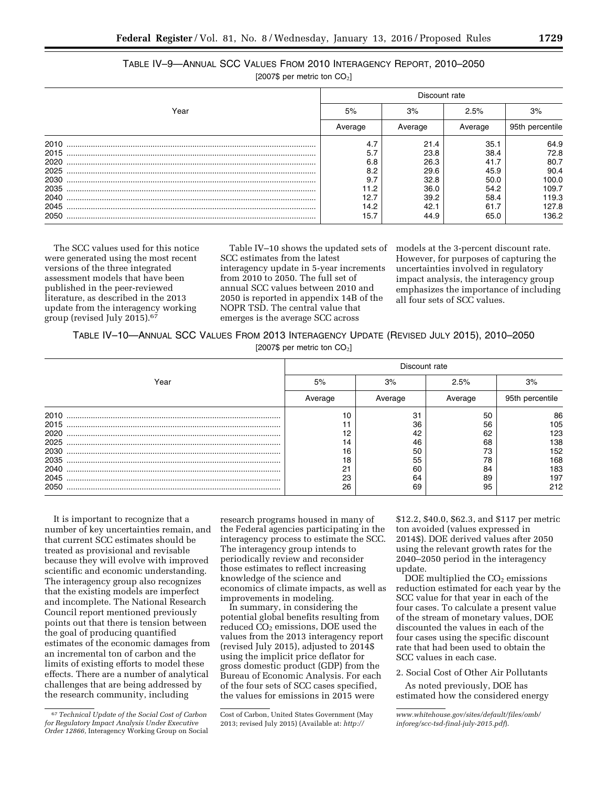# TABLE IV–9—ANNUAL SCC VALUES FROM 2010 INTERAGENCY REPORT, 2010–2050

[2007\$ per metric ton  $CO<sub>2</sub>$ ]

|      | Discount rate |         |         |                 |  |
|------|---------------|---------|---------|-----------------|--|
| Year | 5%            | 3%      | 2.5%    | 3%              |  |
|      | Average       | Average | Average | 95th percentile |  |
| 2010 | 4.7           | 21.4    | 35.1    | 64.9            |  |
| 2015 | 5.7           | 23.8    | 38.4    | 72.8            |  |
| 2020 | 6.8           | 26.3    | 41.7    | 80.7            |  |
| 2025 | 8.2           | 29.6    | 45.9    | 90.4            |  |
| 2030 | 9.7           | 32.8    | 50.0    | 100.0           |  |
| 2035 | 1.2           | 36.0    | 54.2    | 109.7           |  |
| 2040 | 12.7          | 39.2    | 58.4    | 119.3           |  |
| 2045 | 14.2          | 42.1    | 61.7    | 127.8           |  |
| 2050 | 15.7          | 44.9    | 65.0    | 136.2           |  |

The SCC values used for this notice were generated using the most recent versions of the three integrated assessment models that have been published in the peer-reviewed literature, as described in the 2013 update from the interagency working group (revised July 2015).67

Table IV–10 shows the updated sets of SCC estimates from the latest interagency update in 5-year increments from 2010 to 2050. The full set of annual SCC values between 2010 and 2050 is reported in appendix 14B of the NOPR TSD. The central value that emerges is the average SCC across

models at the 3-percent discount rate. However, for purposes of capturing the uncertainties involved in regulatory impact analysis, the interagency group emphasizes the importance of including all four sets of SCC values.

TABLE IV–10—ANNUAL SCC VALUES FROM 2013 INTERAGENCY UPDATE (REVISED JULY 2015), 2010–2050  $[20076$  per metric ton  $[0.1]$ 

| $\left[2007\right]$ per metric ton CO <sub>2</sub> |  |  |
|----------------------------------------------------|--|--|
|                                                    |  |  |

|      | Discount rate |         |         |                 |  |  |  |
|------|---------------|---------|---------|-----------------|--|--|--|
| Year | 5%            | 3%      | 2.5%    | 3%              |  |  |  |
|      | Average       | Average | Average | 95th percentile |  |  |  |
| 2010 |               | 31      | 50      | 86              |  |  |  |
| 2015 |               | 36      | 56      | 105             |  |  |  |
| 2020 |               | 42      | 62      | 123             |  |  |  |
| 2025 | 14            | 46      | 68      | 138             |  |  |  |
| 2030 | 16            | 50      | 73      | 152             |  |  |  |
| 2035 | 18            | 55      | 78      | 168             |  |  |  |
|      | 21            | 60      | 84      | 183             |  |  |  |
| 2045 | 23            | 64      | 89      | 197             |  |  |  |
| 2050 | 26            | 69      | 95      | 212             |  |  |  |

It is important to recognize that a number of key uncertainties remain, and that current SCC estimates should be treated as provisional and revisable because they will evolve with improved scientific and economic understanding. The interagency group also recognizes that the existing models are imperfect and incomplete. The National Research Council report mentioned previously points out that there is tension between the goal of producing quantified estimates of the economic damages from an incremental ton of carbon and the limits of existing efforts to model these effects. There are a number of analytical challenges that are being addressed by the research community, including

research programs housed in many of the Federal agencies participating in the interagency process to estimate the SCC. The interagency group intends to periodically review and reconsider those estimates to reflect increasing knowledge of the science and economics of climate impacts, as well as improvements in modeling.

In summary, in considering the potential global benefits resulting from  $reduced CO<sub>2</sub> emissions, DOE used the$ values from the 2013 interagency report (revised July 2015), adjusted to 2014\$ using the implicit price deflator for gross domestic product (GDP) from the Bureau of Economic Analysis. For each of the four sets of SCC cases specified, the values for emissions in 2015 were

\$12.2, \$40.0, \$62.3, and \$117 per metric ton avoided (values expressed in 2014\$). DOE derived values after 2050 using the relevant growth rates for the 2040–2050 period in the interagency update.

DOE multiplied the  $CO<sub>2</sub>$  emissions reduction estimated for each year by the SCC value for that year in each of the four cases. To calculate a present value of the stream of monetary values, DOE discounted the values in each of the four cases using the specific discount rate that had been used to obtain the SCC values in each case.

2. Social Cost of Other Air Pollutants

As noted previously, DOE has estimated how the considered energy

<sup>67</sup>*Technical Update of the Social Cost of Carbon for Regulatory Impact Analysis Under Executive Order 12866,* Interagency Working Group on Social

Cost of Carbon, United States Government (May 2013; revised July 2015) (Available at: *[http://](http://www.whitehouse.gov/sites/default/files/omb/inforeg/scc-tsd-final-july-2015.pdf)*

*[www.whitehouse.gov/sites/default/files/omb/](http://www.whitehouse.gov/sites/default/files/omb/inforeg/scc-tsd-final-july-2015.pdf) [inforeg/scc-tsd-final-july-2015.pdf](http://www.whitehouse.gov/sites/default/files/omb/inforeg/scc-tsd-final-july-2015.pdf)*).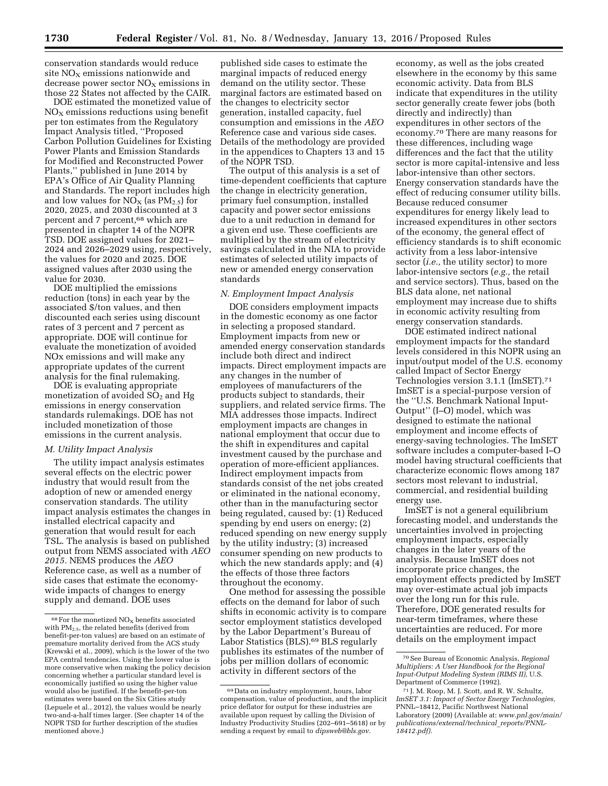conservation standards would reduce site  $NO<sub>x</sub>$  emissions nationwide and decrease power sector  $NO<sub>x</sub>$  emissions in those 22 States not affected by the CAIR.

DOE estimated the monetized value of  $NO<sub>x</sub>$  emissions reductions using benefit per ton estimates from the Regulatory Impact Analysis titled, ''Proposed Carbon Pollution Guidelines for Existing Power Plants and Emission Standards for Modified and Reconstructed Power Plants,'' published in June 2014 by EPA's Office of Air Quality Planning and Standards. The report includes high and low values for  $NO<sub>X</sub>$  (as  $PM<sub>2.5</sub>$ ) for 2020, 2025, and 2030 discounted at 3 percent and 7 percent,<sup>68</sup> which are presented in chapter 14 of the NOPR TSD. DOE assigned values for 2021– 2024 and 2026–2029 using, respectively, the values for 2020 and 2025. DOE assigned values after 2030 using the value for 2030.

DOE multiplied the emissions reduction (tons) in each year by the associated \$/ton values, and then discounted each series using discount rates of 3 percent and 7 percent as appropriate. DOE will continue for evaluate the monetization of avoided NOx emissions and will make any appropriate updates of the current analysis for the final rulemaking.

DOE is evaluating appropriate monetization of avoided  $SO<sub>2</sub>$  and Hg emissions in energy conservation standards rulemakings. DOE has not included monetization of those emissions in the current analysis.

#### *M. Utility Impact Analysis*

The utility impact analysis estimates several effects on the electric power industry that would result from the adoption of new or amended energy conservation standards. The utility impact analysis estimates the changes in installed electrical capacity and generation that would result for each TSL. The analysis is based on published output from NEMS associated with *AEO 2015.* NEMS produces the *AEO*  Reference case, as well as a number of side cases that estimate the economywide impacts of changes to energy supply and demand. DOE uses

published side cases to estimate the marginal impacts of reduced energy demand on the utility sector. These marginal factors are estimated based on the changes to electricity sector generation, installed capacity, fuel consumption and emissions in the *AEO*  Reference case and various side cases. Details of the methodology are provided in the appendices to Chapters 13 and 15 of the NOPR TSD.

The output of this analysis is a set of time-dependent coefficients that capture the change in electricity generation, primary fuel consumption, installed capacity and power sector emissions due to a unit reduction in demand for a given end use. These coefficients are multiplied by the stream of electricity savings calculated in the NIA to provide estimates of selected utility impacts of new or amended energy conservation standards

### *N. Employment Impact Analysis*

DOE considers employment impacts in the domestic economy as one factor in selecting a proposed standard. Employment impacts from new or amended energy conservation standards include both direct and indirect impacts. Direct employment impacts are any changes in the number of employees of manufacturers of the products subject to standards, their suppliers, and related service firms. The MIA addresses those impacts. Indirect employment impacts are changes in national employment that occur due to the shift in expenditures and capital investment caused by the purchase and operation of more-efficient appliances. Indirect employment impacts from standards consist of the net jobs created or eliminated in the national economy, other than in the manufacturing sector being regulated, caused by: (1) Reduced spending by end users on energy; (2) reduced spending on new energy supply by the utility industry; (3) increased consumer spending on new products to which the new standards apply; and (4) the effects of those three factors throughout the economy.

One method for assessing the possible effects on the demand for labor of such shifts in economic activity is to compare sector employment statistics developed by the Labor Department's Bureau of Labor Statistics (BLS).69 BLS regularly publishes its estimates of the number of jobs per million dollars of economic activity in different sectors of the

economy, as well as the jobs created elsewhere in the economy by this same economic activity. Data from BLS indicate that expenditures in the utility sector generally create fewer jobs (both directly and indirectly) than expenditures in other sectors of the economy.70 There are many reasons for these differences, including wage differences and the fact that the utility sector is more capital-intensive and less labor-intensive than other sectors. Energy conservation standards have the effect of reducing consumer utility bills. Because reduced consumer expenditures for energy likely lead to increased expenditures in other sectors of the economy, the general effect of efficiency standards is to shift economic activity from a less labor-intensive sector (*i.e.,* the utility sector) to more labor-intensive sectors (*e.g.,* the retail and service sectors). Thus, based on the BLS data alone, net national employment may increase due to shifts in economic activity resulting from energy conservation standards.

DOE estimated indirect national employment impacts for the standard levels considered in this NOPR using an input/output model of the U.S. economy called Impact of Sector Energy Technologies version 3.1.1 (ImSET).71 ImSET is a special-purpose version of the ''U.S. Benchmark National Input-Output'' (I–O) model, which was designed to estimate the national employment and income effects of energy-saving technologies. The ImSET software includes a computer-based I–O model having structural coefficients that characterize economic flows among 187 sectors most relevant to industrial, commercial, and residential building energy use.

ImSET is not a general equilibrium forecasting model, and understands the uncertainties involved in projecting employment impacts, especially changes in the later years of the analysis. Because ImSET does not incorporate price changes, the employment effects predicted by ImSET may over-estimate actual job impacts over the long run for this rule. Therefore, DOE generated results for near-term timeframes, where these uncertainties are reduced. For more details on the employment impact

 $68$  For the monetized NO<sub>X</sub> benefits associated with PM2.5, the related benefits (derived from benefit-per-ton values) are based on an estimate of premature mortality derived from the ACS study (Krewski et al., 2009), which is the lower of the two EPA central tendencies. Using the lower value is more conservative when making the policy decision concerning whether a particular standard level is economically justified so using the higher value would also be justified. If the benefit-per-ton estimates were based on the Six Cities study (Lepuele et al., 2012), the values would be nearly two-and-a-half times larger. (See chapter 14 of the NOPR TSD for further description of the studies mentioned above.)

<sup>69</sup> Data on industry employment, hours, labor compensation, value of production, and the implicit price deflator for output for these industries are available upon request by calling the Division of Industry Productivity Studies (202–691–5618) or by sending a request by email to *[dipsweb@bls.gov.](mailto:dipsweb@bls.gov)* 

<sup>70</sup>See Bureau of Economic Analysis, *Regional Multipliers: A User Handbook for the Regional Input-Output Modeling System (RIMS II),* U.S. Department of Commerce (1992).

<sup>71</sup> J. M. Roop, M. J. Scott, and R. W. Schultz, *ImSET 3.1: Impact of Sector Energy Technologies,*  PNNL–18412, Pacific Northwest National Laboratory (2009) (Available at: *[www.pnl.gov/main/](http://www.pnl.gov/main/publications/external/technical_reports/PNNL-18412.pdf) [publications/external/technical](http://www.pnl.gov/main/publications/external/technical_reports/PNNL-18412.pdf)*\_*reports/PNNL-[18412.pdf\).](http://www.pnl.gov/main/publications/external/technical_reports/PNNL-18412.pdf)*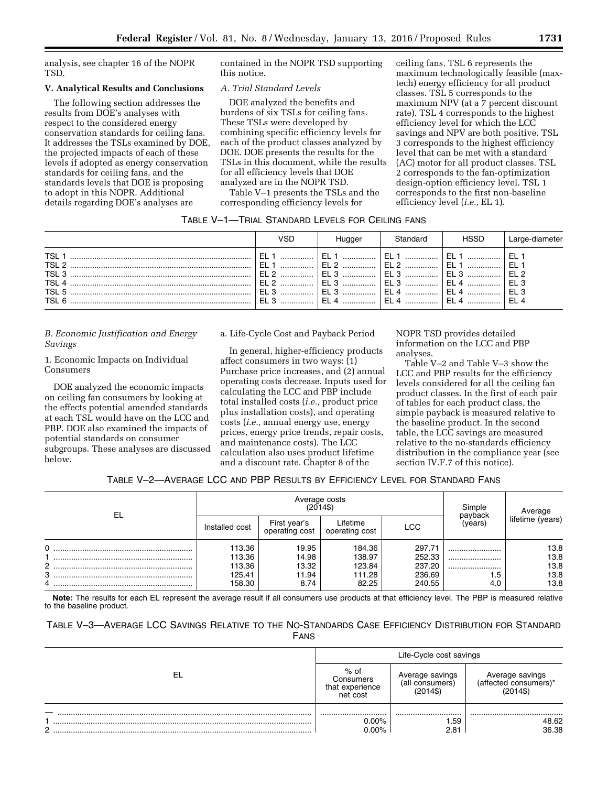analysis, see chapter 16 of the NOPR TSD.

### **V. Analytical Results and Conclusions**

The following section addresses the results from DOE's analyses with respect to the considered energy conservation standards for ceiling fans. It addresses the TSLs examined by DOE, the projected impacts of each of these levels if adopted as energy conservation standards for ceiling fans, and the standards levels that DOE is proposing to adopt in this NOPR. Additional details regarding DOE's analyses are

contained in the NOPR TSD supporting this notice.

### *A. Trial Standard Levels*

DOE analyzed the benefits and burdens of six TSLs for ceiling fans. These TSLs were developed by combining specific efficiency levels for each of the product classes analyzed by DOE. DOE presents the results for the TSLs in this document, while the results for all efficiency levels that DOE analyzed are in the NOPR TSD.

Table V–1 presents the TSLs and the corresponding efficiency levels for

ceiling fans. TSL 6 represents the maximum technologically feasible (maxtech) energy efficiency for all product classes. TSL 5 corresponds to the maximum NPV (at a 7 percent discount rate). TSL 4 corresponds to the highest efficiency level for which the LCC savings and NPV are both positive. TSL 3 corresponds to the highest efficiency level that can be met with a standard (AC) motor for all product classes. TSL 2 corresponds to the fan-optimization design-option efficiency level. TSL 1 corresponds to the first non-baseline efficiency level (*i.e.,* EL 1).

### TABLE V–1—TRIAL STANDARD LEVELS FOR CEILING FANS

|       | VSD                | Hugger | Standard                                                     | HSSD | Large-diameter |
|-------|--------------------|--------|--------------------------------------------------------------|------|----------------|
| TSL 6 | ( EL 1  )<br>FI3 1 |        | EL 2    EL 2    EL 1    EL 1<br>EL 4    EL 4    EL 4    EL 4 |      |                |

*B. Economic Justification and Energy Savings* 

1. Economic Impacts on Individual Consumers

DOE analyzed the economic impacts on ceiling fan consumers by looking at the effects potential amended standards at each TSL would have on the LCC and PBP. DOE also examined the impacts of potential standards on consumer subgroups. These analyses are discussed below.

a. Life-Cycle Cost and Payback Period

In general, higher-efficiency products affect consumers in two ways: (1) Purchase price increases, and (2) annual operating costs decrease. Inputs used for calculating the LCC and PBP include total installed costs (*i.e.,* product price plus installation costs), and operating costs (*i.e.,* annual energy use, energy prices, energy price trends, repair costs, and maintenance costs). The LCC calculation also uses product lifetime and a discount rate. Chapter 8 of the

NOPR TSD provides detailed information on the LCC and PBP analyses.

Table V–2 and Table V–3 show the LCC and PBP results for the efficiency levels considered for all the ceiling fan product classes. In the first of each pair of tables for each product class, the simple payback is measured relative to the baseline product. In the second table, the LCC savings are measured relative to the no-standards efficiency distribution in the compliance year (see section IV.F.7 of this notice).

# TABLE V–2—AVERAGE LCC AND PBP RESULTS BY EFFICIENCY LEVEL FOR STANDARD FANS

| EL          |                                                | Average costs<br>$(2014\$                | Simple                                        | Average                                        |                        |                                      |
|-------------|------------------------------------------------|------------------------------------------|-----------------------------------------------|------------------------------------------------|------------------------|--------------------------------------|
|             | Installed cost                                 | First year's<br>operating cost           | ∟ifetime<br>operating cost                    | LCC                                            | payback<br>(years)     | lifetime (years)                     |
| 0<br>2<br>3 | 113.36<br>113.36<br>113.36<br>125.41<br>158.30 | 19.95<br>14.98<br>13.32<br>11.94<br>8.74 | 184.36<br>138.97<br>123.84<br>111.28<br>82.25 | 297.71<br>252.33<br>237.20<br>236.69<br>240.55 | <br><br><br>1.5<br>4.0 | 13.8<br>13.8<br>13.8<br>13.8<br>13.8 |

**Note:** The results for each EL represent the average result if all consumers use products at that efficiency level. The PBP is measured relative to the baseline product.

# TABLE V–3—AVERAGE LCC SAVINGS RELATIVE TO THE NO-STANDARDS CASE EFFICIENCY DISTRIBUTION FOR STANDARD FANS

|    | Life-Cycle cost savings                            |                                               |                                                     |  |
|----|----------------------------------------------------|-----------------------------------------------|-----------------------------------------------------|--|
| FI | $%$ of<br>Consumers<br>that experience<br>net cost | Average savings<br>(all consumers)<br>2014\$) | Average savings<br>(affected consumers)<br>(2014\$) |  |
|    |                                                    |                                               |                                                     |  |
|    | $0.00\%$                                           | .59                                           | 48.62                                               |  |
| C  | በ በበ%                                              | 2.81                                          | 36.38                                               |  |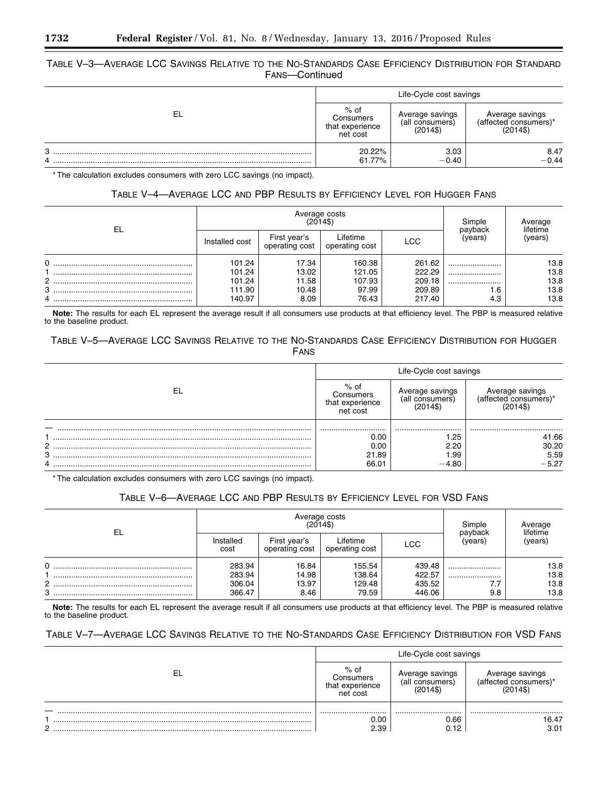# TABLE V–3—AVERAGE LCC SAVINGS RELATIVE TO THE NO-STANDARDS CASE EFFICIENCY DISTRIBUTION FOR STANDARD FANS—Continued

|        | Life-Cycle cost savings                          |                                                |                                                      |  |
|--------|--------------------------------------------------|------------------------------------------------|------------------------------------------------------|--|
| F      | % of<br>Consumers<br>that experience<br>net cost | Average savings<br>(all consumers)<br>$(2014\$ | Average savings<br>(affected consumers)*<br>$(2014\$ |  |
| 3<br>4 | 20.22%<br>61.77%                                 | 3.03<br>$-0.40$                                | 8.47<br>$-0.44$                                      |  |

\* The calculation excludes consumers with zero LCC savings (no impact).

# TABLE V–4—AVERAGE LCC AND PBP RESULTS BY EFFICIENCY LEVEL FOR HUGGER FANS

| EL          | Average costs<br>(2014\$)                      |                                          |                                              |                                                |                        | Average                              |
|-------------|------------------------------------------------|------------------------------------------|----------------------------------------------|------------------------------------------------|------------------------|--------------------------------------|
|             | Installed cost                                 | First year's<br>operating cost           | -ifetime<br>operating cost                   | LCC                                            | payback<br>(vears)     | lifetime<br>(years)                  |
| 0<br>2<br>3 | 101.24<br>101.24<br>101.24<br>111.90<br>140.97 | 17.34<br>13.02<br>11.58<br>10.48<br>8.09 | 160.38<br>121.05<br>107.93<br>97.99<br>76.43 | 261.62<br>222.29<br>209.18<br>209.89<br>217.40 | <br><br><br>1.6<br>4.3 | 13.8<br>13.8<br>13.8<br>13.8<br>13.8 |

**Note:** The results for each EL represent the average result if all consumers use products at that efficiency level. The PBP is measured relative to the baseline product.

# TABLE V–5—AVERAGE LCC SAVINGS RELATIVE TO THE NO-STANDARDS CASE EFFICIENCY DISTRIBUTION FOR HUGGER FANS

|    | Life-Cycle cost savings                            |                                    |                                         |  |
|----|----------------------------------------------------|------------------------------------|-----------------------------------------|--|
| ΕL | $%$ of<br>Consumers<br>that experience<br>net cost | Average savings<br>(all consumers) | Average savings<br>(affected consumers) |  |
|    |                                                    |                                    |                                         |  |
|    | 0.00                                               | .25                                | 41.66                                   |  |
| 2  | 0.00                                               | 2.20                               | 30.20                                   |  |
| 3  | 21.89                                              | 99.∣                               | 5.59                                    |  |
|    | 66.01                                              | $-4.80$                            | $-5.27$                                 |  |

\* The calculation excludes consumers with zero LCC savings (no impact).

# TABLE V–6—AVERAGE LCC AND PBP RESULTS BY EFFICIENCY LEVEL FOR VSD FANS

| EL          | Average costs<br>(2014\$)            |                                 |                                     |                                      | Simple             | Average<br>lifetime          |
|-------------|--------------------------------------|---------------------------------|-------------------------------------|--------------------------------------|--------------------|------------------------------|
|             | Installed<br>cost                    | First vear's<br>operating cost  | Lifetime<br>operating cost          | LCC                                  | payback<br>(vears) | (years)                      |
| 0<br>2<br>3 | 283.94<br>283.94<br>306.04<br>366.47 | 16.84<br>14.98<br>13.97<br>8.46 | 155.54<br>138.64<br>129.48<br>79.59 | 439.48<br>422.57<br>435.52<br>446.06 | <br><br>9.8        | 13.8<br>13.8<br>13.8<br>13.8 |

**Note:** The results for each EL represent the average result if all consumers use products at that efficiency level. The PBP is measured relative to the baseline product.

# TABLE V–7—AVERAGE LCC SAVINGS RELATIVE TO THE NO-STANDARDS CASE EFFICIENCY DISTRIBUTION FOR VSD FANS

|   | Life-Cycle cost savings                                                                          |      |                                                |  |
|---|--------------------------------------------------------------------------------------------------|------|------------------------------------------------|--|
|   | $%$ of<br>Average savings<br>Consumers<br>(all<br>l consumers)<br>experience<br>that<br>net cost |      | Average savings<br>cted consumers)<br>(2014\$) |  |
|   |                                                                                                  |      |                                                |  |
|   | 0.00                                                                                             | 0.66 | 16.47                                          |  |
| റ | 2.39                                                                                             | 0.12 | 3.01                                           |  |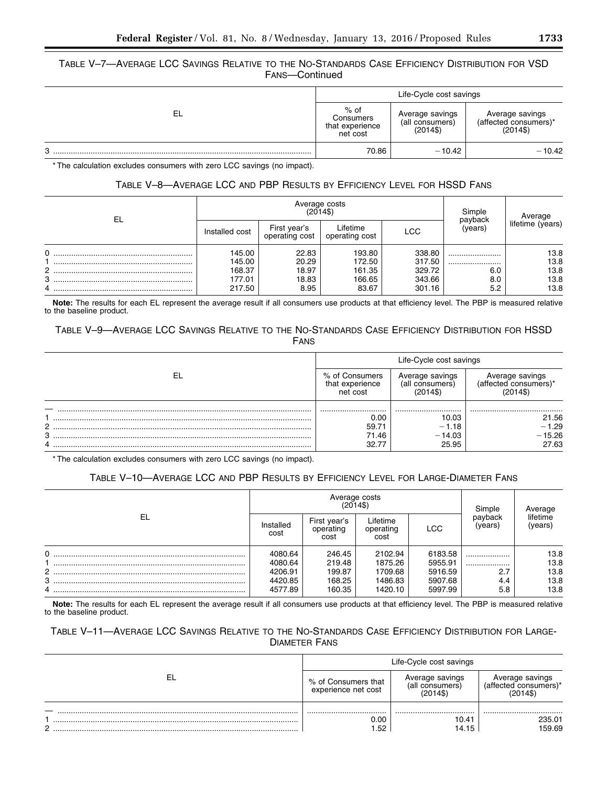# TABLE V–7—AVERAGE LCC SAVINGS RELATIVE TO THE NO-STANDARDS CASE EFFICIENCY DISTRIBUTION FOR VSD FANS—Continued

|        | Life-Cycle cost savings                            |                                                |                                                      |  |
|--------|----------------------------------------------------|------------------------------------------------|------------------------------------------------------|--|
| EL     | $%$ of<br>Consumers<br>that experience<br>net cost | Average savings<br>(all consumers)<br>$(2014\$ | Average savings<br>(affected consumers)*<br>$(2014\$ |  |
| o<br>ີ | 70.86                                              | $-10.42$                                       | $-10.42$                                             |  |

\* The calculation excludes consumers with zero LCC savings (no impact).

# TABLE V–8—AVERAGE LCC AND PBP RESULTS BY EFFICIENCY LEVEL FOR HSSD FANS

| EL             |                | Average costs<br>(2014\$)      | Simple<br>payback          | Average    |         |                  |
|----------------|----------------|--------------------------------|----------------------------|------------|---------|------------------|
|                | Installed cost | First year's<br>operating cost | Lifetime<br>operating cost | <b>LCC</b> | (years) | lifetime (years) |
| 0              | 145.00         | 22.83                          | 193.80                     | 338.80     |         | 13.8             |
|                | 145.00         | 20.29                          | 172.50                     | 317.50     |         | 13.8             |
| $\overline{2}$ | 168.37         | 18.97                          | 161.35                     | 329.72     | 6.0     | 13.8             |
| 3              | 177.01         | 18.83                          | 166.65                     | 343.66     | 8.0     | 13.8             |
|                | 217.50         | 8.95                           | 83.67                      | 301.16     | 5.2     | 13.8             |

**Note:** The results for each EL represent the average result if all consumers use products at that efficiency level. The PBP is measured relative to the baseline product.

# TABLE V–9—AVERAGE LCC SAVINGS RELATIVE TO THE NO-STANDARDS CASE EFFICIENCY DISTRIBUTION FOR HSSD FANS

|    | Life-Cycle cost savings                       |                                                |                                         |  |  |
|----|-----------------------------------------------|------------------------------------------------|-----------------------------------------|--|--|
| EI | % of Consumers<br>that experience<br>net cost | Average savings<br>(all consumers)<br>$(2014\$ | Average savings<br>(affected consumers) |  |  |
|    |                                               |                                                |                                         |  |  |
|    | 0.00                                          | 10.03                                          | 21.56                                   |  |  |
| っ  | 59.71                                         | $-1.18$                                        | $-1.29$                                 |  |  |
| 3  | 71.46                                         | $-14.03$                                       | $-15.26$                                |  |  |
| 4  | 32.77                                         | 25.95                                          | 27.63                                   |  |  |

\* The calculation excludes consumers with zero LCC savings (no impact).

# TABLE V–10—AVERAGE LCC AND PBP RESULTS BY EFFICIENCY LEVEL FOR LARGE-DIAMETER FANS

| EL       |                    | Average costs<br>$(2014\$         | Simple                        | Average            |                    |                     |
|----------|--------------------|-----------------------------------|-------------------------------|--------------------|--------------------|---------------------|
|          | Installed<br>cost  | First year's<br>operating<br>cost | Lifetime<br>operating<br>cost | <b>LCC</b>         | payback<br>(years) | lifetime<br>(years) |
| $\Omega$ | 4080.64<br>4080.64 | 246.45<br>219.48                  | 2102.94<br>1875.26            | 6183.58<br>5955.91 | <br>               | 13.8<br>13.8        |
| $2$      | 4206.91            | 199.87                            | 1709.68                       | 5916.59            | 2.7                | 13.8                |
| 3<br>4   | 4420.85<br>4577.89 | 168.25<br>160.35                  | 1486.83<br>1420.10            | 5907.68<br>5997.99 | 4.4<br>5.8         | 13.8<br>13.8        |

**Note:** The results for each EL represent the average result if all consumers use products at that efficiency level. The PBP is measured relative to the baseline product.

# TABLE V–11—AVERAGE LCC SAVINGS RELATIVE TO THE NO-STANDARDS CASE EFFICIENCY DISTRIBUTION FOR LARGE-DIAMETER FANS

|   | Life-Cycle cost savings                    |                                    |                                                      |  |  |
|---|--------------------------------------------|------------------------------------|------------------------------------------------------|--|--|
|   | % of Consumers that<br>experience net cost | Average savings<br>(all consumers) | Average savings<br>(affected consumers)*<br>(2014\$) |  |  |
|   |                                            |                                    |                                                      |  |  |
| C | <br>0.00<br>.52                            | <br>10.41<br>14.15                 | <br>235.01<br>159.69                                 |  |  |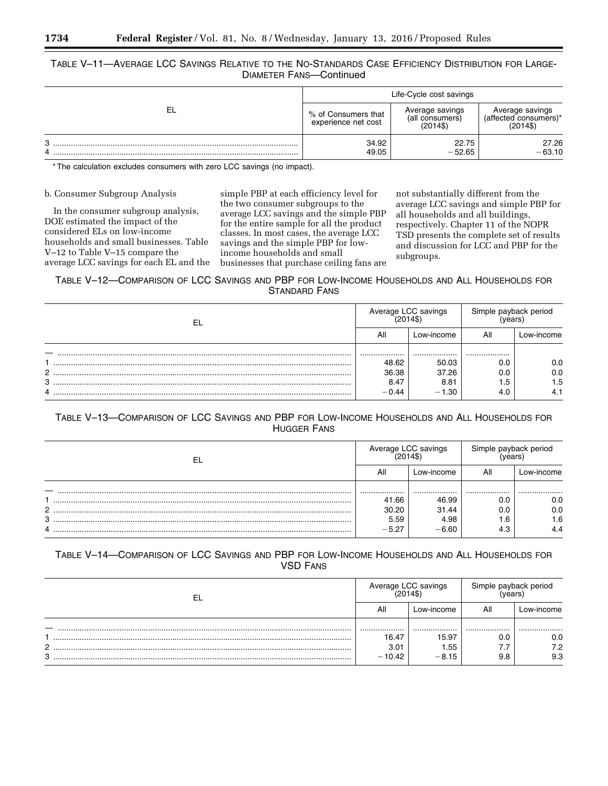# TABLE V–11—AVERAGE LCC SAVINGS RELATIVE TO THE NO-STANDARDS CASE EFFICIENCY DISTRIBUTION FOR LARGE-DIAMETER FANS—Continued

|             | Life-Cycle cost savings                    |                                                |                                                      |  |  |
|-------------|--------------------------------------------|------------------------------------------------|------------------------------------------------------|--|--|
| EL          | % of Consumers that<br>experience net cost | Average savings<br>(all consumers)<br>$(2014\$ | Average savings<br>(affected consumers)*<br>$(2014\$ |  |  |
| G<br>ື<br>4 | 34.92<br>49.05                             | 22.75<br>$-52.65$                              | 27.26<br>$-63.10$                                    |  |  |

\* The calculation excludes consumers with zero LCC savings (no impact).

### b. Consumer Subgroup Analysis

In the consumer subgroup analysis, DOE estimated the impact of the considered ELs on low-income households and small businesses. Table V–12 to Table V–15 compare the average LCC savings for each EL and the

simple PBP at each efficiency level for the two consumer subgroups to the average LCC savings and the simple PBP for the entire sample for all the product classes. In most cases, the average LCC savings and the simple PBP for lowincome households and small businesses that purchase ceiling fans are

not substantially different from the average LCC savings and simple PBP for all households and all buildings, respectively. Chapter 11 of the NOPR TSD presents the complete set of results and discussion for LCC and PBP for the subgroups.

TABLE V–12—COMPARISON OF LCC SAVINGS AND PBP FOR LOW-INCOME HOUSEHOLDS AND ALL HOUSEHOLDS FOR STANDARD FANS

| -EL |         | Average LCC savings<br>(2014\$) |     | Simple payback period |  |
|-----|---------|---------------------------------|-----|-----------------------|--|
|     |         | Low-income                      | All | ∟ow-income            |  |
|     |         |                                 |     |                       |  |
|     | 48.62   | 50.03                           | 0.0 | 0.0                   |  |
| C   | 36.38   | 37.26                           | 0.0 | 0.0                   |  |
| 3   | 8.47    | 8.81                            | i.5 | 1.5                   |  |
| 4   | $-0.44$ | $-1.30$                         | 4.0 | 4.1                   |  |

# TABLE V–13—COMPARISON OF LCC SAVINGS AND PBP FOR LOW-INCOME HOUSEHOLDS AND ALL HOUSEHOLDS FOR HUGGER FANS

|   |         | Average LCC savings<br>2014\$) | Simple payback period |            |  |
|---|---------|--------------------------------|-----------------------|------------|--|
|   |         | Low-income                     | All                   | ∟ow-income |  |
|   |         |                                |                       |            |  |
|   | 41.66   | 46.99                          | 0.0                   | 0.0        |  |
|   | 30.20   | 31.44                          | 0.0                   | 0.0        |  |
| 3 | 5.59    | 4.98                           | .6،                   | 1.6        |  |
|   | $-5.27$ | $-6.60$                        | 4.3                   | 4.4        |  |

# TABLE V–14—COMPARISON OF LCC SAVINGS AND PBP FOR LOW-INCOME HOUSEHOLDS AND ALL HOUSEHOLDS FOR VSD FANS

| -EL | Average LCC savings<br>(2014\$) |            | Simple payback period |            |
|-----|---------------------------------|------------|-----------------------|------------|
|     |                                 | Low-income | All                   | _ow-income |
|     |                                 |            |                       |            |
|     | 16.47                           | 15.97      | 0.0                   | 0.0        |
| C   | 3.01                            | .55        | .                     | 7.2        |
| 3   | $-10.42$                        | $-8.15$    | 9.8                   | 9.3        |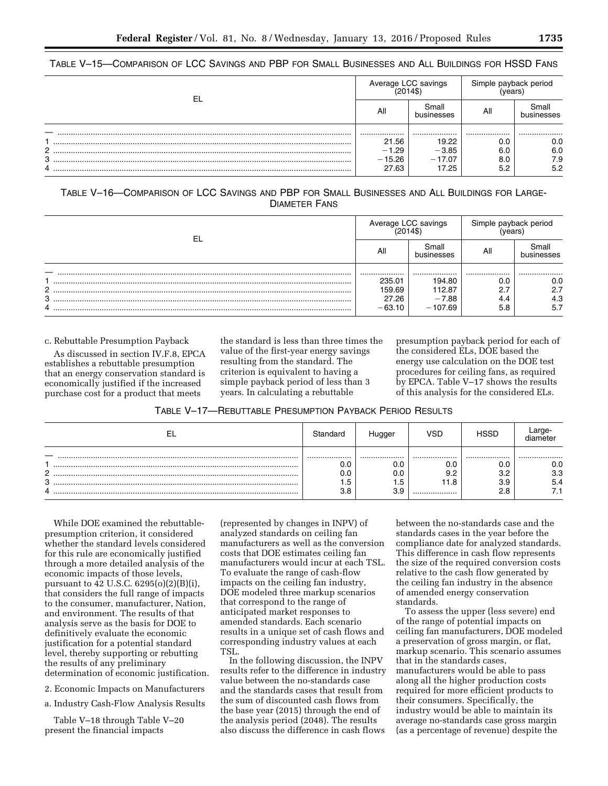| -EL            |          | Average LCC savings<br>(2014\$) |     | Simple payback period |
|----------------|----------|---------------------------------|-----|-----------------------|
|                |          | Small<br>businesses             | All | small<br>businesses   |
|                |          |                                 |     |                       |
|                | 21.56    | 19.22                           | 0.C | 0.0                   |
| $\overline{2}$ | $-1.29$  | $-3.85$                         | 6.0 | 6.0                   |
| 3              | $-15.26$ | $-17.07$                        | 8.0 | 7.9                   |
| 4              | 27.63    | 17.25                           | 5.2 | 5.2                   |

TABLE V–15—COMPARISON OF LCC SAVINGS AND PBP FOR SMALL BUSINESSES AND ALL BUILDINGS FOR HSSD FANS

TABLE V–16—COMPARISON OF LCC SAVINGS AND PBP FOR SMALL BUSINESSES AND ALL BUILDINGS FOR LARGE-DIAMETER FANS

| EL             |          | Average LCC savings<br>(2014\$) |     | Simple payback period |
|----------------|----------|---------------------------------|-----|-----------------------|
|                |          | Small<br>businesses             | All | imall<br>businesses   |
|                |          |                                 |     |                       |
|                | 235.01   | 194.80                          | 0.0 | 0.0                   |
| $\overline{2}$ | 159.69   | 112.87                          | 2.7 | 2.7                   |
| 3              | 27.26    | $-7.88$                         | 4.4 | 4.3                   |
|                | $-63.10$ | $-107.69$                       | 5.8 | 5.7                   |

c. Rebuttable Presumption Payback

As discussed in section IV.F.8, EPCA establishes a rebuttable presumption that an energy conservation standard is economically justified if the increased purchase cost for a product that meets

the standard is less than three times the value of the first-year energy savings resulting from the standard. The criterion is equivalent to having a simple payback period of less than 3 years. In calculating a rebuttable

presumption payback period for each of the considered ELs, DOE based the energy use calculation on the DOE test procedures for ceiling fans, as required by EPCA. Table V–17 shows the results of this analysis for the considered ELs.

TABLE V–17—REBUTTABLE PRESUMPTION PAYBACK PERIOD RESULTS

| ⊢                       | Standard | Huaaer                        | VSD                        | <b>ISSC</b>                  |                       |
|-------------------------|----------|-------------------------------|----------------------------|------------------------------|-----------------------|
| റ<br><u>_</u><br>3<br>4 | <br>۱.5  | <br>v.u<br>v.u<br>د. ا<br>U.C | <br>0.0<br>9.2<br>.1.8<br> | <br>0.0<br>3.2<br>3.9<br>2.8 | <br>0.0<br>3.3<br>5.4 |

While DOE examined the rebuttablepresumption criterion, it considered whether the standard levels considered for this rule are economically justified through a more detailed analysis of the economic impacts of those levels, pursuant to 42 U.S.C. 6295(o)(2)(B)(i), that considers the full range of impacts to the consumer, manufacturer, Nation, and environment. The results of that analysis serve as the basis for DOE to definitively evaluate the economic justification for a potential standard level, thereby supporting or rebutting the results of any preliminary determination of economic justification.

2. Economic Impacts on Manufacturers

a. Industry Cash-Flow Analysis Results

Table V–18 through Table V–20 present the financial impacts

(represented by changes in INPV) of analyzed standards on ceiling fan manufacturers as well as the conversion costs that DOE estimates ceiling fan manufacturers would incur at each TSL. To evaluate the range of cash-flow impacts on the ceiling fan industry, DOE modeled three markup scenarios that correspond to the range of anticipated market responses to amended standards. Each scenario results in a unique set of cash flows and corresponding industry values at each TSL.

In the following discussion, the INPV results refer to the difference in industry value between the no-standards case and the standards cases that result from the sum of discounted cash flows from the base year (2015) through the end of the analysis period (2048). The results also discuss the difference in cash flows

between the no-standards case and the standards cases in the year before the compliance date for analyzed standards. This difference in cash flow represents the size of the required conversion costs relative to the cash flow generated by the ceiling fan industry in the absence of amended energy conservation standards.

To assess the upper (less severe) end of the range of potential impacts on ceiling fan manufacturers, DOE modeled a preservation of gross margin, or flat, markup scenario. This scenario assumes that in the standards cases, manufacturers would be able to pass along all the higher production costs required for more efficient products to their consumers. Specifically, the industry would be able to maintain its average no-standards case gross margin (as a percentage of revenue) despite the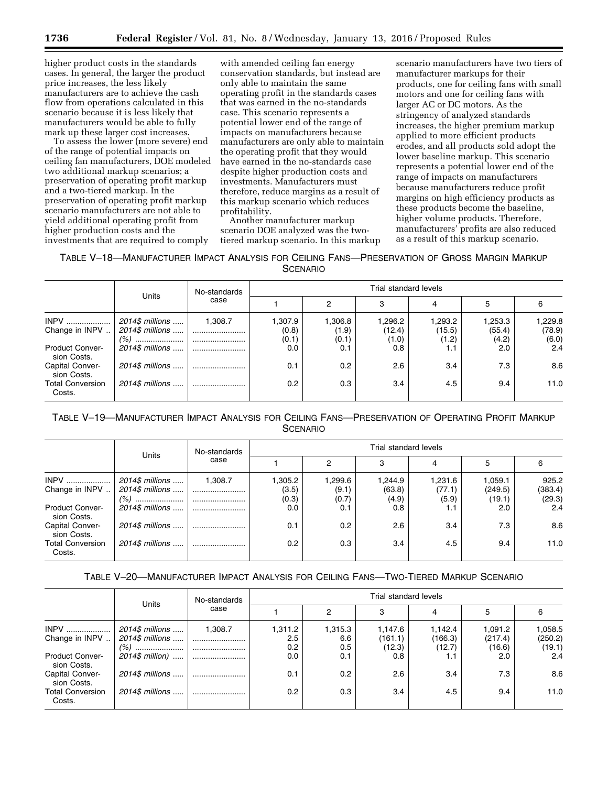higher product costs in the standards cases. In general, the larger the product price increases, the less likely manufacturers are to achieve the cash flow from operations calculated in this scenario because it is less likely that manufacturers would be able to fully mark up these larger cost increases.

To assess the lower (more severe) end of the range of potential impacts on ceiling fan manufacturers, DOE modeled two additional markup scenarios; a preservation of operating profit markup and a two-tiered markup. In the preservation of operating profit markup scenario manufacturers are not able to yield additional operating profit from higher production costs and the investments that are required to comply

with amended ceiling fan energy conservation standards, but instead are only able to maintain the same operating profit in the standards cases that was earned in the no-standards case. This scenario represents a potential lower end of the range of impacts on manufacturers because manufacturers are only able to maintain the operating profit that they would have earned in the no-standards case despite higher production costs and investments. Manufacturers must therefore, reduce margins as a result of this markup scenario which reduces profitability.

Another manufacturer markup scenario DOE analyzed was the twotiered markup scenario. In this markup

scenario manufacturers have two tiers of manufacturer markups for their products, one for ceiling fans with small motors and one for ceiling fans with larger AC or DC motors. As the stringency of analyzed standards increases, the higher premium markup applied to more efficient products erodes, and all products sold adopt the lower baseline markup. This scenario represents a potential lower end of the range of impacts on manufacturers because manufacturers reduce profit margins on high efficiency products as these products become the baseline, higher volume products. Therefore, manufacturers' profits are also reduced as a result of this markup scenario.

TABLE V–18—MANUFACTURER IMPACT ANALYSIS FOR CEILING FANS—PRESERVATION OF GROSS MARGIN MARKUP **SCENARIO** 

|                                       | <b>Units</b>                       | No-standards<br>case | Trial standard levels     |                           |                           |                            |                            |                            |
|---------------------------------------|------------------------------------|----------------------|---------------------------|---------------------------|---------------------------|----------------------------|----------------------------|----------------------------|
|                                       |                                    |                      |                           | 2                         | 3                         |                            | 5                          |                            |
| $INPV$<br>Change in INPV              | 2014\$ millions<br>2014\$ millions | 1.308.7<br><br>      | 1,307.9<br>(0.8)<br>(0.1) | 1,306.8<br>(1.9)<br>(0.1) | .296.2<br>(12.4)<br>(1.0) | 1,293.2<br>(15.5)<br>(1.2) | 1,253.3<br>(55.4)<br>(4.2) | 1,229.8<br>(78.9)<br>(6.0) |
| <b>Product Conver-</b><br>sion Costs. | 2014\$ millions                    |                      | 0.0                       | 0.1                       | 0.8                       | 1.1                        | 2.0                        | 2.4                        |
| Capital Conver-<br>sion Costs.        | 2014\$ millions                    |                      | 0.1                       | 0.2                       | 2.6                       | 3.4                        | 7.3                        | 8.6                        |
| <b>Total Conversion</b><br>Costs.     | 2014\$ millions                    |                      | 0.2                       | 0.3                       | 3.4                       | 4.5                        | 9.4                        | 11.0                       |

TABLE V–19—MANUFACTURER IMPACT ANALYSIS FOR CEILING FANS—PRESERVATION OF OPERATING PROFIT MARKUP **SCENARIO** 

|                                       | No-standards    | Trial standard levels |                  |         |         |         |         |         |
|---------------------------------------|-----------------|-----------------------|------------------|---------|---------|---------|---------|---------|
|                                       | Units           | case                  |                  |         | 3       |         | 5       | 6       |
| $INPV$                                | 2014\$ millions | 1.308.7               | 1,305.2          | 1,299.6 | 1,244.9 | 1,231.6 | 1,059.1 | 925.2   |
| Change in INPV                        | 2014\$ millions |                       | (3.5)            | (9.1)   | (63.8)  | (77.1)  | (249.5) | (383.4) |
|                                       |                 |                       | (0.3)            | (0.7)   | (4.9)   | (5.9)   | (19.1)  | (29.3)  |
| <b>Product Conver-</b><br>sion Costs. | 2014\$ millions |                       | 0.0              | 0.1     | 0.8     | 1.1     | 2.0     | 2.4     |
| Capital Conver-<br>sion Costs.        | 2014\$ millions |                       | 0.1              | 0.2     | 2.6     | 3.4     | 7.3     | 8.6     |
| <b>Total Conversion</b><br>Costs.     | 2014\$ millions |                       | 0.2 <sub>0</sub> | 0.3     | 3.4     | 4.5     | 9.4     | 11.0    |

TABLE V–20—MANUFACTURER IMPACT ANALYSIS FOR CEILING FANS—TWO-TIERED MARKUP SCENARIO

|                                       | Units           | No-standards |         | Trial standard levels |         |         |               |         |  |  |
|---------------------------------------|-----------------|--------------|---------|-----------------------|---------|---------|---------------|---------|--|--|
|                                       |                 | case         |         | 2                     | 3       |         | 5             |         |  |  |
| <b>INPV</b>                           | 2014\$ millions | 1.308.7      | 1,311.2 | 1,315.3               | 1,147.6 | 1,142.4 | 1.091.2       | 1,058.5 |  |  |
| Change in INPV                        | 2014\$ millions |              | $2.5\,$ | 6.6                   | (161.1) | (166.3) | (217.4)       | (250.2) |  |  |
|                                       | $(%)$           |              | 0.2     | 0.5                   | (12.3)  | (12.7)  | (16.6)        | (19.1)  |  |  |
| <b>Product Conver-</b><br>sion Costs. | 2014\$ million) |              | 0.0     | 0.1                   | 0.8     | ו. ו    | $2.0^{\circ}$ | 2.4     |  |  |
| Capital Conver-<br>sion Costs.        | 2014\$ millions |              | 0.1     | 0.2                   | 2.6     | 3.4     | 7.3           | 8.6     |  |  |
| <b>Total Conversion</b><br>Costs.     | 2014\$ millions |              | 0.2     | 0.3                   | 3.4     | 4.5     | 9.4           | 11.0    |  |  |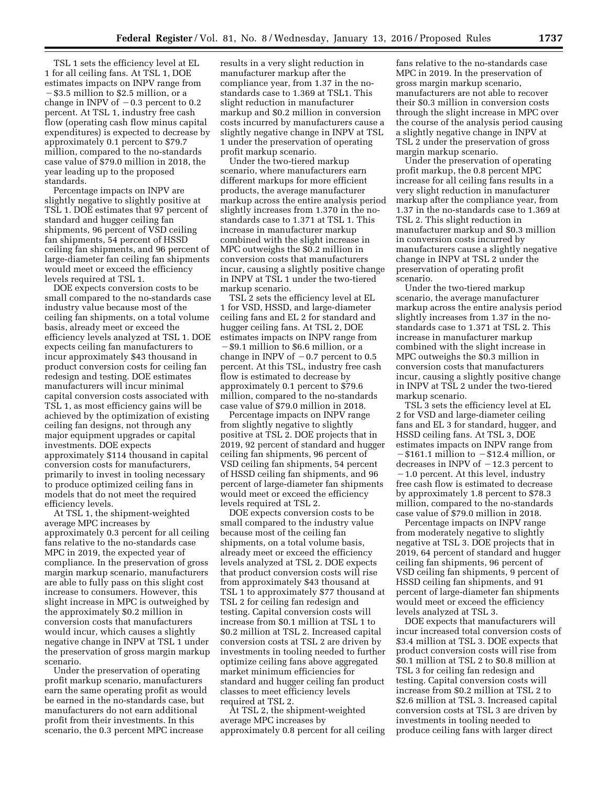TSL 1 sets the efficiency level at EL 1 for all ceiling fans. At TSL 1, DOE estimates impacts on INPV range from ¥\$3.5 million to \$2.5 million, or a change in INPV of  $-0.3$  percent to 0.2 percent. At TSL 1, industry free cash flow (operating cash flow minus capital expenditures) is expected to decrease by approximately 0.1 percent to \$79.7 million, compared to the no-standards case value of \$79.0 million in 2018, the year leading up to the proposed standards.

Percentage impacts on INPV are slightly negative to slightly positive at TSL 1. DOE estimates that 97 percent of standard and hugger ceiling fan shipments, 96 percent of VSD ceiling fan shipments, 54 percent of HSSD ceiling fan shipments, and 96 percent of large-diameter fan ceiling fan shipments would meet or exceed the efficiency levels required at TSL 1.

DOE expects conversion costs to be small compared to the no-standards case industry value because most of the ceiling fan shipments, on a total volume basis, already meet or exceed the efficiency levels analyzed at TSL 1. DOE expects ceiling fan manufacturers to incur approximately \$43 thousand in product conversion costs for ceiling fan redesign and testing. DOE estimates manufacturers will incur minimal capital conversion costs associated with TSL 1, as most efficiency gains will be achieved by the optimization of existing ceiling fan designs, not through any major equipment upgrades or capital investments. DOE expects approximately \$114 thousand in capital conversion costs for manufacturers, primarily to invest in tooling necessary to produce optimized ceiling fans in models that do not meet the required efficiency levels.

At TSL 1, the shipment-weighted average MPC increases by approximately 0.3 percent for all ceiling fans relative to the no-standards case MPC in 2019, the expected year of compliance. In the preservation of gross margin markup scenario, manufacturers are able to fully pass on this slight cost increase to consumers. However, this slight increase in MPC is outweighed by the approximately \$0.2 million in conversion costs that manufacturers would incur, which causes a slightly negative change in INPV at TSL 1 under the preservation of gross margin markup scenario.

Under the preservation of operating profit markup scenario, manufacturers earn the same operating profit as would be earned in the no-standards case, but manufacturers do not earn additional profit from their investments. In this scenario, the 0.3 percent MPC increase

results in a very slight reduction in manufacturer markup after the compliance year, from 1.37 in the nostandards case to 1.369 at TSL1. This slight reduction in manufacturer markup and \$0.2 million in conversion costs incurred by manufacturers cause a slightly negative change in INPV at TSL 1 under the preservation of operating profit markup scenario.

Under the two-tiered markup scenario, where manufacturers earn different markups for more efficient products, the average manufacturer markup across the entire analysis period slightly increases from 1.370 in the nostandards case to 1.371 at TSL 1. This increase in manufacturer markup combined with the slight increase in MPC outweighs the \$0.2 million in conversion costs that manufacturers incur, causing a slightly positive change in INPV at TSL 1 under the two-tiered markup scenario.

TSL 2 sets the efficiency level at EL 1 for VSD, HSSD, and large-diameter ceiling fans and EL 2 for standard and hugger ceiling fans. At TSL 2, DOE estimates impacts on INPV range from  $-$  \$9.1 million to \$6.6 million, or a change in INPV of  $-0.7$  percent to 0.5 percent. At this TSL, industry free cash flow is estimated to decrease by approximately 0.1 percent to \$79.6 million, compared to the no-standards case value of \$79.0 million in 2018.

Percentage impacts on INPV range from slightly negative to slightly positive at TSL 2. DOE projects that in 2019, 92 percent of standard and hugger ceiling fan shipments, 96 percent of VSD ceiling fan shipments, 54 percent of HSSD ceiling fan shipments, and 96 percent of large-diameter fan shipments would meet or exceed the efficiency levels required at TSL 2.

DOE expects conversion costs to be small compared to the industry value because most of the ceiling fan shipments, on a total volume basis, already meet or exceed the efficiency levels analyzed at TSL 2. DOE expects that product conversion costs will rise from approximately \$43 thousand at TSL 1 to approximately \$77 thousand at TSL 2 for ceiling fan redesign and testing. Capital conversion costs will increase from \$0.1 million at TSL 1 to \$0.2 million at TSL 2. Increased capital conversion costs at TSL 2 are driven by investments in tooling needed to further optimize ceiling fans above aggregated market minimum efficiencies for standard and hugger ceiling fan product classes to meet efficiency levels required at TSL 2.

At TSL 2, the shipment-weighted average MPC increases by approximately 0.8 percent for all ceiling

fans relative to the no-standards case MPC in 2019. In the preservation of gross margin markup scenario, manufacturers are not able to recover their \$0.3 million in conversion costs through the slight increase in MPC over the course of the analysis period causing a slightly negative change in INPV at TSL 2 under the preservation of gross margin markup scenario.

Under the preservation of operating profit markup, the 0.8 percent MPC increase for all ceiling fans results in a very slight reduction in manufacturer markup after the compliance year, from 1.37 in the no-standards case to 1.369 at TSL 2. This slight reduction in manufacturer markup and \$0.3 million in conversion costs incurred by manufacturers cause a slightly negative change in INPV at TSL 2 under the preservation of operating profit scenario.

Under the two-tiered markup scenario, the average manufacturer markup across the entire analysis period slightly increases from 1.37 in the nostandards case to 1.371 at TSL 2. This increase in manufacturer markup combined with the slight increase in MPC outweighs the \$0.3 million in conversion costs that manufacturers incur, causing a slightly positive change in INPV at TSL 2 under the two-tiered markup scenario.

TSL 3 sets the efficiency level at EL 2 for VSD and large-diameter ceiling fans and EL 3 for standard, hugger, and HSSD ceiling fans. At TSL 3, DOE estimates impacts on INPV range from  $-\$161.1$  million to  $-\$12.4$  million, or decreases in INPV of  $-12.3$  percent to  $-1.0$  percent. At this level, industry free cash flow is estimated to decrease by approximately 1.8 percent to \$78.3 million, compared to the no-standards case value of \$79.0 million in 2018.

Percentage impacts on INPV range from moderately negative to slightly negative at TSL 3. DOE projects that in 2019, 64 percent of standard and hugger ceiling fan shipments, 96 percent of VSD ceiling fan shipments, 9 percent of HSSD ceiling fan shipments, and 91 percent of large-diameter fan shipments would meet or exceed the efficiency levels analyzed at TSL 3.

DOE expects that manufacturers will incur increased total conversion costs of \$3.4 million at TSL 3. DOE expects that product conversion costs will rise from \$0.1 million at TSL 2 to \$0.8 million at TSL 3 for ceiling fan redesign and testing. Capital conversion costs will increase from \$0.2 million at TSL 2 to \$2.6 million at TSL 3. Increased capital conversion costs at TSL 3 are driven by investments in tooling needed to produce ceiling fans with larger direct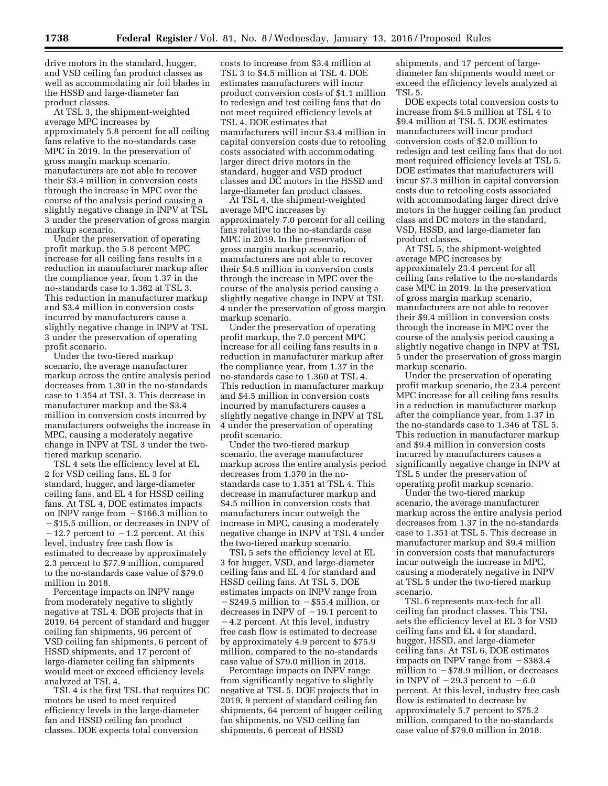drive motors in the standard, hugger, and VSD ceiling fan product classes as well as accommodating air foil blades in the HSSD and large-diameter fan product classes.

At TSL 3, the shipment-weighted average MPC increases by approximately 5.8 percent for all ceiling fans relative to the no-standards case MPC in 2019. In the preservation of gross margin markup scenario, manufacturers are not able to recover their \$3.4 million in conversion costs through the increase in MPC over the course of the analysis period causing a slightly negative change in INPV at TSL 3 under the preservation of gross margin markup scenario.

Under the preservation of operating profit markup, the 5.8 percent MPC increase for all ceiling fans results in a reduction in manufacturer markup after the compliance year, from 1.37 in the no-standards case to 1.362 at TSL 3. This reduction in manufacturer markup and \$3.4 million in conversion costs incurred by manufacturers cause a slightly negative change in INPV at TSL 3 under the preservation of operating profit scenario.

Under the two-tiered markup scenario, the average manufacturer markup across the entire analysis period decreases from 1.30 in the no-standards case to 1.354 at TSL 3. This decrease in manufacturer markup and the \$3.4 million in conversion costs incurred by manufacturers outweighs the increase in MPC, causing a moderately negative change in INPV at TSL 3 under the twotiered markup scenario.

TSL 4 sets the efficiency level at EL 2 for VSD ceiling fans, EL 3 for standard, hugger, and large-diameter ceiling fans, and EL 4 for HSSD ceiling fans. At TSL 4, DOE estimates impacts on INPV range from  $-$  \$166.3 million to - \$15.5 million, or decreases in INPV of  $-12.7$  percent to  $-1.2$  percent. At this level, industry free cash flow is estimated to decrease by approximately 2.3 percent to \$77.9 million, compared to the no-standards case value of \$79.0 million in 2018.

Percentage impacts on INPV range from moderately negative to slightly negative at TSL 4. DOE projects that in 2019, 64 percent of standard and hugger ceiling fan shipments, 96 percent of VSD ceiling fan shipments, 6 percent of HSSD shipments, and 17 percent of large-diameter ceiling fan shipments would meet or exceed efficiency levels analyzed at TSL 4.

TSL 4 is the first TSL that requires DC motors be used to meet required efficiency levels in the large-diameter fan and HSSD ceiling fan product classes. DOE expects total conversion

costs to increase from \$3.4 million at TSL 3 to \$4.5 million at TSL 4. DOE estimates manufacturers will incur product conversion costs of \$1.1 million to redesign and test ceiling fans that do not meet required efficiency levels at TSL 4. DOE estimates that manufacturers will incur \$3.4 million in capital conversion costs due to retooling costs associated with accommodating larger direct drive motors in the standard, hugger and VSD product classes and DC motors in the HSSD and large-diameter fan product classes.

At TSL 4, the shipment-weighted average MPC increases by approximately 7.0 percent for all ceiling fans relative to the no-standards case MPC in 2019. In the preservation of gross margin markup scenario, manufacturers are not able to recover their \$4.5 million in conversion costs through the increase in MPC over the course of the analysis period causing a slightly negative change in INPV at TSL 4 under the preservation of gross margin markup scenario.

Under the preservation of operating profit markup, the 7.0 percent MPC increase for all ceiling fans results in a reduction in manufacturer markup after the compliance year, from 1.37 in the no-standards case to 1.360 at TSL 4. This reduction in manufacturer markup and \$4.5 million in conversion costs incurred by manufacturers causes a slightly negative change in INPV at TSL 4 under the preservation of operating profit scenario.

Under the two-tiered markup scenario, the average manufacturer markup across the entire analysis period decreases from 1.370 in the nostandards case to 1.351 at TSL 4. This decrease in manufacturer markup and \$4.5 million in conversion costs that manufacturers incur outweigh the increase in MPC, causing a moderately negative change in INPV at TSL 4 under the two-tiered markup scenario.

TSL 5 sets the efficiency level at EL 3 for hugger, VSD, and large-diameter ceiling fans and EL 4 for standard and HSSD ceiling fans. At TSL 5, DOE estimates impacts on INPV range from  $-$ \$249.5 million to  $-$ \$55.4 million, or decreases in INPV of  $-19.1$  percent to

 $-4.2$  percent. At this level, industry free cash flow is estimated to decrease by approximately 4.9 percent to \$75.9 million, compared to the no-standards case value of \$79.0 million in 2018.

Percentage impacts on INPV range from significantly negative to slightly negative at TSL 5. DOE projects that in 2019, 9 percent of standard ceiling fan shipments, 64 percent of hugger ceiling fan shipments, no VSD ceiling fan shipments, 6 percent of HSSD

shipments, and 17 percent of largediameter fan shipments would meet or exceed the efficiency levels analyzed at TSL 5.

DOE expects total conversion costs to increase from \$4.5 million at TSL 4 to \$9.4 million at TSL 5. DOE estimates manufacturers will incur product conversion costs of \$2.0 million to redesign and test ceiling fans that do not meet required efficiency levels at TSL 5. DOE estimates that manufacturers will incur \$7.3 million in capital conversion costs due to retooling costs associated with accommodating larger direct drive motors in the hugger ceiling fan product class and DC motors in the standard, VSD, HSSD, and large-diameter fan product classes.

At TSL 5, the shipment-weighted average MPC increases by approximately 23.4 percent for all ceiling fans relative to the no-standards case MPC in 2019. In the preservation of gross margin markup scenario, manufacturers are not able to recover their \$9.4 million in conversion costs through the increase in MPC over the course of the analysis period causing a slightly negative change in INPV at TSL 5 under the preservation of gross margin markup scenario.

Under the preservation of operating profit markup scenario, the 23.4 percent MPC increase for all ceiling fans results in a reduction in manufacturer markup after the compliance year, from 1.37 in the no-standards case to 1.346 at TSL 5. This reduction in manufacturer markup and \$9.4 million in conversion costs incurred by manufacturers causes a significantly negative change in INPV at TSL 5 under the preservation of operating profit markup scenario.

Under the two-tiered markup scenario, the average manufacturer markup across the entire analysis period decreases from 1.37 in the no-standards case to 1.351 at TSL 5. This decrease in manufacturer markup and \$9.4 million in conversion costs that manufacturers incur outweigh the increase in MPC, causing a moderately negative in INPV at TSL 5 under the two-tiered markup scenario.

TSL 6 represents max-tech for all ceiling fan product classes. This TSL sets the efficiency level at EL 3 for VSD ceiling fans and EL 4 for standard, hugger, HSSD, and large-diameter ceiling fans. At TSL 6, DOE estimates impacts on INPV range from  $-$  \$383.4 million to  $-$  \$78.9 million, or decreases in INPV of  $-29.3$  percent to  $-6.0$ percent. At this level, industry free cash flow is estimated to decrease by approximately 5.7 percent to \$75.2 million, compared to the no-standards case value of \$79.0 million in 2018.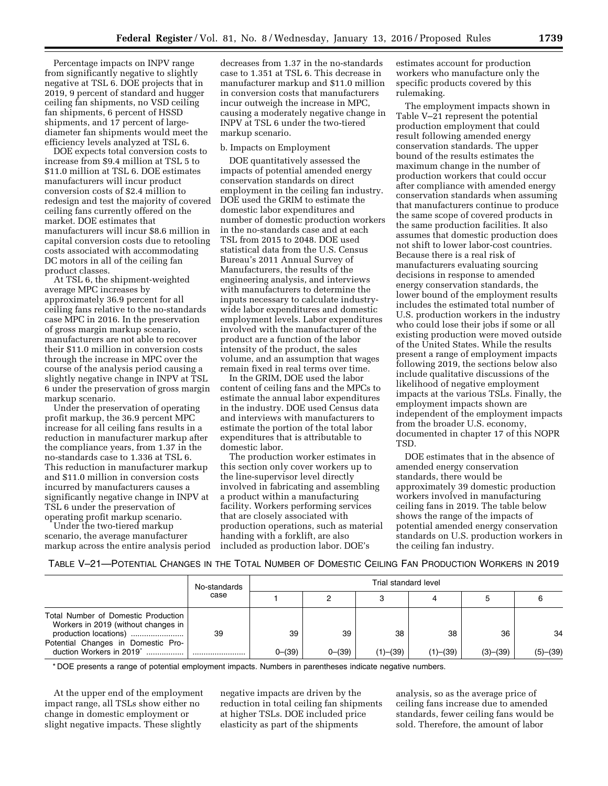Percentage impacts on INPV range from significantly negative to slightly negative at TSL 6. DOE projects that in 2019, 9 percent of standard and hugger ceiling fan shipments, no VSD ceiling fan shipments, 6 percent of HSSD shipments, and 17 percent of largediameter fan shipments would meet the efficiency levels analyzed at TSL 6.

DOE expects total conversion costs to increase from \$9.4 million at TSL 5 to \$11.0 million at TSL 6. DOE estimates manufacturers will incur product conversion costs of \$2.4 million to redesign and test the majority of covered ceiling fans currently offered on the market. DOE estimates that manufacturers will incur \$8.6 million in capital conversion costs due to retooling costs associated with accommodating DC motors in all of the ceiling fan product classes.

At TSL 6, the shipment-weighted average MPC increases by approximately 36.9 percent for all ceiling fans relative to the no-standards case MPC in 2016. In the preservation of gross margin markup scenario, manufacturers are not able to recover their \$11.0 million in conversion costs through the increase in MPC over the course of the analysis period causing a slightly negative change in INPV at TSL 6 under the preservation of gross margin markup scenario.

Under the preservation of operating profit markup, the 36.9 percent MPC increase for all ceiling fans results in a reduction in manufacturer markup after the compliance years, from 1.37 in the no-standards case to 1.336 at TSL 6. This reduction in manufacturer markup and \$11.0 million in conversion costs incurred by manufacturers causes a significantly negative change in INPV at TSL 6 under the preservation of operating profit markup scenario.

Under the two-tiered markup scenario, the average manufacturer markup across the entire analysis period

decreases from 1.37 in the no-standards case to 1.351 at TSL 6. This decrease in manufacturer markup and \$11.0 million in conversion costs that manufacturers incur outweigh the increase in MPC, causing a moderately negative change in INPV at TSL 6 under the two-tiered markup scenario.

### b. Impacts on Employment

DOE quantitatively assessed the impacts of potential amended energy conservation standards on direct employment in the ceiling fan industry. DOE used the GRIM to estimate the domestic labor expenditures and number of domestic production workers in the no-standards case and at each TSL from 2015 to 2048. DOE used statistical data from the U.S. Census Bureau's 2011 Annual Survey of Manufacturers, the results of the engineering analysis, and interviews with manufacturers to determine the inputs necessary to calculate industrywide labor expenditures and domestic employment levels. Labor expenditures involved with the manufacturer of the product are a function of the labor intensity of the product, the sales volume, and an assumption that wages remain fixed in real terms over time.

In the GRIM, DOE used the labor content of ceiling fans and the MPCs to estimate the annual labor expenditures in the industry. DOE used Census data and interviews with manufacturers to estimate the portion of the total labor expenditures that is attributable to domestic labor.

The production worker estimates in this section only cover workers up to the line-supervisor level directly involved in fabricating and assembling a product within a manufacturing facility. Workers performing services that are closely associated with production operations, such as material handing with a forklift, are also included as production labor. DOE's

estimates account for production workers who manufacture only the specific products covered by this rulemaking.

The employment impacts shown in Table V–21 represent the potential production employment that could result following amended energy conservation standards. The upper bound of the results estimates the maximum change in the number of production workers that could occur after compliance with amended energy conservation standards when assuming that manufacturers continue to produce the same scope of covered products in the same production facilities. It also assumes that domestic production does not shift to lower labor-cost countries. Because there is a real risk of manufacturers evaluating sourcing decisions in response to amended energy conservation standards, the lower bound of the employment results includes the estimated total number of U.S. production workers in the industry who could lose their jobs if some or all existing production were moved outside of the United States. While the results present a range of employment impacts following 2019, the sections below also include qualitative discussions of the likelihood of negative employment impacts at the various TSLs. Finally, the employment impacts shown are independent of the employment impacts from the broader U.S. economy, documented in chapter 17 of this NOPR TSD.

DOE estimates that in the absence of amended energy conservation standards, there would be approximately 39 domestic production workers involved in manufacturing ceiling fans in 2019. The table below shows the range of the impacts of potential amended energy conservation standards on U.S. production workers in the ceiling fan industry.

### TABLE V–21—POTENTIAL CHANGES IN THE TOTAL NUMBER OF DOMESTIC CEILING FAN PRODUCTION WORKERS IN 2019

|                                                                                                     | No-standards<br>case | Trial standard level |          |                |          |          |          |  |  |
|-----------------------------------------------------------------------------------------------------|----------------------|----------------------|----------|----------------|----------|----------|----------|--|--|
|                                                                                                     |                      |                      |          |                |          |          |          |  |  |
| Total Number of Domestic Production<br>Workers in 2019 (without changes in<br>production locations) | 39                   | 39                   | 39       | 38             | 38       | 36       | 34       |  |  |
| Potential Changes in Domestic Pro-<br>duction Workers in 2019 <sup>*</sup>                          |                      | $0-(39)$             | $0-(39)$ | $(1)$ – $(39)$ | (1)–(39) | (3)–(39) | (5)–(39) |  |  |

\* DOE presents a range of potential employment impacts. Numbers in parentheses indicate negative numbers.

At the upper end of the employment impact range, all TSLs show either no change in domestic employment or slight negative impacts. These slightly

negative impacts are driven by the reduction in total ceiling fan shipments at higher TSLs. DOE included price elasticity as part of the shipments

analysis, so as the average price of ceiling fans increase due to amended standards, fewer ceiling fans would be sold. Therefore, the amount of labor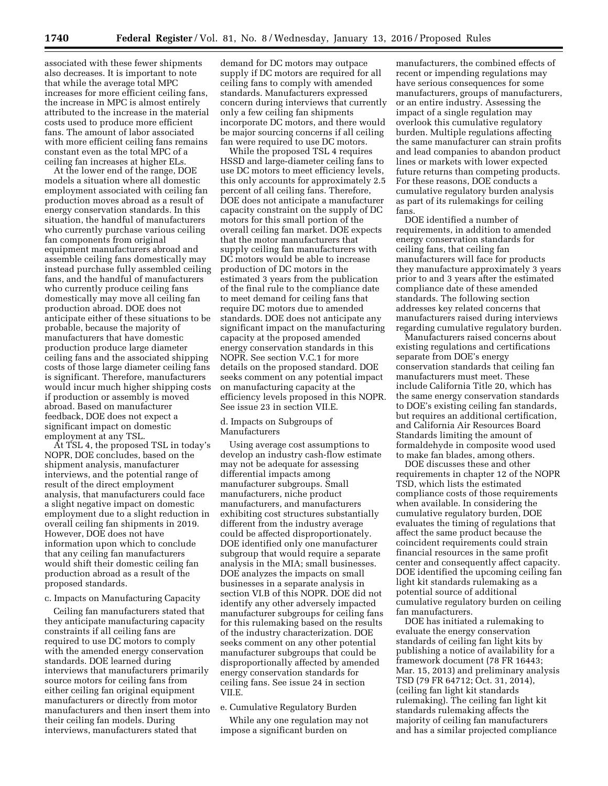associated with these fewer shipments also decreases. It is important to note that while the average total MPC increases for more efficient ceiling fans, the increase in MPC is almost entirely attributed to the increase in the material costs used to produce more efficient fans. The amount of labor associated with more efficient ceiling fans remains constant even as the total MPC of a ceiling fan increases at higher ELs.

At the lower end of the range, DOE models a situation where all domestic employment associated with ceiling fan production moves abroad as a result of energy conservation standards. In this situation, the handful of manufacturers who currently purchase various ceiling fan components from original equipment manufacturers abroad and assemble ceiling fans domestically may instead purchase fully assembled ceiling fans, and the handful of manufacturers who currently produce ceiling fans domestically may move all ceiling fan production abroad. DOE does not anticipate either of these situations to be probable, because the majority of manufacturers that have domestic production produce large diameter ceiling fans and the associated shipping costs of those large diameter ceiling fans is significant. Therefore, manufacturers would incur much higher shipping costs if production or assembly is moved abroad. Based on manufacturer feedback, DOE does not expect a significant impact on domestic employment at any TSL.

At TSL 4, the proposed TSL in today's NOPR, DOE concludes, based on the shipment analysis, manufacturer interviews, and the potential range of result of the direct employment analysis, that manufacturers could face a slight negative impact on domestic employment due to a slight reduction in overall ceiling fan shipments in 2019. However, DOE does not have information upon which to conclude that any ceiling fan manufacturers would shift their domestic ceiling fan production abroad as a result of the proposed standards.

#### c. Impacts on Manufacturing Capacity

Ceiling fan manufacturers stated that they anticipate manufacturing capacity constraints if all ceiling fans are required to use DC motors to comply with the amended energy conservation standards. DOE learned during interviews that manufacturers primarily source motors for ceiling fans from either ceiling fan original equipment manufacturers or directly from motor manufacturers and then insert them into their ceiling fan models. During interviews, manufacturers stated that

demand for DC motors may outpace supply if DC motors are required for all ceiling fans to comply with amended standards. Manufacturers expressed concern during interviews that currently only a few ceiling fan shipments incorporate DC motors, and there would be major sourcing concerns if all ceiling fan were required to use DC motors.

While the proposed TSL 4 requires HSSD and large-diameter ceiling fans to use DC motors to meet efficiency levels, this only accounts for approximately 2.5 percent of all ceiling fans. Therefore, DOE does not anticipate a manufacturer capacity constraint on the supply of DC motors for this small portion of the overall ceiling fan market. DOE expects that the motor manufacturers that supply ceiling fan manufacturers with DC motors would be able to increase production of DC motors in the estimated 3 years from the publication of the final rule to the compliance date to meet demand for ceiling fans that require DC motors due to amended standards. DOE does not anticipate any significant impact on the manufacturing capacity at the proposed amended energy conservation standards in this NOPR. See section V.C.1 for more details on the proposed standard. DOE seeks comment on any potential impact on manufacturing capacity at the efficiency levels proposed in this NOPR. See issue 23 in section VII.E.

## d. Impacts on Subgroups of Manufacturers

Using average cost assumptions to develop an industry cash-flow estimate may not be adequate for assessing differential impacts among manufacturer subgroups. Small manufacturers, niche product manufacturers, and manufacturers exhibiting cost structures substantially different from the industry average could be affected disproportionately. DOE identified only one manufacturer subgroup that would require a separate analysis in the MIA; small businesses. DOE analyzes the impacts on small businesses in a separate analysis in section VI.B of this NOPR. DOE did not identify any other adversely impacted manufacturer subgroups for ceiling fans for this rulemaking based on the results of the industry characterization. DOE seeks comment on any other potential manufacturer subgroups that could be disproportionally affected by amended energy conservation standards for ceiling fans. See issue 24 in section VII.E.

### e. Cumulative Regulatory Burden

While any one regulation may not impose a significant burden on

manufacturers, the combined effects of recent or impending regulations may have serious consequences for some manufacturers, groups of manufacturers, or an entire industry. Assessing the impact of a single regulation may overlook this cumulative regulatory burden. Multiple regulations affecting the same manufacturer can strain profits and lead companies to abandon product lines or markets with lower expected future returns than competing products. For these reasons, DOE conducts a cumulative regulatory burden analysis as part of its rulemakings for ceiling fans.

DOE identified a number of requirements, in addition to amended energy conservation standards for ceiling fans, that ceiling fan manufacturers will face for products they manufacture approximately 3 years prior to and 3 years after the estimated compliance date of these amended standards. The following section addresses key related concerns that manufacturers raised during interviews regarding cumulative regulatory burden.

Manufacturers raised concerns about existing regulations and certifications separate from DOE's energy conservation standards that ceiling fan manufacturers must meet. These include California Title 20, which has the same energy conservation standards to DOE's existing ceiling fan standards, but requires an additional certification, and California Air Resources Board Standards limiting the amount of formaldehyde in composite wood used to make fan blades, among others.

DOE discusses these and other requirements in chapter 12 of the NOPR TSD, which lists the estimated compliance costs of those requirements when available. In considering the cumulative regulatory burden, DOE evaluates the timing of regulations that affect the same product because the coincident requirements could strain financial resources in the same profit center and consequently affect capacity. DOE identified the upcoming ceiling fan light kit standards rulemaking as a potential source of additional cumulative regulatory burden on ceiling fan manufacturers.

DOE has initiated a rulemaking to evaluate the energy conservation standards of ceiling fan light kits by publishing a notice of availability for a framework document (78 FR 16443; Mar. 15, 2013) and preliminary analysis TSD (79 FR 64712; Oct. 31, 2014), (ceiling fan light kit standards rulemaking). The ceiling fan light kit standards rulemaking affects the majority of ceiling fan manufacturers and has a similar projected compliance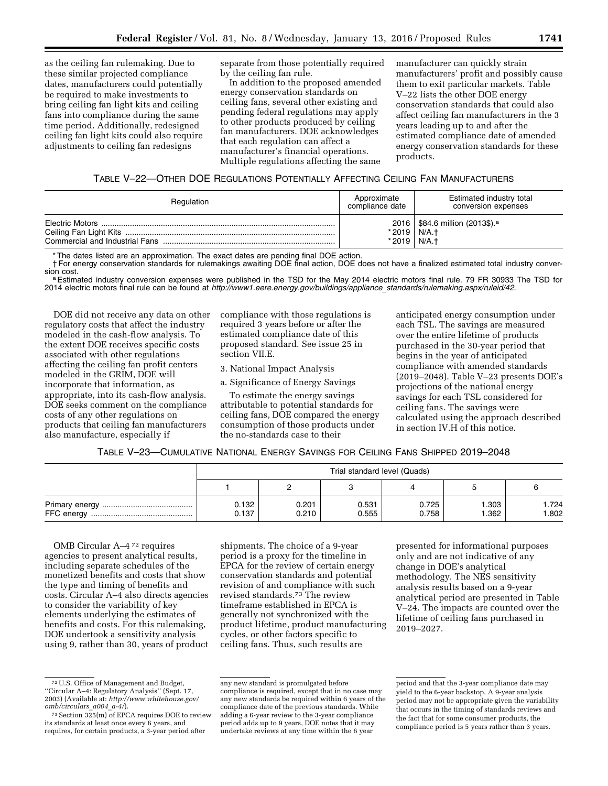as the ceiling fan rulemaking. Due to these similar projected compliance dates, manufacturers could potentially be required to make investments to bring ceiling fan light kits and ceiling fans into compliance during the same time period. Additionally, redesigned ceiling fan light kits could also require adjustments to ceiling fan redesigns

separate from those potentially required by the ceiling fan rule.

In addition to the proposed amended energy conservation standards on ceiling fans, several other existing and pending federal regulations may apply to other products produced by ceiling fan manufacturers. DOE acknowledges that each regulation can affect a manufacturer's financial operations. Multiple regulations affecting the same

manufacturer can quickly strain manufacturers' profit and possibly cause them to exit particular markets. Table V–22 lists the other DOE energy conservation standards that could also affect ceiling fan manufacturers in the 3 years leading up to and after the estimated compliance date of amended energy conservation standards for these products.

# TABLE V–22—OTHER DOE REGULATIONS POTENTIALLY AFFECTING CEILING FAN MANUFACTURERS

| Regulation | Approximate<br>compliance date | Estimated industry total<br>conversion expenses                |
|------------|--------------------------------|----------------------------------------------------------------|
|            | *2019  <br>$*2019$             | 2016   \$84.6 million (2013\$). <sup>a</sup><br>N/A.t<br>N/A.t |

\* The dates listed are an approximation. The exact dates are pending final DOE action.

† For energy conservation standards for rulemakings awaiting DOE final action, DOE does not have a finalized estimated total industry conver-

a Estimated industry conversion expenses were published in the TSD for the May 2014 electric motors final rule. 79 FR 30933 The TSD for 2014 electric motors final rule can be found at *[http://www1.eere.energy.gov/buildings/appliance](http://www1.eere.energy.gov/buildings/appliance_standards/rulemaking.aspx/ruleid/42)*\_*standards/rulemaking.aspx/ruleid/42*.

DOE did not receive any data on other regulatory costs that affect the industry modeled in the cash-flow analysis. To the extent DOE receives specific costs associated with other regulations affecting the ceiling fan profit centers modeled in the GRIM, DOE will incorporate that information, as appropriate, into its cash-flow analysis. DOE seeks comment on the compliance costs of any other regulations on products that ceiling fan manufacturers also manufacture, especially if

compliance with those regulations is required 3 years before or after the estimated compliance date of this proposed standard. See issue 25 in section VII.E.

3. National Impact Analysis

a. Significance of Energy Savings

To estimate the energy savings attributable to potential standards for ceiling fans, DOE compared the energy consumption of those products under the no-standards case to their

anticipated energy consumption under each TSL. The savings are measured over the entire lifetime of products purchased in the 30-year period that begins in the year of anticipated compliance with amended standards (2019–2048). Table V–23 presents DOE's projections of the national energy savings for each TSL considered for ceiling fans. The savings were calculated using the approach described in section IV.H of this notice.

|  | TABLE V-23—CUMULATIVE NATIONAL ENERGY SAVINGS FOR CEILING FANS SHIPPED 2019–2048 |
|--|----------------------------------------------------------------------------------|
|--|----------------------------------------------------------------------------------|

| Trial standard level (Quads) |                |                |                |                |               |  |
|------------------------------|----------------|----------------|----------------|----------------|---------------|--|
|                              |                |                |                |                |               |  |
| 0.132<br>0.137               | 0.201<br>0.210 | 0.531<br>0.555 | 0.725<br>0.758 | 1.303<br>1.362 | .724<br>1.802 |  |

OMB Circular A–4 72 requires agencies to present analytical results, including separate schedules of the monetized benefits and costs that show the type and timing of benefits and costs. Circular A–4 also directs agencies to consider the variability of key elements underlying the estimates of benefits and costs. For this rulemaking, DOE undertook a sensitivity analysis using 9, rather than 30, years of product

shipments. The choice of a 9-year period is a proxy for the timeline in EPCA for the review of certain energy conservation standards and potential revision of and compliance with such revised standards.73 The review timeframe established in EPCA is generally not synchronized with the product lifetime, product manufacturing cycles, or other factors specific to ceiling fans. Thus, such results are

presented for informational purposes only and are not indicative of any change in DOE's analytical methodology. The NES sensitivity analysis results based on a 9-year analytical period are presented in Table V–24. The impacts are counted over the lifetime of ceiling fans purchased in 2019–2027.

<sup>72</sup>U.S. Office of Management and Budget, ''Circular A–4: Regulatory Analysis'' (Sept. 17, 2003) (Available at: *[http://www.whitehouse.gov/](http://www.whitehouse.gov/omb/circulars_a004_a-4/)*

<sup>&</sup>lt;sup>73</sup> Section 325(m) of EPCA requires DOE to review its standards at least once every 6 years, and requires, for certain products, a 3-year period after

any new standard is promulgated before compliance is required, except that in no case may any new standards be required within 6 years of the compliance date of the previous standards. While adding a 6-year review to the 3-year compliance period adds up to 9 years, DOE notes that it may undertake reviews at any time within the 6 year

period and that the 3-year compliance date may yield to the 6-year backstop. A 9-year analysis period may not be appropriate given the variability that occurs in the timing of standards reviews and the fact that for some consumer products, the compliance period is 5 years rather than 3 years.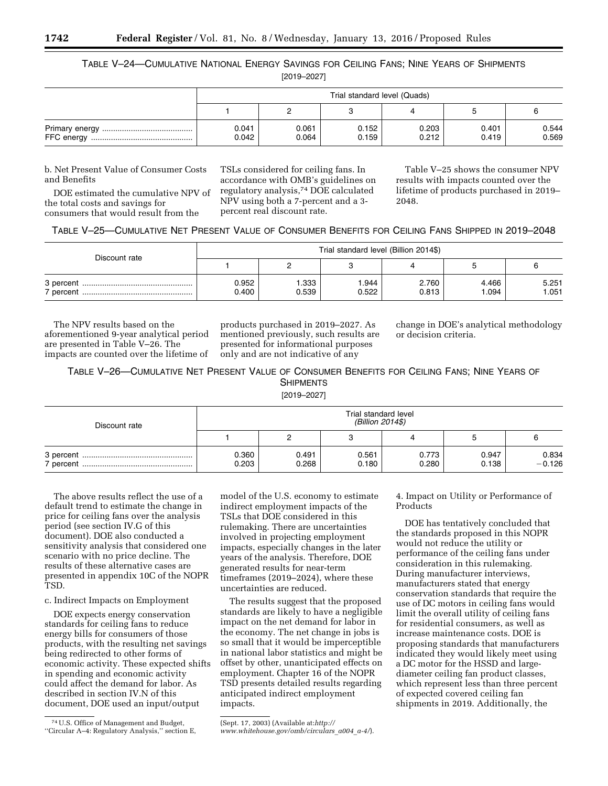TABLE V–24—CUMULATIVE NATIONAL ENERGY SAVINGS FOR CEILING FANS; NINE YEARS OF SHIPMENTS

[2019–2027]

| Trial standard level (Quads) |                |                |                |                |                |  |  |
|------------------------------|----------------|----------------|----------------|----------------|----------------|--|--|
|                              |                |                |                |                |                |  |  |
| 0.041<br>0.042               | 0.061<br>0.064 | 0.152<br>0.159 | 0.203<br>0.212 | 0.401<br>0.419 | 0.544<br>0.569 |  |  |

b. Net Present Value of Consumer Costs and Benefits

DOE estimated the cumulative NPV of the total costs and savings for consumers that would result from the

TSLs considered for ceiling fans. In accordance with OMB's guidelines on regulatory analysis,74 DOE calculated NPV using both a 7-percent and a 3 percent real discount rate.

Table V–25 shows the consumer NPV results with impacts counted over the lifetime of products purchased in 2019– 2048.

| TABLE V-25-CUMULATIVE NET PRESENT VALUE OF CONSUMER BENEFITS FOR CEILING FANS SHIPPED IN 2019-2048 |  |  |
|----------------------------------------------------------------------------------------------------|--|--|
|----------------------------------------------------------------------------------------------------|--|--|

| Discount rate | Trial standard level (Billion 2014\$) |                |                |                |                |               |  |  |
|---------------|---------------------------------------|----------------|----------------|----------------|----------------|---------------|--|--|
|               |                                       |                |                |                |                |               |  |  |
|               | 0.952<br>0.400                        | 1.333<br>0.539 | 1.944<br>0.522 | 2.760<br>0.813 | 4.466<br>1.094 | 5.251<br>.051 |  |  |

The NPV results based on the aforementioned 9-year analytical period are presented in Table V–26. The impacts are counted over the lifetime of

products purchased in 2019–2027. As mentioned previously, such results are presented for informational purposes only and are not indicative of any

change in DOE's analytical methodology or decision criteria.

TABLE V–26—CUMULATIVE NET PRESENT VALUE OF CONSUMER BENEFITS FOR CEILING FANS; NINE YEARS OF **SHIPMENTS** 

[2019–2027]

| Discount rate | Trial standard level<br>(Billion 2014\$) |                |                |                |                |                   |  |  |
|---------------|------------------------------------------|----------------|----------------|----------------|----------------|-------------------|--|--|
|               |                                          |                |                |                |                |                   |  |  |
| 7 percent.    | 0.360<br>0.203                           | 0.491<br>0.268 | 0.561<br>0.180 | 0.773<br>0.280 | 0.947<br>0.138 | 0.834<br>$-0.126$ |  |  |

The above results reflect the use of a default trend to estimate the change in price for ceiling fans over the analysis period (see section IV.G of this document). DOE also conducted a sensitivity analysis that considered one scenario with no price decline. The results of these alternative cases are presented in appendix 10C of the NOPR TSD.

# c. Indirect Impacts on Employment

DOE expects energy conservation standards for ceiling fans to reduce energy bills for consumers of those products, with the resulting net savings being redirected to other forms of economic activity. These expected shifts in spending and economic activity could affect the demand for labor. As described in section IV.N of this document, DOE used an input/output

model of the U.S. economy to estimate indirect employment impacts of the TSLs that DOE considered in this rulemaking. There are uncertainties involved in projecting employment impacts, especially changes in the later years of the analysis. Therefore, DOE generated results for near-term timeframes (2019–2024), where these uncertainties are reduced.

The results suggest that the proposed standards are likely to have a negligible impact on the net demand for labor in the economy. The net change in jobs is so small that it would be imperceptible in national labor statistics and might be offset by other, unanticipated effects on employment. Chapter 16 of the NOPR TSD presents detailed results regarding anticipated indirect employment impacts.

*[www.whitehouse.gov/omb/circulars](http://www.whitehouse.gov/omb/circulars_a004_a-4/)*\_*a004*\_*a-4/*).

4. Impact on Utility or Performance of **Products** 

DOE has tentatively concluded that the standards proposed in this NOPR would not reduce the utility or performance of the ceiling fans under consideration in this rulemaking. During manufacturer interviews, manufacturers stated that energy conservation standards that require the use of DC motors in ceiling fans would limit the overall utility of ceiling fans for residential consumers, as well as increase maintenance costs. DOE is proposing standards that manufacturers indicated they would likely meet using a DC motor for the HSSD and largediameter ceiling fan product classes, which represent less than three percent of expected covered ceiling fan shipments in 2019. Additionally, the

<sup>74</sup>U.S. Office of Management and Budget, ''Circular A–4: Regulatory Analysis,'' section E,

<sup>(</sup>Sept. 17, 2003) (Available at:*[http://](http://www.whitehouse.gov/omb/circulars_a004_a-4/)*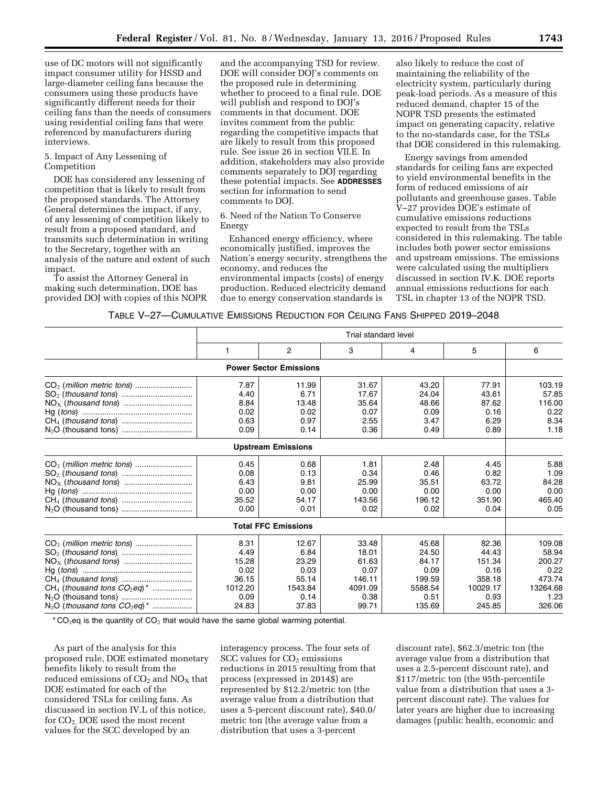use of DC motors will not significantly impact consumer utility for HSSD and large-diameter ceiling fans because the consumers using these products have significantly different needs for their ceiling fans than the needs of consumers using residential ceiling fans that were referenced by manufacturers during interviews.

### 5. Impact of Any Lessening of Competition

DOE has considered any lessening of competition that is likely to result from the proposed standards. The Attorney General determines the impact, if any, of any lessening of competition likely to result from a proposed standard, and transmits such determination in writing to the Secretary, together with an analysis of the nature and extent of such impact.

To assist the Attorney General in making such determination, DOE has provided DOJ with copies of this NOPR

and the accompanying TSD for review. DOE will consider DOJ's comments on the proposed rule in determining whether to proceed to a final rule. DOE will publish and respond to DOJ's comments in that document. DOE invites comment from the public regarding the competitive impacts that are likely to result from this proposed rule. See issue 26 in section VII.E. In addition, stakeholders may also provide comments separately to DOJ regarding these potential impacts. See **ADDRESSES** section for information to send comments to DOJ.

6. Need of the Nation To Conserve Energy

Enhanced energy efficiency, where economically justified, improves the Nation's energy security, strengthens the economy, and reduces the environmental impacts (costs) of energy production. Reduced electricity demand due to energy conservation standards is

also likely to reduce the cost of maintaining the reliability of the electricity system, particularly during peak-load periods. As a measure of this reduced demand, chapter 15 of the NOPR TSD presents the estimated impact on generating capacity, relative to the no-standards case, for the TSLs that DOE considered in this rulemaking.

Energy savings from amended standards for ceiling fans are expected to yield environmental benefits in the form of reduced emissions of air pollutants and greenhouse gases. Table V–27 provides DOE's estimate of cumulative emissions reductions expected to result from the TSLs considered in this rulemaking. The table includes both power sector emissions and upstream emissions. The emissions were calculated using the multipliers discussed in section IV.K. DOE reports annual emissions reductions for each TSL in chapter 13 of the NOPR TSD.

| TABLE V-27—CUMULATIVE EMISSIONS REDUCTION FOR CEILING FANS SHIPPED 2019–2048 |  |
|------------------------------------------------------------------------------|--|
|------------------------------------------------------------------------------|--|

|                                               |         | Trial standard level          |         |         |          |          |  |  |
|-----------------------------------------------|---------|-------------------------------|---------|---------|----------|----------|--|--|
|                                               | 1       | 2                             | 3       | 4       | 5        | 6        |  |  |
|                                               |         | <b>Power Sector Emissions</b> |         |         |          |          |  |  |
|                                               | 7.87    | 11.99                         | 31.67   | 43.20   | 77.91    | 103.19   |  |  |
|                                               | 4.40    | 6.71                          | 17.67   | 24.04   | 43.61    | 57.85    |  |  |
|                                               | 8.84    | 13.48                         | 35.64   | 48.66   | 87.62    | 116.00   |  |  |
|                                               | 0.02    | 0.02                          | 0.07    | 0.09    | 0.16     | 0.22     |  |  |
|                                               | 0.63    | 0.97                          | 2.55    | 3.47    | 6.29     | 8.34     |  |  |
|                                               | 0.09    | 0.14                          | 0.36    | 0.49    | 0.89     | 1.18     |  |  |
|                                               |         | <b>Upstream Emissions</b>     |         |         |          |          |  |  |
|                                               | 0.45    | 0.68                          | 1.81    | 2.48    | 4.45     | 5.88     |  |  |
|                                               | 0.08    | 0.13                          | 0.34    | 0.46    | 0.82     | 1.09     |  |  |
|                                               | 6.43    | 9.81                          | 25.99   | 35.51   | 63.72    | 84.28    |  |  |
|                                               | 0.00    | 0.00                          | 0.00    | 0.00    | 0.00     | 0.00     |  |  |
|                                               | 35.52   | 54.17                         | 143.56  | 196.12  | 351.90   | 465.40   |  |  |
|                                               | 0.00    | 0.01                          | 0.02    | 0.02    | 0.04     | 0.05     |  |  |
|                                               |         | <b>Total FFC Emissions</b>    |         |         |          |          |  |  |
|                                               | 8.31    | 12.67                         | 33.48   | 45.68   | 82.36    | 109.08   |  |  |
|                                               | 4.49    | 6.84                          | 18.01   | 24.50   | 44.43    | 58.94    |  |  |
|                                               | 15.28   | 23.29                         | 61.63   | 84.17   | 151.34   | 200.27   |  |  |
|                                               | 0.02    | 0.03                          | 0.07    | 0.09    | 0.16     | 0.22     |  |  |
|                                               | 36.15   | 55.14                         | 146.11  | 199.59  | 358.18   | 473.74   |  |  |
| $CH4$ (thousand tons $CO2eq$ ) <sup>*</sup>   | 1012.20 | 1543.84                       | 4091.09 | 5588.54 | 10029.17 | 13264.68 |  |  |
|                                               | 0.09    | 0.14                          | 0.38    | 0.51    | 0.93     | 1.23     |  |  |
| $N_2O$ (thousand tons $CO_2eq$ ) <sup>*</sup> | 24.83   | 37.83                         | 99.71   | 135.69  | 245.85   | 326.06   |  |  |

 $*$  CO<sub>2</sub>eq is the quantity of CO<sub>2</sub> that would have the same global warming potential.

As part of the analysis for this proposed rule, DOE estimated monetary benefits likely to result from the reduced emissions of  $CO<sub>2</sub>$  and  $NO<sub>X</sub>$  that DOE estimated for each of the considered TSLs for ceiling fans. As discussed in section IV.L of this notice, for CO2, DOE used the most recent values for the SCC developed by an

interagency process. The four sets of  $SCC$  values for  $CO<sub>2</sub>$  emissions reductions in 2015 resulting from that process (expressed in 2014\$) are represented by \$12.2/metric ton (the average value from a distribution that uses a 5-percent discount rate), \$40.0/ metric ton (the average value from a distribution that uses a 3-percent

discount rate), \$62.3/metric ton (the average value from a distribution that uses a 2.5-percent discount rate), and \$117/metric ton (the 95th-percentile value from a distribution that uses a 3 percent discount rate). The values for later years are higher due to increasing damages (public health, economic and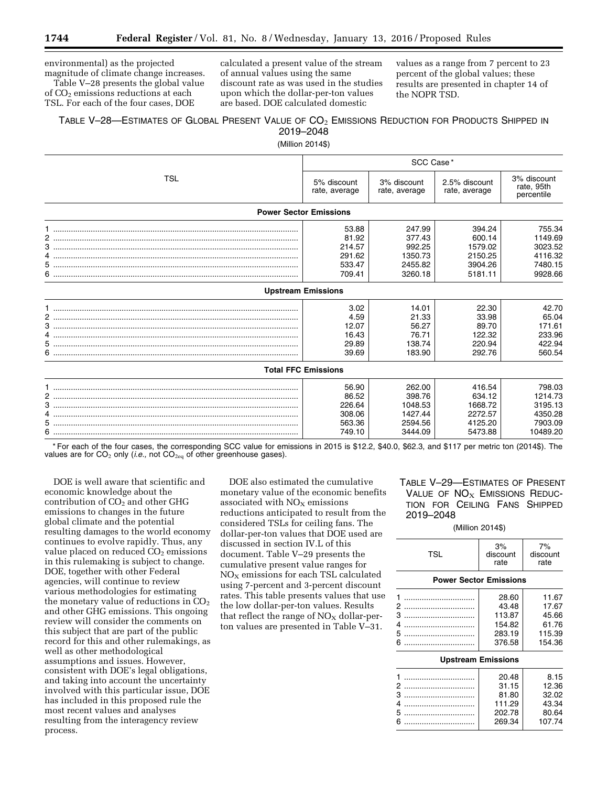environmental) as the projected magnitude of climate change increases.

Table V–28 presents the global value of CO2 emissions reductions at each TSL. For each of the four cases, DOE

calculated a present value of the stream of annual values using the same discount rate as was used in the studies upon which the dollar-per-ton values are based. DOE calculated domestic

values as a range from 7 percent to 23 percent of the global values; these results are presented in chapter 14 of the NOPR TSD.

# TABLE V-28—ESTIMATES OF GLOBAL PRESENT VALUE OF  $\mathrm{CO}_2$  EMISSIONS REDUCTION FOR PRODUCTS SHIPPED IN 2019–2048

(Million 2014\$)

|            | SCC Case*                                              |                                                              |                                                              |                                                                |  |
|------------|--------------------------------------------------------|--------------------------------------------------------------|--------------------------------------------------------------|----------------------------------------------------------------|--|
| <b>TSL</b> | 5% discount<br>rate, average                           | 3% discount<br>rate, average                                 | 2.5% discount<br>rate, average                               | 3% discount<br>rate, 95th<br>percentile                        |  |
|            | <b>Power Sector Emissions</b>                          |                                                              |                                                              |                                                                |  |
| 6.         | 53.88<br>81.92<br>214.57<br>291.62<br>533.47<br>709.41 | 247.99<br>377.43<br>992.25<br>1350.73<br>2455.82<br>3260.18  | 394.24<br>600.14<br>1579.02<br>2150.25<br>3904.26<br>5181.11 | 755.34<br>1149.69<br>3023.52<br>4116.32<br>7480.15<br>9928.66  |  |
|            | <b>Upstream Emissions</b>                              |                                                              |                                                              |                                                                |  |
| 4<br>6.    | 3.02<br>4.59<br>12.07<br>16.43<br>29.89<br>39.69       | 14.01<br>21.33<br>56.27<br>76.71<br>138.74<br>183.90         | 22.30<br>33.98<br>89.70<br>122.32<br>220.94<br>292.76        | 42.70<br>65.04<br>171.61<br>233.96<br>422.94<br>560.54         |  |
|            | <b>Total FFC Emissions</b>                             |                                                              |                                                              |                                                                |  |
|            | 56.90<br>86.52<br>226.64<br>308.06<br>563.36<br>749.10 | 262.00<br>398.76<br>1048.53<br>1427.44<br>2594.56<br>3444.09 | 416.54<br>634.12<br>1668.72<br>2272.57<br>4125.20<br>5473.88 | 798.03<br>1214.73<br>3195.13<br>4350.28<br>7903.09<br>10489.20 |  |

\* For each of the four cases, the corresponding SCC value for emissions in 2015 is \$12.2, \$40.0, \$62.3, and \$117 per metric ton (2014\$). The values are for CO<sub>2</sub> only (*i.e.,* not CO<sub>2eq</sub> of other greenhouse gases).

DOE is well aware that scientific and economic knowledge about the contribution of  $CO<sub>2</sub>$  and other GHG emissions to changes in the future global climate and the potential resulting damages to the world economy continues to evolve rapidly. Thus, any value placed on reduced CO<sub>2</sub> emissions in this rulemaking is subject to change. DOE, together with other Federal agencies, will continue to review various methodologies for estimating the monetary value of reductions in  $CO<sub>2</sub>$ and other GHG emissions. This ongoing review will consider the comments on this subject that are part of the public record for this and other rulemakings, as well as other methodological assumptions and issues. However, consistent with DOE's legal obligations, and taking into account the uncertainty involved with this particular issue, DOE has included in this proposed rule the most recent values and analyses resulting from the interagency review process.

DOE also estimated the cumulative monetary value of the economic benefits associated with NO<sub>X</sub> emissions reductions anticipated to result from the considered TSLs for ceiling fans. The dollar-per-ton values that DOE used are discussed in section IV.L of this document. Table V–29 presents the cumulative present value ranges for  $NO<sub>X</sub>$  emissions for each TSL calculated using 7-percent and 3-percent discount rates. This table presents values that use the low dollar-per-ton values. Results that reflect the range of  $NO<sub>x</sub>$  dollar-perton values are presented in Table V–31.

# TABLE V–29—ESTIMATES OF PRESENT VALUE OF  $NO<sub>X</sub>$  EMISSIONS REDUC-TION FOR CEILING FANS SHIPPED 2019–2048

### (Million 2014\$)

| <b>TSL</b>                    | 3%<br>discount<br>rate | 7%<br>discount<br>rate |  |  |  |  |
|-------------------------------|------------------------|------------------------|--|--|--|--|
| <b>Power Sector Emissions</b> |                        |                        |  |  |  |  |
| 1                             | 28.60                  | 11.67                  |  |  |  |  |
| 2                             | 43.48                  | 17.67                  |  |  |  |  |
| 3                             | 113.87                 | 45.66                  |  |  |  |  |
| 4                             | 154.82                 | 61.76                  |  |  |  |  |
| 5                             | 283.19                 | 115.39                 |  |  |  |  |
| 6                             | 376.58                 | 154.36                 |  |  |  |  |
| <b>Upstream Emissions</b>     |                        |                        |  |  |  |  |

| 20.48  | 8.15   |
|--------|--------|
| 31.15  | 12.36  |
| 81.80  | 32.02  |
| 111.29 | 43.34  |
| 202.78 | 80.64  |
| 269.34 | 107.74 |
|        |        |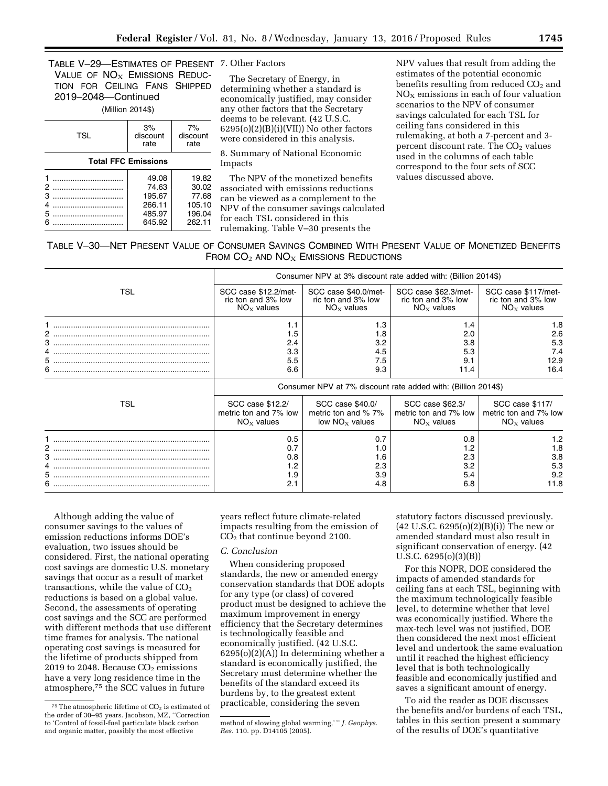TABLE V–29—ESTIMATES OF PRESENT 7. Other Factors VALUE OF  $NO<sub>X</sub>$  EMISSIONS REDUC-TION FOR CEILING FANS SHIPPED 2019–2048—Continued

#### (Million 2014\$)

| <b>TSL</b>                 | 3%<br>discount<br>rate                                 | 7%<br>discount<br>rate                                |  |  |  |
|----------------------------|--------------------------------------------------------|-------------------------------------------------------|--|--|--|
| <b>Total FFC Emissions</b> |                                                        |                                                       |  |  |  |
| 2<br>3<br>4<br>5<br>6      | 49.08<br>74.63<br>195.67<br>266.11<br>485.97<br>645.92 | 19.82<br>30.02<br>77.68<br>105.10<br>196.04<br>262.11 |  |  |  |

The Secretary of Energy, in determining whether a standard is economically justified, may consider any other factors that the Secretary deems to be relevant. (42 U.S.C.  $6295(o)(2)(B)(i)(VII))$  No other factors were considered in this analysis.

8. Summary of National Economic Impacts

The NPV of the monetized benefits associated with emissions reductions can be viewed as a complement to the NPV of the consumer savings calculated for each TSL considered in this rulemaking. Table V–30 presents the

NPV values that result from adding the estimates of the potential economic benefits resulting from reduced  $CO<sub>2</sub>$  and  $NO<sub>x</sub>$  emissions in each of four valuation scenarios to the NPV of consumer savings calculated for each TSL for ceiling fans considered in this rulemaking, at both a 7-percent and 3 percent discount rate. The CO<sub>2</sub> values used in the columns of each table correspond to the four sets of SCC values discussed above.

# TABLE V–30—NET PRESENT VALUE OF CONSUMER SAVINGS COMBINED WITH PRESENT VALUE OF MONETIZED BENEFITS FROM  $CO<sub>2</sub>$  and  $NO<sub>X</sub>$  Emissions Reductions

|                   | Consumer NPV at 3% discount rate added with: (Billion 2014\$) |                                        |                                         |                                          |  |  |
|-------------------|---------------------------------------------------------------|----------------------------------------|-----------------------------------------|------------------------------------------|--|--|
| TSL               | SCC case \$12.2/met-                                          | SCC case \$40.0/met-                   | SCC case \$62.3/met-                    | SCC case \$117/met-                      |  |  |
|                   | ric ton and 3% low                                            | ric ton and 3% low                     | ric ton and 3% low                      | ric ton and 3% low                       |  |  |
|                   | $NOx$ values                                                  | $NOx$ values                           | $NOx$ values                            | $NOx$ values                             |  |  |
| 2<br>4<br>5<br>6. | 1.1<br>1.5<br>2.4<br>3.3<br>5.5<br>6.6                        | 1.3<br>1.8<br>3.2<br>4.5<br>7.5<br>9.3 | 1.4<br>2.0<br>3.8<br>5.3<br>9.1<br>11.4 | 1.8<br>2.6<br>5.3<br>7.4<br>12.9<br>16.4 |  |  |
|                   | Consumer NPV at 7% discount rate added with: (Billion 2014\$) |                                        |                                         |                                          |  |  |
| TSL               | SCC case \$12.2/                                              | SCC case \$40.0/                       | SCC case \$62.3/                        | SCC case \$117/                          |  |  |
|                   | metric ton and 7% low                                         | metric ton and % 7%                    | metric ton and 7% low                   | metric ton and 7% low                    |  |  |
|                   | $NOx$ values                                                  | low $NOx$ values                       | $NOx$ values                            | $NOx$ values                             |  |  |
|                   | 0.5                                                           | 0.7                                    | 0.8                                     | 1.2                                      |  |  |
|                   | 0.7                                                           | 1.0                                    | 1.2                                     | 1.8                                      |  |  |
|                   | 0.8                                                           | 1.6                                    | 2.3                                     | 3.8                                      |  |  |
|                   | 1.2                                                           | 2.3                                    | 3.2                                     | 5.3                                      |  |  |
| 6.                | 1.9                                                           | 3.9                                    | 5.4                                     | 9.2                                      |  |  |
|                   | 2.1                                                           | 4.8                                    | 6.8                                     | 11.8                                     |  |  |

Although adding the value of consumer savings to the values of emission reductions informs DOE's evaluation, two issues should be considered. First, the national operating cost savings are domestic U.S. monetary savings that occur as a result of market transactions, while the value of  $CO<sub>2</sub>$ reductions is based on a global value. Second, the assessments of operating cost savings and the SCC are performed with different methods that use different time frames for analysis. The national operating cost savings is measured for the lifetime of products shipped from 2019 to 2048. Because  $CO<sub>2</sub>$  emissions have a very long residence time in the atmosphere,75 the SCC values in future

years reflect future climate-related impacts resulting from the emission of CO2 that continue beyond 2100.

### *C. Conclusion*

When considering proposed standards, the new or amended energy conservation standards that DOE adopts for any type (or class) of covered product must be designed to achieve the maximum improvement in energy efficiency that the Secretary determines is technologically feasible and economically justified. (42 U.S.C.  $6295(o)(2)(A)$  In determining whether a standard is economically justified, the Secretary must determine whether the benefits of the standard exceed its burdens by, to the greatest extent practicable, considering the seven

statutory factors discussed previously.  $(42 \text{ U.S.C. } 6295(0)(2)(B)(i))$  The new or amended standard must also result in significant conservation of energy. (42 U.S.C. 6295(o)(3)(B))

For this NOPR, DOE considered the impacts of amended standards for ceiling fans at each TSL, beginning with the maximum technologically feasible level, to determine whether that level was economically justified. Where the max-tech level was not justified, DOE then considered the next most efficient level and undertook the same evaluation until it reached the highest efficiency level that is both technologically feasible and economically justified and saves a significant amount of energy.

To aid the reader as DOE discusses the benefits and/or burdens of each TSL, tables in this section present a summary of the results of DOE's quantitative

 $75$ The atmospheric lifetime of  $CO<sub>2</sub>$  is estimated of the order of 30–95 years. Jacobson, MZ, ''Correction to 'Control of fossil-fuel particulate black carbon and organic matter, possibly the most effective

method of slowing global warming,' '' *J. Geophys. Res.* 110. pp. D14105 (2005).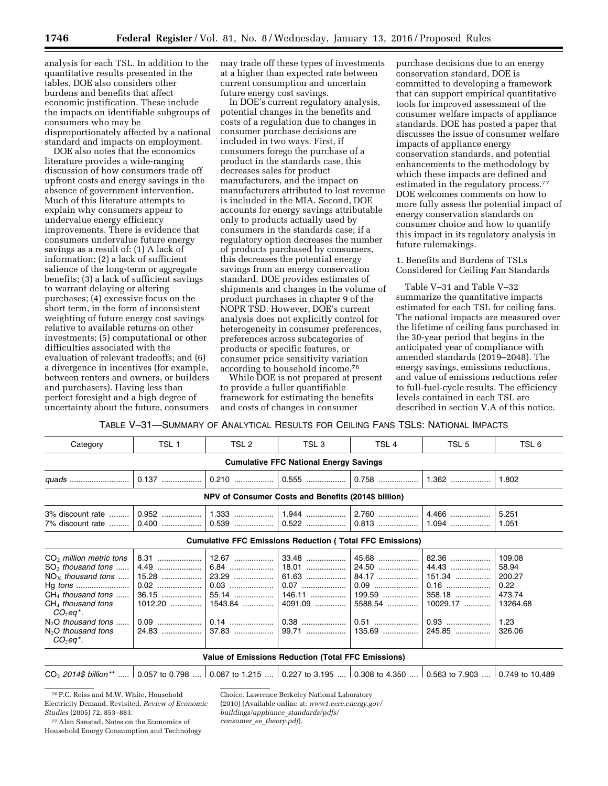analysis for each TSL. In addition to the quantitative results presented in the tables, DOE also considers other burdens and benefits that affect economic justification. These include the impacts on identifiable subgroups of consumers who may be disproportionately affected by a national standard and impacts on employment.

DOE also notes that the economics literature provides a wide-ranging discussion of how consumers trade off upfront costs and energy savings in the absence of government intervention. Much of this literature attempts to explain why consumers appear to undervalue energy efficiency improvements. There is evidence that consumers undervalue future energy savings as a result of: (1) A lack of information; (2) a lack of sufficient salience of the long-term or aggregate benefits; (3) a lack of sufficient savings to warrant delaying or altering purchases; (4) excessive focus on the short term, in the form of inconsistent weighting of future energy cost savings relative to available returns on other investments; (5) computational or other difficulties associated with the evaluation of relevant tradeoffs; and (6) a divergence in incentives (for example, between renters and owners, or builders and purchasers). Having less than perfect foresight and a high degree of uncertainty about the future, consumers may trade off these types of investments at a higher than expected rate between current consumption and uncertain future energy cost savings.

In DOE's current regulatory analysis, potential changes in the benefits and costs of a regulation due to changes in consumer purchase decisions are included in two ways. First, if consumers forego the purchase of a product in the standards case, this decreases sales for product manufacturers, and the impact on manufacturers attributed to lost revenue is included in the MIA. Second, DOE accounts for energy savings attributable only to products actually used by consumers in the standards case; if a regulatory option decreases the number of products purchased by consumers, this decreases the potential energy savings from an energy conservation standard. DOE provides estimates of shipments and changes in the volume of product purchases in chapter 9 of the NOPR TSD. However, DOE's current analysis does not explicitly control for heterogeneity in consumer preferences, preferences across subcategories of products or specific features, or consumer price sensitivity variation according to household income.76

While DOE is not prepared at present to provide a fuller quantifiable framework for estimating the benefits and costs of changes in consumer

purchase decisions due to an energy conservation standard, DOE is committed to developing a framework that can support empirical quantitative tools for improved assessment of the consumer welfare impacts of appliance standards. DOE has posted a paper that discusses the issue of consumer welfare impacts of appliance energy conservation standards, and potential enhancements to the methodology by which these impacts are defined and estimated in the regulatory process.77 DOE welcomes comments on how to more fully assess the potential impact of energy conservation standards on consumer choice and how to quantify this impact in its regulatory analysis in future rulemakings.

1. Benefits and Burdens of TSLs Considered for Ceiling Fan Standards

Table V–31 and Table V–32 summarize the quantitative impacts estimated for each TSL for ceiling fans. The national impacts are measured over the lifetime of ceiling fans purchased in the 30-year period that begins in the anticipated year of compliance with amended standards (2019–2048). The energy savings, emissions reductions, and value of emissions reductions refer to full-fuel-cycle results. The efficiency levels contained in each TSL are described in section V.A of this notice.

TABLE V–31—SUMMARY OF ANALYTICAL RESULTS FOR CEILING FANS TSLS: NATIONAL IMPACTS

| Category                                                                                                                                                                                                                                                                                                                                                                                                                                                                                                                                                                                                                                            | TSL 1                                         | TSL <sub>2</sub>   | TSL <sub>3</sub>                                    | TSL 4                                                           | TSL 5            | TSL 6          |  |  |
|-----------------------------------------------------------------------------------------------------------------------------------------------------------------------------------------------------------------------------------------------------------------------------------------------------------------------------------------------------------------------------------------------------------------------------------------------------------------------------------------------------------------------------------------------------------------------------------------------------------------------------------------------------|-----------------------------------------------|--------------------|-----------------------------------------------------|-----------------------------------------------------------------|------------------|----------------|--|--|
|                                                                                                                                                                                                                                                                                                                                                                                                                                                                                                                                                                                                                                                     | <b>Cumulative FFC National Energy Savings</b> |                    |                                                     |                                                                 |                  |                |  |  |
|                                                                                                                                                                                                                                                                                                                                                                                                                                                                                                                                                                                                                                                     | 0.137                                         | $0.210$            | 0.555                                               | $0.758$                                                         | $1.362$          | 1.802          |  |  |
|                                                                                                                                                                                                                                                                                                                                                                                                                                                                                                                                                                                                                                                     |                                               |                    | NPV of Consumer Costs and Benefits (2014\$ billion) |                                                                 |                  |                |  |  |
| 3% discount rate<br>7% discount rate                                                                                                                                                                                                                                                                                                                                                                                                                                                                                                                                                                                                                | 0.952<br>$0.400$                              | $1.333$<br>$0.539$ | $ 1.944$<br>$\vert$ 0.522                           | 2.760<br>$0.813$                                                | 4.466<br>$1.094$ | 5.251<br>1.051 |  |  |
|                                                                                                                                                                                                                                                                                                                                                                                                                                                                                                                                                                                                                                                     |                                               |                    |                                                     | <b>Cumulative FFC Emissions Reduction (Total FFC Emissions)</b> |                  |                |  |  |
| 12.67<br>45.68<br>82.36<br>109.08<br>$CO2$ million metric tons<br>$8.31$<br>6.84<br>$SO2$ thousand tons<br>4.49<br>44.43<br>58.94<br>24.50<br>151.34<br>23.29<br>$61.63$<br>84.17<br>$NOx$ thousand tons<br>15.28<br>200.27<br>0.03<br>$0.16$<br>0.07<br>$0.09$<br>0.22<br>$0.02$<br>55.14<br>358.18<br>$CH4$ thousand tons<br>$146.11$<br>199.59<br>473.74<br>36.15<br>1543.84<br>$ 4091.09$<br>5588.54<br>10029.17<br>$CH4$ thousand tons<br>13264.68<br>$1012.20$<br>$CO2$ eq*.<br>$0.51$<br>$0.93$<br>$N2O$ thousand tons<br>$0.09$<br>1.23<br>$37.83$<br>$ 99.71$<br>135.69<br>$N_2O$ thousand tons<br>245.85<br>326.06<br>24.83<br>$CO2eq*$ . |                                               |                    |                                                     |                                                                 |                  |                |  |  |
|                                                                                                                                                                                                                                                                                                                                                                                                                                                                                                                                                                                                                                                     |                                               |                    | Value of Emissions Reduction (Total FFC Emissions)  |                                                                 |                  |                |  |  |

CO2 *2014\$ billion* \*\* ..... 0.057 to 0.798 .... 0.087 to 1.215 .... 0.227 to 3.195 .... 0.308 to 4.350 .... 0.563 to 7.903 .... 0.749 to 10.489

76P.C. Reiss and M.W. White, Household Electricity Demand, Revisited, *Review of Economic Studies* (2005) 72, 853–883.

77Alan Sanstad, Notes on the Economics of Household Energy Consumption and Technology Choice. Lawrence Berkeley National Laboratory (2010) (Available online at: *[www1.eere.energy.gov/](http://www1.eere.energy.gov/buildings/appliance_standards/pdfs/consumer_ee_theory.pdf) [buildings/appliance](http://www1.eere.energy.gov/buildings/appliance_standards/pdfs/consumer_ee_theory.pdf)*\_*standards/pdfs/ consumer*\_*ee*\_*[theory.pdf](http://www1.eere.energy.gov/buildings/appliance_standards/pdfs/consumer_ee_theory.pdf)*).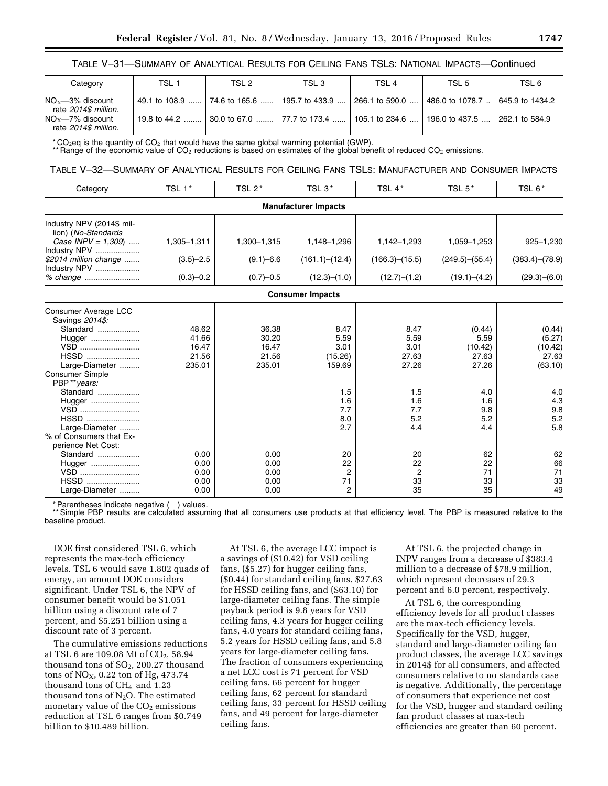## TABLE V–31—SUMMARY OF ANALYTICAL RESULTS FOR CEILING FANS TSLS: NATIONAL IMPACTS—Continued

| Category                                                                                   | TSL <sub>1</sub> | TSL 2                        | TSL 3          | TSL <sub>4</sub>                                                                 | TSL 5                                                                  | TSL 6          |
|--------------------------------------------------------------------------------------------|------------------|------------------------------|----------------|----------------------------------------------------------------------------------|------------------------------------------------------------------------|----------------|
| $NO_x$ —3% discount<br>rate 2014\$ million.<br>$NO_x$ -7% discount<br>rate 2014\$ million. |                  | 49.1 to 108.9  74.6 to 165.6 | 195.7 to 433.9 | l 266.1 to 590.0  I<br>19.8 to 44.2  30.0 to 67.0  77.7 to 173.4  105.1 to 234.6 | $\vert$ 486.0 to 1078.7 $\vert$ 645.9 to 1434.2<br>l 196.0 to 437.5  l | 262.1 to 584.9 |

\* CO<sub>2</sub>eq is the quantity of CO<sub>2</sub> that would have the same global warming potential (GWP).

\*\* Range of the economic value of CO<sub>2</sub> reductions is based on estimates of the global benefit of reduced CO<sub>2</sub> emissions.

## TABLE V–32—SUMMARY OF ANALYTICAL RESULTS FOR CEILING FANS TSLS: MANUFACTURER AND CONSUMER IMPACTS

| Category                                         | TSL 1*        | TSL $2^*$     | TSL <sub>3</sub> <sup>*</sup> | TSL 4*         | TSL 5*              | TSL 6*         |
|--------------------------------------------------|---------------|---------------|-------------------------------|----------------|---------------------|----------------|
|                                                  |               |               | <b>Manufacturer Impacts</b>   |                |                     |                |
| Industry NPV (2014\$ mil-<br>lion) (No-Standards |               |               |                               |                |                     |                |
| Case INPV = $1,309$<br>Industry NPV              | 1,305-1,311   | 1,300-1,315   | 1,148-1,296                   | 1,142-1,293    | 1,059-1,253         | $925 - 1,230$  |
| \$2014 million change<br>Industry NPV            | $(3.5)-2.5$   | $(9.1) - 6.6$ | (161.1)–(12.4)                | (166.3)–(15.5) | $(249.5)$ $-(55.4)$ | (383.4)–(78.9) |
|                                                  | $(0.3) - 0.2$ | $(0.7)-0.5$   | (12.3)–(1.0)                  | (12.7)–(1.2)   | (19.1)–(4.2)        | (29.3)–(6.0)   |
|                                                  |               |               | <b>Consumer Impacts</b>       |                |                     |                |
| Consumer Average LCC<br>Savings 2014\$:          |               |               |                               |                |                     |                |
| Standard                                         | 48.62         | 36.38         | 8.47                          | 8.47           | (0.44)              | (0.44)         |
| Hugger                                           | 41.66         | 30.20         | 5.59                          | 5.59           | 5.59                | (5.27)         |
| VSD                                              | 16.47         | 16.47         | 3.01                          | 3.01           | (10.42)             | (10.42)        |
| HSSD                                             | 21.56         | 21.56         | (15.26)                       | 27.63          | 27.63               | 27.63          |
| Large-Diameter                                   | 235.01        | 235.01        | 159.69                        | 27.26          | 27.26               | (63.10)        |
| <b>Consumer Simple</b>                           |               |               |                               |                |                     |                |
| PBP**years:                                      |               |               |                               |                |                     |                |
| Standard                                         |               |               | 1.5                           | 1.5            | 4.0                 | 4.0            |
| Hugger                                           |               |               | 1.6                           | 1.6            | 1.6                 | 4.3            |
| VSD                                              |               |               | 7.7                           | 7.7            | 9.8                 | 9.8            |
| HSSD                                             |               |               | 8.0                           | 5.2            | 5.2                 | 5.2            |
| Large-Diameter                                   |               |               | 2.7                           | 4.4            | 4.4                 | 5.8            |
| % of Consumers that Ex-                          |               |               |                               |                |                     |                |
| perience Net Cost:                               |               |               |                               |                |                     |                |
| Standard                                         | 0.00          | 0.00          | 20                            | 20             | 62                  | 62             |
| Hugger                                           | 0.00          | 0.00          | 22                            | 22             | 22                  | 66             |
| VSD                                              | 0.00          | 0.00          | $\overline{2}$                | $\overline{2}$ | 71                  | 71             |
| HSSD                                             | 0.00          | 0.00          | 71                            | 33             | 33                  | 33             |
| Large-Diameter                                   | 0.00          | 0.00          | 2                             | 35             | 35                  | 49             |

\* Parentheses indicate negative  $(-)$  values.

\*\* Simple PBP results are calculated assuming that all consumers use products at that efficiency level. The PBP is measured relative to the baseline product.

DOE first considered TSL 6, which represents the max-tech efficiency levels. TSL 6 would save 1.802 quads of energy, an amount DOE considers significant. Under TSL 6, the NPV of consumer benefit would be \$1.051 billion using a discount rate of 7 percent, and \$5.251 billion using a discount rate of 3 percent.

The cumulative emissions reductions at TSL 6 are 109.08 Mt of CO<sub>2</sub>, 58.94 thousand tons of  $SO<sub>2</sub>$ , 200.27 thousand tons of  $NO<sub>X</sub>$ , 0.22 ton of Hg, 473.74 thousand tons of CH4, and 1.23 thousand tons of  $N_2O$ . The estimated monetary value of the  $CO<sub>2</sub>$  emissions reduction at TSL 6 ranges from \$0.749 billion to \$10.489 billion.

At TSL 6, the average LCC impact is a savings of (\$10.42) for VSD ceiling fans, (\$5.27) for hugger ceiling fans, (\$0.44) for standard ceiling fans, \$27.63 for HSSD ceiling fans, and (\$63.10) for large-diameter ceiling fans. The simple payback period is 9.8 years for VSD ceiling fans, 4.3 years for hugger ceiling fans, 4.0 years for standard ceiling fans, 5.2 years for HSSD ceiling fans, and 5.8 years for large-diameter ceiling fans. The fraction of consumers experiencing a net LCC cost is 71 percent for VSD ceiling fans, 66 percent for hugger ceiling fans, 62 percent for standard ceiling fans, 33 percent for HSSD ceiling fans, and 49 percent for large-diameter ceiling fans.

At TSL 6, the projected change in INPV ranges from a decrease of \$383.4 million to a decrease of \$78.9 million, which represent decreases of 29.3 percent and 6.0 percent, respectively.

At TSL 6, the corresponding efficiency levels for all product classes are the max-tech efficiency levels. Specifically for the VSD, hugger, standard and large-diameter ceiling fan product classes, the average LCC savings in 2014\$ for all consumers, and affected consumers relative to no standards case is negative. Additionally, the percentage of consumers that experience net cost for the VSD, hugger and standard ceiling fan product classes at max-tech efficiencies are greater than 60 percent.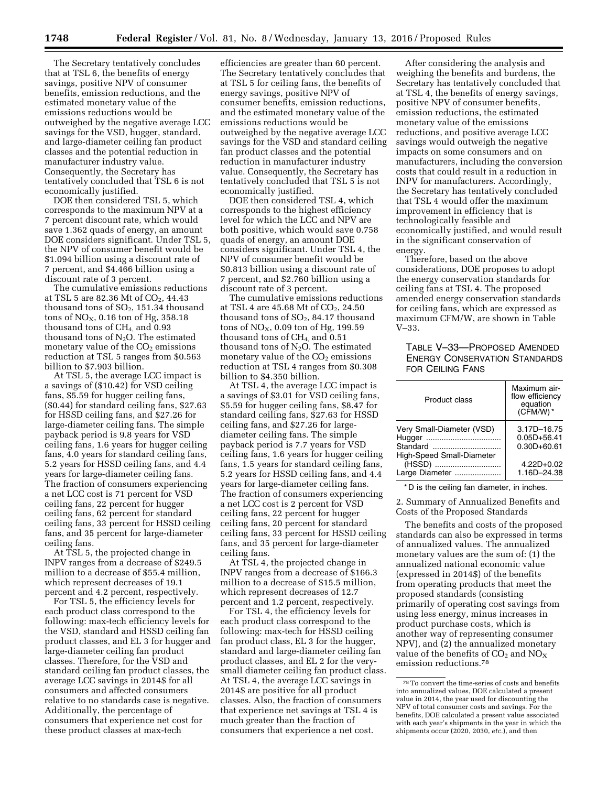The Secretary tentatively concludes that at TSL 6, the benefits of energy savings, positive NPV of consumer benefits, emission reductions, and the estimated monetary value of the emissions reductions would be outweighed by the negative average LCC savings for the VSD, hugger, standard, and large-diameter ceiling fan product classes and the potential reduction in manufacturer industry value. Consequently, the Secretary has tentatively concluded that TSL 6 is not economically justified.

DOE then considered TSL 5, which corresponds to the maximum NPV at a 7 percent discount rate, which would save 1.362 quads of energy, an amount DOE considers significant. Under TSL 5, the NPV of consumer benefit would be \$1.094 billion using a discount rate of 7 percent, and \$4.466 billion using a discount rate of 3 percent.

The cumulative emissions reductions at TSL 5 are 82.36 Mt of CO<sub>2</sub>, 44.43 thousand tons of  $SO<sub>2</sub>$ , 151.34 thousand tons of  $NO<sub>X</sub>$ , 0.16 ton of Hg, 358.18 thousand tons of  $CH<sub>4</sub>$  and 0.93 thousand tons of  $N_2O$ . The estimated monetary value of the  $CO<sub>2</sub>$  emissions reduction at TSL 5 ranges from \$0.563 billion to \$7.903 billion.

At TSL 5, the average LCC impact is a savings of (\$10.42) for VSD ceiling fans, \$5.59 for hugger ceiling fans, (\$0.44) for standard ceiling fans, \$27.63 for HSSD ceiling fans, and \$27.26 for large-diameter ceiling fans. The simple payback period is 9.8 years for VSD ceiling fans, 1.6 years for hugger ceiling fans, 4.0 years for standard ceiling fans, 5.2 years for HSSD ceiling fans, and 4.4 years for large-diameter ceiling fans. The fraction of consumers experiencing a net LCC cost is 71 percent for VSD ceiling fans, 22 percent for hugger ceiling fans, 62 percent for standard ceiling fans, 33 percent for HSSD ceiling fans, and 35 percent for large-diameter ceiling fans.

At TSL 5, the projected change in INPV ranges from a decrease of \$249.5 million to a decrease of \$55.4 million, which represent decreases of 19.1 percent and 4.2 percent, respectively.

For TSL 5, the efficiency levels for each product class correspond to the following: max-tech efficiency levels for the VSD, standard and HSSD ceiling fan product classes, and EL 3 for hugger and large-diameter ceiling fan product classes. Therefore, for the VSD and standard ceiling fan product classes, the average LCC savings in 2014\$ for all consumers and affected consumers relative to no standards case is negative. Additionally, the percentage of consumers that experience net cost for these product classes at max-tech

efficiencies are greater than 60 percent. The Secretary tentatively concludes that at TSL 5 for ceiling fans, the benefits of energy savings, positive NPV of consumer benefits, emission reductions, and the estimated monetary value of the emissions reductions would be outweighed by the negative average LCC savings for the VSD and standard ceiling fan product classes and the potential reduction in manufacturer industry value. Consequently, the Secretary has tentatively concluded that TSL 5 is not economically justified.

DOE then considered TSL 4, which corresponds to the highest efficiency level for which the LCC and NPV are both positive, which would save 0.758 quads of energy, an amount DOE considers significant. Under TSL 4, the NPV of consumer benefit would be \$0.813 billion using a discount rate of 7 percent, and \$2.760 billion using a discount rate of 3 percent.

The cumulative emissions reductions at TSL 4 are  $45.68$  Mt of  $CO<sub>2</sub>$ , 24.50 thousand tons of  $SO_2$ , 84.17 thousand tons of  $NO<sub>X</sub>$ , 0.09 ton of Hg, 199.59 thousand tons of  $CH<sub>4</sub>$  and  $0.51$ thousand tons of  $N_2O$ . The estimated monetary value of the  $CO<sub>2</sub>$  emissions reduction at TSL 4 ranges from \$0.308 billion to \$4.350 billion.

At TSL 4, the average LCC impact is a savings of \$3.01 for VSD ceiling fans, \$5.59 for hugger ceiling fans, \$8.47 for standard ceiling fans, \$27.63 for HSSD ceiling fans, and \$27.26 for largediameter ceiling fans. The simple payback period is 7.7 years for VSD ceiling fans, 1.6 years for hugger ceiling fans, 1.5 years for standard ceiling fans, 5.2 years for HSSD ceiling fans, and 4.4 years for large-diameter ceiling fans. The fraction of consumers experiencing a net LCC cost is 2 percent for VSD ceiling fans, 22 percent for hugger ceiling fans, 20 percent for standard ceiling fans, 33 percent for HSSD ceiling fans, and 35 percent for large-diameter ceiling fans.

At TSL 4, the projected change in INPV ranges from a decrease of \$166.3 million to a decrease of \$15.5 million, which represent decreases of 12.7 percent and 1.2 percent, respectively.

For TSL 4, the efficiency levels for each product class correspond to the following: max-tech for HSSD ceiling fan product class, EL 3 for the hugger, standard and large-diameter ceiling fan product classes, and EL 2 for the verysmall diameter ceiling fan product class. At TSL 4, the average LCC savings in 2014\$ are positive for all product classes. Also, the fraction of consumers that experience net savings at TSL 4 is much greater than the fraction of consumers that experience a net cost.

After considering the analysis and weighing the benefits and burdens, the Secretary has tentatively concluded that at TSL 4, the benefits of energy savings, positive NPV of consumer benefits, emission reductions, the estimated monetary value of the emissions reductions, and positive average LCC savings would outweigh the negative impacts on some consumers and on manufacturers, including the conversion costs that could result in a reduction in INPV for manufacturers. Accordingly, the Secretary has tentatively concluded that TSL 4 would offer the maximum improvement in efficiency that is technologically feasible and economically justified, and would result in the significant conservation of energy.

Therefore, based on the above considerations, DOE proposes to adopt the energy conservation standards for ceiling fans at TSL 4. The proposed amended energy conservation standards for ceiling fans, which are expressed as maximum CFM/W, are shown in Table V–33.

# TABLE V–33—PROPOSED AMENDED ENERGY CONSERVATION STANDARDS FOR CEILING FANS

| Product class                                                             | Maximum air-<br>flow efficiency<br>equation<br>$(CFM/W)$ <sup>*</sup> |
|---------------------------------------------------------------------------|-----------------------------------------------------------------------|
| Very Small-Diameter (VSD)<br>Standard<br><b>High-Speed Small-Diameter</b> | 3.17D-16.75<br>$0.05D + 56.41$<br>$0.30D + 60.61$                     |
| (HSSD)<br>Large Diameter                                                  | $4.22D + 0.02$<br>1.16D-24.38                                         |

\* D is the ceiling fan diameter, in inches.

2. Summary of Annualized Benefits and Costs of the Proposed Standards

The benefits and costs of the proposed standards can also be expressed in terms of annualized values. The annualized monetary values are the sum of: (1) the annualized national economic value (expressed in 2014\$) of the benefits from operating products that meet the proposed standards (consisting primarily of operating cost savings from using less energy, minus increases in product purchase costs, which is another way of representing consumer NPV), and (2) the annualized monetary value of the benefits of  $CO<sub>2</sub>$  and  $NO<sub>X</sub>$ emission reductions.78

<sup>78</sup>To convert the time-series of costs and benefits into annualized values, DOE calculated a present value in 2014, the year used for discounting the NPV of total consumer costs and savings. For the benefits, DOE calculated a present value associated with each year's shipments in the year in which the shipments occur (2020, 2030, *etc.*), and then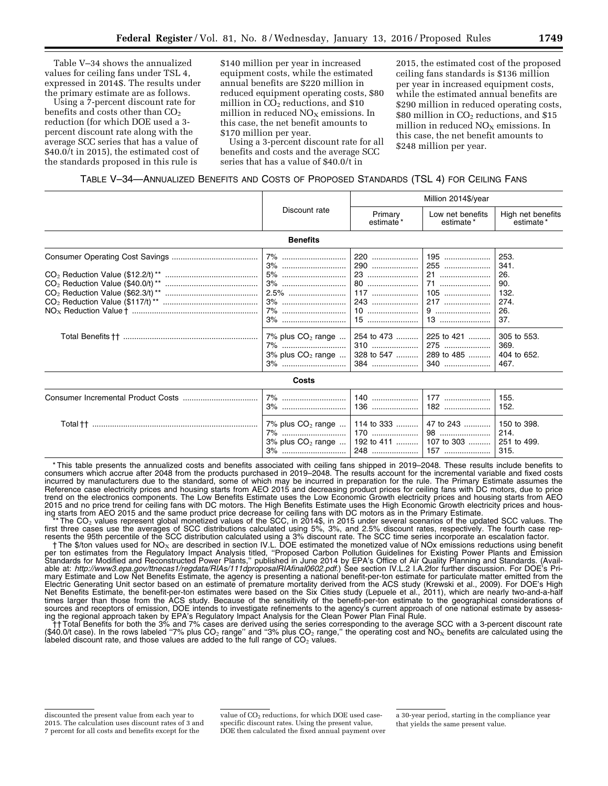Table V–34 shows the annualized values for ceiling fans under TSL 4, expressed in 2014\$. The results under the primary estimate are as follows.

Using a 7-percent discount rate for benefits and costs other than  $CO<sub>2</sub>$ reduction (for which DOE used a 3 percent discount rate along with the average SCC series that has a value of \$40.0/t in 2015), the estimated cost of the standards proposed in this rule is

\$140 million per year in increased equipment costs, while the estimated annual benefits are \$220 million in reduced equipment operating costs, \$80 million in  $CO<sub>2</sub>$  reductions, and \$10 million in reduced  $NO<sub>X</sub>$  emissions. In this case, the net benefit amounts to \$170 million per year.

Using a 3-percent discount rate for all benefits and costs and the average SCC series that has a value of \$40.0/t in

2015, the estimated cost of the proposed ceiling fans standards is \$136 million per year in increased equipment costs, while the estimated annual benefits are \$290 million in reduced operating costs, \$80 million in  $CO<sub>2</sub>$  reductions, and \$15 million in reduced  $NO<sub>X</sub>$  emissions. In this case, the net benefit amounts to \$248 million per year.

## TABLE V–34—ANNUALIZED BENEFITS AND COSTS OF PROPOSED STANDARDS (TSL 4) FOR CEILING FANS

|                                  |                                                                    |                                                                  | Million 2014\$/year                                                                                           |                                                                                                        |  |  |
|----------------------------------|--------------------------------------------------------------------|------------------------------------------------------------------|---------------------------------------------------------------------------------------------------------------|--------------------------------------------------------------------------------------------------------|--|--|
|                                  | Discount rate                                                      | Primary<br>estimate*                                             | Low net benefits<br>estimate*                                                                                 | High net benefits<br>estimate*                                                                         |  |  |
| <b>Benefits</b>                  |                                                                    |                                                                  |                                                                                                               |                                                                                                        |  |  |
|                                  | 7%<br>5%<br>3%<br>7% plus $CO2$ range<br>7%<br>3% plus $CO2$ range | 220<br>290<br>23<br>80<br>117<br>243<br>310<br>328 to 547<br>384 | 195<br>255<br>21<br>71<br>$105$<br>$217$<br>9<br>$13$<br>254 to 473  225 to 421<br>275<br>289 to 485<br>$340$ | 253.<br>341.<br>26.<br>90.<br>132.<br>274.<br>26.<br>37.<br>305 to 553.<br>369.<br>404 to 652.<br>467. |  |  |
|                                  | Costs                                                              |                                                                  |                                                                                                               |                                                                                                        |  |  |
|                                  |                                                                    | $136$                                                            | $177$<br>182                                                                                                  | 155.<br>152.                                                                                           |  |  |
| Total †† …………………………………………………………… | $7\%$ plus $CO2$ range<br>7%<br>$3\%$ plus $CO2$ range<br>3%       | 114 to 333<br>170<br>192 to 411                                  | 47 to 243<br>98<br>107 to 303                                                                                 | 150 to 398.<br>214.<br>251 to 499.<br>315.                                                             |  |  |

\* This table presents the annualized costs and benefits associated with ceiling fans shipped in 2019–2048. These results include benefits to consumers which accrue after 2048 from the products purchased in 2019–2048. The results account for the incremental variable and fixed costs incurred by manufacturers due to the standard, some of which may be incurred in preparation for the rule. The Primary Estimate assumes the Reference case electricity prices and housing starts from AEO 2015 and decreasing product prices for ceiling fans with DC motors, due to price trend on the electronics components. The Low Benefits Estimate uses the Low Economic Growth electricity prices and housing starts from AEO 2015 and no price trend for ceiling fans with DC motors. The High Benefits Estimate uses the High Economic Growth electricity prices and housing starts from AEO 2015 and the same product price decrease for ceiling fans with DC motors as in the Primary Estimate.

\*\* The CO<sub>2</sub> values represent global monetized values of the SCC, in 2014\$, in 2015 under several scenarios of the updated SCC values. The fourth case rep-<br>first three cases use the averages of SCC distributions calculate

resents the 95th percentile of the SCC distribution calculated using a 3% discount rate. The SCC time series incorporate an escalation factor.<br>The \$/ton values used for NO<sub>x</sub> are described in section IV.L. DOE estimated th Standards for Modified and Reconstructed Power Plants,'' published in June 2014 by EPA's Office of Air Quality Planning and Standards. (Available at: *<http://www3.epa.gov/ttnecas1/regdata/RIAs/111dproposalRIAfinal0602.pdf>*.) See section IV.L.2 I.A.2for further discussion. For DOE's Primary Estimate and Low Net Benefits Estimate, the agency is presenting a national benefit-per-ton estimate for particulate matter emitted from the Electric Generating Unit sector based on an estimate of premature mortality derived from the ACS study (Krewski et al., 2009). For DOE's High Net Benefits Estimate, the benefit-per-ton estimates were based on the Six Cities study (Lepuele et al., 2011), which are nearly two-and-a-half times larger than those from the ACS study. Because of the sensitivity of the benefit-per-ton estimate to the geographical considerations of sources and receptors of emission, DOE intends to investigate refinements to the agency's current approach of one national estimate by assessing the regional approach taken by EPA's Regulatory Impact Analysis for the Clean Power Plan Final Rule.

† Total Benefits for both the 3% and 7% cases are derived using the series corresponding to the average SCC with a 3-percent discount rate<br>(\$40.0/t case). In the rows labeled "7% plus CO<sub>2</sub> range" and "3% plus CO<sub>2</sub> range labeled discount rate, and those values are added to the full range of  $CO<sub>2</sub>$  values.

discounted the present value from each year to 2015. The calculation uses discount rates of 3 and 7 percent for all costs and benefits except for the

value of CO2 reductions, for which DOE used casespecific discount rates. Using the present value, DOE then calculated the fixed annual payment over

a 30-year period, starting in the compliance year that yields the same present value.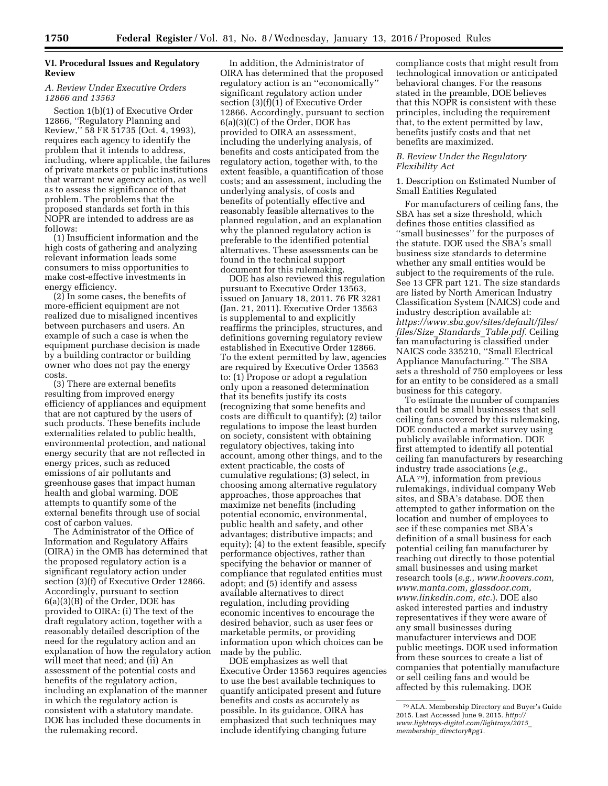# **VI. Procedural Issues and Regulatory Review**

## *A. Review Under Executive Orders 12866 and 13563*

Section 1(b)(1) of Executive Order 12866, ''Regulatory Planning and Review,'' 58 FR 51735 (Oct. 4, 1993), requires each agency to identify the problem that it intends to address, including, where applicable, the failures of private markets or public institutions that warrant new agency action, as well as to assess the significance of that problem. The problems that the proposed standards set forth in this NOPR are intended to address are as follows:

(1) Insufficient information and the high costs of gathering and analyzing relevant information leads some consumers to miss opportunities to make cost-effective investments in energy efficiency.

(2) In some cases, the benefits of more-efficient equipment are not realized due to misaligned incentives between purchasers and users. An example of such a case is when the equipment purchase decision is made by a building contractor or building owner who does not pay the energy costs.

(3) There are external benefits resulting from improved energy efficiency of appliances and equipment that are not captured by the users of such products. These benefits include externalities related to public health, environmental protection, and national energy security that are not reflected in energy prices, such as reduced emissions of air pollutants and greenhouse gases that impact human health and global warming. DOE attempts to quantify some of the external benefits through use of social cost of carbon values.

The Administrator of the Office of Information and Regulatory Affairs (OIRA) in the OMB has determined that the proposed regulatory action is a significant regulatory action under section (3)(f) of Executive Order 12866. Accordingly, pursuant to section 6(a)(3)(B) of the Order, DOE has provided to OIRA: (i) The text of the draft regulatory action, together with a reasonably detailed description of the need for the regulatory action and an explanation of how the regulatory action will meet that need; and (ii) An assessment of the potential costs and benefits of the regulatory action, including an explanation of the manner in which the regulatory action is consistent with a statutory mandate. DOE has included these documents in the rulemaking record.

In addition, the Administrator of OIRA has determined that the proposed regulatory action is an ''economically'' significant regulatory action under section (3)(f)(1) of Executive Order 12866. Accordingly, pursuant to section 6(a)(3)(C) of the Order, DOE has provided to OIRA an assessment, including the underlying analysis, of benefits and costs anticipated from the regulatory action, together with, to the extent feasible, a quantification of those costs; and an assessment, including the underlying analysis, of costs and benefits of potentially effective and reasonably feasible alternatives to the planned regulation, and an explanation why the planned regulatory action is preferable to the identified potential alternatives. These assessments can be found in the technical support document for this rulemaking.

DOE has also reviewed this regulation pursuant to Executive Order 13563, issued on January 18, 2011. 76 FR 3281 (Jan. 21, 2011). Executive Order 13563 is supplemental to and explicitly reaffirms the principles, structures, and definitions governing regulatory review established in Executive Order 12866. To the extent permitted by law, agencies are required by Executive Order 13563 to: (1) Propose or adopt a regulation only upon a reasoned determination that its benefits justify its costs (recognizing that some benefits and costs are difficult to quantify); (2) tailor regulations to impose the least burden on society, consistent with obtaining regulatory objectives, taking into account, among other things, and to the extent practicable, the costs of cumulative regulations; (3) select, in choosing among alternative regulatory approaches, those approaches that maximize net benefits (including potential economic, environmental, public health and safety, and other advantages; distributive impacts; and equity); (4) to the extent feasible, specify performance objectives, rather than specifying the behavior or manner of compliance that regulated entities must adopt; and (5) identify and assess available alternatives to direct regulation, including providing economic incentives to encourage the desired behavior, such as user fees or marketable permits, or providing information upon which choices can be made by the public.

DOE emphasizes as well that Executive Order 13563 requires agencies to use the best available techniques to quantify anticipated present and future benefits and costs as accurately as possible. In its guidance, OIRA has emphasized that such techniques may include identifying changing future

compliance costs that might result from technological innovation or anticipated behavioral changes. For the reasons stated in the preamble, DOE believes that this NOPR is consistent with these principles, including the requirement that, to the extent permitted by law, benefits justify costs and that net benefits are maximized.

### *B. Review Under the Regulatory Flexibility Act*

### 1. Description on Estimated Number of Small Entities Regulated

For manufacturers of ceiling fans, the SBA has set a size threshold, which defines those entities classified as ''small businesses'' for the purposes of the statute. DOE used the SBA's small business size standards to determine whether any small entities would be subject to the requirements of the rule. See 13 CFR part 121. The size standards are listed by North American Industry Classification System (NAICS) code and industry description available at: *[https://www.sba.gov/sites/default/files/](https://www.sba.gov/sites/default/files/files/Size_Standards_Table.pdf) files/Size*\_*[Standards](https://www.sba.gov/sites/default/files/files/Size_Standards_Table.pdf)*\_*Table.pdf*. Ceiling fan manufacturing is classified under NAICS code 335210, ''Small Electrical Appliance Manufacturing.'' The SBA sets a threshold of 750 employees or less for an entity to be considered as a small business for this category.

To estimate the number of companies that could be small businesses that sell ceiling fans covered by this rulemaking, DOE conducted a market survey using publicly available information. DOE first attempted to identify all potential ceiling fan manufacturers by researching industry trade associations (*e.g.,*  ALA 79), information from previous rulemakings, individual company Web sites, and SBA's database. DOE then attempted to gather information on the location and number of employees to see if these companies met SBA's definition of a small business for each potential ceiling fan manufacturer by reaching out directly to those potential small businesses and using market research tools (*e.g., [www.hoovers.com,](http://www.hoovers.com) www.manta.com, glassdoor.com, www.linkedin.com, etc.*). DOE also asked interested parties and industry representatives if they were aware of any small businesses during manufacturer interviews and DOE public meetings. DOE used information from these sources to create a list of companies that potentially manufacture or sell ceiling fans and would be affected by this rulemaking. DOE

<sup>79</sup>ALA. Membership Directory and Buyer's Guide 2015. Last Accessed June 9, 2015. *[http://](http://www.lightrays-digital.com/lightrays/2015_membership_directory#pg1) [www.lightrays-digital.com/lightrays/2015](http://www.lightrays-digital.com/lightrays/2015_membership_directory#pg1)*\_ *membership*\_*[directory#pg1](http://www.lightrays-digital.com/lightrays/2015_membership_directory#pg1)*.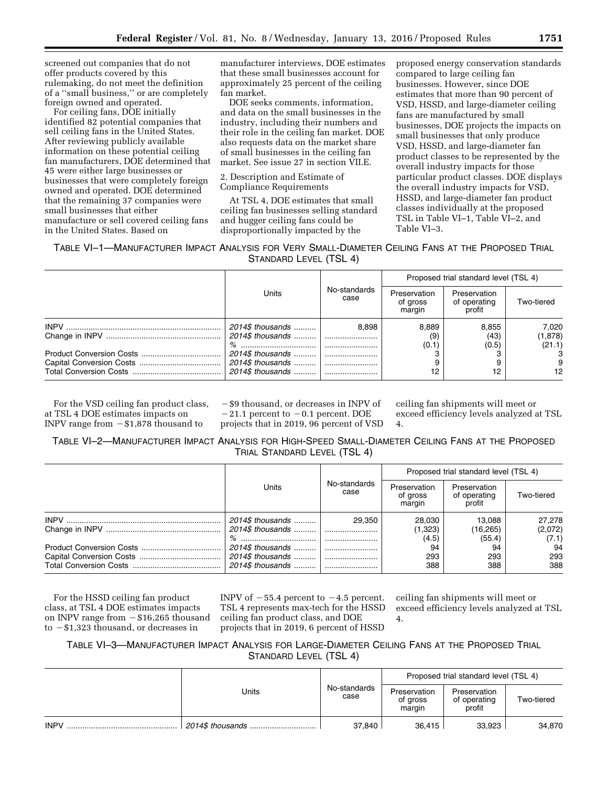screened out companies that do not offer products covered by this rulemaking, do not meet the definition of a ''small business,'' or are completely foreign owned and operated.

For ceiling fans, DOE initially identified 82 potential companies that sell ceiling fans in the United States. After reviewing publicly available information on these potential ceiling fan manufacturers, DOE determined that 45 were either large businesses or businesses that were completely foreign owned and operated. DOE determined that the remaining 37 companies were small businesses that either manufacture or sell covered ceiling fans in the United States. Based on

manufacturer interviews, DOE estimates that these small businesses account for approximately 25 percent of the ceiling fan market.

DOE seeks comments, information, and data on the small businesses in the industry, including their numbers and their role in the ceiling fan market. DOE also requests data on the market share of small businesses in the ceiling fan market. See issue 27 in section VII.E.

2. Description and Estimate of Compliance Requirements

At TSL 4, DOE estimates that small ceiling fan businesses selling standard and hugger ceiling fans could be disproportionally impacted by the

proposed energy conservation standards compared to large ceiling fan businesses. However, since DOE estimates that more than 90 percent of VSD, HSSD, and large-diameter ceiling fans are manufactured by small businesses, DOE projects the impacts on small businesses that only produce VSD, HSSD, and large-diameter fan product classes to be represented by the overall industry impacts for those particular product classes. DOE displays the overall industry impacts for VSD, HSSD, and large-diameter fan product classes individually at the proposed TSL in Table VI–1, Table VI–2, and Table VI–3.

TABLE VI–1—MANUFACTURER IMPACT ANALYSIS FOR VERY SMALL-DIAMETER CEILING FANS AT THE PROPOSED TRIAL STANDARD LEVEL (TSL 4)

|                  |                      |                                    | Proposed trial standard level (TSL 4)  |            |
|------------------|----------------------|------------------------------------|----------------------------------------|------------|
| Units            | No-standards<br>case | Preservation<br>of gross<br>margin | Preservation<br>of operating<br>profit | Two-tiered |
| 2014\$ thousands | 8.898                | 8.889                              | 8.855                                  | 7,020      |
|                  |                      | (9)                                | (43)                                   | (1,878)    |
|                  |                      | (0.1)                              | (0.5)                                  | (21.1)     |
| 2014\$ thousands |                      |                                    |                                        |            |
|                  |                      |                                    |                                        | 9          |
| 2014\$ thousands |                      | 12                                 | 12                                     | 12         |

For the VSD ceiling fan product class, at TSL 4 DOE estimates impacts on INPV range from  $- $1,878$  thousand to

 $-$ \$9 thousand, or decreases in INPV of  $-21.1$  percent to  $-0.1$  percent. DOE projects that in 2019, 96 percent of VSD

ceiling fan shipments will meet or exceed efficiency levels analyzed at TSL 4.

# TABLE VI–2—MANUFACTURER IMPACT ANALYSIS FOR HIGH-SPEED SMALL-DIAMETER CEILING FANS AT THE PROPOSED TRIAL STANDARD LEVEL (TSL 4)

|                  |                      |                                    | Proposed trial standard level (TSL 4)  |            |
|------------------|----------------------|------------------------------------|----------------------------------------|------------|
| Units            | No-standards<br>case | Preservation<br>of gross<br>margin | Preservation<br>of operating<br>profit | Two-tiered |
| 2014\$ thousands | 29.350               | 28,030                             | 13.088                                 | 27,278     |
|                  |                      | (1,323)                            | (16, 265)                              | (2,072)    |
|                  |                      | (4.5)                              | (55.4)                                 | (7.1)      |
|                  |                      | 94                                 | 94                                     | 94         |
|                  |                      | 293                                | 293                                    | 293        |
|                  |                      | 388                                | 388                                    | 388        |

For the HSSD ceiling fan product class, at TSL 4 DOE estimates impacts on INPV range from  $- $16,265$  thousand to  $-$ \$1,323 thousand, or decreases in

INPV of  $-55.4$  percent to  $-4.5$  percent. TSL 4 represents max-tech for the HSSD ceiling fan product class, and DOE projects that in 2019, 6 percent of HSSD

ceiling fan shipments will meet or

exceed efficiency levels analyzed at TSL 4.

TABLE VI–3—MANUFACTURER IMPACT ANALYSIS FOR LARGE-DIAMETER CEILING FANS AT THE PROPOSED TRIAL STANDARD LEVEL (TSL 4)

|             | Units            | No-standards<br>case | Proposed trial standard level (TSL 4) |                                        |            |  |
|-------------|------------------|----------------------|---------------------------------------|----------------------------------------|------------|--|
|             |                  |                      | Preservation<br>of gross<br>margin    | Preservation<br>of operating<br>profit | Two-tiered |  |
| <b>INPV</b> | 2014\$ thousands | 37.840               | 36.415                                | 33.923                                 | 34,870     |  |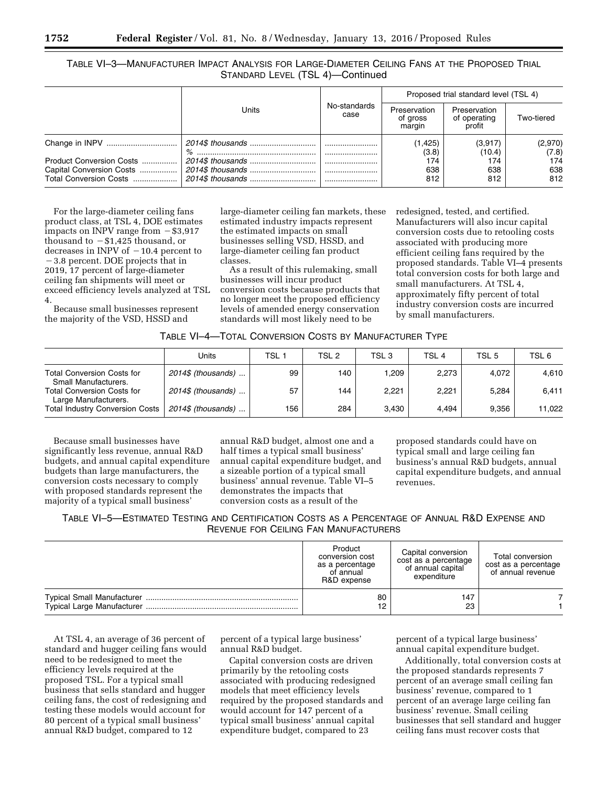|                                                      |                  |                      | Proposed trial standard level (TSL 4) |                                        |                  |  |
|------------------------------------------------------|------------------|----------------------|---------------------------------------|----------------------------------------|------------------|--|
|                                                      | Units            | No-standards<br>case | Preservation<br>of gross<br>margin    | Preservation<br>of operating<br>profit | Two-tiered       |  |
|                                                      | $\%$             |                      | (1, 425)<br>(3.8)                     | (3,917)<br>(10.4)                      | (2,970)<br>(7.8) |  |
| Product Conversion Costs<br>Capital Conversion Costs |                  |                      | 174<br>638                            | 174<br>638                             | 174<br>638       |  |
| Total Conversion Costs                               | 2014\$ thousands |                      | 812                                   | 812                                    | 812              |  |

For the large-diameter ceiling fans product class, at TSL 4, DOE estimates impacts on INPV range from  $-$  \$3,917 thousand to  $-\$1,425$  thousand, or decreases in INPV of  $-10.4$  percent to  $-3.8$  percent. DOE projects that in 2019, 17 percent of large-diameter ceiling fan shipments will meet or exceed efficiency levels analyzed at TSL 4.

Because small businesses represent the majority of the VSD, HSSD and

large-diameter ceiling fan markets, these estimated industry impacts represent the estimated impacts on small businesses selling VSD, HSSD, and large-diameter ceiling fan product classes.

As a result of this rulemaking, small businesses will incur product conversion costs because products that no longer meet the proposed efficiency levels of amended energy conservation standards will most likely need to be

redesigned, tested, and certified. Manufacturers will also incur capital conversion costs due to retooling costs associated with producing more efficient ceiling fans required by the proposed standards. Table VI–4 presents total conversion costs for both large and small manufacturers. At TSL 4, approximately fifty percent of total industry conversion costs are incurred by small manufacturers.

|                                                           | Units               | TSL 1 | TSL <sub>2</sub> | TSL <sub>3</sub> | TSL 4 | TSL 5 | TSL 6  |
|-----------------------------------------------------------|---------------------|-------|------------------|------------------|-------|-------|--------|
| <b>Total Conversion Costs for</b><br>Small Manufacturers. | 2014\$ (thousands)  | 99    | 140              | .209             | 2.273 | 4.072 | 4.610  |
| <b>Total Conversion Costs for</b><br>Large Manufacturers. | 2014\$ (thousands)  | 57    | 144              | 2,221            | 2.221 | 5.284 | 6,411  |
| <b>Total Industry Conversion Costs</b>                    | $2014\$ (thousands) | 156   | 284              | 3.430            | 4.494 | 9.356 | 11.022 |

Because small businesses have significantly less revenue, annual R&D budgets, and annual capital expenditure budgets than large manufacturers, the conversion costs necessary to comply with proposed standards represent the majority of a typical small business'

annual R&D budget, almost one and a half times a typical small business' annual capital expenditure budget, and a sizeable portion of a typical small business' annual revenue. Table VI–5 demonstrates the impacts that conversion costs as a result of the

proposed standards could have on typical small and large ceiling fan business's annual R&D budgets, annual capital expenditure budgets, and annual revenues.

TABLE VI–5—ESTIMATED TESTING AND CERTIFICATION COSTS AS A PERCENTAGE OF ANNUAL R&D EXPENSE AND REVENUE FOR CEILING FAN MANUFACTURERS

| Product<br>conversion cost<br>as a percentage<br>of annual<br>R&D expense | Capital conversion<br>cost as a percentage<br>of annual capital<br>expenditure | Total conversion<br>cost as a percentage<br>of annual revenue |
|---------------------------------------------------------------------------|--------------------------------------------------------------------------------|---------------------------------------------------------------|
| 80                                                                        | 147                                                                            |                                                               |
| 12                                                                        | 23                                                                             |                                                               |

At TSL 4, an average of 36 percent of standard and hugger ceiling fans would need to be redesigned to meet the efficiency levels required at the proposed TSL. For a typical small business that sells standard and hugger ceiling fans, the cost of redesigning and testing these models would account for 80 percent of a typical small business' annual R&D budget, compared to 12

percent of a typical large business' annual R&D budget.

Capital conversion costs are driven primarily by the retooling costs associated with producing redesigned models that meet efficiency levels required by the proposed standards and would account for 147 percent of a typical small business' annual capital expenditure budget, compared to 23

percent of a typical large business' annual capital expenditure budget.

Additionally, total conversion costs at the proposed standards represents 7 percent of an average small ceiling fan business' revenue, compared to 1 percent of an average large ceiling fan business' revenue. Small ceiling businesses that sell standard and hugger ceiling fans must recover costs that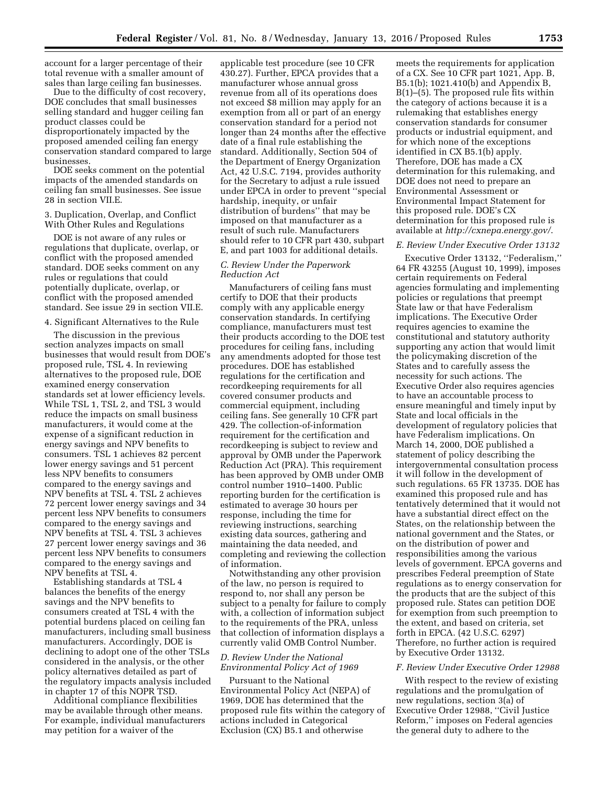account for a larger percentage of their total revenue with a smaller amount of sales than large ceiling fan businesses.

Due to the difficulty of cost recovery, DOE concludes that small businesses selling standard and hugger ceiling fan product classes could be disproportionately impacted by the proposed amended ceiling fan energy conservation standard compared to large businesses.

DOE seeks comment on the potential impacts of the amended standards on ceiling fan small businesses. See issue 28 in section VII.E.

### 3. Duplication, Overlap, and Conflict With Other Rules and Regulations

DOE is not aware of any rules or regulations that duplicate, overlap, or conflict with the proposed amended standard. DOE seeks comment on any rules or regulations that could potentially duplicate, overlap, or conflict with the proposed amended standard. See issue 29 in section VII.E.

### 4. Significant Alternatives to the Rule

The discussion in the previous section analyzes impacts on small businesses that would result from DOE's proposed rule, TSL 4. In reviewing alternatives to the proposed rule, DOE examined energy conservation standards set at lower efficiency levels. While TSL 1, TSL 2, and TSL 3 would reduce the impacts on small business manufacturers, it would come at the expense of a significant reduction in energy savings and NPV benefits to consumers. TSL 1 achieves 82 percent lower energy savings and 51 percent less NPV benefits to consumers compared to the energy savings and NPV benefits at TSL 4. TSL 2 achieves 72 percent lower energy savings and 34 percent less NPV benefits to consumers compared to the energy savings and NPV benefits at TSL 4. TSL 3 achieves 27 percent lower energy savings and 36 percent less NPV benefits to consumers compared to the energy savings and NPV benefits at TSL 4.

Establishing standards at TSL 4 balances the benefits of the energy savings and the NPV benefits to consumers created at TSL 4 with the potential burdens placed on ceiling fan manufacturers, including small business manufacturers. Accordingly, DOE is declining to adopt one of the other TSLs considered in the analysis, or the other policy alternatives detailed as part of the regulatory impacts analysis included in chapter 17 of this NOPR TSD.

Additional compliance flexibilities may be available through other means. For example, individual manufacturers may petition for a waiver of the

applicable test procedure (see 10 CFR 430.27). Further, EPCA provides that a manufacturer whose annual gross revenue from all of its operations does not exceed \$8 million may apply for an exemption from all or part of an energy conservation standard for a period not longer than 24 months after the effective date of a final rule establishing the standard. Additionally, Section 504 of the Department of Energy Organization Act, 42 U.S.C. 7194, provides authority for the Secretary to adjust a rule issued under EPCA in order to prevent ''special hardship, inequity, or unfair distribution of burdens'' that may be imposed on that manufacturer as a result of such rule. Manufacturers should refer to 10 CFR part 430, subpart E, and part 1003 for additional details.

### *C. Review Under the Paperwork Reduction Act*

Manufacturers of ceiling fans must certify to DOE that their products comply with any applicable energy conservation standards. In certifying compliance, manufacturers must test their products according to the DOE test procedures for ceiling fans, including any amendments adopted for those test procedures. DOE has established regulations for the certification and recordkeeping requirements for all covered consumer products and commercial equipment, including ceiling fans. See generally 10 CFR part 429. The collection-of-information requirement for the certification and recordkeeping is subject to review and approval by OMB under the Paperwork Reduction Act (PRA). This requirement has been approved by OMB under OMB control number 1910–1400. Public reporting burden for the certification is estimated to average 30 hours per response, including the time for reviewing instructions, searching existing data sources, gathering and maintaining the data needed, and completing and reviewing the collection of information.

Notwithstanding any other provision of the law, no person is required to respond to, nor shall any person be subject to a penalty for failure to comply with, a collection of information subject to the requirements of the PRA, unless that collection of information displays a currently valid OMB Control Number.

### *D. Review Under the National Environmental Policy Act of 1969*

Pursuant to the National Environmental Policy Act (NEPA) of 1969, DOE has determined that the proposed rule fits within the category of actions included in Categorical Exclusion (CX) B5.1 and otherwise

meets the requirements for application of a CX. See 10 CFR part 1021, App. B, B5.1(b); 1021.410(b) and Appendix B, B(1)–(5). The proposed rule fits within the category of actions because it is a rulemaking that establishes energy conservation standards for consumer products or industrial equipment, and for which none of the exceptions identified in CX B5.1(b) apply. Therefore, DOE has made a CX determination for this rulemaking, and DOE does not need to prepare an Environmental Assessment or Environmental Impact Statement for this proposed rule. DOE's CX determination for this proposed rule is available at *<http://cxnepa.energy.gov/>*.

### *E. Review Under Executive Order 13132*

Executive Order 13132, ''Federalism,'' 64 FR 43255 (August 10, 1999), imposes certain requirements on Federal agencies formulating and implementing policies or regulations that preempt State law or that have Federalism implications. The Executive Order requires agencies to examine the constitutional and statutory authority supporting any action that would limit the policymaking discretion of the States and to carefully assess the necessity for such actions. The Executive Order also requires agencies to have an accountable process to ensure meaningful and timely input by State and local officials in the development of regulatory policies that have Federalism implications. On March 14, 2000, DOE published a statement of policy describing the intergovernmental consultation process it will follow in the development of such regulations. 65 FR 13735. DOE has examined this proposed rule and has tentatively determined that it would not have a substantial direct effect on the States, on the relationship between the national government and the States, or on the distribution of power and responsibilities among the various levels of government. EPCA governs and prescribes Federal preemption of State regulations as to energy conservation for the products that are the subject of this proposed rule. States can petition DOE for exemption from such preemption to the extent, and based on criteria, set forth in EPCA. (42 U.S.C. 6297) Therefore, no further action is required by Executive Order 13132.

#### *F. Review Under Executive Order 12988*

With respect to the review of existing regulations and the promulgation of new regulations, section 3(a) of Executive Order 12988, ''Civil Justice Reform,'' imposes on Federal agencies the general duty to adhere to the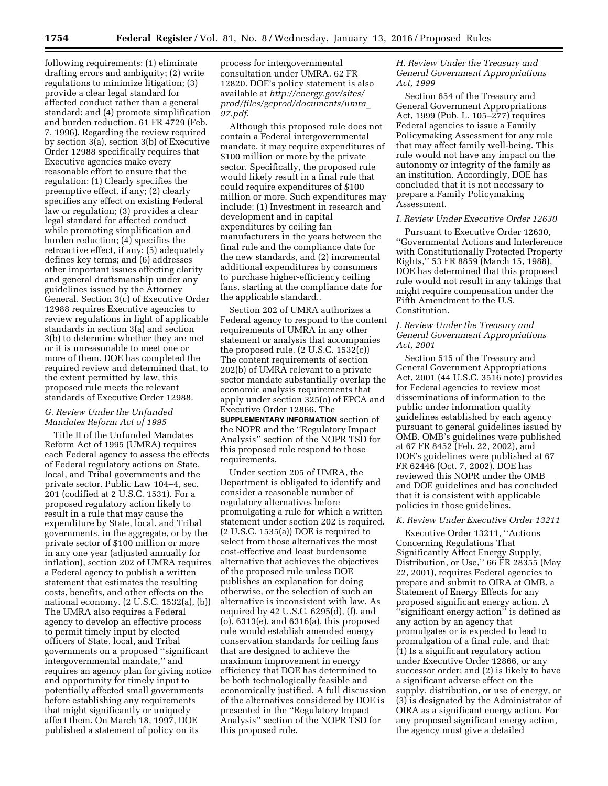following requirements: (1) eliminate drafting errors and ambiguity; (2) write regulations to minimize litigation; (3) provide a clear legal standard for affected conduct rather than a general standard; and (4) promote simplification and burden reduction. 61 FR 4729 (Feb. 7, 1996). Regarding the review required by section 3(a), section 3(b) of Executive Order 12988 specifically requires that Executive agencies make every reasonable effort to ensure that the regulation: (1) Clearly specifies the preemptive effect, if any; (2) clearly specifies any effect on existing Federal law or regulation; (3) provides a clear legal standard for affected conduct while promoting simplification and burden reduction; (4) specifies the retroactive effect, if any; (5) adequately defines key terms; and (6) addresses other important issues affecting clarity and general draftsmanship under any guidelines issued by the Attorney General. Section 3(c) of Executive Order 12988 requires Executive agencies to review regulations in light of applicable standards in section 3(a) and section 3(b) to determine whether they are met or it is unreasonable to meet one or more of them. DOE has completed the required review and determined that, to the extent permitted by law, this proposed rule meets the relevant standards of Executive Order 12988.

# *G. Review Under the Unfunded Mandates Reform Act of 1995*

Title II of the Unfunded Mandates Reform Act of 1995 (UMRA) requires each Federal agency to assess the effects of Federal regulatory actions on State, local, and Tribal governments and the private sector. Public Law 104–4, sec. 201 (codified at 2 U.S.C. 1531). For a proposed regulatory action likely to result in a rule that may cause the expenditure by State, local, and Tribal governments, in the aggregate, or by the private sector of \$100 million or more in any one year (adjusted annually for inflation), section 202 of UMRA requires a Federal agency to publish a written statement that estimates the resulting costs, benefits, and other effects on the national economy. (2 U.S.C. 1532(a), (b)) The UMRA also requires a Federal agency to develop an effective process to permit timely input by elected officers of State, local, and Tribal governments on a proposed ''significant intergovernmental mandate,'' and requires an agency plan for giving notice and opportunity for timely input to potentially affected small governments before establishing any requirements that might significantly or uniquely affect them. On March 18, 1997, DOE published a statement of policy on its

process for intergovernmental consultation under UMRA. 62 FR 12820. DOE's policy statement is also available at *[http://energy.gov/sites/](http://energy.gov/sites/prod/files/gcprod/documents/umra_97.pdf) [prod/files/gcprod/documents/umra](http://energy.gov/sites/prod/files/gcprod/documents/umra_97.pdf)*\_ *[97.pdf](http://energy.gov/sites/prod/files/gcprod/documents/umra_97.pdf)*.

Although this proposed rule does not contain a Federal intergovernmental mandate, it may require expenditures of \$100 million or more by the private sector. Specifically, the proposed rule would likely result in a final rule that could require expenditures of \$100 million or more. Such expenditures may include: (1) Investment in research and development and in capital expenditures by ceiling fan manufacturers in the years between the final rule and the compliance date for the new standards, and (2) incremental additional expenditures by consumers to purchase higher-efficiency ceiling fans, starting at the compliance date for the applicable standard..

Section 202 of UMRA authorizes a Federal agency to respond to the content requirements of UMRA in any other statement or analysis that accompanies the proposed rule. (2 U.S.C. 1532(c)) The content requirements of section 202(b) of UMRA relevant to a private sector mandate substantially overlap the economic analysis requirements that apply under section 325(o) of EPCA and Executive Order 12866. The

**SUPPLEMENTARY INFORMATION** section of the NOPR and the ''Regulatory Impact Analysis'' section of the NOPR TSD for this proposed rule respond to those requirements.

Under section 205 of UMRA, the Department is obligated to identify and consider a reasonable number of regulatory alternatives before promulgating a rule for which a written statement under section 202 is required. (2 U.S.C. 1535(a)) DOE is required to select from those alternatives the most cost-effective and least burdensome alternative that achieves the objectives of the proposed rule unless DOE publishes an explanation for doing otherwise, or the selection of such an alternative is inconsistent with law. As required by 42 U.S.C. 6295(d), (f), and (o), 6313(e), and 6316(a), this proposed rule would establish amended energy conservation standards for ceiling fans that are designed to achieve the maximum improvement in energy efficiency that DOE has determined to be both technologically feasible and economically justified. A full discussion of the alternatives considered by DOE is presented in the ''Regulatory Impact Analysis'' section of the NOPR TSD for this proposed rule.

## *H. Review Under the Treasury and General Government Appropriations Act, 1999*

Section 654 of the Treasury and General Government Appropriations Act, 1999 (Pub. L. 105–277) requires Federal agencies to issue a Family Policymaking Assessment for any rule that may affect family well-being. This rule would not have any impact on the autonomy or integrity of the family as an institution. Accordingly, DOE has concluded that it is not necessary to prepare a Family Policymaking Assessment.

### *I. Review Under Executive Order 12630*

Pursuant to Executive Order 12630, ''Governmental Actions and Interference with Constitutionally Protected Property Rights,'' 53 FR 8859 (March 15, 1988), DOE has determined that this proposed rule would not result in any takings that might require compensation under the Fifth Amendment to the U.S. Constitution.

# *J. Review Under the Treasury and General Government Appropriations Act, 2001*

Section 515 of the Treasury and General Government Appropriations Act, 2001 (44 U.S.C. 3516 note) provides for Federal agencies to review most disseminations of information to the public under information quality guidelines established by each agency pursuant to general guidelines issued by OMB. OMB's guidelines were published at 67 FR 8452 (Feb. 22, 2002), and DOE's guidelines were published at 67 FR 62446 (Oct. 7, 2002). DOE has reviewed this NOPR under the OMB and DOE guidelines and has concluded that it is consistent with applicable policies in those guidelines.

#### *K. Review Under Executive Order 13211*

Executive Order 13211, ''Actions Concerning Regulations That Significantly Affect Energy Supply, Distribution, or Use,'' 66 FR 28355 (May 22, 2001), requires Federal agencies to prepare and submit to OIRA at OMB, a Statement of Energy Effects for any proposed significant energy action. A ''significant energy action'' is defined as any action by an agency that promulgates or is expected to lead to promulgation of a final rule, and that: (1) Is a significant regulatory action under Executive Order 12866, or any successor order; and (2) is likely to have a significant adverse effect on the supply, distribution, or use of energy, or (3) is designated by the Administrator of OIRA as a significant energy action. For any proposed significant energy action, the agency must give a detailed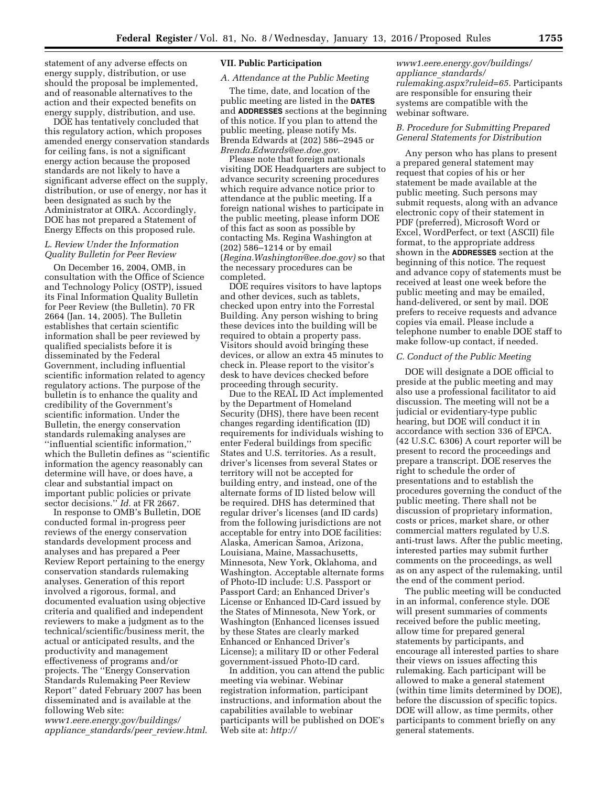statement of any adverse effects on energy supply, distribution, or use should the proposal be implemented, and of reasonable alternatives to the action and their expected benefits on energy supply, distribution, and use.

DOE has tentatively concluded that this regulatory action, which proposes amended energy conservation standards for ceiling fans, is not a significant energy action because the proposed standards are not likely to have a significant adverse effect on the supply, distribution, or use of energy, nor has it been designated as such by the Administrator at OIRA. Accordingly, DOE has not prepared a Statement of Energy Effects on this proposed rule.

# *L. Review Under the Information Quality Bulletin for Peer Review*

On December 16, 2004, OMB, in consultation with the Office of Science and Technology Policy (OSTP), issued its Final Information Quality Bulletin for Peer Review (the Bulletin). 70 FR 2664 (Jan. 14, 2005). The Bulletin establishes that certain scientific information shall be peer reviewed by qualified specialists before it is disseminated by the Federal Government, including influential scientific information related to agency regulatory actions. The purpose of the bulletin is to enhance the quality and credibility of the Government's scientific information. Under the Bulletin, the energy conservation standards rulemaking analyses are ''influential scientific information,'' which the Bulletin defines as ''scientific information the agency reasonably can determine will have, or does have, a clear and substantial impact on important public policies or private sector decisions.'' *Id.* at FR 2667.

In response to OMB's Bulletin, DOE conducted formal in-progress peer reviews of the energy conservation standards development process and analyses and has prepared a Peer Review Report pertaining to the energy conservation standards rulemaking analyses. Generation of this report involved a rigorous, formal, and documented evaluation using objective criteria and qualified and independent reviewers to make a judgment as to the technical/scientific/business merit, the actual or anticipated results, and the productivity and management effectiveness of programs and/or projects. The ''Energy Conservation Standards Rulemaking Peer Review Report'' dated February 2007 has been disseminated and is available at the following Web site:

*[www1.eere.energy.gov/buildings/](http://www1.eere.energy.gov/buildings/appliance_standards/peer_review.html) appliance*\_*[standards/peer](http://www1.eere.energy.gov/buildings/appliance_standards/peer_review.html)*\_*review.html*.

# **VII. Public Participation**

## *A. Attendance at the Public Meeting*

The time, date, and location of the public meeting are listed in the **DATES** and **ADDRESSES** sections at the beginning of this notice. If you plan to attend the public meeting, please notify Ms. Brenda Edwards at (202) 586–2945 or *[Brenda.Edwards@ee.doe.gov](mailto:Brenda.Edwards@ee.doe.gov)*.

Please note that foreign nationals visiting DOE Headquarters are subject to advance security screening procedures which require advance notice prior to attendance at the public meeting. If a foreign national wishes to participate in the public meeting, please inform DOE of this fact as soon as possible by contacting Ms. Regina Washington at (202) 586–1214 or by email (*[Regina.Washington@ee.doe.gov\)](mailto:Regina.Washington@ee.doe.gov)* so that the necessary procedures can be completed.

DOE requires visitors to have laptops and other devices, such as tablets, checked upon entry into the Forrestal Building. Any person wishing to bring these devices into the building will be required to obtain a property pass. Visitors should avoid bringing these devices, or allow an extra 45 minutes to check in. Please report to the visitor's desk to have devices checked before proceeding through security.

Due to the REAL ID Act implemented by the Department of Homeland Security (DHS), there have been recent changes regarding identification (ID) requirements for individuals wishing to enter Federal buildings from specific States and U.S. territories. As a result, driver's licenses from several States or territory will not be accepted for building entry, and instead, one of the alternate forms of ID listed below will be required. DHS has determined that regular driver's licenses (and ID cards) from the following jurisdictions are not acceptable for entry into DOE facilities: Alaska, American Samoa, Arizona, Louisiana, Maine, Massachusetts, Minnesota, New York, Oklahoma, and Washington. Acceptable alternate forms of Photo-ID include: U.S. Passport or Passport Card; an Enhanced Driver's License or Enhanced ID-Card issued by the States of Minnesota, New York, or Washington (Enhanced licenses issued by these States are clearly marked Enhanced or Enhanced Driver's License); a military ID or other Federal government-issued Photo-ID card.

In addition, you can attend the public meeting via webinar. Webinar registration information, participant instructions, and information about the capabilities available to webinar participants will be published on DOE's Web site at: *[http://](http://www1.eere.energy.gov/buildings/appliance_standards/rulemaking.aspx?ruleid=65)*

*[www1.eere.energy.gov/buildings/](http://www1.eere.energy.gov/buildings/appliance_standards/rulemaking.aspx?ruleid=65) appliance*\_*[standards/](http://www1.eere.energy.gov/buildings/appliance_standards/rulemaking.aspx?ruleid=65) [rulemaking.aspx?ruleid=65](http://www1.eere.energy.gov/buildings/appliance_standards/rulemaking.aspx?ruleid=65)*. Participants are responsible for ensuring their systems are compatible with the webinar software.

### *B. Procedure for Submitting Prepared General Statements for Distribution*

Any person who has plans to present a prepared general statement may request that copies of his or her statement be made available at the public meeting. Such persons may submit requests, along with an advance electronic copy of their statement in PDF (preferred), Microsoft Word or Excel, WordPerfect, or text (ASCII) file format, to the appropriate address shown in the **ADDRESSES** section at the beginning of this notice. The request and advance copy of statements must be received at least one week before the public meeting and may be emailed, hand-delivered, or sent by mail. DOE prefers to receive requests and advance copies via email. Please include a telephone number to enable DOE staff to make follow-up contact, if needed.

### *C. Conduct of the Public Meeting*

DOE will designate a DOE official to preside at the public meeting and may also use a professional facilitator to aid discussion. The meeting will not be a judicial or evidentiary-type public hearing, but DOE will conduct it in accordance with section 336 of EPCA. (42 U.S.C. 6306) A court reporter will be present to record the proceedings and prepare a transcript. DOE reserves the right to schedule the order of presentations and to establish the procedures governing the conduct of the public meeting. There shall not be discussion of proprietary information, costs or prices, market share, or other commercial matters regulated by U.S. anti-trust laws. After the public meeting, interested parties may submit further comments on the proceedings, as well as on any aspect of the rulemaking, until the end of the comment period.

The public meeting will be conducted in an informal, conference style. DOE will present summaries of comments received before the public meeting, allow time for prepared general statements by participants, and encourage all interested parties to share their views on issues affecting this rulemaking. Each participant will be allowed to make a general statement (within time limits determined by DOE), before the discussion of specific topics. DOE will allow, as time permits, other participants to comment briefly on any general statements.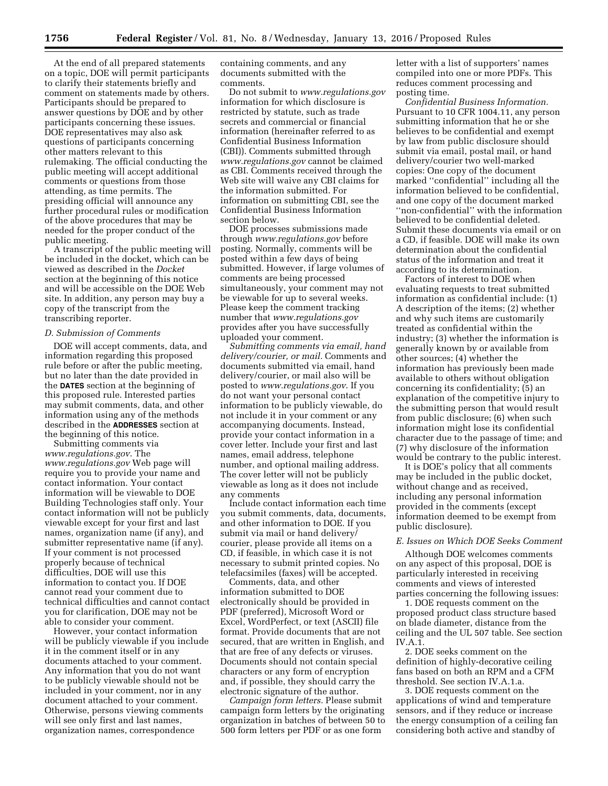At the end of all prepared statements on a topic, DOE will permit participants to clarify their statements briefly and comment on statements made by others. Participants should be prepared to answer questions by DOE and by other participants concerning these issues. DOE representatives may also ask questions of participants concerning other matters relevant to this rulemaking. The official conducting the public meeting will accept additional comments or questions from those attending, as time permits. The presiding official will announce any further procedural rules or modification of the above procedures that may be needed for the proper conduct of the public meeting.

A transcript of the public meeting will be included in the docket, which can be viewed as described in the *Docket*  section at the beginning of this notice and will be accessible on the DOE Web site. In addition, any person may buy a copy of the transcript from the transcribing reporter.

#### *D. Submission of Comments*

DOE will accept comments, data, and information regarding this proposed rule before or after the public meeting, but no later than the date provided in the **DATES** section at the beginning of this proposed rule. Interested parties may submit comments, data, and other information using any of the methods described in the **ADDRESSES** section at the beginning of this notice.

Submitting comments via *[www.regulations.gov](http://www.regulations.gov)*. The *[www.regulations.gov](http://www.regulations.gov)* Web page will require you to provide your name and contact information. Your contact information will be viewable to DOE Building Technologies staff only. Your contact information will not be publicly viewable except for your first and last names, organization name (if any), and submitter representative name (if any). If your comment is not processed properly because of technical difficulties, DOE will use this information to contact you. If DOE cannot read your comment due to technical difficulties and cannot contact you for clarification, DOE may not be able to consider your comment.

However, your contact information will be publicly viewable if you include it in the comment itself or in any documents attached to your comment. Any information that you do not want to be publicly viewable should not be included in your comment, nor in any document attached to your comment. Otherwise, persons viewing comments will see only first and last names, organization names, correspondence

containing comments, and any documents submitted with the comments.

Do not submit to *[www.regulations.gov](http://www.regulations.gov)*  information for which disclosure is restricted by statute, such as trade secrets and commercial or financial information (hereinafter referred to as Confidential Business Information (CBI)). Comments submitted through *[www.regulations.gov](http://www.regulations.gov)* cannot be claimed as CBI. Comments received through the Web site will waive any CBI claims for the information submitted. For information on submitting CBI, see the Confidential Business Information section below.

DOE processes submissions made through *[www.regulations.gov](http://www.regulations.gov)* before posting. Normally, comments will be posted within a few days of being submitted. However, if large volumes of comments are being processed simultaneously, your comment may not be viewable for up to several weeks. Please keep the comment tracking number that *[www.regulations.gov](http://www.regulations.gov)*  provides after you have successfully uploaded your comment.

*Submitting comments via email, hand delivery/courier, or mail.* Comments and documents submitted via email, hand delivery/courier, or mail also will be posted to *[www.regulations.gov](http://www.regulations.gov)*. If you do not want your personal contact information to be publicly viewable, do not include it in your comment or any accompanying documents. Instead, provide your contact information in a cover letter. Include your first and last names, email address, telephone number, and optional mailing address. The cover letter will not be publicly viewable as long as it does not include any comments

Include contact information each time you submit comments, data, documents, and other information to DOE. If you submit via mail or hand delivery/ courier, please provide all items on a CD, if feasible, in which case it is not necessary to submit printed copies. No telefacsimiles (faxes) will be accepted.

Comments, data, and other information submitted to DOE electronically should be provided in PDF (preferred), Microsoft Word or Excel, WordPerfect, or text (ASCII) file format. Provide documents that are not secured, that are written in English, and that are free of any defects or viruses. Documents should not contain special characters or any form of encryption and, if possible, they should carry the electronic signature of the author.

*Campaign form letters.* Please submit campaign form letters by the originating organization in batches of between 50 to 500 form letters per PDF or as one form

letter with a list of supporters' names compiled into one or more PDFs. This reduces comment processing and posting time.

*Confidential Business Information.*  Pursuant to 10 CFR 1004.11, any person submitting information that he or she believes to be confidential and exempt by law from public disclosure should submit via email, postal mail, or hand delivery/courier two well-marked copies: One copy of the document marked ''confidential'' including all the information believed to be confidential, and one copy of the document marked ''non-confidential'' with the information believed to be confidential deleted. Submit these documents via email or on a CD, if feasible. DOE will make its own determination about the confidential status of the information and treat it according to its determination.

Factors of interest to DOE when evaluating requests to treat submitted information as confidential include: (1) A description of the items; (2) whether and why such items are customarily treated as confidential within the industry; (3) whether the information is generally known by or available from other sources; (4) whether the information has previously been made available to others without obligation concerning its confidentiality; (5) an explanation of the competitive injury to the submitting person that would result from public disclosure; (6) when such information might lose its confidential character due to the passage of time; and (7) why disclosure of the information would be contrary to the public interest.

It is DOE's policy that all comments may be included in the public docket, without change and as received, including any personal information provided in the comments (except information deemed to be exempt from public disclosure).

### *E. Issues on Which DOE Seeks Comment*

Although DOE welcomes comments on any aspect of this proposal, DOE is particularly interested in receiving comments and views of interested parties concerning the following issues:

1. DOE requests comment on the proposed product class structure based on blade diameter, distance from the ceiling and the UL 507 table. See section IV $A$ 1

2. DOE seeks comment on the definition of highly-decorative ceiling fans based on both an RPM and a CFM threshold. See section IV.A.1.a.

3. DOE requests comment on the applications of wind and temperature sensors, and if they reduce or increase the energy consumption of a ceiling fan considering both active and standby of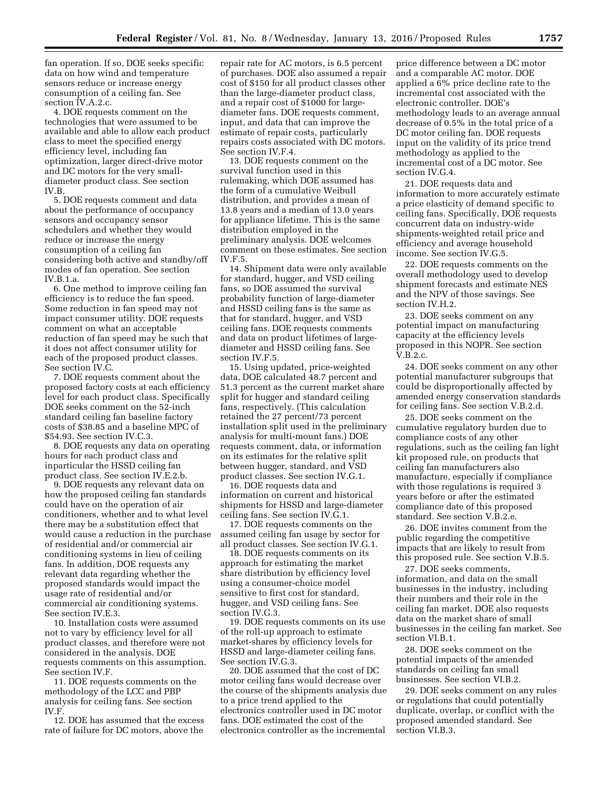fan operation. If so, DOE seeks specific data on how wind and temperature sensors reduce or increase energy consumption of a ceiling fan. See section IV.A.2.c.

4. DOE requests comment on the technologies that were assumed to be available and able to allow each product class to meet the specified energy efficiency level, including fan optimization, larger direct-drive motor and DC motors for the very smalldiameter product class. See section IV.B.

5. DOE requests comment and data about the performance of occupancy sensors and occupancy sensor schedulers and whether they would reduce or increase the energy consumption of a ceiling fan considering both active and standby/off modes of fan operation. See section IV.B.1.a.

6. One method to improve ceiling fan efficiency is to reduce the fan speed. Some reduction in fan speed may not impact consumer utility. DOE requests comment on what an acceptable reduction of fan speed may be such that it does not affect consumer utility for each of the proposed product classes. See section IV.C.

7. DOE requests comment about the proposed factory costs at each efficiency level for each product class. Specifically DOE seeks comment on the 52-inch standard ceiling fan baseline factory costs of \$38.85 and a baseline MPC of \$54.93. See section IV.C.3.

8. DOE requests any data on operating hours for each product class and inparticular the HSSD ceiling fan product class. See section IV.E.2.b.

9. DOE requests any relevant data on how the proposed ceiling fan standards could have on the operation of air conditioners, whether and to what level there may be a substitution effect that would cause a reduction in the purchase of residential and/or commercial air conditioning systems in lieu of ceiling fans. In addition, DOE requests any relevant data regarding whether the proposed standards would impact the usage rate of residential and/or commercial air conditioning systems. See section IV.E.3.

10. Installation costs were assumed not to vary by efficiency level for all product classes, and therefore were not considered in the analysis. DOE requests comments on this assumption. See section IV.F.

11. DOE requests comments on the methodology of the LCC and PBP analysis for ceiling fans. See section IV.F.

12. DOE has assumed that the excess rate of failure for DC motors, above the repair rate for AC motors, is 6.5 percent of purchases. DOE also assumed a repair cost of \$150 for all product classes other than the large-diameter product class, and a repair cost of \$1000 for largediameter fans. DOE requests comment, input, and data that can improve the estimate of repair costs, particularly repairs costs associated with DC motors. See section IV.F.4.

13. DOE requests comment on the survival function used in this rulemaking, which DOE assumed has the form of a cumulative Weibull distribution, and provides a mean of 13.8 years and a median of 13.0 years for appliance lifetime. This is the same distribution employed in the preliminary analysis. DOE welcomes comment on these estimates. See section IV.F.5.

14. Shipment data were only available for standard, hugger, and VSD ceiling fans, so DOE assumed the survival probability function of large-diameter and HSSD ceiling fans is the same as that for standard, hugger, and VSD ceiling fans. DOE requests comments and data on product lifetimes of largediameter and HSSD ceiling fans. See section IV.F.5.

15. Using updated, price-weighted data, DOE calculated 48.7 percent and 51.3 percent as the current market share split for hugger and standard ceiling fans, respectively. (This calculation retained the 27 percent/73 percent installation split used in the preliminary analysis for multi-mount fans.) DOE requests comment, data, or information on its estimates for the relative split between hugger, standard, and VSD product classes. See section IV.G.1.

16. DOE requests data and information on current and historical shipments for HSSD and large-diameter ceiling fans. See section IV.G.1.

17. DOE requests comments on the assumed ceiling fan usage by sector for all product classes. See section IV.G.1.

18. DOE requests comments on its approach for estimating the market share distribution by efficiency level using a consumer-choice model sensitive to first cost for standard, hugger, and VSD ceiling fans. See section IV.G.3.

19. DOE requests comments on its use of the roll-up approach to estimate market-shares by efficiency levels for HSSD and large-diameter ceiling fans. See section IV.G.3.

20. DOE assumed that the cost of DC motor ceiling fans would decrease over the course of the shipments analysis due to a price trend applied to the electronics controller used in DC motor fans. DOE estimated the cost of the electronics controller as the incremental

price difference between a DC motor and a comparable AC motor. DOE applied a 6% price decline rate to the incremental cost associated with the electronic controller. DOE's methodology leads to an average annual decrease of 0.5% in the total price of a DC motor ceiling fan. DOE requests input on the validity of its price trend methodology as applied to the incremental cost of a DC motor. See section IV.G.4.

21. DOE requests data and information to more accurately estimate a price elasticity of demand specific to ceiling fans. Specifically, DOE requests concurrent data on industry-wide shipments-weighted retail price and efficiency and average household income. See section IV.G.5.

22. DOE requests comments on the overall methodology used to develop shipment forecasts and estimate NES and the NPV of those savings. See section IV.H.2.

23. DOE seeks comment on any potential impact on manufacturing capacity at the efficiency levels proposed in this NOPR. See section V.B.2.c.

24. DOE seeks comment on any other potential manufacturer subgroups that could be disproportionally affected by amended energy conservation standards for ceiling fans. See section V.B.2.d.

25. DOE seeks comment on the cumulative regulatory burden due to compliance costs of any other regulations, such as the ceiling fan light kit proposed rule, on products that ceiling fan manufacturers also manufacture, especially if compliance with those regulations is required 3 years before or after the estimated compliance date of this proposed standard. See section V.B.2.e.

26. DOE invites comment from the public regarding the competitive impacts that are likely to result from this proposed rule. See section V.B.5.

27. DOE seeks comments, information, and data on the small businesses in the industry, including their numbers and their role in the ceiling fan market. DOE also requests data on the market share of small businesses in the ceiling fan market. See section VI.B.1.

28. DOE seeks comment on the potential impacts of the amended standards on ceiling fan small businesses. See section VI.B.2.

29. DOE seeks comment on any rules or regulations that could potentially duplicate, overlap, or conflict with the proposed amended standard. See section VI.B.3.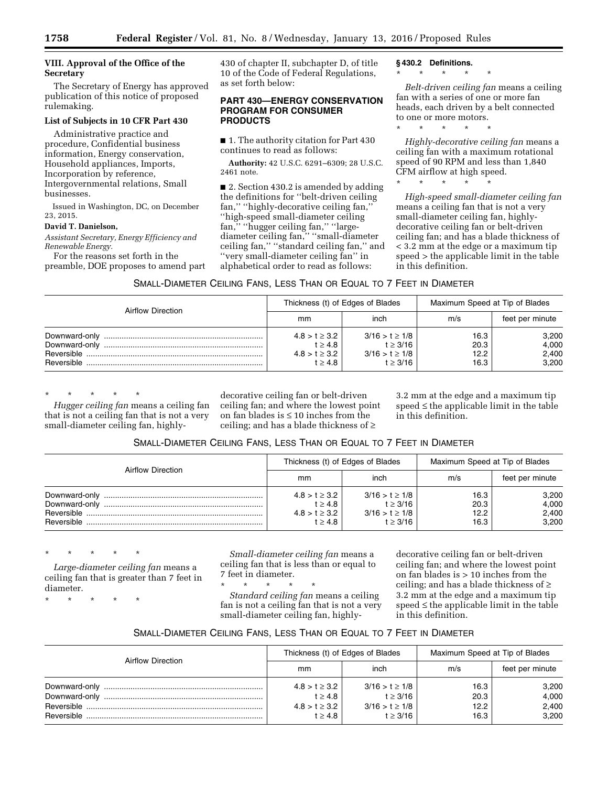as set forth below:

**PRODUCTS** 

430 of chapter II, subchapter D, of title 10 of the Code of Federal Regulations,

**PART 430—ENERGY CONSERVATION** 

**PROGRAM FOR CONSUMER** 

## **VIII. Approval of the Office of the Secretary**

The Secretary of Energy has approved publication of this notice of proposed rulemaking.

# **List of Subjects in 10 CFR Part 430**

Administrative practice and procedure, Confidential business information, Energy conservation, Household appliances, Imports, Incorporation by reference, Intergovernmental relations, Small businesses.

Issued in Washington, DC, on December 23, 2015.

### **David T. Danielson,**

*Assistant Secretary, Energy Efficiency and Renewable Energy.* 

For the reasons set forth in the preamble, DOE proposes to amend part ■ 1. The authority citation for Part 430 continues to read as follows:

**Authority:** 42 U.S.C. 6291–6309; 28 U.S.C. 2461 note.

■ 2. Section 430.2 is amended by adding the definitions for ''belt-driven ceiling fan,'' ''highly-decorative ceiling fan,'' ''high-speed small-diameter ceiling fan,'' ''hugger ceiling fan,'' ''largediameter ceiling fan,'' ''small-diameter ceiling fan,'' ''standard ceiling fan,'' and ''very small-diameter ceiling fan'' in alphabetical order to read as follows:

**§ 430.2 Definitions.** 

# \* \* \* \* \*

*Belt-driven ceiling fan* means a ceiling fan with a series of one or more fan heads, each driven by a belt connected to one or more motors.

\* \* \* \* \*

\* \* \* \* \*

*Highly-decorative ceiling fan* means a ceiling fan with a maximum rotational speed of 90 RPM and less than 1,840 CFM airflow at high speed.

*High-speed small-diameter ceiling fan*  means a ceiling fan that is not a very small-diameter ceiling fan, highlydecorative ceiling fan or belt-driven ceiling fan; and has a blade thickness of < 3.2 mm at the edge or a maximum tip speed > the applicable limit in the table in this definition.

| <b>Airflow Direction</b>       |                                                                     | Thickness (t) of Edges of Blades                                       | Maximum Speed at Tip of Blades |                                  |  |
|--------------------------------|---------------------------------------------------------------------|------------------------------------------------------------------------|--------------------------------|----------------------------------|--|
|                                | mm                                                                  | inch                                                                   | m/s                            | feet per minute                  |  |
| Downward-only<br>Downward-only | $4.8 > t \geq 3.2$<br>$t \geq 4.8$<br>$4.8 > t \geq 3.2$<br>t > 4.8 | $3/16 > t \geq 1/8$<br>$t \geq 3/16$<br>$3/16 > t \ge 1/8$<br>t > 3/16 | 16.3<br>20.3<br>12.2<br>16.3   | 3,200<br>4,000<br>2.400<br>3.200 |  |

\* \* \* \* \*

*Hugger ceiling fan* means a ceiling fan that is not a ceiling fan that is not a very small-diameter ceiling fan, highly-

decorative ceiling fan or belt-driven ceiling fan; and where the lowest point on fan blades is ≤ 10 inches from the ceiling; and has a blade thickness of ≥

3.2 mm at the edge and a maximum tip speed  $\leq$  the applicable limit in the table in this definition.

# SMALL-DIAMETER CEILING FANS, LESS THAN OR EQUAL TO 7 FEET IN DIAMETER

| Airflow Direction                            |                                                                | Thickness (t) of Edges of Blades                                        | Maximum Speed at Tip of Blades |                                  |  |
|----------------------------------------------|----------------------------------------------------------------|-------------------------------------------------------------------------|--------------------------------|----------------------------------|--|
|                                              | mm                                                             | inch                                                                    | m/s                            | feet per minute                  |  |
| Downward-only<br>Downward-only<br>Reversible | $4.8 > t \geq 3.2$<br>t > 4.8<br>$4.8 > t \geq 3.2$<br>t > 4.8 | $3/16 > t \geq 1/8$<br>$t \geq 3/16$<br>$3/16 > t \geq 1/8$<br>t > 3/16 | 16.3<br>20.3<br>12.2<br>16.3   | 3,200<br>4,000<br>2,400<br>3,200 |  |

\* \* \* \* \*

*Large-diameter ceiling fan* means a ceiling fan that is greater than 7 feet in diameter.

\* \* \* \* \*

*Small-diameter ceiling fan* means a ceiling fan that is less than or equal to 7 feet in diameter.

\* \* \* \* \* *Standard ceiling fan* means a ceiling fan is not a ceiling fan that is not a very small-diameter ceiling fan, highly-

decorative ceiling fan or belt-driven ceiling fan; and where the lowest point on fan blades is > 10 inches from the ceiling; and has a blade thickness of ≥ 3.2 mm at the edge and a maximum tip speed  $\leq$  the applicable limit in the table in this definition.

# SMALL-DIAMETER CEILING FANS, LESS THAN OR EQUAL TO 7 FEET IN DIAMETER

|                          |                    | Thickness (t) of Edges of Blades | Maximum Speed at Tip of Blades |                 |  |
|--------------------------|--------------------|----------------------------------|--------------------------------|-----------------|--|
| <b>Airflow Direction</b> | mm                 | inch                             | m/s                            | feet per minute |  |
| Downward-only            | $4.8 > t \geq 3.2$ | $3/16 > t \geq 1/8$              | 16.3                           | 3,200           |  |
| Downward-only            | $t \geq 4.8$       | $t \geq 3/16$                    | 20.3                           | 4,000           |  |
|                          | $4.8 > t \geq 3.2$ | $3/16 > t \geq 1/8$              | 12.2                           | 2,400           |  |
|                          | t > 4.8            | $t \geq 3/16$                    | 16.3                           | 3,200           |  |